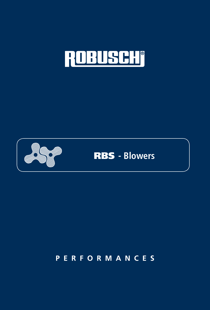





# **PERFORMANCES**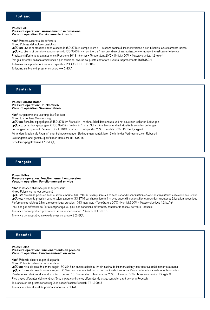Poles: Poli

#### Pressure operation: Funzionamento in pressione Vacuum operation: Funzionamento in vuoto

Nsof: Potenza assorbita dal soffiatore

Nmot: Potenza del motore consigliato Lp(A) sc: Livello di pressione sonora secondo ISO 3746 in campo libero a 1 m senza cabina di insonorizzazione e con tubazioni acusticamente isolate Lp(A) cc: Livello di pressione sonora secondo ISO 3746 in campo libero a 1 m con cabina di insonorizzazione e tubazioni acusticamente isolate Prestazioni riferite ad aria atmosferica: Pressione 1013 mbar ass - Temperatura 20°C - Umidità 50% - Massa volumica 1,2 kg/m<sup>3</sup> Per gas differenti dall'aria atmosferica o per condizioni diverse da queste contattare il vostro rappresentante ROBUSCHI Tolleranza sulle prestazioni: secondo specifica ROBUSCHI TE1.S.0015 Tolleranza sul livello di pressione sonora +/- 2 dB(A)

#### **Deutsch**

#### **Poles: Polzahl Motor** Pressure operation: Druckbetrieb Vacuum opeartion: Vakuumbetrieb

Nsof: Aufgenommene Leistung des Gebläses Nmot: Empfohlene Motorleistung Lp(A) sc: Schalldruckpegel gemäß ISO 3746 im Freifeld in 1m ohne Schalldämmhaube und mit akustisch isolierten Leitungen Lp(A) cc: Schalldruckpegel gemäß ISO 3746 im Freifeld in 1m mit Schalldämmhaube und mit akustisch isolierten Leitungen Leistungen bezogen auf Raumluft: Druck 1013 mbar abs. - Temperatur 20°C - Feuchte 50% - Dichte 1,2 kg/m<sup>3</sup> Für andere Medien als Raumluft oder bei abweichenden Bedingungen kontaktieren Sie bitte das Vertriebsnetz von Robuschi Leistungstoleranz: gemäß Spezifikation Robuschi TE1.S.0015 Schalldruckpegeltoleranz +/-2 dB(A)

### **Français**

Poles: Pôles Pressure operation: Fonctionnement en pression Vacuum operation: Fonctionnement en vide

Nsof: Puissance absorbée par le surpresseur

Nmot: Puissance moteur préconisé

Lp(A) sc: Niveau de pression sonore selon la norme ISO 3746 sur champ libre à 1 m sans capot d'insonorisation et avec des tuyauteries à isolation acoustique Lp(A) cc: Niveau de pression sonore selon la norme ISO 3746 sur champ libre à 1 m avec capot d'insonorisation et avec des tuyauteries à isolation acoustique Performances relatées à l'air atmosphérique: pression 1013 mbar abs. - Température 20°C - Humidité 50% - Masse volumique 1,2 kg/m<sup>3</sup>

Pour des gaz différents de l'air atmosphérique ou pour des conditions différentes, contacter le réseau de vente Robuschi

Tolérance par rapport aux prestations: selon la spécification Robuschi TE1.S.0015

Tolérance par rapport au niveau de pression sonore  $\pm$  2 dB(A)

### Español

#### **Poles: Polos** Pressure operation: Funcionamiento en presión Vacuum operation: Funcionamiento en vacio

Nsof: Potencia absorbida por el soplante

Nmot: Potencia del motor recomendado

Lp(A) sc: Nivel de presión sonora según ISO 3746 en campo abierto a 1m sin cabina de insonorización y con tuberías acústicamente aisladas Lp(A) cc: Nivel de presión sonora según ISO 3746 en campo abierto a 1m con cabina de insonorización y con tuberías acústicamente aisladas Prestaciones referidas al aire atmosférico: presión 1013 mbar abs. - Temperatura 20°C - Humedad 50% - Masa volumétrica 1,2 kg/m3 Para gases diferentes del aire atmosférico o para condiciones diferentes de éstas, contacte la red de venta Robuschi Tolerancia en las prestaciones: según la especificación Robuschi TE1.S.0015

Tolerancia sobre el nivel de presión sonora +/-2 dB(A)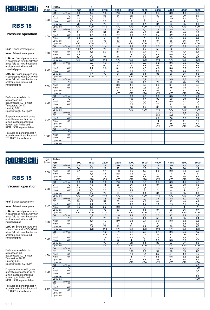

#### Pressure operation

Nsof: Blower absrbed power

Nmot: Advised motor power

Lp(A) sc: Sound pressure level in accordance with ISO 3746 in a free field at 1m without noise enclosure and with sound insulated pipes

Lp(A) cc: Sound pressure level in accordance with ISO 3746 in a free field at 1m without noise enclosure and with sound insulated pipes

Performances related to atmospheric air: abs. pressure 1,013 mbar Temperature 20° C Humidity 50% Specific weight 1.2 kg/m 3

For performances with gases other than atmospheric air or at non-standard conditions contact your Authorized ROBUSCHI representative

Tolerance on performances: in accordance with the Robuschi TE1.S.0015 specification

| DP.    | Poles                    |                            |                  | 4               | 2               |                 |                |                  |                  |                      |                |                 |
|--------|--------------------------|----------------------------|------------------|-----------------|-----------------|-----------------|----------------|------------------|------------------|----------------------|----------------|-----------------|
| (mbar) | rpm                      |                            | 1500             | 1800            | 2200            | 2600            | 3000           | 3600             | 4000             | 4400                 | 4600           | 5000            |
|        | Q1                       | m <sup>3</sup> /min        | 0,9              | 1,2             | 1,6             | 2,0             | 2,4            | 3,1              | 3,5              | 3,9                  | 4,1            | 4,6             |
|        | DT                       | $\overline{C}$             | 46               | 40              | 36              | 34              | 32             | 31               | 30               | 29                   | 29             | 29              |
| 300    | <b>Nsof</b>              | kW                         | 1.0              | 1,2             | 1,5             | 1.7             | 2,0            | 2.4              | 2,7              | 2,9                  | 3,1            | 3,4             |
|        | Nmot                     | kW                         | 1,5              | 1,5             | 2,2             | 2,2             | 3              | 3                | $\overline{4}$   | 4                    | $\overline{4}$ | 4               |
|        | $Lp(A)$ sc               |                            | 73               | 75              | 77              | 79              | 80             | 82               | 84               | 85                   | 85             | 86              |
|        | $Lp(A)$ cc               |                            | $\overline{570}$ | $\overline{50}$ | $\overline{50}$ | $\overline{50}$ | $70$           | $\overline{50}$  | $\overline{570}$ | $\overline{50}$      | $70$           | $\overline{50}$ |
|        | Q1                       | $m^3/m$ in                 | 0.7              | 1.1             | 1,5             | 1,9             | 2,3            | 3,0              | 3,4              | 3,8                  | 4,0            | 4,4             |
|        | DT                       | $\overline{C}$             | 71               | 60              | 52              | 48              | 45             | 43               | 41               | 40                   | 40             | 39              |
| 400    | Nsof                     | kW                         | 1,3              | 1,5             | 1,9             | 2,2             | 2,5            | 3,0              | 3,4              | 3,7                  | 3,9            | 4,2             |
|        | Nmot                     | kW                         | 2,2              | 2,2             | 3               | 3               | $\overline{4}$ | $\overline{4}$   | 5,5              | 5,5                  | 5,5            | 5,5             |
|        | $Lp(A)$ sc               |                            | 74               | 76              | 78              | 80              | 81             | 83               | 84               | 85                   | 86             | 87              |
|        | $Lp(A)$ cc               |                            | $\overline{50}$  | $70$            | $\overline{50}$ | $\overline{50}$ | $70$           | $\overline{50}$  | $\overline{50}$  | Z                    | $70$           | $\overline{50}$ |
|        | Q1                       | $m^3/m$ in                 | 0.6              | 1,0             | 1,4             | 1,8             | 2,2            | 2,9              | 3,3              | 3,7                  | 3,9            | 4,3             |
|        | DT                       | $\overline{\rm ^{\circ}C}$ | 103              | 82              | 70              | 63              | 59             | 55               | 53               | 52                   | 51             | 50              |
| 500    | <b>Nsof</b>              | kW                         | 1,5              | 1,8             | 2,3             | 2,7             | 3,1            | $\overline{3,7}$ | 4,1              | 4,5                  | 4,7            | 5,1             |
|        | Nmot                     | kW                         | 2,2              | 2,2             | 3               | $\overline{4}$  | $\overline{4}$ | 5,5              | 5,5              | 5,5                  | 5,5            | 7,5             |
|        | $Lp(A)$ sc               |                            | 74               | 76              | 78              | 80              | 82             | 84               | 85               | 86                   | 86             | 87              |
|        | $Lp(A)$ cc               |                            | $70$             | $70$            | $70$            | $70$            | $70$           | $70$             | $70$             | $70$                 | $70$           | $70$            |
|        | Q1                       | m <sup>3</sup> /min        |                  | 0,9             | 1,3             | 1,7             | 2,1            | 2,8              | 3,2              | 3,6                  | 3,8            | 4,3             |
|        | DT                       | $\overline{C}$             |                  | 109             | 90              | 80              | 74             | 68               | 66               | 64                   | 63             | 62              |
| 600    | Nsof                     | kW                         |                  | 2,2             | 2,6             | 3,1             | 3,6            | 4,3              | 4,8              | 5,3                  | 5,5            | 6,0             |
|        | Nmot                     | kW                         |                  | 3               | 4               | $\overline{4}$  | 5,5            | 5,5              | 5,5              | 7,5                  | 7,5            | 7,5             |
|        | $Lp(A)$ sc               |                            |                  | 77              | 79              | 81              | 82             | 84               | 85               | 86                   | 87             | 88              |
|        | $Lp(A)$ cc               |                            |                  | $70$            | $70$            | $70$            | $70$           | $70$             | $70$             | $70$                 | $70$           | $70$            |
|        | Q1                       | $m^3/m$ in                 |                  |                 |                 | 1,6             | 2.1            | 2,7              | 3.1              | 3,5                  | 3,7            | 4,2             |
|        | DT                       | $\overline{C}$             |                  |                 |                 | 98              | 90             | 82               | 79               | 76                   | 75             | 73              |
| 700    | <b>Nsof</b>              | kW                         |                  |                 |                 | 3,6             | 4,1            | 5,0              | 5,5              | 6,1                  | 6,3            | 6,9             |
|        | Nmot                     | kW                         |                  |                 |                 | 5,5             | 5,5            | 7,5              | 7,5              | 7,5                  | 7,5            | 11              |
|        | $Lp(A)$ sc               |                            |                  |                 |                 | 81              | 83             | 85               | 86               | 87                   | 87             | 88              |
|        | $Lp(A)$ cc               |                            |                  |                 |                 | <70             | $70$           | $70$             | $70$             | $70$                 | $70$           | $70$            |
|        | Q1                       | m <sup>3</sup> /min        |                  |                 |                 |                 | 2,0            | 2,6              | 3,0              | 3,5                  | 3,7            | 4,1             |
|        | DT                       | $\overline{C}$             |                  |                 |                 |                 | 106            | 97               | 92               | 89                   | 88             | 86              |
| 800    | Nsof                     | kW                         |                  |                 |                 |                 | 4,7            | 5,6              | 6,2              | 6,8                  | 7,1            | 7,8             |
|        | Nmot                     | kW                         |                  |                 |                 |                 | 5,5            | 7,5              | 7,5              | 11                   | 11             | 11              |
|        | $Lp(A)$ sc               |                            |                  |                 |                 |                 | 83             | 85               | 86               | 87                   | 88             | 89              |
|        | $Lp(A)$ cc               |                            |                  |                 |                 |                 | $70$           | $70$             | $70$             | $\overline{50}$      | $70$           | $70$            |
|        | $Q1 \qquad m^3/min$      | $\overline{C}$             |                  |                 |                 |                 |                |                  | 3,0              | 3,4                  | 3,6            | 4,0             |
|        | DT                       | kW                         |                  |                 |                 |                 |                |                  | 106              | 102                  | 101            | 98              |
| 900    | Nsof                     | kW                         |                  |                 |                 |                 |                |                  | 6,9              | 7,6                  | 8,0            | 8,7             |
|        | Nmot                     |                            |                  |                 |                 |                 |                |                  | 11               | 11                   | 11             | 11              |
|        | $Lp(A)$ sc<br>$Lp(A)$ cc |                            |                  |                 |                 |                 |                |                  | 87<br>$70$       | 88<br>$\overline{5}$ | 88<br>$70$     | 89<br>$70$      |
|        |                          | $m^3/m$ in                 |                  |                 |                 |                 |                |                  |                  |                      |                |                 |
|        | Q1<br><b>DT</b>          | $\overline{\text{C}}$      |                  |                 |                 |                 |                |                  |                  |                      |                |                 |
|        | <b>Nsof</b>              | kW                         |                  |                 |                 |                 |                |                  |                  |                      |                |                 |
| 1000   | Nmot                     | kW                         |                  |                 |                 |                 |                |                  |                  |                      |                |                 |
|        | $Lp(A)$ sc               |                            |                  |                 |                 |                 |                |                  |                  |                      |                |                 |
|        | $Lp(A)$ cc               |                            |                  |                 |                 |                 |                |                  |                  |                      |                |                 |
|        |                          |                            |                  |                 |                 |                 |                |                  |                  |                      |                |                 |

ত

4

# ROBUSCHI

## **RBS 15**

#### Vacuum operation

Nsof: Blower absrbed power

Nmot: Advised motor power

Lp(A) sc: Sound pressure level in accordance with ISO 3746 in a free field at 1m without noise enclosure and with sound insulated pipes

Lp(A) cc: Sound pressure level in accordance with ISO 3746 in a free field at 1m without noise enclosure and with sound insulated pipes

Performances related to atmospheric air: abs. pressure 1,013 mbar Temperature 20° C Humidity 50% Specific weight 1.2 kg/m 3

For performances with gases other than atmospheric air or at non-standard conditions contact your Authorized ROBUSCHI representative

| <b>DP</b> | Poles                                                     |                 | 4               | 2                |                  |                 |                |                  |                        |                 |                 |
|-----------|-----------------------------------------------------------|-----------------|-----------------|------------------|------------------|-----------------|----------------|------------------|------------------------|-----------------|-----------------|
| (mbar)    | rpm                                                       | 1500            | 1800            | 2200             | 2600             | 3000            | 3600           | 4000             | 4400                   | 4600            | 5000            |
|           | Q1<br>m <sup>3</sup> /min                                 | 0,9             | 1,2             | 1,6              | 2,0              | 2,4             | 3,1            | 3,5              | 3,9                    | 4,1             | 4,6             |
|           | $\overline{C}$<br>DT                                      | 36              | 32              | 29               | 27               | 26              | 25             | 24               | 24                     | 24              | 24              |
| 200       | Nsof<br>kW                                                | 0,7             | 0,9             | 1,1              | 1,3              | 1,5             | 1,8            | 2,0              | 2,2                    | 2,3             | 2,5             |
|           | Nmot<br>kW                                                | $\mathbf{1}$    | 1,5             | 1,5              | 2,2              | 2,2             | 2,2            | 3                | 3                      | 3               | 3               |
|           | $Lp(A)$ sc                                                | 73              | 75              | 77               | 79               | 80              | 82             | 83               | 84                     | 85              | 86              |
|           | $Lp(A)$ cc                                                | $\overline{50}$ | $\overline{50}$ | $\overline{570}$ | $70$             | $70$            | $70$           | $70$             | $70$                   | $\overline{50}$ | $70$            |
|           | $m^3/m$ in<br>Q1                                          | 0.8             | 1.1             | 1,6              | 2,0              | 2,4             | 3,0            | 3.5              | 3.9                    | 4.1             | 4,5             |
|           | $\overline{C}$<br>DT                                      | 54              | 46              | 41               | 38               | 36              | 34             | 34               | 33                     | 33              | 32              |
| 250       | kW<br>Nsof                                                | 0,9             | 1,0             | 1,3              | 1,5              | 1,7             | 2,1            | 2,3              | 2,6                    | 2,7             | 2,9             |
|           | Nmot<br>kW                                                | 1,5             | 1,5             | 2,2              | 2,2              | 2,2             | 3              | 3                | 4                      | $\overline{4}$  | 4               |
|           | $Lp(A)$ sc                                                | 73              | $\overline{75}$ | 77               | 79               | $\overline{81}$ | 83             | 84               | 85                     | 85              | 86              |
|           | $Lp(A)$ cc                                                | $70$            | $70$            | $70$             | $\overline{570}$ | $70$            | $70$           | $\overline{570}$ | $\overline{50}$        | $70$            | $70$            |
|           | $m^3/m$ in<br>Q1                                          | 0,7             | 1,0             | 1,5              | 1,9              | 2,3             | 2,9            | 3,4              | 3,8                    | 4,0             | 4,4             |
|           | $\overline{C}$<br>DT                                      | 79              | 65              | 57               | 52               | 49              | 46             | 44               | 43                     | 43              | 42              |
| 300       | Nsof<br>kW                                                | 1,0             | 1,2             | 1,5              | 1,7              | 2,0             | 2,4            | 2,7              | 2,9                    | 3,1             | 3,4             |
|           | kW<br>Nmot                                                | 1,5             | 1,5             | 2,2              | 2,2              | $\overline{3}$  | $\overline{3}$ | $\overline{4}$   | $\overline{4}$         | $\overline{4}$  | $\overline{4}$  |
|           | $Lp(A)$ sc                                                | 74              | 76              | 78               | 80               | 81              | 83             | 84               | 85                     | 86              | 87              |
|           | $Lp(A)$ cc                                                | $70$            | $70$            | $\overline{50}$  | $70$             | $70$            | $70$           | $70$             | $70$                   | $70$            | $70$            |
|           | $m^3/m$ in<br>Q1                                          |                 | 0,9             | 1,3              | 1,8              | 2,2             | 2,8            | 3,3              | 3,7                    | 3,9             | 4,3             |
|           | $\overline{C}$<br>DT                                      |                 | 91              | 76               | 69               | 64              | 60             | 58               | 56                     | 55              | 54              |
| 350       | Nsof<br>kW                                                |                 | 1,4             | 1,7              | 2,0              | 2,3             | 2,7            | 3,0              | 3,3                    | 3,5             | 3,8             |
|           | Nmot<br>kW                                                |                 | 2.2             | 2,2              | 3                | 3               | $\overline{4}$ | $\overline{4}$   | $\overline{4}$         | 5,5             | 5,5             |
|           | $Lp(A)$ sc                                                |                 | 76              | 78               | 80               | 82              | 84             | 85               | 86                     | 86              | 87              |
|           | $Lp(A)$ cc                                                |                 | $70$            | $70$             | $\overline{50}$  | $\overline{50}$ | $70$           | $70$             | $\overline{50}$        | $70$            | $70$            |
|           | $m^3/m$ in<br>Q1                                          |                 |                 | 1,2              | 1,7              | 2,1             | 2,7            | 3,1              | 3,6                    | 3,8             | 4,2             |
|           | $\overline{C}$<br>DT                                      |                 |                 | 103              | 91               | 83              | 77             | 74               | 71                     | 70              | 69              |
| 400       | kW<br>Nsof                                                |                 |                 | 1,9              | 2,2              | 2,5             | 3,0            | 3,4              | 3,7                    | 3,9             | 4,2             |
|           | kW<br>Nmot                                                |                 |                 | З                | 3                | $\overline{4}$  | $\overline{4}$ | 5,5              | 5,5                    | 5,5             | 5,5             |
|           | $Lp(A)$ sc                                                |                 |                 | 79               | 81               | 82              | 84             | 86               | 87<br>$\overline{570}$ | 87<br>$70$      | 88              |
|           | $Lp(A)$ cc                                                |                 |                 | $70$             | $70$             | $70$            | $70$           | $70$             |                        |                 | $70$            |
|           | m <sup>3</sup> /min<br>Q1<br>$\overline{\text{°C}}$<br>DT |                 |                 |                  |                  | 2,0             | 2,6            | 3,0              | 3,5                    | 3,7             | 4,1             |
|           | Nsof<br>kW                                                |                 |                 |                  |                  | 108<br>2,8      | 98             | 94<br>3,7        | 90<br>4,1              | 89<br>4,3       | 87<br>4,7       |
| 450       | Nmot<br>kW                                                |                 |                 |                  |                  | $\overline{4}$  | 3,4<br>4       | 5,5              | 5,5                    | 5,5             | 5,5             |
|           | $Lp(A)$ sc                                                |                 |                 |                  |                  | 83              | 85             | 86               | 87                     | 88              | 89              |
|           | $Lp(A)$ cc                                                |                 |                 |                  |                  | $70$            | $70$           | $70$             | $70$                   | $70$            | $\overline{50}$ |
|           | $m^3/m$ in<br>Q1                                          |                 |                 |                  |                  |                 |                |                  |                        |                 | 4,0             |
|           | <b>DT</b><br>$^{\circ}$ C                                 |                 |                 |                  |                  |                 |                |                  |                        |                 | 109             |
|           | kW<br>Nsof                                                |                 |                 |                  |                  |                 |                |                  |                        |                 | 5,1             |
| 500       | kW<br>Nmot                                                |                 |                 |                  |                  |                 |                |                  |                        |                 | 7,5             |
|           | $Lp(A)$ sc                                                |                 |                 |                  |                  |                 |                |                  |                        |                 | 89              |
|           | $Lp(A)$ cc                                                |                 |                 |                  |                  |                 |                |                  |                        |                 | $70$            |
|           | $m^3/m$ in<br>Q1                                          |                 |                 |                  |                  |                 |                |                  |                        |                 |                 |
|           | $\overline{C}$<br>DT                                      |                 |                 |                  |                  |                 |                |                  |                        |                 |                 |
|           | kW<br>Nsof                                                |                 |                 |                  |                  |                 |                |                  |                        |                 |                 |
| 550       | kW<br>Nmot                                                |                 |                 |                  |                  |                 |                |                  |                        |                 |                 |
|           | $Lp(A)$ sc                                                |                 |                 |                  |                  |                 |                |                  |                        |                 |                 |
|           | $Lp(A)$ cc                                                |                 |                 |                  |                  |                 |                |                  |                        |                 |                 |
|           |                                                           |                 |                 |                  |                  |                 |                |                  |                        |                 |                 |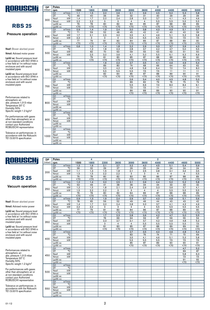

### Pressure operation

Nsof: Blower absrbed power

Nmot: Advised motor power

Lp(A) sc: Sound pressure level in accordance with ISO 3746 in a free field at 1m without noise enclosure and with sound insulated pipes

Lp(A) cc: Sound pressure level in accordance with ISO 3746 in a free field at 1m without noise enclosure and with sound insulated pipes

Performances related to atmospheric air: abs. pressure 1,013 mbar Temperature 20° C Humidity 50% Specific weight 1.2 kg/m 3

For performances with gases other than atmospheric air or at non-standard conditions contact your Authorized ROBUSCHI representative

Tolerance on performances: in accordance with the Robuschi TE1.S.0015 specification

| DP.    | Poles               |                       |                 | 4               | 2                |                 |      |                 |                  |                  |                 |                 |
|--------|---------------------|-----------------------|-----------------|-----------------|------------------|-----------------|------|-----------------|------------------|------------------|-----------------|-----------------|
| (mbar) | rpm                 |                       | 1500            | 1800            | 2200             | 2600            | 3000 | 3600            | 4000             | 4400             | 4600            | 5000            |
|        | Q1                  | $m^3/m$ in            | 1,1             | 1,5             | 2,0              | 2,6             | 3,1  | 3,9             | 4,5              | 5,0              | 5,3             | 5,8             |
|        | DT                  | $\overline{C}$        | 46              | 40              | 36               | 34              | 32   | 31              | 30               | 29               | 29              | 29              |
| 300    | <b>Nsof</b>         | kW                    | 1.4             | 1.7             | 2,0              | 2,4             | 2,8  | 3,3             | 3,7              | 4.1              | 4,3             | 4.6             |
|        | Nmot                | kW                    | 2,2             | 2,2             | 3                | 3               | 4    | $\overline{4}$  | 5,5              | 5,5              | 5,5             | 5,5             |
|        | $Lp(A)$ sc          |                       | 76              | 78              | 80               | 82              | 83   | 85              | 87               | 88               | 88              | 89              |
|        | $Lp(A)$ cc          |                       | $\overline{50}$ | $\overline{50}$ | $\overline{570}$ | $\overline{50}$ | $70$ | $\overline{50}$ | $\overline{50}$  | $\overline{570}$ | $\overline{50}$ | $\overline{50}$ |
|        | Q1                  | m <sup>3</sup> /min   | 0,9             | 1.4             | 1,9              | 2,4             | 3,0  | 3,8             | 4,3              | 4,9              | 5,1             | 5,7             |
|        | DT                  | $\overline{C}$        | 71              | 59              | 52               | 48              | 45   | 42              | 41               | 40               | 40              | 39              |
| 400    | Nsof                | kW                    | 1.7             | 2,1             | 2,5              | 3,0             | 3,5  | 4,1             | 4,6              | 5,1              | 5,3             | 5,8             |
|        | Nmot                | kW                    | 2,2             | 3               | 3                | $\overline{4}$  | 5,5  | 5,5             | 5,5              | 7,5              | 7,5             | 7,5             |
|        | $Lp(A)$ sc          |                       | 77              | 79              | 81               | 83              | 84   | 86              | 87               | 88               | 89              | 90              |
|        | $Lp(A)$ cc          |                       | $\overline{50}$ | $\overline{50}$ | $\overline{50}$  | Z               | $70$ | $70$            | $\overline{570}$ | $\overline{50}$  | $70$            | $70$            |
|        | Q1                  | $m^3/m$ in            | 0.6             | 1,0             | 1,4              | 1,8             | 2,2  | 2,9             | 3,3              | 3,7              | 3,9             | 4,3             |
|        | DT                  | $\overline{\text{C}}$ |                 | 1,2             | 1,8              | 2,3             | 2,8  | 3,7             | 4,2              | 4,7              | 5,0             | 5,5             |
| 500    | <b>Nsof</b>         | kW                    |                 | 82              | 70               | 63              | 59   | 55              | 53               | 52               | 51              | 50              |
|        | Nmot                | kW                    |                 | 2,5             | 3,0              | 3,6             | 4,1  | 5,0             | 5,5              | 6,1              | 6,3             | 6,9             |
|        | $Lp(A)$ sc          |                       |                 | 79              | 81               | 83              | 85   | 87              | 88               | 89               | 89              | 90              |
|        | $Lp(A)$ cc          |                       |                 | $70$            | $70$             | $70$            | $70$ | $70$            | $70$             | $70$             | $70$            | $70$            |
|        | Q1                  | m <sup>3</sup> /min   |                 |                 | 1,6              | 2,2             | 2,7  | 3,5             | 4,1              | 4,6              | 4,9             | 5,4             |
|        | DT                  | $\overline{\text{C}}$ |                 |                 | 89               | 80              | 74   | 68              | 66               | 64               | 63              | 62              |
| 600    | Nsof                | kW                    |                 |                 | 3,5              | 4,2             | 4,8  | 5,8             | 6,4              | 7,0              | 7,4             | 8,0             |
|        | Nmot                | kW                    |                 |                 | 5,5              | 5,5             | 5,5  | 7,5             | 7,5              | 11               | 11              | 11              |
|        | $Lp(A)$ sc          |                       |                 |                 | 82               | 84              | 85   | 87              | 88               | 89               | 90              | 91              |
|        | $Lp(A)$ cc          |                       |                 |                 | $70$             | $70$            | $70$ | $70$            | $70$             | $70$             | $70$            | $70$            |
|        | Q1                  | $m^3/m$ in            |                 |                 |                  |                 | 2,6  | 3,4             | 4,0              | 4,5              | 4.8             | 5,3             |
|        | DT                  | $\overline{C}$        |                 |                 |                  |                 | 89   | 82              | 79               | 76               | 75              | 73              |
| 700    | <b>Nsof</b>         | kW                    |                 |                 |                  |                 | 5,5  | 6,6             | 7,3              | 8,0              | 8,4             | 9,1             |
|        | Nmot                | kW                    |                 |                 |                  |                 | 7,5  | 7,5             | 11               | 11               | 11              | 11              |
|        | $Lp(A)$ sc          |                       |                 |                 |                  |                 | 86   | 88              | 89               | 90               | 90              | 91              |
|        | $Lp(A)$ cc          |                       |                 |                 |                  |                 | $70$ | $70$            | $70$             | $70$             | $70$            | $70$            |
|        | Q1                  | m <sup>3</sup> /min   |                 |                 |                  |                 |      |                 |                  |                  |                 |                 |
|        | DT                  | $\overline{C}$        |                 |                 |                  |                 |      |                 |                  |                  |                 |                 |
| 800    | Nsof                | kW                    |                 |                 |                  |                 |      |                 |                  |                  |                 |                 |
|        | Nmot                | kW                    |                 |                 |                  |                 |      |                 |                  |                  |                 |                 |
|        | $Lp(A)$ sc          |                       |                 |                 |                  |                 |      |                 |                  |                  |                 |                 |
|        | $Lp(A)$ cc          |                       |                 |                 |                  |                 |      |                 |                  |                  |                 |                 |
|        | $Q1 \qquad m^3/min$ |                       |                 |                 |                  |                 |      |                 |                  |                  |                 |                 |
|        | DT                  | $\overline{C}$        |                 |                 |                  |                 |      |                 |                  |                  |                 |                 |
| 900    | Nsof                | kW                    |                 |                 |                  |                 |      |                 |                  |                  |                 |                 |
|        | Nmot                | kW                    |                 |                 |                  |                 |      |                 |                  |                  |                 |                 |
|        | $Lp(A)$ sc          |                       |                 |                 |                  |                 |      |                 |                  |                  |                 |                 |
|        | $Lp(A)$ cc          |                       |                 |                 |                  |                 |      |                 |                  |                  |                 |                 |
|        | Q1                  | $m^3/m$ in            |                 |                 |                  |                 |      |                 |                  |                  |                 |                 |
|        | <b>DT</b>           | $\overline{\text{C}}$ |                 |                 |                  |                 |      |                 |                  |                  |                 |                 |
| 1000   | <b>Nsof</b>         | kW<br>kW              |                 |                 |                  |                 |      |                 |                  |                  |                 |                 |
|        | Nmot                |                       |                 |                 |                  |                 |      |                 |                  |                  |                 |                 |
|        | $Lp(A)$ sc          |                       |                 |                 |                  |                 |      |                 |                  |                  |                 |                 |
|        | $Lp(A)$ cc          |                       |                 |                 |                  |                 |      |                 |                  |                  |                 |                 |

ত

 $\overline{A}$ 

# ROBUSCHI

### **RBS 25**

Vacuum operation

Nsof: Blower absrbed power

Nmot: Advised motor power

Lp(A) sc: Sound pressure level in accordance with ISO 3746 in a free field at 1m without noise enclosure and with sound insulated pipes

Lp(A) cc: Sound pressure level in accordance with ISO 3746 in a free field at 1m without noise enclosure and with sound insulated pipes

Performances related to atmospheric air: abs. pressure 1,013 mbar Temperature 20° C Humidity 50% Specific weight 1.2 kg/m 3

For performances with gases other than atmospheric air or at non-standard conditions contact your Authorized ROBUSCHI representative

| <b>DP</b> | Poles                    |                        |                 | 4               |                 | $\overline{2}$  |                |                |                 |                |                       |                       |  |
|-----------|--------------------------|------------------------|-----------------|-----------------|-----------------|-----------------|----------------|----------------|-----------------|----------------|-----------------------|-----------------------|--|
| (mbar)    | rpm                      |                        | 1500            | 1800            | 2200            | 2600            | 3000           | 3600           | 4000            | 4400           | 4600                  | 5000                  |  |
|           | Q1                       | $m^3/m$ in             | 1,2             | 1,6             | 2,1             | 2,7             | 3,2            | 4,0            | 4,5             | 5,1            | 5,4                   | 5,9                   |  |
|           | DT                       | $\overline{C}$         | 36              | 32              | 29              | 27              | 26             | 25             | 24              | 24             | 24                    | 24                    |  |
| 200       | Nsof                     | kW                     | 1,1             | 1,3             | 1,5             | 1,8             | 2,1            | 2,5            | 2,8             | 3,1            | 3,2                   | 3,5                   |  |
|           | Nmot                     | kW                     | 1,5             | 1,5             | 2,2             | 2,2             | 3              | 3              | $\overline{4}$  | $\overline{4}$ | $\overline{4}$        | 5,5                   |  |
|           | $Lp(A)$ sc               |                        | 76              | 78              | 80              | 82              | 83             | 85             | 86              | 87             | 88                    | 89                    |  |
|           | $Lp(A)$ cc               |                        | $\overline{50}$ | $70$            | $70$            | $70$            | $70$           | $70$           | $70$            | $70$           | $70$                  | $70$                  |  |
|           | $Q1$ $m^3/min$           |                        | 1,0             | 1,4             | 2,0             | 2,5             | 3,1            | 3,9            | 4,4             | 5,0            | 5,2                   | 5,8                   |  |
|           | DT                       | $\overline{C}$         | 53              | 46              | 41              | 38              | 36             | 34             | 34              | 33             | 33                    | 32                    |  |
| 250       | Nsof                     | kW                     | 1,2             | 1,5             | 1.8             | 2,1             | 2,4            | 2,9            | 3,3             | 3,6            | 3.7                   | 4.1                   |  |
|           | <b>Nmot</b>              | kW                     | 1,5             | 2,2             | 2,2             | 3               | 3              | $\overline{4}$ | 4               | 5,5            | 5,5                   | 5,5                   |  |
|           | $Lp(A)$ sc               |                        | 76              | 78              | 80              | 82              | 84             | 86             | 87              | 88             | 88                    | 89                    |  |
|           | $Lp(A)$ cc               |                        | $\overline{50}$ | $\overline{50}$ | $\overline{50}$ | $\overline{50}$ | $70$           | $70$           | $\overline{50}$ | Z              | $70$                  | $\overline{50}$       |  |
|           | $Q1$ $m^3/min$           |                        | 0,9             | 1,3             | 1,9             | 2,4             | 2,9            | 3,7            | 4,3             | 4,8            | 5,1                   | 5,6                   |  |
|           | DT                       | $\overline{C}$         | 78              | 65              | 56              | 52              | 49             | 46             | 44              | 43             | 43                    | 42                    |  |
| 300       | Nsof                     | kW                     | 1,4             | 1,7             | 2,0             | 2,4             | 2,8            | 3,3            | 3,7             | 4,1            | 4,3                   | 4,6                   |  |
|           | Nmot                     | kW                     | 2,2             | 2,2             | $\overline{3}$  | $\overline{3}$  | 4              | $\overline{4}$ | 5,5             | 5,5            | 5,5                   | 5,5                   |  |
|           | $Lp(A)$ sc               |                        | 77              | 79              | $\overline{81}$ | 83              | 84             | 86             | 87              | 88             | 89                    | 90                    |  |
|           | $Lp(A)$ cc               |                        | $70$            | $70$            | $70$            | $70$            | $70$           | $70$           | $70$            | $70$           | $70$                  | $70$                  |  |
|           | Q1                       | $m^3/m$ in             |                 |                 | 1.7             | 2.3             | 2,8            | 3,6            | 4.2             | 4.7            | 5.0                   | 5,5                   |  |
|           | <b>DT</b>                | $\overline{C}$         |                 |                 | 76              | 69              | 64             | 59             | 57              | 56             | 55                    | 54                    |  |
| 350       | Nsof                     | kW                     |                 |                 | 2,3             | 2,7             | 3,1            | 3,7            | 4,2             | 4,6            | 4,8                   | 5,2                   |  |
|           | Nmot                     | kW                     |                 |                 | 3<br>81         | $\overline{4}$  | $\overline{4}$ | 5,5            | 5,5             | 5,5            | 5,5                   | 7,5                   |  |
|           | $Lp(A)$ sc<br>$Lp(A)$ cc |                        |                 |                 | $70$            | 83<br>$70$      | 85<br>$70$     | 87<br>$70$     | 88<br>$70$      | 89<br>$70$     | 89<br>$\overline{50}$ | 90<br>$\overline{50}$ |  |
|           | Q1                       | $m^3/m$ in             |                 |                 |                 |                 | 2.7            | 3,5            | 4.0             | 4.6            | 4.8                   | 5.4                   |  |
|           | DT                       | $\overline{\text{°C}}$ |                 |                 |                 |                 | 83             | 76             | 74              | 71             | 70                    | 69                    |  |
|           | Nsof                     | kW                     |                 |                 |                 |                 | 3,5            | 4,1            | 4,6             | 5,1            | 5,3                   | 5,8                   |  |
| 400       | Nmot                     | kW                     |                 |                 |                 |                 | 5,5            | 5,5            | 5,5             | 7,5            | 7,5                   | 7,5                   |  |
|           | $Lp(A)$ sc               |                        |                 |                 |                 |                 | 85             | 87             | 89              | 90             | 90                    | 91                    |  |
|           | $Lp(A)$ cc               |                        |                 |                 |                 |                 | $70$           | $70$           | $70$            | $70$           | $\overline{50}$       | $70$                  |  |
|           | Q1                       | m <sup>3</sup> /min    |                 |                 |                 |                 |                |                |                 |                | 4,7                   | 5,2                   |  |
|           | DT                       | $\overline{C}$         |                 |                 |                 |                 |                |                |                 |                | 89                    | 87                    |  |
|           | Nsof                     | kW                     |                 |                 |                 |                 |                |                |                 |                | 5,8                   | 6,3                   |  |
| 450       | Nmot                     | kW                     |                 |                 |                 |                 |                |                |                 |                | 7.5                   | 7.5                   |  |
|           | $Lp(A)$ sc               |                        |                 |                 |                 |                 |                |                |                 |                | 91                    | 92                    |  |
|           | $Lp(A)$ cc               |                        |                 |                 |                 |                 |                |                |                 |                | $\overline{570}$      | $\overline{50}$       |  |
|           | Q1                       | $m^3/m$ in             |                 |                 |                 |                 |                |                |                 |                |                       |                       |  |
|           | DT                       | $\overline{C}$         |                 |                 |                 |                 |                |                |                 |                |                       |                       |  |
| 500       | Nsof                     | kW                     |                 |                 |                 |                 |                |                |                 |                |                       |                       |  |
|           | Nmot                     | kW                     |                 |                 |                 |                 |                |                |                 |                |                       |                       |  |
|           | $Lp(A)$ sc               |                        |                 |                 |                 |                 |                |                |                 |                |                       |                       |  |
|           | $Lp(A)$ cc               |                        |                 |                 |                 |                 |                |                |                 |                |                       |                       |  |
|           | Q1                       | $m^3/m$ in             |                 |                 |                 |                 |                |                |                 |                |                       |                       |  |
|           | DT                       | $\overline{C}$         |                 |                 |                 |                 |                |                |                 |                |                       |                       |  |
| 550       | Nsof                     | kW                     |                 |                 |                 |                 |                |                |                 |                |                       |                       |  |
|           | Nmot                     | kW                     |                 |                 |                 |                 |                |                |                 |                |                       |                       |  |
|           | $Lp(A)$ sc               |                        |                 |                 |                 |                 |                |                |                 |                |                       |                       |  |
|           | $Lp(A)$ cc               |                        |                 |                 |                 |                 |                |                |                 |                |                       |                       |  |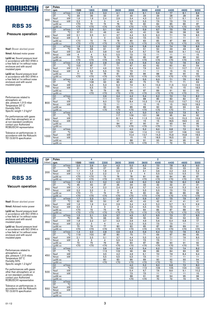

### Pressure operation

Nsof: Blower absrbed power

Nmot: Advised motor power

Lp(A) sc: Sound pressure level in accordance with ISO 3746 in a free field at 1m without noise enclosure and with sound insulated pipes

Lp(A) cc: Sound pressure level in accordance with ISO 3746 in a free field at 1m without noise enclosure and with sound insulated pipes

Performances related to atmospheric air: abs. pressure 1,013 mbar Temperature 20° C Humidity 50% Specific weight 1.2 kg/m 3

For performances with gases other than atmospheric air or at non-standard conditions contact your Authorized ROBUSCHI representative

Tolerance on performances: in accordance with the Robuschi TE1.S.0015 specification

| <b>DP</b> | Poles           |                            |                         | 4               |                  | 2               |                 |                  |                  |                 |                 |                 |  |
|-----------|-----------------|----------------------------|-------------------------|-----------------|------------------|-----------------|-----------------|------------------|------------------|-----------------|-----------------|-----------------|--|
| (mbar)    | rpm             |                            | 1500                    | 1800            | 2200             | 2600            | 3000            | 3600             | 4000             | 4400            | 4600            | 5000            |  |
|           | Q1              | m <sup>3</sup> /min        | 1,9                     | 2,5             | 3,3              | 4,1             | 4,9             | 6,1              | 6,9              | 7,7             | 8,1             | 8,9             |  |
|           | DT              | $\overline{C}$             | 39                      | 36              | 33               | 31              | 30              | 29               | 29               | 28              | $\overline{28}$ | 28              |  |
| 300       | <b>Nsof</b>     | kW                         | 1.6                     | 1,9             | 2,4              | 2,9             | 3,4             | 4,3              | 5,0              | 5,7             | 6,1             | 6,9             |  |
|           | Nmot            | kW                         | 2,2                     | 3               | 3                | 4               | 5,5             | 5,5              | 7,5              | 7,5             | 7,5             | 11              |  |
|           | $Lp(A)$ sc      |                            | $70$                    | 70              | $\overline{74}$  | 76              | 79              | 82               | 84               | 85              | 86              | 87              |  |
|           | $Lp(A)$ cc      |                            | $\overline{50}$         | $\overline{50}$ | $\overline{570}$ | $\overline{50}$ | $\overline{50}$ | $\overline{50}$  | $\overline{50}$  | $\overline{50}$ | $\overline{50}$ | $\overline{50}$ |  |
|           | Q <sub>1</sub>  | $m^3/m$ in                 | 1,7                     | 2,3             | 3,1              | 3,9             | 4,7             | 5,9              | 6,7              | 7,5             | 7,9             | 8,7             |  |
|           | DT              | $\overline{C}$             | 57                      | 51              | 46               | 44              | 42              | 40               | 39               | 39              | 38              | 38              |  |
| 400       | Nsof            | kW                         | 2.1                     | 2,5             | 3,1              | 3,7             | 4,4             | 5,5              | 6,3              | 7.1             | 7,6             | 8,5             |  |
|           | Nmot            | kW                         | 3                       | 3               | $\overline{4}$   | 5,5             | 5,5             | 7,5              | 7,5              | 11              | 11              | 11              |  |
|           | $Lp(A)$ sc      |                            | $\overline{50}$         | 72              | 75               | 78              | 80              | 83               | 85               | 87              | 88              | 89              |  |
|           | $Lp(A)$ cc      |                            | $\overline{50}$         | $\overline{50}$ | $\overline{50}$  | $\overline{5}$  | $\overline{50}$ | $\overline{50}$  | $\overline{50}$  | $\overline{50}$ | $\overline{50}$ | Z               |  |
|           | Q <sub>1</sub>  | $m^3/m$ in                 | 1,6                     | 2,2             | 3,0              | 3,8             | 4,6             | 5,8              | 6,6              | 7.4             | 7,8             | 8,6             |  |
|           | DT              | $\overline{\rm ^{\circ}C}$ | 78                      | 68              | 61               | 57              | 54              | 51               | 50               | 49              | 49              | 48              |  |
| 500       | <b>Nsof</b>     | kW                         | 2,6                     | 3,1             | 3,8              | 4,6             | 5,4             | 6,7              | 7,6              | 8,6             | 9,1             | 10,2            |  |
|           | Nmot            | kW                         | $\overline{\mathbf{4}}$ | 4               | 5,5              | 5,5             | 7,5             | 7,5              | 11               | 11              | 11              | 15              |  |
|           | $Lp(A)$ sc      |                            | 70                      | 73              | 76               | 79              | 82              | 85               | 87               | 88              | 89              | 90              |  |
|           | $Lp(A)$ cc      |                            | $\overline{50}$         | $\overline{50}$ | $70$             | $70$            | $70$            | $70$             | $70$             | $70$            | $70$            | $70$            |  |
|           | Q1              | $m^3/m$ in                 | 1,4                     | 2,0             | 2,8              | 3,6             | 4,4             | 5,6              | 6,4              | 7,2             | 7,6             | 8,4             |  |
|           | DT              | $\overline{C}$             | 103                     | 87              | 77               | 71              | 67              | 63               | 62               | 60              | 60              | 59              |  |
| 600       | Nsof            | kW                         | 3,1                     | 3,7             | 4,6              | 5,5             | 6,4             | 7,9              | 9,0              | 10,1            | 10,7            | 11,9            |  |
|           | Nmot            | kW                         | $\overline{4}$          | 5,5             | 5,5              | 7,5             | 7,5             | 11               | 11               | 15              | 15              | 15              |  |
|           | $Lp(A)$ sc      |                            | 71                      | 74              | 78               | 81              | 83              | 86               | 88               | 90              | 90              | 92              |  |
|           | $Lp(A)$ cc      |                            | $70$                    | $70$            | $70$             | $\overline{50}$ | $70$            | $\overline{50}$  | $70$             | $\overline{50}$ | $\overline{50}$ | $70$            |  |
|           | Q1              | $m^3/m$ in                 |                         | 1,9             | 2,7              | 3,5             | 4,3             | 5,5              | 6,3              | 7.1             | 7,5             | 8,3             |  |
|           | DT              | $\overline{C}$             |                         | 108             | 93               | 85              | 80              | 75               | 73               | 71              | 71              | 69              |  |
| 700       | <b>Nsof</b>     | kW                         |                         | 4,3             | 5,3              | 6,3             | 7,4             | 9.1              | 10.3             | 11,5            | 12,2            | 13,5            |  |
|           | Nmot            | kW                         |                         | 5,5             | 7,5              | 7,5             | 11              | 11               | 15               | 15              | 15              | 18,5            |  |
|           | $Lp(A)$ sc      |                            |                         | 76              | 79               | 82              | 84              | 87               | 89               | 91              | 92              | 93              |  |
|           | $Lp(A)$ cc      |                            |                         | $70$            | $70$             | $70$            | $70$            | $70$             | $70$             | $70$            | $70$            | 71              |  |
|           | Q1              | m <sup>3</sup> /min        |                         |                 | 2,6              | 3,4             | 4,2             | 5,4              | 6,2              | 7,0             | 7,4             | 8,2             |  |
|           | DT              | $\overline{C}$             |                         |                 | 111              | 101             | 94              | 88               | 85               | 83              | 82              | 81              |  |
| 800       | Nsof            | kW                         |                         |                 | 6,0              | 7,2             | 8,4             | 10,3             | 11,6             | 13,0            | 13,7            | 15,2            |  |
|           | Nmot            | kW                         |                         |                 | 7,5              | 11              | 11              | 15               | 15               | 15              | 18,5            | 18,5            |  |
|           | $Lp(A)$ sc      |                            |                         |                 | 80               | 83              | 85              | 89               | $\overline{90}$  | 92              | 93              | 94              |  |
|           | $Lp(A)$ cc      |                            |                         |                 | $70$             | $70$            | $70$            | $70$             | $70$             | $\overline{50}$ | 71              | 72              |  |
|           | Q1              | $m^3/m$ in                 |                         |                 |                  | 3,3             | 4,1             | 5,0              | 6,1              | 6,9             | 7,3             | 8,1             |  |
|           | DT              | $\overline{C}$             |                         |                 |                  | 117             | 109             | 101              | 98               | 95              | 94              | 92              |  |
| 900       | Nsof            | kW                         |                         |                 |                  | 8,1             | 9,4             | 11,5             | 13,0             | 14,5            | 15,3            | 16,9            |  |
|           | Nmot            | kW                         |                         |                 |                  | 11              | 11              | 15               | 15               | 18,5            | 18,5            | 22              |  |
|           | $Lp(A)$ sc      |                            |                         |                 |                  | 84              | 87              | 90               | 91               | 93              | 94              | 95              |  |
|           | $Lp(A)$ cc      |                            |                         |                 |                  | $\overline{50}$ | $\overline{50}$ | $\overline{50}$  | $\overline{570}$ | 71              | 72              | 73              |  |
|           | $\overline{Q1}$ | $m^3/m$ in                 |                         |                 |                  |                 | 4.0             | 5.2              | 6.0              | 6.8             | 7.2             | 8.0             |  |
|           | DT              | $\overline{\text{c}}$      |                         |                 |                  |                 | 124             | 114              | 110              | 107             | 106             | 103             |  |
| 1000      | <b>Nsof</b>     | kW                         |                         |                 |                  |                 | 10,4            | 12,7             | 14,3             | 15,9            | 16,8            | 18,5            |  |
|           | Nmot            | kW                         |                         |                 |                  |                 | 15              | 15               | 18,5             | 18,5            | $\overline{22}$ | $\overline{22}$ |  |
|           | $Lp(A)$ sc      |                            |                         |                 |                  |                 | 88              | $\overline{91}$  | 93               | 94              | 95              | 96              |  |
|           | $Lp(A)$ cc      |                            |                         |                 |                  |                 | $\overline{50}$ | $\overline{570}$ | $\overline{71}$  | $\overline{72}$ | $\overline{73}$ | $\overline{74}$ |  |

 $\overline{2}$ 

4

# ROBUSCHI

### **RBS 35**

#### Vacuum operation

Nsof: Blower absrbed power

Nmot: Advised motor power

Lp(A) sc: Sound pressure level in accordance with ISO 3746 in a free field at 1m without noise enclosure and with sound insulated pipes

Lp(A) cc: Sound pressure level in accordance with ISO 3746 in a free field at 1m without noise enclosure and with sound insulated pipes

Performances related to atmospheric air: abs. pressure 1,013 mbar Temperature 20° C Humidity 50% Specific weight 1.2 kg/m 3

For performances with gases other than atmospheric air or at non-standard conditions contact your Authorized ROBUSCHI representative

| <b>DP</b> | Poles                                       |                                     | 4                                  | $\overline{2}$                     |                          |                 |                 |                  |                        |                        |                 |
|-----------|---------------------------------------------|-------------------------------------|------------------------------------|------------------------------------|--------------------------|-----------------|-----------------|------------------|------------------------|------------------------|-----------------|
| (mbar)    | rpm                                         | 1500                                | 1800                               | 2200                               | 2600                     | 3000            | 3600            | 4000             | 4400                   | 4600                   | 5000            |
|           | Q1<br>$m^3/m$ in                            | 2,0                                 | 2,6                                | 3,4                                | 4,2                      | 5,0             | 6,2             | 7,0              | 7,8                    | 8,2                    | 9,0             |
|           | DT<br>$\overline{C}$                        | 31                                  | 29                                 | 27                                 | 25                       | 25              | 24              | 24               | 23                     | 23                     | 23              |
| 200       | <b>Nsof</b><br>kW                           | 1,1                                 | 1,3                                | 1,6                                | 2,0                      | 2,4             | 3,1             | 3,6              | 4,2                    | 4,5                    | 5,2             |
|           | kW<br>Nmot                                  | 1.5                                 | 2.2                                | 2,2                                | 3                        | 3               | $\overline{4}$  | 5,5              | 5,5                    | 5,5                    | 7,5             |
|           | $Lp(A)$ sc                                  | $70$                                | $70$                               | 73                                 | 76                       | 78              | 81              | 83               | 84                     | 85                     | 87              |
|           | $Lp(A)$ cc                                  | $\overline{50}$                     | $70$                               | $\overline{50}$                    | $\overline{50}$          | $\overline{50}$ | $\overline{50}$ | $\overline{50}$  | $\overline{570}$       | $\overline{50}$        | $\overline{50}$ |
|           | $m^3/m$ in<br>Q <sub>1</sub>                | 1,8                                 | 2,1                                | 3,2                                | 4,0                      | 4,8             | 6,0             | 6,8              | 7,6                    | 8,0                    | 8,8             |
|           | DT<br>$\overline{C}$                        | 45                                  | 40                                 | 37                                 | 35                       | 34              | 33              | 32               | 32                     | 31                     | 31              |
| 250       | kW<br>Nsof                                  | 1,3                                 | 1,6                                | 2,0                                | 2,4                      | 2,9             | 3,7             | 4,3              | 4,9                    | 5,3                    | 6,0             |
|           | kW<br>Nmot                                  | 2,2                                 | 2,2                                | 3                                  | $\overline{3}$           | $\overline{4}$  | 5,5             | 5,5              | 7,5                    | 7,5                    | 7,5             |
|           | $Lp(A)$ sc                                  | $70$                                | 71                                 | 74                                 | 77                       | 79              | 82              | 84               | 86                     | 86                     | 88              |
|           | $Lp(A)$ cc                                  | $\overline{50}$                     | $\overline{50}$                    | $\overline{50}$                    | $\overline{50}$          | $\overline{50}$ | $70$            | $\overline{50}$  | $\overline{50}$        | $\overline{50}$        | $70$            |
|           | $m^3/m$ in<br>Q1                            | $\overline{1.7}$                    | 2.3                                | 3.1                                | 3,9                      | 4,7             | 5,9             | 6.7              | 7,5                    | 7.9                    | 8.7             |
|           | $\overline{C}$<br>DT                        | 62                                  | 55                                 | 50                                 | 47                       | 45              | 43              | 42               | 41                     | 41                     | 41              |
| 300       | kW<br>Nsof                                  | 1,6                                 | 1,9                                | 2,4                                | 2,9                      | 3,4             | 4,3             | 5,0              | 5,7                    | 6,1                    | 6,9             |
|           | kW<br>Nmot                                  | 2,2                                 | З                                  | 3                                  | $\overline{4}$           | 5,5             | 5,5             | 7,5              | 7,5                    | 7,5                    | 11              |
|           | $Lp(A)$ sc                                  | $\overline{570}$<br>$\overline{50}$ | $\overline{72}$<br>$\overline{50}$ | $\overline{75}$<br>$\overline{50}$ | 78                       | 81              | 84              | 86               | 87<br>$\overline{570}$ | 88<br>$\overline{570}$ | 89              |
|           | $Lp(A)$ cc<br>$\overline{Q1}$<br>$m^3/m$ in | 1,5                                 | 2,1                                | 2,9                                | $70$<br>$\overline{3.7}$ | $70$<br>4,5     | $70$<br>5,7     | $70$<br>6,5      | 7,3                    | 7,7                    | $70$<br>8,5     |
|           | $\overline{C}$<br>DT                        | 86                                  | 74                                 | 66                                 | 62                       | 58              | 55              | 54               | 53                     | 53                     | 52              |
|           | kW<br>Nsof                                  | 1,8                                 | 2,2                                | 2,7                                | 3,3                      | 3,9             | 4,9             | 5,6              | 6,4                    | 6,8                    | 7,7             |
| 350       | kW<br>Nmot                                  | 2,2                                 | З                                  | 4                                  | 4                        | 5,5             | 5,5             | 7,5              | 7,5                    | 11                     | 11              |
|           | $Lp(A)$ sc                                  | 70                                  | 74                                 | 77                                 | 80                       | 82              | 85              | 87               | 89                     | 89                     | 91              |
|           | $Lp(A)$ cc                                  | $\overline{50}$                     | $\overline{50}$                    | $\overline{50}$                    | $\overline{50}$          | $70$            | $70$            | $\overline{50}$  | $\overline{50}$        | $\overline{50}$        | $\overline{50}$ |
|           | $m^3/m$ in<br>Q1                            | 1,4                                 | 2.0                                | 2,8                                | 3,6                      | 4,4             | 5,6             | 6,4              | 7,2                    | 7,6                    | 8,4             |
|           | DT<br>$\overline{C}$                        | 119                                 | 100                                | 87                                 | 80                       | 75              | 71              | 69               | 67                     | 66                     | 65              |
|           | Nsof<br>kW                                  | 2,1                                 | 2,5                                | 3,1                                | 3,7                      | 4,4             | 5,5             | 6,3              | 7,1                    | 7,6                    | 8,5             |
| 400       | kW<br>Nmot                                  | 3                                   | 3                                  | $\overline{\mathbf{4}}$            | 5,5                      | 5,5             | 7,5             | 7,5              | 11                     | 11                     | 11              |
|           | $Lp(A)$ sc                                  | 72                                  | 75                                 | 79                                 | 81                       | 84              | 87              | 89               | 90                     | 91                     | 92              |
|           | $Lp(A)$ cc                                  | $\overline{570}$                    | $\overline{50}$                    | $\overline{50}$                    | $\overline{570}$         | $70$            | $70$            | $\overline{570}$ | $\overline{570}$       | $\overline{570}$       | 70              |
|           | $m^3/m$ in<br>Q <sub>1</sub>                |                                     |                                    | 2,6                                | 3,4                      | 4,2             | 5,4             | 6,2              | 7,0                    | 7,4                    | 8,2             |
|           | DT<br>$\overline{C}$                        |                                     |                                    | 113                                | 102                      | 96              | 89              | 86               | 84                     | 83                     | 82              |
| 450       | kW<br>Nsof                                  |                                     |                                    | $\overline{3,5}$                   | 4,2                      | 4,9             | 6,1             | 7,0              | 7,9                    | 8,4                    | 9,4             |
|           | kW<br>Nmot                                  |                                     |                                    | 5,5                                | 5,5                      | 5,5             | 7,5             | 11               | 11                     | 11                     | 11              |
|           | $Lp(A)$ sc                                  |                                     |                                    | 80                                 | 83                       | 86              | 89              | 90               | 92                     | 93                     | 94              |
|           | $Lp(A)$ cc                                  |                                     |                                    | $\overline{50}$                    | $70$                     | $70$            | $\overline{50}$ | $\overline{50}$  | 70                     | $\overline{71}$        | $\overline{72}$ |
|           | $m^3/m$ in<br>Q1                            |                                     |                                    |                                    |                          | 4,0             | 5,2             | 6.0              | 6.8                    | 7.2                    | 8.0             |
|           | $\overline{\text{C}}$<br>DT                 |                                     |                                    |                                    |                          | 122             | 113             | 109              | 105                    | 104                    | 102             |
| 500       | kW<br>Nsof                                  |                                     |                                    |                                    |                          | 5,4             | 6,7             | 7,6              | 8,6                    | 9,1                    | 10,2            |
|           | Nmot<br>kW                                  |                                     |                                    |                                    |                          | 7,5             | 7,5             | 11               | 11                     | 11                     | 15              |
|           | $Lp(A)$ sc                                  |                                     |                                    |                                    |                          | 88              | 91              | 92<br>70         | 94<br>$\overline{72}$  | 95<br>73               | 96<br>74        |
|           | $Lp(A)$ cc                                  |                                     |                                    |                                    |                          | $70$            | $70$            |                  |                        |                        |                 |
|           | $m^3/m$ in<br>Q1<br>$\overline{C}$          |                                     |                                    |                                    |                          |                 |                 |                  |                        |                        |                 |
|           | DT<br>kW                                    |                                     |                                    |                                    |                          |                 |                 |                  |                        |                        |                 |
| 550       | Nsof<br>kW<br>Nmot                          |                                     |                                    |                                    |                          |                 |                 |                  |                        |                        |                 |
|           | $Lp(A)$ sc                                  |                                     |                                    |                                    |                          |                 |                 |                  |                        |                        |                 |
|           | $Lp(A)$ cc                                  |                                     |                                    |                                    |                          |                 |                 |                  |                        |                        |                 |
|           |                                             |                                     |                                    |                                    |                          |                 |                 |                  |                        |                        |                 |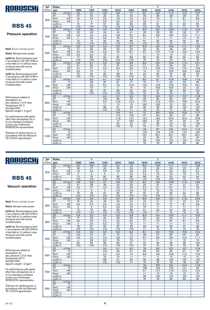

### Pressure operation

Nsof: Blower absrbed power

Nmot: Advised motor power

Lp(A) sc: Sound pressure level in accordance with ISO 3746 in a free field at 1m without noise enclosure and with sound insulated pipes

Lp(A) cc: Sound pressure level in accordance with ISO 3746 in a free field at 1m without noise enclosure and with sound insulated pipes

Performances related to atmospheric air: abs. pressure 1,013 mbar Temperature 20° C Humidity 50% Specific weight 1.2 kg/m 3

For performances with gases other than atmospheric air or at non-standard conditions contact your Authorized ROBUSCHI representative

Tolerance on performances: in accordance with the Robuschi TE1.S.0015 specification

| <b>DP</b> | Poles                    |                              |                  | 4               | 2               |                 |                       |                 |                 |                 |                 |                 |
|-----------|--------------------------|------------------------------|------------------|-----------------|-----------------|-----------------|-----------------------|-----------------|-----------------|-----------------|-----------------|-----------------|
| (mbar)    | rpm                      |                              | 1500             | 1800            | 2200            | 2600            | 3000                  | 3600            | 4000            | 4400            | 4600            | 5000            |
|           | Q1                       | m <sup>3</sup> /min          | 2,9              | 3,7             | 4,8             | 5,9             | 7,1                   | 8,7             | 9,9             | 11,0            | 11,5            | 12,7            |
|           | DT                       | $\overline{C}$               | 37               | 34              | 32              | 30              | 30                    | 29              | 28              | 28              | 28              | $\overline{27}$ |
| 300       | <b>Nsof</b>              | kW                           | 2,6              | 3,2             | 3,9             | 4,6             | 5,3                   | 6,3             | 7.0             | 7.7             | 8,1             | 8,8             |
|           | Nmot                     | kW                           | 4                | 4               | 5,5             | 5,5             | 7,5                   | 7,5             | 11              | 11              | 11              | 11              |
|           | $Lp(A)$ sc               |                              | $\overline{74}$  | $\overline{77}$ | 81              | 84              | 86                    | 89              | 91              | 92              | 93              | 95              |
|           | $Lp(A)$ cc               |                              | $\overline{570}$ | $\overline{50}$ | $\overline{50}$ | $\overline{50}$ | Z                     | $\overline{50}$ | $\overline{50}$ | 70              | $\overline{71}$ | 73              |
|           | Q <sub>1</sub>           | $m^3/m$ in                   | 2,6              | 3,5             | 4,6             | 5,7             | 6,8                   | 8,5             | 9,6             | 10.8            | 11,3            | 12,4            |
|           | DT                       | $\overline{C}$               | 53               | 48              | 44              | 42              | 41                    | 39              | 38              | 38              | 38              | $\overline{37}$ |
| 400       | Nsof                     | kW                           | 3,3              | 4,0             | 4,9             | 5,8             | 6,7                   | 8,0             | 8,9             | 9,8             | 10,2            | 11,1            |
|           | Nmot                     | kW                           | $\overline{4}$   | 5,5             | 5,5             | 7,5             | 7,5                   | 11              | 11              | 11              | 15              | 15              |
|           | $Lp(A)$ sc               |                              | 76               | 79              | 82              | 85              | 88                    | 91              | 92              | 94              | 95              | 96              |
|           | $Lp(A)$ cc               |                              | $\overline{50}$  | $\overline{50}$ | $\overline{50}$ | $\overline{5}$  | Z                     | $\overline{50}$ | 70              | 72              | 73              | $\overline{74}$ |
|           | Q1                       | $m^3/m$ in                   | 2,5              | 3,3             | 4,4             | 5,5             | 6,7                   | 8,3             | 9,5             | 10.6            | 11,1            | 12,3            |
|           | DT                       | $\overline{\rm ^{\circ}C}$   | 71               | 63              | 58              | 54              | 52                    | 50              | 49              | 48              | 48              | 47              |
| 500       | <b>Nsof</b>              | kW                           | 4,0              | 4,8             | 5,9             | 7,0             | 8,1                   | 9,7             | 10,7            | 11,8            | 12,3            | 13,4            |
|           | Nmot                     | kW                           | 5,5              | 5,5             | 7,5             | 11              | 11                    | 11              | 15              | 15              | 15              | 15              |
|           | $Lp(A)$ sc               |                              | 77               | 80              | 84              | 87              | 89                    | 92              | 94              | 96              | 96              | 98              |
|           | $Lp(A)$ cc               |                              | $\overline{50}$  | $70$            | $70$            | $70$            | $70$                  | 70              | 72              | 74              | 74              | 76              |
|           | Q1                       | $m^3/m$ in                   | 2,3              | 3,1             | 4,3             | 5,4             | 6,5                   | 8,2             | 9,3             | 10,4            | 11,0            | 12,1            |
|           | DT                       | $\overline{C}$               | 91               | 80              | 72              | 67              | 64                    | 61              | 60              | 59              | 58              | 57              |
| 600       | Nsof                     | kW                           | 4,7              | 5,7             | 6,9             | 8,2             | 9,5                   | 11,3            | 12,6            | 13,9            | 14,5            | 15,8            |
|           | Nmot                     | kW                           | 5,5              | 7,5             | 11              | 11              | 11                    | 15              | 15              | 18,5            | 18,5            | 18,5            |
|           | $Lp(A)$ sc               |                              | 79               | 82              | 85              | 88              | 90                    | 94              | 95              | 97              | 98              | 99              |
|           | $Lp(A)$ cc               |                              | $70$             | $70$            | $70$            | $\overline{50}$ | $70$                  | 72              | 73              | 75              | 76              | 77              |
|           | Q1                       | $m^3/m$ in                   |                  | 3,0             | 4,1             | 5,2             | 6,3                   | 8.0             | 9.1             | 10.3            | 10.8            | 11.9            |
|           | DT                       | $\overline{C}$               |                  | 98              | 87              | 81              | 77                    | 73              | 71              | 69              | 69              | 68              |
| 700       | <b>Nsof</b>              | kW                           |                  | 6,5             | 8,0             | 9,4             | 10,9                  | 13,0            | 14,5            | 15,9            | 16,6            | 18,1            |
|           | Nmot                     | kW                           |                  | 7,5             | 11              | 11              | 15                    | 15              | 18,5            | 18,5            | 22              | 22              |
|           | $Lp(A)$ sc               |                              |                  | 83              | 87              | 89              | 92                    | 95              | 97              | 98              | 99              | 100             |
|           | $Lp(A)$ cc               |                              |                  | $70$            | $70$            | $70$            | $70$                  | 73              | 75              | 76              | 77              | 78              |
|           | Q1                       | m <sup>3</sup> /min          |                  |                 | 4,0             | 5,1             | 6,2                   | 7,9             | 9,0             | 10,1            | 10,7            | 11,8            |
|           | DT                       | $\overline{C}$               |                  |                 | 103             | 95              | 90                    | 85              | 82              | 80              | 80              | 78              |
| 800       | Nsof                     | kW                           |                  |                 | 9,0             | 10,6            | 12,3                  | 14,7            | 16,3            | 18,0            | 18,8            | 20,4            |
|           | Nmot                     | kW                           |                  |                 | 11              | 15              | 15                    | 18,5            | 18,5            | $\overline{22}$ | 22              | 30              |
|           | $Lp(A)$ sc               |                              |                  |                 | 88              | $\overline{91}$ | 93                    | 96              | 98              | 99              | 100             | 102             |
|           | $Lp(A)$ cc               |                              |                  |                 | $70$            | $70$            | 71                    | 74              | 76              | 77              | 78              | 80              |
|           | Q1                       | $m^3/m$ in<br>$\overline{C}$ |                  |                 |                 | 4,9             | 6,1                   | 7,7             | 8,9             | 10,0            | 10,5            | 11,7            |
|           | DT                       | kW                           |                  |                 |                 | 110             | 103                   | 97              | 94              | 92              | 91              | 89              |
| 900       | Nsof                     |                              |                  |                 |                 | 11,8            | 13,7                  | 16,4            | 18,2            | 20,0            | 20,9            | 22,8            |
|           | Nmot                     | kW                           |                  |                 |                 | 15              | 18,5                  | 18,5            | 22              | 30              | 30              | 30              |
|           | $Lp(A)$ sc<br>$Lp(A)$ cc |                              |                  |                 |                 | 92<br>$70$      | 94<br>$\overline{72}$ | 97<br>75        | 99<br>77        | 101<br>79       | 101<br>79       | 103<br>81       |
|           | $\overline{Q1}$          | $m^3/m$ in                   |                  |                 |                 |                 |                       | 7.6             | 8.7             | 9.9             | 10.4            |                 |
|           | DT                       | $\overline{\text{C}}$        |                  |                 |                 |                 |                       | 109             | 106             | 103             | 102             | 11,5<br>100     |
|           | <b>Nsof</b>              | kW                           |                  |                 |                 |                 |                       |                 |                 | 22,1            | 23,1            | 25,1            |
| 1000      | Nmot                     | kW                           |                  |                 |                 |                 |                       | 18,1<br>22      | 20,1<br>30      | 30              | 30              | 30              |
|           |                          |                              |                  |                 |                 |                 |                       | 98              | 100             | 102             | 102             | 104             |
|           | $Lp(A)$ sc               |                              |                  |                 |                 |                 |                       | 76              | 78              | 80              | 80              | 82              |
|           | $Lp(A)$ cc               |                              |                  |                 |                 |                 |                       |                 |                 |                 |                 |                 |

 $\overline{2}$ 

4

# ROBUSCHI

### **RBS 45**

#### Vacuum operation

Nsof: Blower absrbed power

Nmot: Advised motor power

Lp(A) sc: Sound pressure level in accordance with ISO 3746 in a free field at 1m without noise enclosure and with sound insulated pipes

Lp(A) cc: Sound pressure level in accordance with ISO 3746 in a free field at 1m without noise enclosure and with sound insulated pipes

Performances related to atmospheric air: abs. pressure 1,013 mbar Temperature 20° C Humidity 50% Specific weight 1.2 kg/m 3

For performances with gases other than atmospheric air or at non-standard conditions contact your Authorized ROBUSCHI representative

| DP.    | Poles            |                        |                                   | 4                    | $\overline{2}$   |                 |                  |                 |                 |                       |                 |                       |
|--------|------------------|------------------------|-----------------------------------|----------------------|------------------|-----------------|------------------|-----------------|-----------------|-----------------------|-----------------|-----------------------|
| (mbar) | rpm              |                        | 1500                              | 1800                 | 2200             | 2600            | 3000             | 3600            | 4000            | 4400                  | 4600            | 5000                  |
|        | Q1               | $m^3/m$ in             | 3,0                               | 3,8                  | 4,9              | 6,1             | $\overline{7.2}$ | 8,9             | 10,0            | 11,1                  | 11.7            | 12,8                  |
|        | DT               | $\overline{C}$         | 29                                | 27                   | 26               | 25              | 24               | 23              | 23              | 23                    | $\overline{23}$ | 23                    |
| 200    | Nsof             | kW                     | 1,9                               | 2,3                  | 2,8              | 3,3             | 3,9              | 4,6             | 5,1             | 5,6                   | 5,9             | 6,4                   |
|        | Nmot             | kW                     | 3                                 | 3                    | $\overline{4}$   | $\overline{4}$  | 5,5              | 5,5             | 7,5             | 7,5                   | 7,5             | 7,5                   |
|        | $Lp(A)$ sc       |                        | $\overline{73}$                   | 76                   | 80               | 83              | 85               | 88              | 90              | 92                    | 92              | 94                    |
|        | $Lp(A)$ cc       |                        | $\overline{50}$                   | $\overline{50}$      | $\overline{50}$  | $70$            | $\overline{50}$  | $70$            | $70$            | $\overline{50}$       | 70              | $\overline{72}$       |
|        | Q1               | $m^3/m$ in             | 2,8                               | 3,6                  | 4,7              | 5,9             | 7,0              | 8,7             | 9,8             | 10,9                  | 11,5            | 12,6                  |
|        | DT               | $\overline{C}$         | 41                                | 38                   | 36               | 34              | 33               | 32              | 31              | 31                    | 31              | 31                    |
| 250    | Nsof             | kW                     | 2,3                               | 2,7                  | 3,3              | 3,9             | 4,6              | 5,5             | 6,1             | 6,7                   | 7,0             | 7,6                   |
|        | Nmot             | kW                     | 3                                 | $\overline{4}$       | 4                | 5,5             | 5,5              | 7,5             | 7,5             | 7,5                   | 11              | 11                    |
|        | $Lp(A)$ sc       |                        | 75                                | 78                   | $\overline{81}$  | 84              | 87               | 90              | 91              | 93                    | 94              | 95                    |
|        | $Lp(A)$ cc       |                        | Z                                 | $70$                 | $\overline{570}$ | Z               | Z                | $70$            | $\overline{50}$ | 71                    | 72              | 73                    |
|        | Q1               | $m^3/m$ in             | 2,6                               | 3,4                  | 4,6              | 5,7             | 6,8              | 8,5             | 9,6             | 10,7                  | 11,3            | 12,4                  |
|        | DT               | $\overline{\text{°C}}$ | 57                                | 52                   | 48               | 45              | 44               | 42              | 41              | 41                    | 40              | 40                    |
| 300    | <b>Nsof</b>      | kW                     | 2,6                               | 3,2                  | 3,9              | 4,6             | 5,3              | 6,3             | 7,0             | 7,7                   | 8,1             | 8,8                   |
|        | Nmot             | kW                     | $\overline{4}$<br>$\overline{76}$ | $\overline{4}$<br>79 | 5,5              | 5,5             | 7,5              | 7,5             | 11<br>93        | 11                    | 11              | 11<br>$\overline{97}$ |
|        | $Lp(A)$ sc       |                        | $70$                              | $70$                 | 83<br>$70$       | 86<br>$70$      | 88<br>$70$       | 91<br>$70$      | $\overline{71}$ | 94<br>$\overline{72}$ | 95<br>73        | 75                    |
|        | $Lp(A)$ cc<br>Q1 | m <sup>3</sup> /min    | 2,4                               | 3,2                  | 4,4              | 5,5             | 6,6              | 8,3             | 9,4             | 10,5                  | 11,1            | 12,2                  |
|        | DT               | $\overline{C}$         | 77                                | 69                   | 62               | 59              | 56               | 54              | 53              | 52                    | 51              | 51                    |
|        | Nsof             | kW                     | 3,0                               | 3,6                  | 4,4              | 5,2             | 6,0              | 7,1             | 7,9             | 8,7                   | 9,1             | 9,9                   |
| 350    | Nmot             | kW                     | $\overline{4}$                    | 5,5                  | 5,5              | 7,5             | 7,5              | 11              | 11              | 11                    | 11              | 15                    |
|        | $Lp(A)$ sc       |                        | 78                                | 81                   | 84               | 87              | 90               | 93              | 94              | 96                    | 97              | 98                    |
|        | $Lp(A)$ cc       |                        | $\overline{50}$                   | $\overline{50}$      | $70$             | $\overline{50}$ | $\overline{50}$  | 71              | 72              | $\overline{74}$       | 75              | 76                    |
|        | Q1               | $m^3/m$ in             | 2,2                               | 3,0                  | 4,2              | 5,3             | 6,4              | 8,1             | 9,2             | 10,3                  | 10,9            | 12,0                  |
|        | DT               | $\overline{C}$         | 104                               | 91                   | 81               | 75              | 72               | 68              | 67              | 65                    | 65              | 64                    |
|        | Nsof             | kW                     | 3,3                               | 4,0                  | 4,9              | 5,8             | 6,7              | 8,0             | 8,9             | 9,8                   | 10,2            | 11,1                  |
| 400    | Nmot             | kW                     | $\overline{4}$                    | 5,5                  | 5,5              | 7,5             | 7,5              | 11              | 11              | 11                    | 15              | 15                    |
|        | $Lp(A)$ sc       |                        | 80                                | 83                   | 86               | 89              | 91               | 94              | 96              | 98                    | 98              | 100                   |
|        | $Lp(A)$ cc       |                        | $70$                              | $70$                 | $70$             | Z               | $\overline{50}$  | 72              | 74              | 76                    | 76              | 78                    |
|        | Q1               | $m^3/m$ in             |                                   |                      | 3,9              | 5,1             | 6,2              | 7,9             | 9,0             | 10,1                  | 10,7            | 11,8                  |
|        | DT               | $\overline{\text{C}}$  |                                   |                      | 104              | 96              | 91               | 86              | 83              | 82                    | 81              | 79                    |
|        | Nsof             | kW                     |                                   |                      | 5,4              | 6,4             | 7,4              | 8,8             | 9,8             | 10,8                  | 11,3            | 12,3                  |
| 450    | Nmot             | kW                     |                                   |                      | 7,5              | 7,5             | 11               | 11              | 11              | 15                    | 15              | 15                    |
|        | $Lp(A)$ sc       |                        |                                   |                      | 88               | 91              | 93               | 96              | 98              | 100                   | 100             | 102                   |
|        | $Lp(A)$ cc       |                        |                                   |                      | $\overline{50}$  | $\overline{50}$ | $\overline{71}$  | $\overline{74}$ | $\overline{76}$ | 78                    | 78              | 80                    |
|        | Q1               | $m^3/m$ in             |                                   |                      |                  |                 |                  | 7,6             | 8.8             | 9.9                   | 10.4            | 11.6                  |
|        | <b>DT</b>        | $\overline{C}$         |                                   |                      |                  |                 |                  | 108             | 104             | 102                   | 101             | 99                    |
| 500    | Nsof             | kW                     |                                   |                      |                  |                 |                  | 9,7             | 10,7            | 11,8                  | 12,3            | 13,4                  |
|        | Nmot             | kW                     |                                   |                      |                  |                 |                  | 11              | 15              | 15                    | 15              | 15                    |
|        | $Lp(A)$ sc       |                        |                                   |                      |                  |                 |                  | 98              | 100             | 102                   | 102             | 104                   |
|        | $Lp(A)$ cc       |                        |                                   |                      |                  |                 |                  | 76              | 78              | 80                    | 80              | 82                    |
|        | Q <sub>1</sub>   | $m^3/m$ in             |                                   |                      |                  |                 |                  |                 |                 |                       |                 |                       |
|        | DT               | $\overline{C}$         |                                   |                      |                  |                 |                  |                 |                 |                       |                 |                       |
| 550    | Nsof             | kW                     |                                   |                      |                  |                 |                  |                 |                 |                       |                 |                       |
|        | Nmot             | kW                     |                                   |                      |                  |                 |                  |                 |                 |                       |                 |                       |
|        | $Lp(A)$ sc       |                        |                                   |                      |                  |                 |                  |                 |                 |                       |                 |                       |
|        | $Lp(A)$ cc       |                        |                                   |                      |                  |                 |                  |                 |                 |                       |                 |                       |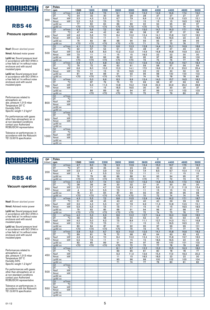

### Pressure operation

Nsof: Blower absrbed power

Nmot: Advised motor power

Lp(A) sc: Sound pressure level in accordance with ISO 3746 in a free field at 1m without noise enclosure and with sound insulated pipes

Lp(A) cc: Sound pressure level in accordance with ISO 3746 in a free field at 1m without noise enclosure and with sound insulated pipes

Performances related to atmospheric air: abs. pressure 1,013 mbar Temperature 20° C Humidity 50% Specific weight 1.2 kg/m 3

For performances with gases other than atmospheric air or at non-standard conditions contact your Authorized ROBUSCHI representative

Tolerance on performances: in accordance with the Robuschi TE1.S.0015 specification

| <b>DP</b> | Poles                    |                        |                  | 4               | 2                |                 |                 |                 |                 |                 |                 |                 |
|-----------|--------------------------|------------------------|------------------|-----------------|------------------|-----------------|-----------------|-----------------|-----------------|-----------------|-----------------|-----------------|
| (mbar)    | rpm                      |                        | 1500             | 1800            | 2200             | 2600            | 3000            | 3600            | 4000            | 4400            | 4600            | 5000            |
|           | Q1                       | m <sup>3</sup> /min    | 4,6              | 5,8             | 7,5              | 9,1             | 10,8            | 13,2            | 14,9            | 16,6            | 17,4            | 19,0            |
|           | DT                       | $\overline{\text{°C}}$ | 34               | 32              | 30               | 29              | 29              | 28              | $\overline{27}$ | $\overline{27}$ | $\overline{27}$ | $\overline{27}$ |
| 300       | Nsof                     | kW                     | 3,5              | 4,3             | 5,5              | 6,7             | 7,9             | 9,9             | 11,3            | 12,8            | 13.5            | 15.1            |
|           | Nmot                     | kW                     | 5,5              | 5,5             | 7,5              | 7,5             | 11              | 15              | 15              | 15              | 18,5            | 18,5            |
|           | $Lp(A)$ sc               |                        | 77               | 80              | 84               | 86              | 89              | 92              | 94              | 95              | 96              | 97              |
|           | $Lp(A)$ cc               |                        | $\overline{570}$ | $\overline{50}$ | $\overline{570}$ | $\overline{50}$ | $\overline{50}$ | $\overline{50}$ | $\overline{72}$ | 73              | 74              | $\overline{75}$ |
|           | Q <sub>1</sub>           | $m^3/m$ in             | 4,3              | 5,6             | 7,2              | 8,9             | 10,5            | 13,0            | 14,7            | 16.3            | 17,1            | 18.8            |
|           | DT                       | $\overline{C}$         | 47               | 44              | 42               | 40              | 39              | 38              | $\overline{37}$ | 37              | $\overline{37}$ | 36              |
| 400       | Nsof                     | kW                     | 4,6              | 5,6             | 7,0              | 8,4             | 10,0            | 12,4            | 14,1            | 15,8            | 16.7            | 18,5            |
|           | Nmot                     | kW                     | 5,5              | 7,5             | 11               | 11              | 15              | 15              | 18,5            | 18,5            | 22              | $\overline{22}$ |
|           | $Lp(A)$ sc               |                        | 79               | 82              | 85               | 88              | 90              | 93              | 95              | 97              | 98              | 99              |
|           | $Lp(A)$ cc               |                        | $\overline{50}$  | $\overline{50}$ | $\overline{50}$  | $\overline{50}$ | Z               | 71              | 73              | 75              | 76              | $\overline{77}$ |
|           | Q1                       | $m^3/m$ in             | 4,1              | 5,3             | 7,0              | 6,6             | 10.3            | 12.8            | 14.4            | 16.1            | 16.9            | 18,6            |
|           | $\overline{DT}$          | $\overline{\text{C}}$  | 62               | 57              | 54               | 51              | 50              | 48              | 47              | 47              | 46              | 46              |
| 500       | <b>Nsof</b>              | kW                     | 5,6              | 6,8             | 8,5              | 10,2            | 12,0            | 14,9            | 16,8            | 18,8            | 19,9            | 22,0            |
|           | Nmot                     | kW                     | 7,5              | 11              | 11               | 15              | 15              | 18,5            | 22              | 22              | 30              | 30              |
|           | $Lp(A)$ sc               |                        | 80               | 83              | 86               | 89              | 92              | 95              | 97              | 98              | 99              | 100             |
|           | $Lp(A)$ cc               |                        | $\overline{50}$  | $\overline{50}$ | $70$             | $70$            | $70$            | 73              | 75              | 76              | 77              | 78              |
|           | Q1                       | m <sup>3</sup> /min    | 3,9              | 5,1             | 6,8              | 8,4             | 10,1            | 12,6            | 14,2            | 15,9            | 16,7            | 18,4            |
|           | DT                       | $\overline{C}$         | 79               | 72              | 66               | 63              | 61              | 59              | 58              | 57              | 56              | 56              |
| 600       | Nsof                     | kW                     | 6,6              | 8,0             | 10,0             | 12,0            | 14,1            | 17,3            | 19,6            | 21,9            | 23,0            | 25,4            |
|           | Nmot                     | kW                     | 7,5              | 11<br>84        | 15               | 15<br>91        | 18,5            | 22<br>96        | 22              | 30              | 30              | 30              |
|           | $Lp(A)$ sc<br>$Lp(A)$ cc |                        | 81<br>$70$       | $70$            | 88<br>$70$       | $70$            | 93<br>71        | 74              | 98<br>76        | 100<br>78       | 100<br>78       | 102<br>80       |
|           | Q1                       | $m^3/m$ in             |                  | 5,0             | 6,6              | 8,3             | 9,9             | 12.4            | 14.0            | 15.7            | 16.5            | 18.2            |
|           | <b>DT</b>                | $\overline{\text{C}}$  |                  | 87              | 79               | 75              | 72              | 69              | 68              | 67              | 66              | 66              |
|           | <b>Nsof</b>              | kW                     |                  | 9,3             | 11,5             | 13,8            | 16,2            | 19,8            | 22,3            | 24,9            | 26,2            | 28,8            |
| 700       | Nmot                     | kW                     |                  | 11              | 15               | 18,5            | 18,5            | 30              | 30              | 30              | 30              | 37              |
|           | $Lp(A)$ sc               |                        |                  | 86              | 89               | 92              | 94              | 97              | 99              | 101             | 102             | 103             |
|           | $Lp(A)$ cc               |                        |                  | $70$            | $70$             | $70$            | 72              | 75              | 77              | 79              | 80              | 81              |
|           | Q1                       | m <sup>3</sup> /min    |                  |                 |                  |                 |                 |                 |                 |                 |                 |                 |
|           | DT                       | $\overline{\text{°C}}$ |                  |                 |                  |                 |                 |                 |                 |                 |                 |                 |
|           | Nsof                     | kW                     |                  |                 |                  |                 |                 |                 |                 |                 |                 |                 |
| 800       | Nmot                     | kW                     |                  |                 |                  |                 |                 |                 |                 |                 |                 |                 |
|           | $Lp(A)$ sc               |                        |                  |                 |                  |                 |                 |                 |                 |                 |                 |                 |
|           | $Lp(A)$ cc               |                        |                  |                 |                  |                 |                 |                 |                 |                 |                 |                 |
|           | $Q1 \qquad m^3/min$      |                        |                  |                 |                  |                 |                 |                 |                 |                 |                 |                 |
|           | DT                       | $\overline{C}$         |                  |                 |                  |                 |                 |                 |                 |                 |                 |                 |
| 900       | Nsof                     | kW                     |                  |                 |                  |                 |                 |                 |                 |                 |                 |                 |
|           | Nmot                     | kW                     |                  |                 |                  |                 |                 |                 |                 |                 |                 |                 |
|           | $Lp(A)$ sc               |                        |                  |                 |                  |                 |                 |                 |                 |                 |                 |                 |
|           | $Lp(A)$ cc               |                        |                  |                 |                  |                 |                 |                 |                 |                 |                 |                 |
|           | Q1                       | $m^3/m$ in             |                  |                 |                  |                 |                 |                 |                 |                 |                 |                 |
|           | DT                       | $\overline{\text{C}}$  |                  |                 |                  |                 |                 |                 |                 |                 |                 |                 |
| 1000      | <b>Nsof</b>              | kW                     |                  |                 |                  |                 |                 |                 |                 |                 |                 |                 |
|           | Nmot                     | kW                     |                  |                 |                  |                 |                 |                 |                 |                 |                 |                 |
|           | $Lp(A)$ sc               |                        |                  |                 |                  |                 |                 |                 |                 |                 |                 |                 |
|           | $Lp(A)$ cc               |                        |                  |                 |                  |                 |                 |                 |                 |                 |                 |                 |

 $\overline{2}$ 

4

# ROBUSCHI

### **RBS 46**

#### Vacuum operation

Nsof: Blower absrbed power

Nmot: Advised motor power

Lp(A) sc: Sound pressure level in accordance with ISO 3746 in a free field at 1m without noise enclosure and with sound insulated pipes

Lp(A) cc: Sound pressure level in accordance with ISO 3746 in a free field at 1m without noise enclosure and with sound insulated pipes

Performances related to atmospheric air: abs. pressure 1,013 mbar Temperature 20° C Humidity 50% Specific weight 1.2 kg/m 3

For performances with gases other than atmospheric air or at non-standard conditions contact your Authorized ROBUSCHI representative

| DP.    | Poles                             |                        |                  | 4               |                       |                        |                 |                 | $\overline{2}$ |                 |            |                 |
|--------|-----------------------------------|------------------------|------------------|-----------------|-----------------------|------------------------|-----------------|-----------------|----------------|-----------------|------------|-----------------|
| (mbar) | rpm                               |                        | 1500             | 1800            | 2200                  | 2600                   | 3000            | 3600            | 4000           | 4400            | 4600       | 5000            |
|        | Q1<br>$m^3/m$ in                  |                        | 4,7              | 6,0             | 7.6                   | 9,3                    | 10,9            | 13,4            | 15,0           | 16,7            | 17,5       | 19.2            |
|        | <b>DT</b>                         | $\overline{C}$         | 27               | 26              | 25                    | 24                     | 23              | 23              | 23             | 22              | 22         | 22              |
| 200    | Nsof                              | kW                     | 2,5              | 3,1             | 3,9                   | 4,9                    | 5,8             | 7,4             | 8,5            | 9,7             | 10,4       | 11,6            |
|        | Nmot                              | kW                     | $\overline{3}$   | $\overline{4}$  | 5,5                   | 5,5                    | 7,5             | $\overline{11}$ | 11             | $\overline{11}$ | 15         | 15              |
|        | $Lp(A)$ sc                        |                        | 76               | 79              | 83                    | 86                     | 88              | 91              | 93             | 94              | 95         | 97              |
|        | $Lp(A)$ cc                        |                        | $\overline{50}$  | $\overline{50}$ | $\overline{50}$       | $\overline{50}$        | $\overline{50}$ | $70$            | 71             | 72              | 73         | 75              |
|        | m <sup>3</sup> /min<br>Q1         |                        | 4,5              | 5,7             | 7,4                   | 9,0                    | 10,7            | 13,2            | 14,8           | 16,5            | 17,3       | 18,9            |
|        | DT                                | $\overline{C}$         | 38               | 36              | 34                    | 33                     | 32              | 31              | 31             | 30              | 30         | 30              |
| 250    | Nsof                              | kW                     | 3,0              | 3,7             | 4,7                   | 5,8                    | 6,9             | 8,7             | 9,9            | 11,3            | 11,9       | 13,4            |
|        | Nmot                              | kW                     | $\overline{4}$   | 5,5             | 5,5                   | 7,5                    | 11              | 11              | 15             | 15              | 15         | 15              |
|        | $Lp(A)$ sc                        |                        | $\overline{78}$  | $\overline{81}$ | 84                    | 87                     | 89              | 92              | 94             | 96              | 96         | 98              |
|        | $Lp(A)$ cc                        |                        | $\overline{570}$ | $70$            | $\overline{50}$       | $70$                   | $70$            | 70              | 72             | 74              | 74         | 76              |
|        | Q1<br>$m^3/m$ in                  | $\overline{\text{°C}}$ | 4,3              | 5,5             | 7,2                   | 8,8                    | 10,5            | 12,9            | 14,6           | 16,2            | 17,1       | 18,7            |
|        | DT                                |                        | 51               | 48              | 45                    | 43                     | 42              | 40              | 40             | 39              | 39         | 39              |
| 300    | Nsof                              | kW<br>kW               | 3,5              | 4,3             | 5,5<br>7,5            | 6,7                    | 7,9             | 9,9             | 11,3           | 12,8            | 13,5       | 15,1            |
|        | Nmot                              |                        | 5,5<br>79        | 5,5<br>82       |                       | 7,5                    | 11<br>91        | 15<br>94        | 15<br>96       | 15<br>97        | 18,5<br>98 | 18,5<br>99      |
|        | $Lp(A)$ sc<br>$Lp(A)$ cc          |                        | $\overline{50}$  | $\overline{50}$ | 85<br>$\overline{50}$ | 88<br>$\overline{570}$ | $\overline{50}$ | $\overline{72}$ | 74             | 75              | 76         | $\overline{77}$ |
|        | m <sup>3</sup> /min<br>$\Omega$ 1 |                        | 4,0              | 5,3             | 6,9                   | 8,6                    | 10,2            | 12,7            | 14,4           | 16,0            | 16,8       | 18,5            |
|        | DT                                | $\overline{\text{°C}}$ | 68               | 62              | 58                    | 55                     | 54              | 52              | 51             | 50              | 50         | 49              |
|        | Nsof                              | kW                     | 4,0              | 5,0             | 6,2                   | 7,5                    | 8,9             | 11,1            | 12,7           | 14,3            | 15,1       | 16,8            |
| 350    | Nmot                              | kW                     | 5,5              | 7,5             | 7,5                   | 11                     | 11              | 15              | 15             | 18,5            | 18,5       | 22              |
|        | $Lp(A)$ sc                        |                        | 80               | 84              | 87                    | 90                     | 92              | 95              | 97             | 99              | 99         | 101             |
|        | $Lp(A)$ cc                        |                        | $70$             | $70$            | $\overline{50}$       | $70$                   | 70              | 73              | 75             | 77              | 77         | 79              |
|        | m <sup>3</sup> /min<br>Q1         |                        | 3,8              | 5,0             | 6,7                   | 8,3                    | 10,0            | 12,5            | 14,1           | 15,8            | 16,6       | 18,2            |
|        | DT                                | $\overline{C}$         | 89               | 81              | 74                    | 70                     | 68              | 65              | 64             | 63              | 63         | 62              |
|        | Nsof                              | kW                     | 4,6              | 5,6             | 7,0                   | 8,4                    | 10,0            | 12,4            | 14,1           | 15,8            | 16,7       | 18,5            |
| 400    | Nmot                              | kW                     | 5,5              | 7,5             | 11                    | 11                     | 15              | 15              | 18,5           | 18,5            | 22         | $\overline{22}$ |
|        | $Lp(A)$ sc                        |                        | 82               | 85              | 89                    | 91                     | 94              | 97              | 99             | 100             | 101        | 102             |
|        | $Lp(A)$ cc                        |                        | $70$             | $70$            | $\overline{50}$       | $70$                   | 72              | 75              | 77             | 78              | 79         | 80              |
|        | $m^3/m$ in<br>Q1                  |                        |                  |                 |                       | 8,1                    | 9,7             | 12,2            | 13,2           | 15,5            | 16,3       | 18,0            |
|        | <b>DT</b>                         | $^{\circ}$ C           |                  |                 |                       | 89                     | 85              | 81              | 80             | 78              | 78         | 77              |
| 450    | Nsof                              | kW                     |                  |                 |                       | 9,3                    | 11,0            | 13,6            | 15.4           | 17.3            | 18.3       | 20.2            |
|        | Nmot                              | kW                     |                  |                 |                       | 11                     | 15              | 18,5            | 18,5           | $\overline{22}$ | 22         | 30              |
|        | $Lp(A)$ sc                        |                        |                  |                 |                       | 93                     | 96              | 99              | 100            | 102             | 103        | 104             |
|        | $Lp(A)$ cc                        |                        |                  |                 |                       | 71                     | 74              | 77              | 78             | 80              | 81         | 82              |
|        | Q1<br>m <sup>3</sup> /min         |                        |                  |                 |                       |                        |                 |                 |                |                 |            |                 |
|        | DT                                | $\overline{C}$         |                  |                 |                       |                        |                 |                 |                |                 |            |                 |
| 500    | Nsof                              | kW                     |                  |                 |                       |                        |                 |                 |                |                 |            |                 |
|        | Nmot                              | kW                     |                  |                 |                       |                        |                 |                 |                |                 |            |                 |
|        | $Lp(A)$ sc<br>$Lp(A)$ cc          |                        |                  |                 |                       |                        |                 |                 |                |                 |            |                 |
|        | $m^3/m$ in<br>Q1                  |                        |                  |                 |                       |                        |                 |                 |                |                 |            |                 |
|        | DT                                | °C                     |                  |                 |                       |                        |                 |                 |                |                 |            |                 |
|        | Nsof                              | kW                     |                  |                 |                       |                        |                 |                 |                |                 |            |                 |
| 550    | Nmot                              | kW                     |                  |                 |                       |                        |                 |                 |                |                 |            |                 |
|        | $Lp(A)$ sc                        |                        |                  |                 |                       |                        |                 |                 |                |                 |            |                 |
|        | $Lp(A)$ cc                        |                        |                  |                 |                       |                        |                 |                 |                |                 |            |                 |
|        |                                   |                        |                  |                 |                       |                        |                 |                 |                |                 |            |                 |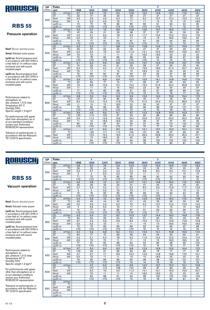

### Pressure operation

Nsof: Blower absrbed power

Nmot: Advised motor power

Lp(A) sc: Sound pressure level in accordance with ISO 3746 in a free field at 1m without noise enclosure and with sound insulated pipes

Lp(A) cc: Sound pressure level in accordance with ISO 3746 in a free field at 1m without noise enclosure and with sound insulated pipes

Performances related to atmospheric air: abs. pressure 1,013 mbar Temperature 20° C Humidity 50% Specific weight 1.2 kg/m 3

For performances with gases other than atmospheric air or at non-standard conditions contact your Authorized ROBUSCHI representative

Tolerance on performances: in accordance with the Robuschi TE1.S.0015 specification

| <b>DP</b> | Poles          |                              |                  | 4                |                  |                 |                  |                 | 2               |            |            |                 |
|-----------|----------------|------------------------------|------------------|------------------|------------------|-----------------|------------------|-----------------|-----------------|------------|------------|-----------------|
| (mbar)    | rpm            |                              | 1500             | 1800             | 2200             | 2600            | 3000             | 3600            | 4000            | 4400       | 4600       | 4800            |
|           | Q1             | $m^3/m$ in                   | 4,7              | 5,9              | 7,5              | 9,2             | 10.8             | 13,2            | 14,9            | 16.5       | 17,3       | 18.1            |
|           | DT             | $\overline{C}$               | 32               | 31               | 30               | 29              | 28               | 27              | 27              | 27         | 27         | 27              |
| 300       | Nsof           | kW                           | 3,2              | 3,9              | 4,9              | 6,0             | 7,2              | 9,2             | 10,7            | 12,4       | 13,3       | 14,2            |
|           | Nmot           | kW                           | 4                | 5,5              | 5,5              | 7,5             | 11               | 11              | 15              | 15         | 15         | 18,5            |
|           | $Lp(A)$ sc     |                              | $\overline{72}$  | 75               | 79               | 83              | 85               | 89              | $\overline{91}$ | 93         | 94         | $\overline{95}$ |
|           | $Lp(A)$ cc     |                              | $\overline{5}$   | $\overline{50}$  | $\overline{5}$   | $70$            | $\overline{50}$  | $\overline{50}$ | $\overline{50}$ | 71         | 72         | $\overline{73}$ |
|           | Q1             | $m^3/m$ in                   | 4,5              | 5,7              | 7,3              | 8,9             | 10,8             | 13,0            | 14,7            | 16,3       | 17,1       | 17,9            |
|           | DT             | $\overline{C}$               | 45               | 43               | 41               | 39              | 38               | 37              | 37              | 36         | 36         | 36              |
| 400       | Nsof           | kW                           | 4,2              | 5.1              | 6,4              | 7,8             | 9.2              | 11.7            | 13.4            | 15.4       | 16,4       | 17,5            |
|           | Nmot           | kW                           | 5,5              | 7,5              | 7,5              | 11              | 11               | 15              | 15              | 18,5       | 18,5       | $\overline{22}$ |
|           | $Lp(A)$ sc     |                              | 73               | 77               | $\overline{81}$  | 84              | 87               | 91              | 93              | 94         | 95         | 96              |
|           | $Lp(A)$ cc     |                              | $\overline{50}$  | $70$             | $\overline{50}$  | Z               | $\overline{50}$  | Z               | 71              | 72         | 73         | 74              |
|           | Q <sub>1</sub> | $m^3/m$ in                   | 4,3              | 5,5              | 7.1              | 8.8             | 10.4             | 12.8            | 14.5            | 16.1       | 16,9       | 17.7            |
|           | DT             | ℃                            | 59               | $\overline{55}$  | $\overline{52}$  | 50              | 49               | 47              | 47              | 46         | 46         | 46              |
| 500       | Nsof           | kW                           | 5,2              | 6,4              | 7,9              | 9,5             | 11.3             | 14.1            | 16,2            | 18.4       | 19,5       | 20,7            |
|           | Nmot           | kW                           | 7,5              | 7,5              | $\overline{11}$  | 11              | 15               | 18,5            | 18,5            | 22         | 22         | 30              |
|           | $Lp(A)$ sc     |                              | $\overline{75}$  | $\overline{78}$  | $\overline{82}$  | 86              | 88               | 92              | 94              | 96         | 97         | 98              |
|           | $Lp(A)$ cc     |                              | $\overline{50}$  | $\overline{570}$ | $\overline{50}$  | $\overline{50}$ | $\overline{570}$ | $70$            | 72              | 74         | 75         | 76              |
|           | Q <sub>1</sub> | $m^3/m$ in                   | 4.1              | 5,3              | 6,9              | 8,6             | 10.2             | 12.7            | 14,3            | 15,9       | 16,7       | 17,5            |
|           | DT             | $\overline{\rm ^{\circ}\!C}$ | 74               | 69               | 64               | 61              | 59               | 58              | 57              | 56         | 56         | 55              |
| 600       | Nsof           | kW                           | 6,3              | 7,6              | 9,4              | 11,3            | 13,3             | 16,6            | 18,9            | 21.4       | 22,7       | 24,0            |
|           | Nmot           | kW                           | 7,5              | 11               | 11               | 15              | 15               | 18,5            | 22              | 30         | 30         | 30              |
|           | $Lp(A)$ sc     |                              | 76               | 80               | 84               | 87              | 90               | 93              | 95              | 97         | 98         | 99              |
|           | $Lp(A)$ cc     |                              | $\overline{50}$  | $\overline{50}$  | $\overline{50}$  | $\overline{50}$ | $\overline{50}$  | 71              | 73              | 75         | 76         | $\overline{77}$ |
|           | Q <sub>1</sub> | $m^3/m$ in                   | 3,9              | 5,1              | 6,8              | 8,4             | 10.0             | 12.5            | 14.1            | 15,8       | 16,6       | 17,4            |
|           | DT             | $\overline{\rm ^{\circ}C}$   | 90               | 83               | 77               | 73              | 71               | 68              | 67              | 66         | 66         | 65              |
| 700       | Nsof           | kW                           | 7,3              | 8,8              | 10,9             | 13,1            | 15,4             | 19,0            | 21,6            | 24,4       | 25,8       | 27,3            |
|           | Nmot           | kW                           | 11               | 11               | 15               | 15              | 18,5             | 22              | 30              | 30         | 30         | 37              |
|           | $Lp(A)$ sc     |                              | 77               | 81               | 85               | 88              | 91               | 95              | 97              | 98         | 99         | 100             |
|           | $Lp(A)$ cc     |                              | $\overline{50}$  | $\overline{50}$  | $70$             | $\overline{50}$ | $\overline{50}$  | 73              | 75              | 76         | 77         | 78              |
|           | Q <sub>1</sub> | $m^3/m$ in                   | 3,8              | 5,0              | 6,6              | 8,3             | 9,9              | 12.3            | 14,0            | 15,6       | 16,4       | 17,2            |
|           | DT             | $\overline{C}$               | 107              | 97               | 90               | 85              | 82               | 79              | 77              | 76         | 76         | 75              |
| 800       | Nsof           | kW                           | 8,3              | 10,0             | 12,4             | 14,8            | 17,4             | 21,5            | 24,3            | 27,3       | 28,9       | 30,5            |
|           | Nmot           | kW                           | 11               | 15               | 15               | 18,5            | $\overline{22}$  | 30              | 30              | 37         | 37         | 37              |
|           | $Lp(A)$ sc     |                              | $\overline{79}$  | $\overline{82}$  | 86               | 89              | 92               | 96              | 98              | 100        | 101        | 101             |
|           | $Lp(A)$ cc     |                              | $\overline{570}$ | $\overline{50}$  | $\overline{570}$ | $70$            | 70               | 74              | 76              | 78         | 79         | 79              |
|           | Q <sub>1</sub> | $m^3/m$ in                   | 3,6              | 4,9              | 6,5              | 8,1             | 9.7              | 12.2            | 13,8            | 15,5       | 16,3       | 17,1            |
|           | DT             | $\overline{C}$               | 125              | 113              | 103              | 97              | 93               | 90              | 88              | 86         | 86         | 85              |
| 900       | Nsof           | kW                           | 9,3              | 11,2             | 13,9             | 16,6            | 19,4             | 23,9            | 27,0            | 30,3       | 32,0       | 33,8            |
|           | Nmot           | kW                           | 11               | 15               | 18,5             | 18,5            | 22               | 30              | 37              | 37         | 37         | 45              |
|           | $Lp(A)$ sc     |                              | 80               | 83               | 87               | 90              | 93               | 97              | 99              | 101        | 102        | 102             |
|           | $Lp(A)$ cc     |                              | $70$             | $70$             | $70$             | Z               | 71               | 75              | 77              | 79         | 80         | 80              |
|           | Q1             | $m^3/m$ in<br>℃              |                  | 4,7              | 6,3              | 8,0             | 9,6              | 12,1            | 13,7            | 15,3       | 16,1       | 17,0            |
|           | DT             | kW                           |                  | 129<br>12,5      | 117<br>15,4      | 110             | 105<br>21,5      | 101             | 98<br>29,8      | 97<br>33,3 | 96<br>35,2 | 95<br>37,1      |
| 1000      | Nsof           | kW                           |                  |                  | 18,5             | 18,4            |                  | 26,3            |                 |            |            |                 |
|           | Nmot           |                              |                  | 15<br>84         |                  | 22<br>92        | 30<br>94         | 30<br>98        | 37<br>100       | 37<br>102  | 45<br>103  | 45<br>104       |
|           | $Lp(A)$ sc     |                              |                  |                  | 88               |                 |                  | 76              |                 |            |            |                 |
|           | $Lp(A)$ cc     |                              |                  | $70$             | $70$             | $70$            | 72               |                 | 78              | 80         | 81         | 82              |

 $\overline{2}$ 

4

# ROBUSCH

### **RBS 55**

#### Vacuum operation

Nsof: Blower absrbed power

Nmot: Advised motor power

Lp(A) sc: Sound pressure level in accordance with ISO 3746 in a free field at 1m without noise enclosure and with sound insulated pipes

Lp(A) cc: Sound pressure level in accordance with ISO 3746 in a free field at 1m without noise enclosure and with sound insulated pipes

Performances related to atmospheric air: abs. pressure 1,013 mbar Temperature 20° C Humidity 50% Specific weight 1.2 kg/m 3

For performances with gases other than atmospheric air or at non-standard conditions contact your Authorized ROBUSCHI representative

| <b>DP</b> | Poles          |                        |                  | 4                | 2                |                  |                  |                  |                 |                 |                 |                 |
|-----------|----------------|------------------------|------------------|------------------|------------------|------------------|------------------|------------------|-----------------|-----------------|-----------------|-----------------|
| (mbar)    | rpm            |                        | 1500             | 1800             | 2200             | 2600             | 3000             | 3600             | 4000            | 4400            | 4600            | 4800            |
|           | Q1             | $m^3/m$ in             | 4,8              | 6,0              | 7,6              | 9,3              | 10,9             | 13,3             | 15,0            | 16,6            | 17,4            | 18,2            |
|           | DT             | $\overline{C}$         | 26               | 25               | 24               | 24               | 23               | 23               | 22              | 22              | 22              | 22              |
|           | <b>Nsof</b>    | kW                     | 2,2              | 2,7              | 3,4              | 4,2              | 5,2              | 6,8              | 8,0             | 9.4             | 10.1            | 10,9            |
| 200       | Nmot           | kW                     | 3                | 4                | 5,5              | 5,5              | 7,5              | 11               | 11              | 11              | 15              | 15              |
|           | $Lp(A)$ sc     |                        | $\overline{71}$  | $\overline{75}$  | 79               | 82               | 85               | 88               | 90              | 92              | 93              | 94              |
|           | $Lp(A)$ cc     |                        | $\overline{570}$ | $\overline{50}$  | $\overline{50}$  | $\overline{570}$ | $\overline{570}$ | $\overline{570}$ | $70$            | 70              | $\overline{71}$ | $\overline{72}$ |
|           | Q1             | $m^3/m$ in             | 4,6              | 5,8              | 7,4              | 9,1              | 10,7             | 13,1             | 14,8            | 16.4            | 17,2            | 18,0            |
|           | DT             | $\overline{\text{°C}}$ | 36               | 35               | 33               | 32               | 31               | 31               | 30              | 30              | 30              | 30              |
|           | <b>Nsof</b>    | kW                     | 2,7              | $\overline{3,3}$ | 4,2              | 5,1              | 6,2              | 8,0              | 9,3             | 10,9            | 11,7            | 12,6            |
| 250       | Nmot           | kW                     | 4                | 4                | 5,5              | 7,5              | 7,5              | 11               | 11              | 15              | 15              | 15              |
|           | $Lp(A)$ sc     |                        | 72               | 76               | 80               | 83               | 86               | 89               | 92              | 93              | 94              | 95              |
|           | $Lp(A)$ cc     |                        | Z                | $70$             | $70$             | $70$             | $\overline{50}$  | $70$             | $70$            | 71              | 72              | 73              |
|           | Q1             | $m^3/m$ in             | 4,4              | 5,6              | 7,2              | 8,9              | 10,5             | 12,9             | 14,6            | 16,2            | 17,0            | 17,8            |
|           | DT             | $\overline{C}$         | 49               | 46               | 44               | 42               | 41               | 40               | 39              | 39              | 39              | 39              |
|           | <b>Nsof</b>    | kW                     | 3,2              | 3,9              | 4,9              | 6,0              | 7,2              | 9,2              | 10,7            | 12,4            | 13,3            | 14,2            |
| 300       | Nmot           | kW                     | 4                | 5,5              | 5,5              | 7,5              | 11               | 11               | 15              | 15              | 15              | 18,5            |
|           | $Lp(A)$ sc     |                        | 74               | 77               | 81               | 85               | 87               | 91               | 93              | 95              | 96              | 97              |
|           | $Lp(A)$ cc     |                        | $\overline{50}$  | $\overline{570}$ | $\overline{50}$  | $\overline{50}$  | $\overline{570}$ | $\overline{570}$ | $\overline{71}$ | 73              | $\overline{74}$ | 75              |
|           | Q1             | $m^3/m$ in             | 4,2              | 5,4              | 7,0              | 8,7              | 10,3             | 12,7             | 14,4            | 16,0            | 16,8            | 17,6            |
|           | DT             | $\overline{C}$         | 64               | 60               | 56               | 54               | 52               | 51               | 50              | 50              | 49              | 49              |
|           | Nsof           | kW                     | 3,7              | 4,5              | 5,6              | 6,9              | 8,2              | 10,4             | 12,1            | 13,9            | 14,8            | 15,8            |
| 350       | Nmot           | kW                     | 5,5              | 5,5              | 7,5              | $\overline{11}$  | 11               | 15               | 15              | 18,5            | 18,5            | 18,5            |
|           | $Lp(A)$ sc     |                        | 75               | 79               | 83               | 86               | 89               | 92               | 94              | 96              | 97              | 98              |
|           | $Lp(A)$ cc     |                        | $\overline{50}$  | $\overline{570}$ | $\overline{50}$  | $\overline{50}$  | $\overline{50}$  | 70               | $\overline{72}$ | $\overline{74}$ | 75              | $\overline{76}$ |
|           | Q1             | $m^3/m$ in             | 4,0              | 5,2              | 6,8              | 8,4              | 10,1             | 12,5             | 14,1            | 15,8            | 16,6            | 17,4            |
|           | DT             | $\overline{\text{°C}}$ | 84               | 77               | 72               | 68               | 66               | 64               | 63              | 62              | 62              | 61              |
|           | <b>Nsof</b>    | kW                     | 4,2              | 5,1              | 6,4              | 7,8              | 9,2              | 11,6             | 13,4            | 15,3            | 16,4            | 17,4            |
| 400       | Nmot           | kW                     | 5,5              | 7,5              | 7,5              | 11               | 11               | 15               | 15              | 18,5            | 18,5            | 22              |
|           | $Lp(A)$ sc     |                        | 77               | 81               | 84               | 88               | 90               | 94               | 96              | 98              | 99              | 100             |
|           | $Lp(A)$ cc     |                        | $70$             | $\overline{50}$  | $\overline{570}$ | Z                | $\overline{50}$  | 72               | 74              | 76              | 77              | 78              |
|           | Q1             | $m^3/m$ in             | 3,7              | 5,0              | 6,6              | 8,2              | 9,8              | 12,3             | 13,9            | 15,5            | 16,4            | 17,2            |
|           | DT             | $\overline{C}$         | 109              | 99               | 91               | 86               | 83               | 80               | 78              | 77              | 77              | 76              |
| 450       | Nsof           | kW                     | 4,7              | 5,7              | 7,1              | 8,6              | 10,2             | 12,9             | 14,8            | 16,8            | 17,9            | 19,1            |
|           | Nmot           | kW                     | 5,5              | 7,5              | 11               | 11               | 15               | 15               | 18,5            | 22              | 22              | 22              |
|           | $Lp(A)$ sc     |                        | 79               | 82               | 86               | 89               | 92               | 96               | 98              | 100             | 101             | 101             |
|           | $Lp(A)$ cc     |                        | $\overline{50}$  | $\overline{50}$  | $70$             | $70$             | 70               | 74               | 76              | 78              | 79              | 79              |
|           | Q1             | $m^3/m$ in             |                  | 4,7              | 6,3              | 8,0              | 9,6              | 12,0             | 13,7            | 15,3            | 16,1            | 16,9            |
|           | DT             | $\overline{C}$         |                  | 127              | 115              | 108              | 104              | 99               | 97              | 96              | 95              | 94              |
| 500       | Nsof           | kW                     |                  | 6,3              | 7,9              | 9,5              | 11,3             | 14,1             | 16,1            | 18,3            | 19,5            | 20,7            |
|           | Nmot           | kW                     |                  | 7,5              | 11               | 11               | 15               | 18,5             | 18,5            | 22              | 22              | 30              |
|           | $Lp(A)$ sc     |                        |                  | 84               | 88               | 91               | 94               | 98               | 100             | 102             | 103             | 103             |
|           | $Lp(A)$ cc     |                        |                  | $70$             | $\overline{50}$  | $70$             | 72               | 76               | 78              | 80              | 81              | 81              |
|           | Q <sub>1</sub> | m <sup>3</sup> /min    |                  |                  |                  |                  |                  |                  |                 |                 |                 |                 |
|           | DT             | $\overline{C}$         |                  |                  |                  |                  |                  |                  |                 |                 |                 |                 |
|           | Nsof           | kW                     |                  |                  |                  |                  |                  |                  |                 |                 |                 |                 |
| 550       | Nmot           | kW                     |                  |                  |                  |                  |                  |                  |                 |                 |                 |                 |
|           | $Lp(A)$ sc     |                        |                  |                  |                  |                  |                  |                  |                 |                 |                 |                 |
|           | $Lp(A)$ cc     |                        |                  |                  |                  |                  |                  |                  |                 |                 |                 |                 |
|           |                |                        |                  |                  |                  |                  |                  |                  |                 |                 |                 |                 |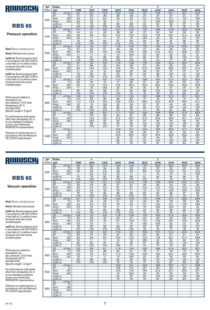

### Pressure operation

Nsof: Blower absrbed power

Nmot: Advised motor power

Lp(A) sc: Sound pressure level in accordance with ISO 3746 in a free field at 1m without noise enclosure and with sound insulated pipes

Lp(A) cc: Sound pressure level in accordance with ISO 3746 in a free field at 1m without noise enclosure and with sound insulated pipes

Performances related to atmospheric air: abs. pressure 1,013 mbar Temperature 20° C Humidity 50% Specific weight 1.2 kg/m 3

For performances with gases other than atmospheric air or at non-standard conditions contact your Authorized ROBUSCHI representative

Tolerance on performances: in accordance with the Robuschi TE1.S.0015 specification

| <b>DP</b> | Poles                         |                                      |                  | 4                     |                       |                 |                 |                 | 2          |            |                 |            |
|-----------|-------------------------------|--------------------------------------|------------------|-----------------------|-----------------------|-----------------|-----------------|-----------------|------------|------------|-----------------|------------|
| (mbar)    | rpm                           |                                      | 1500             | 1800                  | 2200                  | 2600            | 3000            | 3600            | 4000       | 4400       | 4600            | 4800       |
|           | Q1                            | $m^3/m$ in                           | 6.4              | 8,0                   | 10,2                  | 12,3            | 14,5            | 17,7            | 19,9       | 22,1       | 23,1            | 24,2       |
|           | DT                            | $\overline{C}$                       | 31               | 30                    | 29                    | 28              | 28              | 27              | 27         | 27         | 27              | 27         |
| 300       | Nsof                          | kW                                   | 4,2              | 5,2                   | 6,5                   | 7,9             | 9,5             | 12,1            | 14,0       | 16,1       | 17,3            | 18,5       |
|           | <b>Nmot</b>                   | kW                                   | 5,5              | 7,5                   | 7,5                   | 11              | 11              | 15              | 18,5       | 18,5       | 22              | 22         |
|           | $Lp(A)$ sc                    |                                      | $\overline{75}$  | $\overline{78}$       | 82                    | 86              | 88              | 92              | 94         | 96         | $\overline{97}$ | 98         |
|           | $Lp(A)$ cc                    |                                      | $\overline{50}$  | $\overline{50}$       | $70$                  | $70$            | $70$            | $\overline{50}$ | 72         | 74         | 75              | 76         |
|           | Q1                            | $m^3/m$ in                           | 6,1              | 7,7                   | 9,9                   | 12,1            | 14,2            | 17,5            | 19,6       | 21,8       | 22,9            | 23,9       |
|           | DT                            | $\overline{C}$                       | 44               | 41                    | 40                    | 38              | 38              | 37              | 36         | 36         | 36              | 36         |
| 400       | Nsof                          | kW                                   | 5,6              | 6,8                   | 8,5                   | 10,2            | 12,2            | 15,3            | 17,6       | 20,1       | 21,4            | 22,8       |
|           | Nmot                          | kW                                   | 7,5              | 11                    | 11                    | 15              | 15              | 18,5            | 22         | 30         | 30              | 30         |
|           | $Lp(A)$ sc                    |                                      | 76               | 80                    | 84                    | 87              | 90              | 94              | 96         | 97         | 98              | 99         |
|           | $Lp(A)$ cc                    |                                      | $\overline{50}$  | $\overline{50}$       | $70$                  | $\overline{50}$ | $\overline{50}$ | 72              | 74         | 75         | 76              | 77         |
|           | Q <sub>1</sub>                | $m^3/m$ in                           | 5,9              | 7,5                   | 9,7                   | 11,8            | 14,0            | 17,2            | 19,4       | 21,6       | 22,6            | 23,7       |
|           | DT                            | $\overline{\text{c}}$                | 57               | 53                    | 51                    | 49              | 48              | 47              | 46         | 46         | 45              | 45         |
| 500       | <b>Nsof</b>                   | kW                                   | 6,9              | 8,4                   | 10,4                  | 12,6            | 14,9            | 18,5            | 21,2       | 24,1       | 25,6            | 27,1       |
|           | Nmot                          | kW                                   | 11               | 11                    | 15                    | 15              | 18,5            | 22              | 30         | 30         | 30              | 37         |
|           | $Lp(A)$ sc                    |                                      | 78               | 81                    | 85                    | 89              | 91              | 95              | 97         | 99         | 100             | 101        |
|           | $Lp(A)$ cc                    |                                      | $\overline{50}$  | $70$                  | $70$                  | $70$            | $70$            | 73              | 75         | 77         | 78              | 79         |
|           | Q1                            | $m^3/m$ in                           | 5,7              | 7,3                   | 9,5                   | 11,6            | 13,8            | 17,0            | 19,2       | 21,3       | 22,4            | 23,5       |
|           | DT                            | $\overline{C}$                       | 71               | 66                    | 62                    | 60              | 58              | 57              | 56         | 55         | 55              | 55         |
| 600       | Nsof                          | kW                                   | 8,3              | 10,0                  | 12,4                  | 14,9            | 17,6            | 21,8            | 24,8       | 28,0       | 29,7            | 31,4       |
|           | Nmot                          | kW                                   | 11               | 15                    | 15                    | 18,5            | 22              | 30              | 30         | 37         | 37              | 37         |
|           | $Lp(A)$ sc                    |                                      | 79               | 83                    | 87                    | 90              | 93              | 96              | 98         | 100        | 101             | 102        |
|           | $Lp(A)$ cc                    |                                      | $\overline{570}$ | $\overline{50}$       | $70$                  | $70$            | 71              | 74              | 76         | 78         | 79              | 80         |
|           | Q <sub>1</sub>                | $m^3/m$ in                           | 5,5              | 7,1                   | 9,3                   | 11,4            | 13,6            | 16,8            | 19,0       | 21,2       | 22,2            | 23,3       |
|           | DT                            | $\overline{C}$                       | 85               | 79                    | 74                    | 71              | 69              | 67              | 66         | 65         | 65              | 64         |
| 700       | Nsof                          | kW                                   | 9,6              | 11,6                  | 14,4                  | 17,3            | 20,3            | 25,0            | 28,4       | 32,0       | 33,8            | 35,8       |
|           | Nmot                          | kW                                   | 11               | 15                    | 18,5                  | 22              | 30              | 30              | 37         | 37         | 45              | 45         |
|           | $Lp(A)$ sc                    |                                      | 80               | 84                    | 88                    | 91              | 94              | 98              | 100        | 101        | 102             | 103        |
|           | $Lp(A)$ cc                    |                                      | $\overline{570}$ | $70$                  | $70$                  | $70$            | 72              | 76              | 78         | 79         | 80              | 81         |
|           | Q1                            | $m^3/m$ in                           | 5,3              | 6,9                   | 9,1                   | 11,3            | 13,4            | 16,7            | 18,8       | 21,0       | 22,1            | 23,1       |
|           | DT                            | $\overline{\text{C}}$                | 101              | 93                    | 86                    | 83              | 80              | 77              | 76         | 75         | 74              | 74         |
| 800       | Nsof                          | kW                                   | 11,0             | 13,3                  | 16,4                  | 19,6            | 23,0            | 28,3            | 32,0       | 35,9       | 38,0            | 40,1       |
|           | Nmot                          | kW                                   | 15               | 15                    | 18,5                  | 22              | 30              | 37              | 37         | 45         | 45              | 45         |
|           | $Lp(A)$ sc                    |                                      | 82               | 85                    | 89                    | 92              | 95              | 99              | 101        | 103        | 104             | 104        |
|           | $Lp(A)$ cc                    |                                      | $\overline{570}$ | $70$                  | $70$                  | 70              | 73              | $\overline{77}$ | 79         | 81         | 82              | 82         |
|           | Q1                            | $m^3/m$ in<br>$\overline{\text{°C}}$ |                  | 6,8                   | 8,9                   | 11.1            | 13,2            | 16,5            | 18,6       | 20.8       | 21,9            | 23,0       |
|           | DT<br><b>Nsof</b>             | kW                                   |                  | 107                   | 99                    | 94              | 91              | 88              | 86         | 85         | 84              | 84         |
| 900       |                               |                                      |                  | 14,9                  | 18,4                  | 21,9            | 25,7            | 31,5            | 35,6       | 39,9       | 42,1            | 44,4       |
|           | Nmot                          | kW                                   |                  | 18,5                  | 22                    | 30              | 30              | 37              | 45         | 45         | 55              | 55         |
|           | $Lp(A)$ sc                    |                                      |                  | 86<br>$\overline{50}$ | 90<br>$\overline{50}$ | 93<br>71        | 96<br>74        | 100<br>78       | 102<br>80  | 104<br>82  | 105<br>83       | 105<br>83  |
|           | $Lp(A)$ cc<br>$\overline{Q1}$ |                                      |                  |                       |                       |                 |                 |                 |            |            |                 |            |
|           | DT                            | $m^3/m$ in<br>$\overline{\text{c}}$  |                  |                       |                       | 10,9<br>106     | 13,1<br>102     | 16,3<br>98      | 18.5<br>97 | 20,6<br>95 | 21,7<br>95      | 22,8<br>94 |
|           | <b>Nsof</b>                   | kW                                   |                  |                       |                       | 24,3            | 28,4            | 34,7            | 39,2       | 43,9       | 46,3            | 48,7       |
| 1000      | Nmot                          | kW                                   |                  |                       |                       | 30              | 37              | 45              | 45         | 55         | 55              | 55         |
|           |                               |                                      |                  |                       |                       |                 | 97              | 101             | 103        | 105        | 106             | 107        |
|           | $Lp(A)$ sc                    |                                      |                  |                       |                       | 95<br>73        |                 |                 |            |            |                 |            |
|           | $Lp(A)$ cc                    |                                      |                  |                       |                       |                 | 75              | 79              | 81         | 83         | 84              | 85         |

 $\overline{2}$ 

4

# ROBUSCHI

### **RBS 65**

#### Vacuum operation

Nsof: Blower absrbed power

Nmot: Advised motor power

Lp(A) sc: Sound pressure level in accordance with ISO 3746 in a free field at 1m without noise enclosure and with sound insulated pipes

Lp(A) cc: Sound pressure level in accordance with ISO 3746 in a free field at 1m without noise enclosure and with sound insulated pipes

Performances related to atmospheric air: abs. pressure 1,013 mbar Temperature 20° C Humidity 50% Specific weight 1.2 kg/m 3

For performances with gases other than atmospheric air or at non-standard conditions contact your Authorized ROBUSCHI representative

| <b>DP</b> | Poles                              |                 | 4               |                  |                  |                 |                 | $\overline{2}$  |                 |                 |                 |
|-----------|------------------------------------|-----------------|-----------------|------------------|------------------|-----------------|-----------------|-----------------|-----------------|-----------------|-----------------|
| (mbar)    | rpm                                | 1500            | 1800            | 2200             | 2600             | 3000            | 3600            | 4000            | 4400            | 4600            | 4800            |
|           | Q1<br>$m^3/m$ in                   | 6,5             | 8,2             | 10,3             | 12,5             | 14,6            | 17,9            | 20,0            | 22,2            | 23,3            | 24,4            |
|           | DT<br>$\overline{C}$               | 25              | 25              | 24               | 23               | 23              | 22              | 22              | 22              | 22              | 22              |
| 200       | <b>Nsof</b><br>kW                  | 2,9             | 3,5             | 4,5              | 5,6              | 6,8             | 8,8             | 10,4            | 12,2            | 13,1            | 14,2            |
|           | Nmot<br>kW                         | $\overline{4}$  | 5,5             | 5,5              | 7,5              | 11              | 11              | 15              | 15              | 15              | 18,5            |
|           | $Lp(A)$ sc                         | $\overline{74}$ | 78              | 82               | 85               | 88              | 91              | 93              | 95              | 96              | 97              |
|           | $Lp(A)$ cc                         | $\overline{50}$ | $\overline{50}$ | $\overline{50}$  | $\overline{570}$ | $\overline{50}$ | $\overline{50}$ | $\overline{71}$ | $\overline{73}$ | $\overline{74}$ | $\overline{75}$ |
|           | $m^3/m$ in<br>Q1                   | 6,3             | 7,9             | 10,1             | 12,2             | 14,4            | 17,6            | 19,8            | 22,0            | 23,0            | 24,1            |
|           | DT<br>$\overline{C}$               | 35              | 34              | 32               | 31               | $\overline{31}$ | 30              | 30              | 30              | 30              | 29              |
| 250       | kW<br>Nsof                         | 3,5             | 4,3             | 5,5              | 6,7              | 8,1             | 10,4            | 12,2            | 14,2            | 15,2            | 16,3            |
|           | Nmot<br>kW                         | 5,5             | 5,5             | 7,5              | 7,5              | 11              | 15              | 15              | 18,5            | 18,5            | 18,5            |
|           | $Lp(A)$ sc                         | 75              | 79              | 83               | 86               | 89              | 92              | 95              | 96              | 97              | 98              |
|           | $Lp(A)$ cc                         | $\overline{50}$ | $\overline{50}$ | $\overline{50}$  | $\overline{50}$  | $\overline{50}$ | $\overline{70}$ | $\overline{73}$ | $\overline{74}$ | $\overline{75}$ | $\overline{76}$ |
|           | $m^3/m$ in<br>Q1<br>$\overline{C}$ | 6,1             | 7,7             | 9,8              | 12,0<br>41       | 14,2            | 17,4            | 19,6            | 21,7            | 22,8            | 23,9            |
|           | DT<br>kW<br>Nsof                   | 47<br>4,2       | 45<br>5,2       | 43<br>6,5        | 7,9              | 40<br>9,5       | 39<br>12,1      | 39<br>14,0      | 39<br>16,1      | 38<br>17,3      | 38<br>18,5      |
| 300       | Nmot<br>kW                         | 5,5             | 7,5             | $\overline{7,5}$ | 11               | 11              | 15              | 18,5            | 18,5            | 22              | 22              |
|           | $Lp(A)$ sc                         | 77              | 80              | 84               | 88               | 90              | 94              | 96              | 98              | 99              | 100             |
|           | $Lp(A)$ cc                         | $\overline{50}$ | $\overline{50}$ | $\overline{5}$   | $\overline{50}$  | $\overline{50}$ | $\overline{72}$ | $\overline{74}$ | 76              | $\overline{77}$ | 78              |
|           | Q1<br>$m^3/m$ in                   | 5,8             | 7,4             | 9,6              | 11,8             | 13,9            | 17,2            | 19,3            | 21,5            | 22,6            | 23,6            |
|           | $\overline{\text{C}}$<br>DT        | 62              | 58              | 55               | 53               | 51              | 50              | 49              | 49              | 49              | 48              |
|           | kW<br>Nsof                         | 4,9             | 6,0             | 7,5              | 9,1              | 10,8            | 13,7            | 15,8            | 18,1            | 19,4            | 20,6            |
| 350       | Nmot<br>kW                         | 5,5             | 7,5             | 11               | 11               | $\overline{15}$ | 18,5            | 18,5            | 22              | 22              | 30              |
|           | $Lp(A)$ sc                         | 78              | 82              | 86               | 89               | 92              | 95              | 97              | 99              | 100             | 101             |
|           | $Lp(A)$ cc                         | $\overline{50}$ | $\overline{5}$  | $\overline{50}$  | $\overline{50}$  | $70$            | 73              | 75              | 77              | 78              | 79              |
|           | $m^3/m$ in<br>Q1                   | 5,6             | 7,2             | 9,3              | 11,5             | 13,7            | 16,9            | 19,1            | 21,2            | 22,3            | 23,4            |
|           | DT<br>$\overline{C}$               | 80              | 74              | 69               | 67               | 65              | 63              | 62              | 61              | 61              | 61              |
| 400       | <b>Nsof</b><br>kW                  | 5,6             | 6,8             | 8,5              | 10,2             | 12,2            | 15,3            | 17,6            | 20,1            | 21,4            | 22,8            |
|           | kW<br>Nmot                         | 7,5             | $\overline{11}$ | $\overline{11}$  | 15               | 15              | 18,5            | $\overline{22}$ | 30              | 30              | 30              |
|           | $Lp(A)$ sc                         | 80              | 84              | 87               | 91               | 93              | 97              | 99              | 101             | 102             | 103             |
|           | $Lp(A)$ cc                         | $\overline{50}$ | $\overline{50}$ | $\overline{50}$  | Z                | 71              | 75              | 77              | 79              | 80              | 81              |
|           | $m^3/m$ in<br>Q <sub>1</sub>       | 5,3             | 6,9             | 9,1              | 11,2             | 13.4            | 16,6            | 18,8            | 21,0            | 22,0            | 23,1            |
|           | DT<br>$\overline{C}$               | 102             | 94              | 88               | 84               | 81              | 78              | $\overline{77}$ | 76              | 75              | 75              |
| 450       | Nsof<br>kW                         | 6,2             | 7,6             | 9,4              | 11,4             | 13,5            | 16,9            | 19,4            | 22,1            | 23,5            | 25,0            |
|           | kW<br>Nmot                         | 7,5             | $\overline{11}$ | 11               | 15               | 18,5            | $\overline{22}$ | $\overline{22}$ | 30              | 30              | 30              |
|           | $Lp(A)$ sc                         | 82<br>$70$      | 85              | 89               | 92               | 95              | 99              | 101             | 103             | 104             | 104             |
|           | $Lp(A)$ cc<br>$m^3/m$ in           |                 | $70$            | $70$             | 70               | $\overline{73}$ | 77              | 79              | 81              | 82<br>21,7      | 82              |
|           | Q1<br>$\overline{C}$<br>DT         |                 |                 |                  | 10,9<br>105      | 13,1<br>101     | 16,3<br>97      | 18,5<br>95      | 20.7<br>94      | 93              | 22,8<br>93      |
|           | kW<br>Nsof                         |                 |                 |                  | 12,6             | 14,9            | 18,5            | 21,2            | 24,1            | 25,6            | 27,1            |
| 500       | kW<br>Nmot                         |                 |                 |                  | 15               | 18,5            | 22              | 30              | 30              | 30              | 37              |
|           | $Lp(A)$ sc                         |                 |                 |                  | 94               | 97              | 101             | 103             | 105             | 106             | 106             |
|           | $Lp(A)$ cc                         |                 |                 |                  | 72               | 75              | 79              | 81              | 83              | 84              | 84              |
|           | Q1<br>$m^3/m$ in                   |                 |                 |                  |                  |                 |                 |                 |                 |                 |                 |
|           | $\overline{C}$<br>DT               |                 |                 |                  |                  |                 |                 |                 |                 |                 |                 |
|           | Nsof<br>kW                         |                 |                 |                  |                  |                 |                 |                 |                 |                 |                 |
| 550       | kW<br>Nmot                         |                 |                 |                  |                  |                 |                 |                 |                 |                 |                 |
|           | $Lp(A)$ sc                         |                 |                 |                  |                  |                 |                 |                 |                 |                 |                 |
|           | $Lp(A)$ cc                         |                 |                 |                  |                  |                 |                 |                 |                 |                 |                 |
|           |                                    |                 |                 |                  |                  |                 |                 |                 |                 |                 |                 |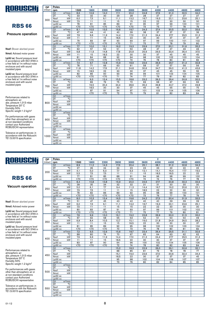

### Pressure operation

Nsof: Blower absrbed power

Nmot: Advised motor power

Lp(A) sc: Sound pressure level in accordance with ISO 3746 in a free field at 1m without noise enclosure and with sound insulated pipes

Lp(A) cc: Sound pressure level in accordance with ISO 3746 in a free field at 1m without noise enclosure and with sound insulated pipes

Performances related to atmospheric air: abs. pressure 1,013 mbar Temperature 20° C Humidity 50% Specific weight 1.2 kg/m 3

For performances with gases other than atmospheric air or at non-standard conditions contact your Authorized ROBUSCHI representative

Tolerance on performances: in accordance with the Robuschi TE1.S.0015 specification

| <b>DP</b> | Poles              |                                     |                  | 4               |                 |                  |                 |      | 2               |                 |                 |                 |
|-----------|--------------------|-------------------------------------|------------------|-----------------|-----------------|------------------|-----------------|------|-----------------|-----------------|-----------------|-----------------|
| (mbar)    | rpm                |                                     | 1500             | 1800            | 2200            | 2600             | 3000            | 3600 | 4000            | 4400            | 4600            | 4800            |
|           | Q1                 | m <sup>3</sup> /min                 | 8,6              | 10,9            | 14,0            | 17,1             | 20,2            | 24,8 | 27,9            | 31,0            | 32,5            | 34,0            |
|           | DT                 | $\overline{C}$                      | 33               | 32              | 30              | $\overline{29}$  | 28              | 28   | 27              | 27              | $\overline{27}$ | $\overline{27}$ |
| 300       | <b>Nsof</b>        | kW                                  | 6.0              | 7,3             | 9,1             | 11,1             | 13,2            | 16.7 | 19,3            | 22,1            | 23.6            | 25.1            |
|           | Nmot               | kW                                  | 7,5              | 11              | 11              | 15               | 15              | 22   | 22              | 30              | 30              | 30              |
|           | $Lp(A)$ sc         |                                     | 78               | 81              | 85              | 89               | 91              | 95   | 97              | 99              | 100             | 101             |
|           | $Lp(A)$ cc         |                                     | $\overline{570}$ | $\overline{50}$ | $\overline{50}$ | $\overline{570}$ | $\overline{50}$ | 73   | 75              | 77              | 78              | 79              |
|           | Q <sub>1</sub>     | $m^3/m$ in                          | 8.1              | 10.5            | 13,5            | 16,6             | 19.7            | 24,3 | 27,4            | 30.5            | 32.0            | 33.6            |
|           | DT                 | $\overline{C}$                      | 47               | 44              | 41              | 40               | 39              | 38   | $\overline{37}$ | $\overline{37}$ | $\overline{37}$ | 36              |
| 400       | Nsof               | kW                                  | 7.9              | 9,6             | 11,9            | 14,4             | 17,0            | 21.3 | 24,4            | 27,7            | 29.5            | 31.3            |
|           | Nmot               | kW                                  | 11               | 11              | 15              | 18,5             | 22              | 30   | 30              | 37              | 37              | 37              |
|           | $Lp(A)$ sc         |                                     | 79               | 83              | 87              | 90               | 93              | 97   | 99              | 100             | 101             | 102             |
|           | $Lp(A)$ cc         |                                     | $\overline{50}$  | $\overline{50}$ | $\overline{50}$ | $\overline{570}$ | $\overline{71}$ | 75   | 77              | 78              | 79              | 80              |
|           | Q <sub>1</sub>     | $m^3/m$ in                          | 7.7              | 10.0            | 13,1            | 16.2             | 19.3            | 23,9 | 27,0            | 30.1            | 31.6            | 33.2            |
|           | $\overline{DT}$    | $\overline{\rm ^{\circ}\!C}$        | 62               | 57              | 53              | 51               | 50              | 48   | 47              | 47              | 46              | 46              |
| 500       | <b>Nsof</b>        | kW                                  | 9,8              | 11,9            | 14,8            | 17,8             | 20,9            | 25,9 | 29,5            | 33,4            | 35,4            | 37,5            |
|           | Nmot               | kW                                  | 11               | 15              | 18,5            | 22               | 30              | 30   | 37              | 45              | 45              | 45              |
|           | $Lp(A)$ sc         |                                     | 81               | 84              | 88              | 92               | 94              | 98   | 100             | 102             | 103             | 104             |
|           | $Lp(A)$ cc         |                                     | $\overline{50}$  | $70$            | $70$            | $70$             | 72              | 76   | 78              | 80              | 81              | 82              |
|           | Q <sub>1</sub>     | m <sup>3</sup> /min                 | 7,4              | 9,7             | 12,8            | 15,9             | 18,9            | 23,6 | 26,6            | 29,7            | 31,3            | 32,8            |
|           | DT                 | $\overline{C}$                      | 78               | 71              | 66              | 63               | 61              | 58   | 57              | 57              | 56              | 56              |
| 600       | Nsof               | kW                                  | 11,8             | 14,2            | 17,6            | 21,1             | 24,8            | 30,6 | 34,7            | 39,0            | 41,3            | 43,6            |
|           | Nmot               | kW                                  | 15               | 18,5            | 22              | 30               | 30              | 37   | 45              | 45              | 55              | 55              |
|           | $Lp(A)$ sc         |                                     | 82               | 86              | 90              | 93               | 96              | 99   | 101             | 103             | 104             | 105             |
|           | $Lp(A)$ cc         |                                     | $70$             | $70$            | $70$            | 71               | 74              | 77   | 79              | 81              | 82              | 83              |
|           | Q1                 | $m^3/m$ in                          |                  | 9,3             | 12.4            | 15,5             | 18.6            | 23,2 | 26,3            | 29.4            | 30.9            | 32.5            |
|           | $\overline{DT}$    | $\overline{C}$                      |                  | 86              | 79              | 75               | 72              | 69   | 68              | 67              | 66              | 66              |
| 700       | Nsof               | kW                                  |                  | 16,5            | 20.4            | 24,4             | 28,6            | 35,2 | 39,8            | 44,7            | 47,2            | 49,8            |
|           | Nmot               | kW                                  |                  | 18,5            | 30              | 30               | 37              | 45   | 45              | 55              | 55              | 75              |
|           | $Lp(A)$ sc         |                                     |                  | 87              | 91              | 94               | 97              | 101  | 103             | 104             | 105             | 106             |
|           | $Lp(A)$ cc         |                                     |                  | $70$            | $70$            | 72               | 75              | 79   | 81              | 82              | 83              | 84              |
|           | Q1                 | m <sup>3</sup> /min                 |                  |                 |                 |                  |                 |      |                 |                 |                 |                 |
|           | DT                 | $\overline{C}$                      |                  |                 |                 |                  |                 |      |                 |                 |                 |                 |
| 800       | Nsof               | kW                                  |                  |                 |                 |                  |                 |      |                 |                 |                 |                 |
|           | Nmot               | kW                                  |                  |                 |                 |                  |                 |      |                 |                 |                 |                 |
|           | $Lp(A)$ sc         |                                     |                  |                 |                 |                  |                 |      |                 |                 |                 |                 |
|           | $Lp(A)$ cc         |                                     |                  |                 |                 |                  |                 |      |                 |                 |                 |                 |
|           | Q1                 | $m^3/m$ in<br>$\overline{\text{c}}$ |                  |                 |                 |                  |                 |      |                 |                 |                 |                 |
|           | DT                 | kW                                  |                  |                 |                 |                  |                 |      |                 |                 |                 |                 |
| 900       | Nsof               | kW                                  |                  |                 |                 |                  |                 |      |                 |                 |                 |                 |
|           | Nmot<br>$Lp(A)$ sc |                                     |                  |                 |                 |                  |                 |      |                 |                 |                 |                 |
|           | $Lp(A)$ cc         |                                     |                  |                 |                 |                  |                 |      |                 |                 |                 |                 |
|           | Q1                 | $m^3/m$ in                          |                  |                 |                 |                  |                 |      |                 |                 |                 |                 |
|           | <b>DT</b>          | $\overline{\text{c}}$               |                  |                 |                 |                  |                 |      |                 |                 |                 |                 |
|           | Nsof               | kW                                  |                  |                 |                 |                  |                 |      |                 |                 |                 |                 |
| 1000      | Nmot               | kW                                  |                  |                 |                 |                  |                 |      |                 |                 |                 |                 |
|           | $Lp(A)$ sc         |                                     |                  |                 |                 |                  |                 |      |                 |                 |                 |                 |
|           | $Lp(A)$ cc         |                                     |                  |                 |                 |                  |                 |      |                 |                 |                 |                 |
|           |                    |                                     |                  |                 |                 |                  |                 |      |                 |                 |                 |                 |

 $\overline{2}$ 

4

# ROBUSCHI

### **RBS 66**

#### Vacuum operation

Nsof: Blower absrbed power

Nmot: Advised motor power

Lp(A) sc: Sound pressure level in accordance with ISO 3746 in a free field at 1m without noise enclosure and with sound insulated pipes

Lp(A) cc: Sound pressure level in accordance with ISO 3746 in a free field at 1m without noise enclosure and with sound insulated pipes

Performances related to atmospheric air: abs. pressure 1,013 mbar Temperature 20° C Humidity 50% Specific weight 1.2 kg/m 3

For performances with gases other than atmospheric air or at non-standard conditions contact your Authorized ROBUSCHI representative

| DP.    | Poles           |                              |                       | 4                     |                       | $\mathbf 2$           |                       |                 |            |                 |            |            |  |
|--------|-----------------|------------------------------|-----------------------|-----------------------|-----------------------|-----------------------|-----------------------|-----------------|------------|-----------------|------------|------------|--|
| (mbar) | rpm             |                              | 1500                  | 1800                  | 2200                  | 2600                  | 3000                  | 3600            | 4000       | 4400            | 4600       | 4800       |  |
|        | Q1              | $m^3/m$ in                   | 8,9                   | 11,2                  | 14.3                  | 17.3                  | 20.4                  | 25,1            | 28.1       | 31.2            | 32.8       | 34,3       |  |
|        | DT              | $\overline{C}$               | 27                    | 26                    | 24                    | 24                    | 23                    | 23              | 23         | 22              | 22         | 22         |  |
| 200    | Nsof            | kW                           | 4,1                   | 5,0                   | 6,3                   | 7,7                   | 9,3                   | 12,1            | 14,1       | 16,4            | 17,7       | 19,0       |  |
|        | Nmot            | kW                           | 5,5                   | 7,5                   | 7,5                   | 11                    | 11                    | 15              | 18,5       | 18,5            | 22         | 22         |  |
|        | $Lp(A)$ sc      |                              | 77                    | 81                    | 85                    | 88                    | 91                    | 94              | 96         | 98              | 99         | 100        |  |
|        | $Lp(A)$ cc      |                              | $\overline{570}$      | $70$                  | $\overline{570}$      | $\overline{50}$       | $70$                  | 72              | 74         | 76              | 77         | 78         |  |
|        | Q1              | $m^3/m$ in                   | 8.4                   | 10.8                  | 13,8                  | 16,9                  | 20.0                  | 24,6            | 27.7       | 30.8            | 32,3       | 33,9       |  |
|        | DT              | $\overline{C}$               | 38                    | 35                    | 34                    | 32                    | 32                    | 31              | 31         | 30              | 30         | 30         |  |
| 250    | Nsof            | kW                           | 5,0                   | 6,1                   | 7.7                   | 9,4                   | 11,3                  | 14,4            | 16.7       | 19,2            | 20,6       | 22,1       |  |
|        | Nmot            | kW                           | 7,5                   | 7,5                   | 11                    | 11                    | 15                    | 18,5            | 22         | 22              | 30         | 30         |  |
|        | $Lp(A)$ sc      |                              | 78                    | 82                    | 86                    | 89                    | $\overline{92}$       | 95              | 98         | 99              | 100        | 101        |  |
|        | $Lp(A)$ cc      |                              | $\overline{570}$      | $\overline{50}$       | $\overline{50}$       | $\overline{570}$      | $\overline{570}$      | $\overline{73}$ | 76         | $\overline{77}$ | 78         | 79         |  |
|        | Q1              | m <sup>3</sup> /min          | 8,0                   | 10,3                  | 13,4                  | 16,5                  | 19,6                  | 24,2            | 27,3       | 30,4            | 31,9       | 33,5       |  |
|        | <b>DT</b>       | $\overline{\text{C}}$        | 51                    | 47                    | 45                    | 43                    | 42                    | 40              | 40         | 39              | 39         | 39         |  |
| 300    | Nsof            | kW                           | 6,0                   | 7,3                   | 9,1                   | 11,1                  | 13,2                  | 16,7            | 19,3       | 22,1            | 23,6       | 25,1       |  |
|        | Nmot            | kW                           | 7,5                   | 11                    | 11                    | 15                    | 15                    | 22              | 22         | 30              | 30         | 30         |  |
|        | $Lp(A)$ sc      |                              | 80                    | 83                    | 87                    | 91                    | 93                    | 97              | 99         | 101             | 102        | 103        |  |
|        | $Lp(A)$ cc      |                              | $\overline{50}$       | $70$                  | $70$                  | $70$                  | 71                    | 75              | 77         | 79              | 80         | 81         |  |
|        | Q1              | $m^3/m$ in                   | 7,6                   | 9,9                   | 13,0                  | 16,1                  | 19,2                  | 23,8            | 26,9       | 30,0            | 31,5       | 33,0       |  |
|        | DT              | $\overline{\text{°C}}$       | 67                    | 62                    | 58                    | 55                    | 53                    | 52              | 51         | 50              | 50         | 49         |  |
| 350    | Nsof            | kW                           | 6,9                   | 8,4                   | 10,5                  | 12,7                  | 15,1                  | 19,0            | 21,8       | 24,9            | 26,5       | 28,2       |  |
|        | Nmot            | kW                           | 11                    | 11                    | 15                    | 15                    | 18,5                  | 22              | 30         | 30              | 30         | 37         |  |
|        | $Lp(A)$ sc      |                              | 81                    | 85                    | 89                    | 92                    | 95                    | 98              | 100        | 102             | 103        | 104        |  |
|        | $Lp(A)$ cc      |                              | $70$                  | $70$                  | $\overline{570}$      | 70                    | 73                    | 76              | 78         | 80              | 81         | 82         |  |
|        | Q1              | m <sup>3</sup> /min          | 7,2                   | 9,5                   | 12,6                  | 15,6                  | 18,7                  | 23,4            | 26,4       | 29,5            | 31,1       | 32,6       |  |
|        | DT              | °C                           | 88                    | 80                    | 74                    | 70                    | 67                    | 65              | 64         | 63              | 62         | 62         |  |
| 400    | Nsof            | kW                           | 7,9                   | 9,6                   | 11,9                  | 14,4                  | 17,0                  | 21,3            | 24,4       | 27,7            | 29,5       | 31,3       |  |
|        | Nmot            | kW                           | 11                    | 11                    | 15                    | 18,5                  | 22                    | 30              | 30         | 37              | 37         | 37         |  |
|        | $Lp(A)$ sc      |                              | 83<br>$\overline{50}$ | 87<br>$\overline{50}$ | 90<br>$\overline{50}$ | 94<br>$\overline{72}$ | 96<br>$\overline{74}$ | 100<br>78       | 102<br>80  | 104             | 105<br>83  | 106<br>84  |  |
|        | $Lp(A)$ cc      |                              |                       |                       |                       |                       |                       |                 |            | 82              |            |            |  |
|        | Q1<br><b>DT</b> | $m^3/m$ in<br>$\overline{C}$ |                       |                       |                       | 15,2<br>88            | 18,3<br>85            | 22,9<br>81      | 26,0<br>79 | 29,1            | 30,6<br>78 | 32,1<br>77 |  |
|        | Nsof            | kW                           |                       |                       |                       | 16,1                  | 19,0                  | 23,6            | 27,0       | 78<br>30,6      | 32,4       | 34,4       |  |
| 450    | Nmot            | kW                           |                       |                       |                       | 18,5                  | 22                    | 30              | 37         | 37              | 37         | 45         |  |
|        | $Lp(A)$ sc      |                              |                       |                       |                       | 95                    | 98                    | 102             | 104        | 106             | 107        | 107        |  |
|        | $Lp(A)$ cc      |                              |                       |                       |                       | 73                    | 76                    | 80              | 82         | 84              | 85         | 85         |  |
|        | Q1              | $m^3/m$ in                   |                       |                       |                       |                       |                       |                 |            |                 |            |            |  |
|        | DT              | °C                           |                       |                       |                       |                       |                       |                 |            |                 |            |            |  |
|        | Nsof            | kW                           |                       |                       |                       |                       |                       |                 |            |                 |            |            |  |
| 500    | Nmot            | kW                           |                       |                       |                       |                       |                       |                 |            |                 |            |            |  |
|        | $Lp(A)$ sc      |                              |                       |                       |                       |                       |                       |                 |            |                 |            |            |  |
|        | $Lp(A)$ cc      |                              |                       |                       |                       |                       |                       |                 |            |                 |            |            |  |
|        | Q1              | $m^3/m$ in                   |                       |                       |                       |                       |                       |                 |            |                 |            |            |  |
|        | DT              | $\overline{C}$               |                       |                       |                       |                       |                       |                 |            |                 |            |            |  |
|        | Nsof            | kW                           |                       |                       |                       |                       |                       |                 |            |                 |            |            |  |
| 550    | Nmot            | kW                           |                       |                       |                       |                       |                       |                 |            |                 |            |            |  |
|        | $Lp(A)$ sc      |                              |                       |                       |                       |                       |                       |                 |            |                 |            |            |  |
|        | $Lp(A)$ cc      |                              |                       |                       |                       |                       |                       |                 |            |                 |            |            |  |
|        |                 |                              |                       |                       |                       |                       |                       |                 |            |                 |            |            |  |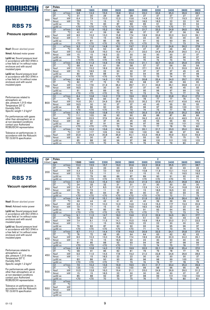

### Pressure operation

Nsof: Blower absrbed power

Nmot: Advised motor power

Lp(A) sc: Sound pressure level in accordance with ISO 3746 in a free field at 1m without noise enclosure and with sound insulated pipes

Lp(A) cc: Sound pressure level in accordance with ISO 3746 in a free field at 1m without noise enclosure and with sound insulated pipes

Performances related to atmospheric air: abs. pressure 1,013 mbar Temperature 20° C Humidity 50% Specific weight 1.2 kg/m 3

For performances with gases other than atmospheric air or at non-standard conditions contact your Authorized ROBUSCHI representative

Tolerance on performances: in accordance with the Robuschi TE1.S.0015 specification

| <b>DP</b> | Poles          |                              |                  | 4               |                  |                 |                  |                 | 2                |                 |                 |                 |
|-----------|----------------|------------------------------|------------------|-----------------|------------------|-----------------|------------------|-----------------|------------------|-----------------|-----------------|-----------------|
| (mbar)    | rpm            |                              | 1500             | 1800            | 2200             | 2600            | 2800             | 3000            | 3200             | 3400            | 3600            | 3800            |
|           | Q1             | $m^3/m$ in                   | 9,8              | 12,3            | 15,5             | 18,8            | 20,4             | 22,0            | 23,6             | 25,3            | 26,9            | 28,5            |
|           | DT             | $\overline{C}$               | 31               | 30              | 29               | 28              | 28               | 27              | 27               | 27              | 27              | 27              |
| 300       | Nsof           | kW                           | 6,4              | 7,9             | 10,0             | 12,3            | 13,6             | 14,9            | 16,3             | 17,7            | 19,3            | 20,9            |
|           | Nmot           | kW                           | 7,5              | 11              | 15               | 15              | 18,5             | 18,5            | 18,5             | 22              | 22              | 30              |
|           | $Lp(A)$ sc     |                              | 76               | $\overline{79}$ | 83               | 87              | 88               | 89              | 91               | $\overline{92}$ | 93              | 94              |
|           | $Lp(A)$ cc     |                              | $\overline{50}$  | $\overline{50}$ | $70$             | $\overline{50}$ | $\overline{50}$  | $70$            | $\overline{570}$ | $70$            | 71              | $\overline{72}$ |
|           | Q1             | $m^3/m$ in                   | 9,5              | 11,9            | 15,2             | 18,4            | 20,0             | 21,7            | 23,3             | 24,9            | 26,5            | 28,2            |
|           | DT             | $\overline{C}$               | 42               | 41              | 39               | 38              | 38               | 37              | 37               | 37              | 36              | 36              |
| 400       | Nsof           | kW                           | 8,5              | 10.3            | 13.0             | 15.8            | 17.4             | 18.9            | 20.6             | 22,3            | 24.2            | 26.1            |
|           | Nmot           | kW                           | 11               | 15              | 15               | 18,5            | 22               | 22              | 30               | 30              | 30              | 30              |
|           | $Lp(A)$ sc     |                              | 77               | $\overline{81}$ | 85               | 88              | 90               | 91              | 92               | 93              | 95              | 96              |
|           | $Lp(A)$ cc     |                              | $70$             | $70$            | $70$             | Z               | $\overline{50}$  | $70$            | 70               | 71              | 73              | 74              |
|           | Q <sub>1</sub> | $m^3/m$ in                   | 9,2              | 11.6            | 14.8             | 18.1            | 19.7             | 21.3            | 23.0             | 24.6            | 26,2            | 27,8            |
|           | DT             | ℃                            | 55               | 52              | 50               | 48              | 48               | 47              | 47               | 46              | 46              | 46              |
| 500       | Nsof           | kW                           | 10.5             | 12,8            | 16.0             | 19.4            | 21.1             | 23,0            | 24,9             | 26,9            | 29,0            | 31,2            |
|           | Nmot           | kW                           | 15               | 15              | 18,5             | $\overline{22}$ | 30               | 30              | 30               | 30              | $\overline{37}$ | $\overline{37}$ |
|           | $Lp(A)$ sc     |                              | 79               | 82              | 86               | 90              | $\overline{91}$  | 92              | 94               | $\overline{95}$ | 96              | 97              |
|           | $Lp(A)$ cc     |                              | $\overline{50}$  | $\overline{50}$ | $\overline{50}$  | $70$            | $\overline{570}$ | 70              | 72               | 73              | 74              | 75              |
|           | Q <sub>1</sub> | $m^3/m$ in                   | 8,9              | 11.3            | 14,6             | 17,8            | 19,4             | 21,1            | 22,7             | 24,3            | 25,9            | 27,6            |
|           | DT             | $\overline{\rm ^{\circ}\!C}$ | 68               | 64              | 61               | 59              | 58               | 57              | 57               | 56              | 56              | 56              |
| 600       | Nsof           | kW                           | 12,5             | 15,2            | 18,9             | 22,9            | 24,9             | 27,1            | 29,3             | 31,5            | 33,9            | 36,3            |
|           | Nmot           | kW                           | 15               | 18,5            | 22               | 30              | 30               | 37              | 37               | 37              | 45              | 45              |
|           | $Lp(A)$ sc     |                              | 80               | 84              | 88               | 91              | 92               | 94              | 95               | 96              | 97              | 98              |
|           | $Lp(A)$ cc     |                              | $\overline{50}$  | $\overline{50}$ | $\overline{50}$  | $\overline{50}$ | 70               | $\overline{72}$ | 73               | 74              | 75              | 76              |
|           | Q <sub>1</sub> | $m^3/m$ in                   | 8,6              | 11.0            | 14,3             | 17,5            | 19.2             | 20.8            | 22.4             | 24,0            | 25,7            | 27,3            |
|           | DT             | $\overline{\rm ^{\circ}C}$   | 82               | 77              | 72               | 70              | 69               | 68              | 67               | 66              | 66              | 65              |
| 700       | Nsof           | kW                           | 14,5             | 17,6            | 21,9             | 26,4            | 28,7             | 31,1            | 33,6             | 36,1            | 38,8            | 41,5            |
|           | Nmot           | kW                           | 18,5             | 22              | 30               | 30              | 37               | 37              | 45               | 45              | 45              | 55              |
|           | $Lp(A)$ sc     |                              | 81               | 85              | 89               | 92              | 94               | 95              | 96               | 97              | 99              | 100             |
|           | $Lp(A)$ cc     |                              | $\overline{50}$  | $\overline{50}$ | $\overline{50}$  | 70              | 72               | 73              | 74               | 75              | 77              | 78              |
|           | Q <sub>1</sub> | $m^3/m$ in                   | 8,4              | 10,8            | 14,0             | 17,3            | 18,9             | 20,5            | 22,2             | 23,8            | 25,4            | 27,0            |
|           | DT             | $\overline{C}$               | 96               | 89              | 84               | 81              | 79               | 78              | 77               | 77              | 76              | 75              |
| 800       | Nsof           | kW                           | 16,6             | 20,1            | 24,9             | 29,9            | 32,5             | 35,2            | 37,9             | 40.7            | 43,6            | 46,6            |
|           | Nmot           | kW                           | 18,5             | 30              | 30               | 37              | 37               | 45              | 45               | 55              | 55              | 55              |
|           | $Lp(A)$ sc     |                              | 83               | 86              | $\overline{90}$  | 93              | 95               | $\overline{96}$ | $\overline{97}$  | $\overline{99}$ | 100             | 101             |
|           | $Lp(A)$ cc     |                              | $\overline{570}$ | $\overline{50}$ | $\overline{570}$ | $\overline{71}$ | 73               | 74              | 75               | 77              | 78              | 79              |
|           | Q <sub>1</sub> | $m^3/m$ in                   | 8,1              | 10,6            | 13,8             | 17.1            | 18.7             | 20.3            | 21,9             | 23,6            | 25,2            | 26,8            |
|           | DT             | $\overline{C}$               | 111              | 103             | 96               | 92              | 90               | 89              | 88               | 87              | 86              | 86              |
| 900       | Nsof           | kW                           | 18,6             | 22,5            | 27,9             | 33,4            | 36,3             | 39,2            | 42,3             | 45,3            | 48,5            | 51,8            |
|           | Nmot           | kW                           | 22               | 30              | 37               | 45              | 45               | 45              | 55               | 55              | 55              | 75              |
|           | $Lp(A)$ sc     |                              | 84               | 87              | 91               | 94              | 96               | 97              | 99               | 100             | 101             | 102             |
|           | $Lp(A)$ cc     |                              | $\overline{50}$  | $\overline{50}$ | $70$             | 72              | 74               | 75              | 77               | 78              | 79              | 80              |
|           | Q1             | $m^3/m$ in                   | 7,9              | 10.3            | 13,6             | 16,8            | 18,5             | 20.1            | 21,7             | 23,3            | 25,0            | 26,6            |
|           | DT             | ℃                            | 127              | 117             | 109              | 104             | 102              | 100             | 99               | 98              | 97              | 96              |
| 1000      | Nsof           | kW                           | 20,6             | 24,9            | 30,8             | 36,9            | 40,1             | 43,3            | 46,6             | 49,9            | 53,4            | 56,9            |
|           | Nmot           | kW                           | 30               | 30              | 37               | 45              | 45               | 55              | 55               | 75              | 75              | 75              |
|           | $Lp(A)$ sc     |                              | 85               | 88              | 92               | 96              | 97               | 98              | 100              | 101             | 102             | 103             |
|           | $Lp(A)$ cc     |                              | $\overline{50}$  | $70$            | 70               | 74              | 75               | 76              | 78               | 79              | 80              | 81              |

 $\overline{2}$ 

 $\overline{2}$ 

4

4

T

## ROBUSCHI

### **RBS 75**

#### Vacuum operation

Nsof: Blower absrbed power

Nmot: Advised motor power

Lp(A) sc: Sound pressure level in accordance with ISO 3746 in a free field at 1m without noise enclosure and with sound insulated pipes

Lp(A) cc: Sound pressure level in accordance with ISO 3746 in a free field at 1m without noise enclosure and with sound insulated pipes

Performances related to atmospheric air: abs. pressure 1,013 mbar Temperature 20° C Humidity 50% Specific weight 1.2 kg/m 3

For performances with gases other than atmospheric air or at non-standard conditions contact your Authorized ROBUSCHI representative

| <b>DP</b> | Poles           |                              |                       | 4                |                       | 2                     |                       |            |                  |                 |                         |                       |  |
|-----------|-----------------|------------------------------|-----------------------|------------------|-----------------------|-----------------------|-----------------------|------------|------------------|-----------------|-------------------------|-----------------------|--|
| (mbar)    | rpm             |                              | 1500                  | 1800             | 2200                  | 2600                  | 2800                  | 3000       | 3200             | 3400            | 3600                    | 3800                  |  |
|           | Q1              | $m^3/m$ in                   | 10.0                  | 12.5             | 15.7                  | 19.0                  | 20.6                  | 22.2       | 23,9             | 25,5            | 27.1                    | 28.7                  |  |
|           | <b>DT</b>       | °C                           | 25                    | 24               | 23                    | 23                    | 23                    | 23         | 22               | 22              | 22                      | 22                    |  |
| 200       | Nsof            | kW                           | 4.4                   | 5,5              | 7,0                   | 8,8                   | 9,8                   | 10,8       | 11,9             | 13,1            | 14,4                    | 15,8                  |  |
|           | Nmot            | kW                           | 5,5                   | 7,5              | 11                    | 11                    | 11                    | 15         | 15               | 15              | 18,5                    | 18,5                  |  |
|           | $Lp(A)$ sc      |                              | 75                    | 79               | 83                    | 86                    | 87                    | 89         | 90               | 91              | 92                      | 93                    |  |
|           | $Lp(A)$ cc      |                              | $\overline{570}$      | $\overline{50}$  | $\overline{50}$       | $\overline{50}$       | $\overline{50}$       | $70$       | $\overline{570}$ | $\overline{50}$ | 70                      | 71                    |  |
|           | Q1              | $m^3/m$ in                   | 9.7                   | 12.2             | 15,4                  | 18,7                  | 20,3                  | 21,9       | 23,5             | 25.1            | 26,8                    | 28,4                  |  |
|           | DT              | $\overline{C}$               | 34                    | 33               | 32                    | 31                    | 31                    | 31         | 30               | 30              | 30                      | 30                    |  |
| 250       | Nsof            | kW                           | 5,4                   | 6,7              | 8,5                   | 10,6                  | 11,7                  | 12,9       | 14,1             | 15,4            | 16,8                    | 18,3                  |  |
|           | Nmot            | kW                           | 7,5                   | 7,5              | 11                    | 15                    | 15                    | 15         | 18,5             | 18,5            | 22                      | 22                    |  |
|           | $Lp(A)$ sc      |                              | 76                    | 80               | 84                    | 87                    | 89                    | 90         | 91               | 92              | 93                      | 95                    |  |
|           | $Lp(A)$ cc      |                              | $\overline{50}$       | $\overline{50}$  | $70$                  | $\overline{570}$      | $\overline{570}$      | $70$       | $\overline{50}$  | 70              | $\overline{71}$         | $\overline{73}$       |  |
|           | Q1              | $m^3/m$ in                   | 9,4                   | 11,8             | 15,1                  | 18,3                  | 20,0                  | 21.6       | 23,2             | 24,8            | 26,4                    | 28,1                  |  |
|           | DT              | $\overline{C}$               | 46                    | 44               | 42                    | 41                    | 40                    | 40         | 39               | 39              | 39                      | 39                    |  |
| 300       | Nsof            | kW                           | 6,4                   | 7,9              | 10,0                  | 12,3                  | 13,6                  | 14,9       | 16,3             | 17,7            | 19,3                    | 20,9                  |  |
|           | Nmot            | kW                           | 7,5                   | 11               | 15                    | 15                    | 18,5                  | 18,5       | 18,5             | 22              | 22                      | 30                    |  |
|           | $Lp(A)$ sc      |                              | 78                    | 81               | 85                    | 89                    | 90                    | 91         | 93               | 94              | 95                      | 96                    |  |
|           | $Lp(A)$ cc      |                              | $\overline{50}$       | $70$             | Z                     | $\overline{50}$       | $70$                  | $70$       | 71               | 72              | 73                      | 74                    |  |
|           | Q1              | $m^3/m$ in                   | 9,1                   | 11,5             | 14,7                  | 18,0                  | 19,6                  | 21,2       | 22,9             | 24,5            | 26,1                    | 27,7                  |  |
|           | DT              | $\overline{C}$               | 59                    | 56               | 54                    | 52                    | 51                    | 51         | 50               | 50              | 49                      | 49                    |  |
| 350       | Nsof            | kW                           | 7,4                   | 9,1              | 11,5                  | 14,1                  | 15,5                  | 16,9       | 18,4             | 20,0            | 21,7                    | 23,5                  |  |
|           | Nmot            | kW                           | 11                    | 11               | 15                    | 18,5                  | 18,5                  | 22         | 22               | 30              | 30                      | 30                    |  |
|           | $Lp(A)$ sc      |                              | 79                    | 83               | 87                    | 90                    | 92                    | 93         | 94               | 95              | 96                      | 97                    |  |
|           | $Lp(A)$ cc      |                              | $\overline{570}$      | $\overline{570}$ | $\overline{50}$       | $\overline{50}$       | $70$                  | 71         | 72               | 73              | 74                      | 75                    |  |
|           | Q <sub>1</sub>  | $m^3/m$ in                   | 8,7                   | 11,1             | 14,4                  | 17,6                  | 19,3                  | 20,9       | 22,5             | 24,1            | 25,8                    | 27,4                  |  |
|           | DT              | °C                           | 76                    | 72               | 68                    | 65                    | 64                    | 64         | 63               | 62              | 62                      | 62                    |  |
| 400       | Nsof            | kW                           | 8,5                   | 10,3             | 13,0                  | 15,8                  | 17,4                  | 18,9       | 20,6             | 22,3            | 24,2                    | 26,1                  |  |
|           | Nmot            | kW                           | 11                    | 15               | 15                    | 18,5                  | 22                    | 22         | 30               | 30              | 30                      | 30                    |  |
|           | $Lp(A)$ sc      |                              | 81<br>$\overline{50}$ | 85               | 88<br>$\overline{50}$ | 92<br>$\overline{50}$ | 93<br>$\overline{71}$ | 94         | 96               | 97              | 98                      | 99<br>$\overline{77}$ |  |
|           | $Lp(A)$ cc      |                              |                       | $70$             |                       |                       |                       | 72         | 74               | 75              | 76                      |                       |  |
|           | Q1<br><b>DT</b> | $m^3/m$ in<br>$\overline{C}$ | 8,3<br>98             | 10,8             | 14,0<br>85            | 17,3<br>82            | 18.9<br>81            | 20,5       | 22,1             | 23,8            | 25,4<br>$\overline{77}$ | 27.0<br>76            |  |
|           | Nsof            | kW                           | 9,5                   | 91<br>11,5       | 14,5                  | 17,6                  | 19,2                  | 79<br>21,0 | 79<br>22,8       | 78<br>24,6      | 26,6                    | 28,6                  |  |
| 450       | Nmot            | kW                           | 11                    | 15               | 18,5                  | 22                    | 22                    | 30         | 30               | 30              | 30                      | 37                    |  |
|           | $Lp(A)$ sc      |                              | 83                    | 86               | 90                    | 93                    | 95                    | 96         | 98               | 99              | 100                     | 101                   |  |
|           | $Lp(A)$ cc      |                              | $70$                  | $70$             | $70$                  | 71                    | 73                    | 74         | 76               | 77              | 78                      | 79                    |  |
|           | Q1              | m <sup>3</sup> /min          | 7,9                   | 10,4             | 13,6                  | 16,9                  | 18,5                  | 20,1       | 21,7             | 23,4            | 25,0                    | 26,6                  |  |
|           | <b>DT</b>       | °C                           | 125                   | 115              | 107                   | 102                   | 100                   | 99         | 98               | 96              | 95                      | 95                    |  |
|           | Nsof            | kW                           | 10,5                  | 12,8             | 16,0                  | 19,4                  | 21,1                  | 23,0       | 24,9             | 26,9            | 29,0                    | 31,2                  |  |
| 500       | <b>Nmot</b>     | kW                           | 15                    | 15               | 18,5                  | 22                    | 30                    | 30         | 30               | 30              | 37                      | 37                    |  |
|           | $Lp(A)$ sc      |                              | 85                    | $\overline{88}$  | 92                    | 95                    | 97                    | 98         | 99               | 101             | 102                     | 103                   |  |
|           | $Lp(A)$ cc      |                              | $\overline{570}$      | $70$             | 70                    | 73                    | 75                    | 76         | 77               | 79              | 80                      | 81                    |  |
|           | Q1              | $m^3/m$ in                   |                       |                  |                       |                       |                       |            |                  |                 |                         |                       |  |
|           | DT              | $\overline{C}$               |                       |                  |                       |                       |                       |            |                  |                 |                         |                       |  |
|           | Nsof            | kW                           |                       |                  |                       |                       |                       |            |                  |                 |                         |                       |  |
| 550       | Nmot            | kW                           |                       |                  |                       |                       |                       |            |                  |                 |                         |                       |  |
|           | $Lp(A)$ sc      |                              |                       |                  |                       |                       |                       |            |                  |                 |                         |                       |  |
|           | $Lp(A)$ cc      |                              |                       |                  |                       |                       |                       |            |                  |                 |                         |                       |  |
|           |                 |                              |                       |                  |                       |                       |                       |            |                  |                 |                         |                       |  |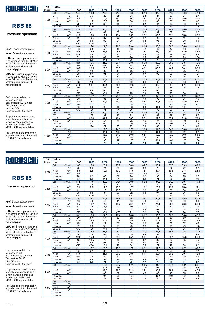

### Pressure operation

Nsof: Blower absrbed power

Nmot: Advised motor power

Lp(A) sc: Sound pressure level in accordance with ISO 3746 in a free field at 1m without noise enclosure and with sound insulated pipes

Lp(A) cc: Sound pressure level in accordance with ISO 3746 in a free field at 1m without noise enclosure and with sound insulated pipes

Performances related to atmospheric air: abs. pressure 1,013 mbar Temperature 20° C Humidity 50% Specific weight 1.2 kg/m 3

For performances with gases other than atmospheric air or at non-standard conditions contact your Authorized ROBUSCHI representative

Tolerance on performances: in accordance with the Robuschi TE1.S.0015 specification

| <b>DP</b> | Poles           |                            |                 | 4               |                 |                 |                 |                 | 2    |                 |      |                 |
|-----------|-----------------|----------------------------|-----------------|-----------------|-----------------|-----------------|-----------------|-----------------|------|-----------------|------|-----------------|
| (mbar)    | rpm             |                            | 1500            | 1800            | 2200            | 2600            | 2800            | 3000            | 3200 | 3400            | 3600 | 3800            |
|           | Q1              | $m^3/m$ in                 | 14,4            | 18,0            | 22,8            | 27,6            | 30,0            | 32,4            | 34,8 | 37,2            | 39,6 | 42,0            |
|           | DT              | $\overline{C}$             | 31              | 30              | 29              | 28              | 28              | 28              | 27   | 27              | 27   | 27              |
| 300       | Nsof            | kW                         | 9,5             | 11,7            | 14,8            | 18,2            | 20,1            | 22,1            | 24,1 | 26,3            | 28,6 | 31,0            |
|           | Nmot            | kW                         | 11              | 15              | 18,5            | 22              | 30              | 30              | 30   | 30              | 37   | 37              |
|           | $Lp(A)$ sc      |                            | 79              | 82              | 86              | 90              | $\overline{91}$ | $\overline{92}$ | 94   | $\overline{95}$ | 96   | $\overline{97}$ |
|           | $Lp(A)$ cc      |                            | $\overline{50}$ | $70$            | $70$            | $70$            | $\overline{50}$ | 70              | 72   | 73              | 74   | 75              |
|           | Q1              | m <sup>3</sup> /min        | 13,8            | 17,4            | 22,2            | 27,0            | 29,4            | 31,8            | 34,2 | 36,6            | 39,0 | 41,4            |
|           | DT              | $\overline{C}$             | 43              | 41              | 39              | 38              | 38              | 37              | 37   | 37              | 37   | 36              |
| 400       | Nsof            | kW                         | 12,5            | 15,3            | 19,2            | 23,4            | 25,7            | 28,1            | 30,5 | 33,1            | 35,8 | 38,6            |
|           | Nmot            | kW                         | 15              | 18,5            | 22              | 30              | 30              | 37              | 37   | 37              | 45   | 45              |
|           | $Lp(A)$ sc      |                            | 80              | 84              | 88              | 91              | 93              | 94              | 95   | 96              | 98   | 99              |
|           | $Lp(A)$ cc      |                            | $\overline{50}$ | $70$            | $\overline{50}$ | Z               | 71              | 72              | 73   | 74              | 76   | 77              |
|           | Q <sub>1</sub>  | $m^3/m$ in                 | 13,4            | 17,0            | 21,8            | 26,6            | 29,0            | 31,4            | 33,8 | 36,2            | 38,6 | 41,0            |
|           | DT              | ℃                          | 56              | 53              | 50              | 49              | 48              | 47              | 47   | 47              | 46   | 46              |
| 500       | Nsof            | kW                         | 15,5            | 18,9            | 23,6            | 28,6            | 31,3            | 34,1            | 36,9 | 39,9            | 43,0 | 46,2            |
|           | Nmot            | kW                         | 18,5            | 22              | 30              | 37              | 37              | 45              | 45   | 45              | 55   | 55              |
|           | $Lp(A)$ sc      |                            | 82              | 85              | 89              | 93              | 94              | 95              | 97   | 98              | 99   | 100             |
|           | $Lp(A)$ cc      |                            | $\overline{50}$ | $70$            | $70$            | 71              | 72              | 73              | 75   | 76              | 77   | 78              |
|           | $\overline{Q1}$ | $m^3/m$ in                 | 12,9            | 16,5            | 21,3            | 26,1            | 28,5            | 30,9            | 33,3 | 35,7            | 38,1 | 40,5            |
|           | DT              | $\overline{C}$             | 69              | 65              | 61              | 59              | 58              | 58              | 57   | 57              | 56   | 56              |
| 600       | Nsof            | kW                         | 18,5            | 22,5            | 28,0            | 33,8            | 36,9            | 40,1            | 43,3 | 46,7            | 50,2 | 53,8            |
|           | Nmot            | kW                         | 22              | 30              | 37              | 45              | 45              | 45              | 55   | 55              | 75   | 75              |
|           | $Lp(A)$ sc      |                            | 83              | 87              | 91              | 94              | 95              | 97              | 98   | 99              | 100  | 101             |
|           | $Lp(A)$ cc      |                            | $\overline{50}$ | $70$            | $70$            | 72              | 73              | 75              | 76   | 77              | 78   | 79              |
|           | Q1              | $m^3/m$ in                 | 12,5            | 16,1            | 20,9            | 25,7            | 28,1            | 30,5            | 32,9 | 35,3            | 37,7 | 40,1            |
|           | DT              | $\overline{\rm ^{\circ}C}$ | 83              | 78              | 73              | 70              | 69              | 68              | 68   | 67              | 66   | 66              |
| 700       | Nsof            | kW                         | 21,5            | 26,1            | 32,4            | 39,0            | 42,5            | 46,1            | 49,7 | 53,5            | 57,4 | 61,4            |
|           | Nmot            | kW                         | 30              | 30              | 37              | 45              | 55              | 55              | 75   | 75              | 75   | 75              |
|           | $Lp(A)$ sc      |                            | 84              | 88              | 92              | 95              | 97              | 98              | 99   | 100             | 102  | 103             |
|           | $Lp(A)$ cc      |                            | $\overline{50}$ | $70$            | $70$            | 73              | 75              | 76              | 77   | 78              | 80   | 81              |
|           | Q1              | $m^3/m$ in                 | 12,1            | 15,7            | 20,5            | 25,3            | 27.7            | 30,1            | 32,5 | 34,9            | 37,3 | 39,7            |
|           | DT              | $\overline{C}$             | 98              | 91              | 85              | 81              | 80              | 79              | 78   | 77              | 77   | 76              |
| 800       | Nsof            | kW                         | 24,5            | 29,7            | 36,8            | 44,2            | 48,1            | 52,1            | 56,1 | 60,3            | 64,6 | 69,0            |
|           | Nmot            | kW                         | 30              | 37              | 45              | 55              | 55              | 75              | 75   | 75              | 75   | 90              |
|           | $Lp(A)$ sc      |                            | 86              | 89              | 93              | 96              | 98              | 99              | 100  | 102             | 103  | 104             |
|           | $Lp(A)$ cc      |                            | $\overline{50}$ | $\overline{50}$ | $\overline{71}$ | $\overline{74}$ | 76              | $\overline{77}$ | 78   | 80              | 81   | $\overline{82}$ |
|           | Q <sub>1</sub>  | $m^3/m$ in                 |                 | 15,4            | 20,2            | 25,0            | 27.4            | 29,8            | 32.2 | 34,6            | 37,0 | 39,4            |
|           | DT              | $\overline{\text{c}}$      |                 | 105             | 97              | 93              | 91              | 90              | 89   | 88              | 87   | 86              |
| 900       | Nsof            | kW                         |                 | 33,3            | 41,2            | 49,4            | 53,7            | 58,1            | 62,5 | 67,1            | 71,8 | 76,6            |
|           | Nmot            | kW                         |                 | 45              | 55              | 55              | 75              | 75              | 75   | 75              | 90   | 90              |
|           | $Lp(A)$ sc      |                            |                 | 90              | 94              | 97              | 99              | 100             | 102  | 103             | 104  | 105             |
|           | $Lp(A)$ cc      |                            |                 | $70$            | 72              | $\overline{75}$ | 77              | 78              | 80   | 81              | 82   | 83              |
|           | Q1              | $m^3/m$ in                 |                 |                 | 19,8            | 24,6            | 27.0            | 29,4            | 31,8 | 34,2            | 36,6 | 39,0            |
|           | DT              | $\overline{\rm ^{\circ}C}$ |                 |                 | 110             | 105             | 103             | 101             | 100  | 98              | 97   | 97              |
| 1000      | <b>Nsof</b>     | kW                         |                 |                 | 45,6            | 54,6            | 59,3            | 64,1            | 68,9 | 73,9            | 79,0 | 84,2            |
|           | Nmot            | kW                         |                 |                 | 55              | 75              | 75              | 75              | 90   | 90              | 90   | 110             |
|           | $Lp(A)$ sc      |                            |                 |                 | 95              | 99              | 100             | 101             | 103  | 104             | 105  | 106             |
|           | $Lp(A)$ cc      |                            |                 |                 | 73              | $\overline{77}$ | 78              | 79              | 81   | 82              | 83   | 84              |

 $\overline{2}$ 

4

# ROBUSCHI

### **RBS 85**

#### Vacuum operation

Nsof: Blower absrbed power

Nmot: Advised motor power

Lp(A) sc: Sound pressure level in accordance with ISO 3746 in a free field at 1m without noise enclosure and with sound insulated pipes

Lp(A) cc: Sound pressure level in accordance with ISO 3746 in a free field at 1m without noise enclosure and with sound insulated pipes

Performances related to atmospheric air: abs. pressure 1,013 mbar Temperature 20° C Humidity 50% Specific weight 1.2 kg/m 3

For performances with gases other than atmospheric air or at non-standard conditions contact your Authorized ROBUSCHI representative

| <b>DP</b> | Poles                                       |                       | 4                     |                       | $\overline{\mathbf{2}}$ |                 |          |          |                 |           |           |  |
|-----------|---------------------------------------------|-----------------------|-----------------------|-----------------------|-------------------------|-----------------|----------|----------|-----------------|-----------|-----------|--|
| (mbar)    | rpm                                         | 1500                  | 1800                  | 2200                  | 2600                    | 2800            | 3000     | 3200     | 3400            | 3600      | 3800      |  |
|           | Q1<br>$m^3/m$ in                            | 14,7                  | 18,3                  | 23,1                  | 27,9                    | 30,3            | 32,7     | 35,1     | 37,5            | 39,9      | 42,3      |  |
|           | $\overline{C}$<br>DT                        | 25                    | 24                    | 24                    | 23                      | 23              | 23       | 23       | 22              | 22        | 22        |  |
| 200       | kW<br>Nsof                                  | 6,5                   | 8.1                   | 10,4                  | 13,0                    | 14,5            | 16.1     | 17.7     | 19,5            | 21.4      | 23,4      |  |
|           | kW<br>Nmot                                  | 7,5                   | 11                    | 15                    | 15                      | 18,5            | 18,5     | 22       | 22              | 30        | 30        |  |
|           | $Lp(A)$ sc                                  | 78                    | 82                    | 86                    | 89                      | 90              | 92       | 93       | 94              | 95        | 96        |  |
|           | $Lp(A)$ cc                                  | $\overline{50}$       | $\overline{50}$       | $\overline{50}$       | $\overline{50}$         | $\overline{50}$ | $70$     | 71       | $\overline{72}$ | 73        | 74        |  |
|           | Q1<br>m <sup>3</sup> /min                   | 14,2                  | 17,8                  | 22,6                  | 27,4                    | 29,8            | 32,2     | 34,6     | 37,0            | 39,4      | 41,8      |  |
|           | $\overline{C}$<br>DT                        | 35                    | 33                    | 32                    | 31                      | 31              | 31       | 30       | 30              | 30        | 30        |  |
| 250       | kW<br>Nsof                                  | 8,0                   | 9,9                   | 12,6                  | 15,6                    | 17,3            | 19,1     | 20,9     | 22,9            | 25,0      | 27,2      |  |
|           | Nmot<br>kW                                  | 11                    | 11                    | 15                    | 18,5                    | 22              | 22       | 30       | 30              | 30        | 37        |  |
|           | $Lp(A)$ sc                                  | 79                    | 83                    | $\overline{87}$       | 90                      | 92              | 93       | 94       | 95              | 96        | 98        |  |
|           | $Lp(A)$ cc                                  | $\overline{50}$       | $70$                  | $70$                  | $70$                    | $70$            | 71       | 72       | 73              | 74        | 76        |  |
|           | $\Omega$ 1<br>$m^3/m$ in                    | 13,7                  | 17,3                  | 22,1                  | 26,9                    | 29,3            | 31,7     | 34,1     | 36,5            | 38,9      | 41,3      |  |
|           | °C<br>DT                                    | 46                    | 44                    | 42                    | 41                      | 40              | 40       | 40       | 39              | 39        | 39        |  |
| 300       | kW<br>Nsof                                  | 9,5                   | 11,7                  | 14,8                  | 18,2                    | 20,1            | 22,1     | 24,1     | 26,3            | 28,6      | 31,0      |  |
|           | kW<br>Nmot                                  | 11                    | 15                    | 18,5                  | 22                      | 30              | 30       | 30       | 30              | 37        | 37        |  |
|           | $Lp(A)$ sc                                  | 81                    | 84                    | 88                    | 92                      | 93              | 94       | 96       | 97              | 98        | 99        |  |
|           | $Lp(A)$ cc                                  | $\overline{50}$       | $\overline{50}$       | $70$                  | $\overline{50}$         | 71              | 72       | 74       | 75              | 76        | 77        |  |
|           | $m^3/m$ in<br>Q1                            | 13,2                  | 16,8                  | 21,6                  | 26,4                    | 28,8            | 31.2     | 33,6     | 36,0            | 38.4      | 40.8      |  |
|           | DT<br>$\overline{C}$                        | 60                    | 57                    | 54                    | 52                      | 52              | 51       | 51       | 50              | 50        | 49        |  |
| 350       | kW<br>Nsof                                  | 11,0                  | 13,5                  | 17,0                  | 20,8                    | 22,9            | 25,1     | 27,3     | 29,7            | 32,2      | 34,8      |  |
|           | Nmot<br>kW                                  | 15                    | 15                    | $\overline{22}$       | 30                      | 30              | 30       | 37       | 37              | 37        | 45        |  |
|           | $Lp(A)$ sc                                  | 82                    | 86                    | 90                    | 93                      | 95              | 96       | 97       | 98              | 99        | 100       |  |
|           | $Lp(A)$ cc                                  | $\overline{570}$      | $\overline{570}$      | $\overline{570}$      | $\overline{71}$         | 73              | 74       | 75       | 76              | 77        | 78        |  |
|           | m <sup>3</sup> /min<br>Q1<br>$\overline{C}$ | 12,7                  | 16,3                  | 21,1                  | 25,9                    | 28,3            | 30,7     | 33,1     | 35,5            | 37,9      | 40,3      |  |
|           | DT                                          | 78                    | 73                    | 68                    | 66                      | 65              | 64       | 63       | 63              | 62        | 62        |  |
| 400       | Nsof<br>kW                                  | 12,5                  | 15,3                  | 19,2                  | 23,4                    | 25,7            | 28,1     | 30,5     | 33,1            | 35,8      | 38,6      |  |
|           | Nmot<br>kW                                  | 15                    | 18,5                  | 22                    | 30                      | 30              | 37       | 37       | 37              | 45        | 45        |  |
|           | $Lp(A)$ sc<br>$Lp(A)$ cc                    | 84<br>$\overline{50}$ | 88<br>$\overline{50}$ | 91<br>$\overline{50}$ | 95<br>$\overline{73}$   | 96<br>74        | 97<br>75 | 99<br>77 | 100<br>78       | 101<br>79 | 102<br>80 |  |
|           | $m^3/m$ in<br>Q1                            | 12,1                  | 15,7                  | 20,5                  | 25,3                    | 27,7            | 30,1     | 32,5     | 34,9            | 37,3      | 39,7      |  |
|           | $^{\circ}$ C<br>DT                          | 100                   | 92                    | 86                    | 83                      | 81              | 80       | 79       | 78              | 78        | 77        |  |
|           | Nsof<br>kW                                  | 14,0                  | 17,1                  | 21,4                  | 26,0                    | 28,5            | 31,1     | 33,7     | 36,5            | 39,4      | 42,4      |  |
| 450       | kW<br>Nmot                                  | 18,5                  | 22                    | 30                    | 30                      | 37              | 37       | 45       | 45              | 45        | 55        |  |
|           | $Lp(A)$ sc                                  | 86                    | 89                    | 93                    | 96                      | 98              | 99       | 101      | 102             | 103       | 104       |  |
|           | $Lp(A)$ cc                                  | $\overline{50}$       | $\overline{50}$       | 71                    | 74                      | 76              | 77       | 79       | 80              | 81        | 82        |  |
|           | Q1<br>m <sup>3</sup> /min                   |                       |                       | 19,9                  | 24,7                    | 27,1            | 29,5     | 31,9     | 34,3            | 36,7      | 39,1      |  |
|           | <b>DT</b><br>$\overline{C}$                 |                       |                       | 108                   | 103                     | 101             | 100      | 98       | 97              | 96        | 95        |  |
|           | kW<br>Nsof                                  |                       |                       | 23,6                  | 28,6                    | 31,3            | 34,1     | 36,9     | 39,9            | 43,0      | 46,2      |  |
| 500       | Nmot<br>kW                                  |                       |                       | 30                    | 37                      | 37              | 45       | 45       | 45              | 55        | 55        |  |
|           | $Lp(A)$ sc                                  |                       |                       | 95                    | 98                      | 100             | 101      | 102      | 104             | 105       | 106       |  |
|           | $Lp(A)$ cc                                  |                       |                       | 73                    | 76                      | 78              | 79       | 80       | 82              | 83        | 84        |  |
|           | $\Omega$ 1<br>$m^3/m$ in                    |                       |                       |                       |                         |                 |          |          |                 |           |           |  |
|           | $\overline{C}$<br>DT                        |                       |                       |                       |                         |                 |          |          |                 |           |           |  |
|           | Nsof<br>kW                                  |                       |                       |                       |                         |                 |          |          |                 |           |           |  |
| 550       | Nmot<br>kW                                  |                       |                       |                       |                         |                 |          |          |                 |           |           |  |
|           | $Lp(A)$ sc                                  |                       |                       |                       |                         |                 |          |          |                 |           |           |  |
|           | $Lp(A)$ cc                                  |                       |                       |                       |                         |                 |          |          |                 |           |           |  |
|           |                                             |                       |                       |                       |                         |                 |          |          |                 |           |           |  |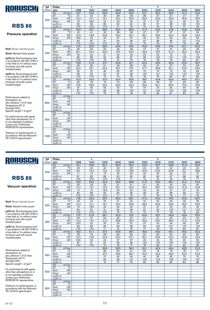

### Pressure operation

Nsof: Blower absrbed power

Nmot: Advised motor power

Lp(A) sc: Sound pressure level in accordance with ISO 3746 in a free field at 1m without noise enclosure and with sound insulated pipes

Lp(A) cc: Sound pressure level in accordance with ISO 3746 in a free field at 1m without noise enclosure and with sound insulated pipes

Performances related to atmospheric air: abs. pressure 1,013 mbar Temperature 20° C Humidity 50% Specific weight 1.2 kg/m 3

For performances with gases other than atmospheric air or at non-standard conditions contact your Authorized ROBUSCHI representative

Tolerance on performances: in accordance with the Robuschi TE1.S.0015 specification

| DP.    | Poles                    |                                      |                  | 4               |                 |                 |                 |      | 2               |                 |      |      |
|--------|--------------------------|--------------------------------------|------------------|-----------------|-----------------|-----------------|-----------------|------|-----------------|-----------------|------|------|
| (mbar) | rpm                      |                                      | 1500             | 1800            | 2200            | 2600            | 2800            | 3000 | 3200            | 3400            | 3600 | 3800 |
|        | Q1                       | m <sup>3</sup> /min                  | 18.7             | 23,4            | 29,6            | 35,9            | 39,0            | 42.1 | 45,2            | 48.4            | 51.5 | 54,6 |
|        | DT                       | $\overline{C}$                       | 31               | 30              | 29              | 28              | 28              | 28   | 27              | 27              | 27   | 27   |
| 300    | Nsof                     | kW                                   | 12,3             | 15,1            | 19,1            | 23,4            | 25,8            | 28,3 | 30,9            | 33,6            | 36,5 | 39,5 |
|        | Nmot                     | kW                                   | 15               | 18,5            | 22              | 30              | 30              | 37   | 37              | 45              | 45   | 45   |
|        | $Lp(A)$ sc               |                                      | $\overline{82}$  | 85              | 89              | 93              | 94              | 95   | $\overline{97}$ | 98              | 99   | 100  |
|        | $Lp(A)$ cc               |                                      | $\overline{50}$  | $\overline{50}$ | $70$            | 71              | $\overline{72}$ | 73   | $\overline{75}$ | 76              | 77   | 78   |
|        | Q1                       | m <sup>3</sup> /min                  | 18,0             | 22,7            | 28,9            | 35,2            | 38,3            | 41,4 | 44,5            | 47,6            | 50,8 | 53,9 |
|        | DT                       | $\overline{C}$                       | 43               | 41              | 39              | 38              | 38              | 37   | 37              | 37              | 37   | 36   |
| 400    | Nsof                     | kW                                   | 16.2             | 19.8            | 24,8            | 30.2            | 33.1            | 36,1 | 39,2            | 42.4            | 45.8 | 49.4 |
|        | <b>Nmot</b>              | kW                                   | 18,5             | 22              | 30              | 37              | 37              | 45   | 45              | 55              | 55   | 55   |
|        | $Lp(A)$ sc               |                                      | 83               | 87              | 91              | 94              | 96              | 97   | 98              | 99              | 101  | 102  |
|        | $Lp(A)$ cc               |                                      | $\overline{50}$  | $\overline{50}$ | $70$            | 72              | 74              | 75   | 76              | 77              | 79   | 80   |
|        | Q1                       | $m^3/m$ in                           | 17.4             | 22.0            | 28.3            | 34,5            | 37.6            | 40.8 | 43.9            | 47.0            | 50.1 | 53.2 |
|        | $\overline{DT}$          | $\overline{\rm ^{\circ}C}$           | 56               | 53              | 50              | 49              | 48              | 47   | 47              | $\overline{47}$ | 46   | 46   |
| 500    | <b>Nsof</b>              | kW                                   | 20,1             | 24,4            | 30,5            | 37,0            | 40.4            | 43,9 | 47.5            | 51,3            | 55,2 | 59,3 |
|        | Nmot                     | kW                                   | 30               | 30              | $\overline{37}$ | 45              | 45              | 55   | 55              | 75              | 75   | 75   |
|        | $Lp(A)$ sc               |                                      | 85               | 88              | 92              | 96              | 97              | 98   | 100             | 101             | 102  | 103  |
|        | $Lp(A)$ cc               |                                      | $\overline{570}$ | $\overline{50}$ | 70              | $\overline{74}$ | 75              | 76   | 78              | 79              | 80   | 81   |
|        | Q1                       | $m^3/m$ in                           | 16,8             | 21,5            | 27,7            | 33,9            | 37,1            | 40.2 | 43,3            | 46.4            | 49,5 | 52,7 |
|        | DT                       | $\overline{\text{°C}}$               | 69               | 65              | 61              | 59              | 58              | 58   | 57              | 57              | 56   | 56   |
| 600    | Nsof                     | kW                                   | 24,0             | 29,1            | 36,2            | 43,7            | 47,6            | 51,7 | 55,8            | 60,1            | 64,6 | 69,2 |
|        | Nmot                     | kW                                   | 30               | 37              | 45              | 55              | 55              | 75   | 75              | 75              | 75   | 90   |
|        | $Lp(A)$ sc               |                                      | 86               | 90              | 94              | 97              | 98              | 100  | 101             | 102             | 103  | 104  |
|        | $Lp(A)$ cc               |                                      | $\overline{50}$  | $\overline{50}$ | $\overline{72}$ | 75              | 76              | 78   | $\overline{79}$ | 80              | 81   | 82   |
|        | Q1                       | $m^3/m$ in                           | 16,3             | 20,9            | 27,2            | 33,4            | 36,5            | 39,7 | 42.8            | 45,9            | 49,0 | 52,1 |
|        | DT                       | $\overline{\text{c}}$                | 83               | 78              | 73              | 70              | 69              | 68   | 68              | 67              | 66   | 66   |
| 700    | Nsof                     | kW                                   | 27,9             | 33,8            | 42,0            | 50,5            | 54,9            | 59,5 | 64,1            | 69,0            | 73,9 | 79,0 |
|        | Nmot                     | kW                                   | 37               | 45              | 55              | 75              | 75              | 75   | 75              | 90              | 90   | 90   |
|        | $Lp(A)$ sc               |                                      | 87               | 91              | 95              | 98              | 100             | 101  | 102             | 103             | 105  | 106  |
|        | $Lp(A)$ cc               |                                      | $\overline{570}$ | $70$            | 73              | 76              | 78              | 79   | 80              | 81              | 83   | 84   |
|        | Q1                       | m <sup>3</sup> /min                  |                  |                 |                 |                 |                 |      |                 |                 |      |      |
|        | DT                       | $\overline{C}$                       |                  |                 |                 |                 |                 |      |                 |                 |      |      |
| 800    | Nsof                     | kW                                   |                  |                 |                 |                 |                 |      |                 |                 |      |      |
|        | Nmot                     | kW.                                  |                  |                 |                 |                 |                 |      |                 |                 |      |      |
|        | $Lp(A)$ sc               |                                      |                  |                 |                 |                 |                 |      |                 |                 |      |      |
|        | $Lp(A)$ cc               |                                      |                  |                 |                 |                 |                 |      |                 |                 |      |      |
|        | Q1                       | $m^3/m$ in<br>$\overline{\text{°C}}$ |                  |                 |                 |                 |                 |      |                 |                 |      |      |
|        | DT                       |                                      |                  |                 |                 |                 |                 |      |                 |                 |      |      |
| 900    | Nsof                     | kW                                   |                  |                 |                 |                 |                 |      |                 |                 |      |      |
|        | Nmot                     | kW                                   |                  |                 |                 |                 |                 |      |                 |                 |      |      |
|        | $Lp(A)$ sc               |                                      |                  |                 |                 |                 |                 |      |                 |                 |      |      |
|        | $Lp(A)$ cc               |                                      |                  |                 |                 |                 |                 |      |                 |                 |      |      |
|        | Q1                       | $m^3/m$ in<br>$\overline{\text{°C}}$ |                  |                 |                 |                 |                 |      |                 |                 |      |      |
|        | DT                       | kW                                   |                  |                 |                 |                 |                 |      |                 |                 |      |      |
| 1000   | Nsof                     | kW                                   |                  |                 |                 |                 |                 |      |                 |                 |      |      |
|        | Nmot                     |                                      |                  |                 |                 |                 |                 |      |                 |                 |      |      |
|        | $Lp(A)$ sc<br>$Lp(A)$ cc |                                      |                  |                 |                 |                 |                 |      |                 |                 |      |      |
|        |                          |                                      |                  |                 |                 |                 |                 |      |                 |                 |      |      |

 $\overline{2}$ 

4

# ROBUSCHI

### **RBS 86**

#### Vacuum operation

Nsof: Blower absrbed power

Nmot: Advised motor power

Lp(A) sc: Sound pressure level in accordance with ISO 3746 in a free field at 1m without noise enclosure and with sound insulated pipes

Lp(A) cc: Sound pressure level in accordance with ISO 3746 in a free field at 1m without noise enclosure and with sound insulated pipes

Performances related to atmospheric air: abs. pressure 1,013 mbar Temperature 20° C Humidity 50% Specific weight 1.2 kg/m 3

For performances with gases other than atmospheric air or at non-standard conditions contact your Authorized ROBUSCHI representative

| DP.    | Poles                                               |                       | 4                     |                       | $\overline{\mathbf{2}}$ |                 |           |           |           |           |           |  |
|--------|-----------------------------------------------------|-----------------------|-----------------------|-----------------------|-------------------------|-----------------|-----------|-----------|-----------|-----------|-----------|--|
| (mbar) | rpm                                                 | 1500                  | 1800                  | 2200                  | 2600                    | 2800            | 3000      | 3200      | 3400      | 3600      | 3800      |  |
|        | Q1<br>$m^3/m$ in                                    | 19,1                  | 23,8                  | 30,1                  | 36,3                    | 39,4            | 42,5      | 45,7      | 48,8      | 51,9      | 55,0      |  |
|        | $\overline{C}$<br>DT                                | 25                    | 24                    | 24                    | 23                      | 23              | 23        | 23        | 22        | 22        | 22        |  |
| 200    | Nsof<br>kW                                          | 8.4                   | 10.4                  | 13,4                  | 16,7                    | 18,5            | 20,5      | 22,5      | 24,8      | 27,1      | 29,6      |  |
|        | kW<br>Nmot                                          | 11                    | 15                    | 15                    | 22                      | 22              | 30        | 30        | 30        | 37        | 37        |  |
|        | $Lp(A)$ sc                                          | 81                    | 85                    | 89                    | 92                      | 93              | 95        | 96        | 97        | 98        | 99        |  |
|        | $Lp(A)$ cc                                          | $\overline{50}$       | $\overline{50}$       | $\overline{50}$       | $\overline{50}$         | $\overline{71}$ | 73        | 74        | 75        | 76        | 77        |  |
|        | Q1<br>m <sup>3</sup> /min                           | 18,5                  | 23,2                  | 29,4                  | 35,6                    | 38,8            | 41,9      | 45,0      | 48,1      | 51,2      | 54,4      |  |
|        | $\overline{C}$<br>DT                                | 35                    | 33                    | 32                    | 31                      | 31              | 31        | 30        | 30        | 30        | 30        |  |
| 250    | kW<br>Nsof                                          | 10,4                  | 12,7                  | 16,2                  | 20,1                    | 22,2            | 24,4      | 26,7      | 29,2      | 31,8      | 34,6      |  |
|        | kW<br>Nmot                                          | 15                    | 15                    | 18,5                  | 30                      | 30              | 30        | 30        | 37        | 37        | 45        |  |
|        | $Lp(A)$ sc                                          | 82                    | 86                    | 90                    | 93                      | 95              | 96        | 97        | 98        | 99        | 101       |  |
|        | $Lp(A)$ cc                                          | $70$                  | $70$                  | $70$                  | 71                      | 73              | 74        | 75        | 76        | 77        | 79        |  |
|        | $\Omega$ 1<br>m <sup>3</sup> /min                   | 17,8                  | 22,5                  | 28,7                  | 35,0                    | 38,1            | 41,2      | 44,3      | 47,5      | 50,6      | 53,7      |  |
|        | °C<br>DT                                            | 46                    | 44                    | 42                    | 41                      | 40              | 40        | 40        | 39        | 39        | 39        |  |
| 300    | kW<br>Nsof                                          | 12,3                  | 15,1                  | 19,1                  | 23,4                    | 25,8            | 28,3      | 30,9      | 33,6      | 36,5      | 39,5      |  |
|        | kW<br>Nmot                                          | 15                    | 18,5                  | 22                    | 30                      | 30              | 37        | 37        | 45        | 45        | 45        |  |
|        | $Lp(A)$ sc                                          | 84                    | 87                    | 91                    | 95                      | 96              | 97        | 99        | 100       | 101       | 102       |  |
|        | $Lp(A)$ cc                                          | $\overline{50}$       | $70$                  | $\overline{570}$      | 73                      | 74              | 75        | 77        | 78        | 79        | 80        |  |
|        | $m^3/m$ in<br>Q1                                    | 17.2                  | 21,8                  | 28,1                  | 34,3                    | 37.4            | 40.6      | 43,7      | 46,8      | 49.9      | 53,0      |  |
|        | DT<br>$\overline{\rm ^{\circ}C}$                    | 60                    | 57                    | 54                    | 52                      | 52              | 51        | 51        | 50        | 50        | 49        |  |
| 350    | Nsof<br>kW                                          | 14,3                  | 17,4                  | 21,9                  | 26,8                    | 29,4            | 32,2      | 35,0      | 38,0      | 41,2      | 44,5      |  |
|        | Nmot<br>kW                                          | 18,5                  | 22                    | 30                    | 30                      | $\overline{37}$ | 37        | 45        | 45        | 55        | 55        |  |
|        | $Lp(A)$ sc                                          | 85                    | 89                    | 93                    | 96                      | 98              | 99        | 100       | 101       | 102       | 103       |  |
|        | $Lp(A)$ cc                                          | $\overline{570}$      | $\overline{570}$      | $\overline{71}$       | 74                      | 76              | 77        | 78        | 79        | 80        | 81        |  |
|        | m <sup>3</sup> /min<br>Q1<br>$\overline{\text{°C}}$ | 16,5                  | 21,1                  | 27,4                  | 33,6                    | 36,7            | 39,9      | 43,0      | 46,1      | 49,2      | 52,3      |  |
|        | <b>DT</b>                                           | 78                    | 73                    | 68                    | 66                      | 65              | 64        | 63        | 63        | 62        | 62        |  |
| 400    | Nsof<br>kW                                          | 16,2                  | 19,8                  | 24,8                  | 30,2                    | 33,1            | 36,1      | 39,2      | 42,4      | 45,8      | 49,4      |  |
|        | Nmot<br>kW                                          | 18,5                  | 22                    | 30                    | 37                      | $\overline{37}$ | 45        | 45        | 55        | 55<br>104 | 55        |  |
|        | $Lp(A)$ sc<br>$Lp(A)$ cc                            | 87<br>$\overline{50}$ | 91<br>$\overline{50}$ | 94<br>$\overline{72}$ | 98<br>76                | 99<br>77        | 100<br>78 | 102<br>80 | 103<br>81 | 82        | 105<br>83 |  |
|        | $m^3/m$ in<br>Q1                                    |                       |                       |                       | 32,9                    | 36,0            | 39,1      | 42,2      | 45,4      | 48,5      | 51,6      |  |
|        | $^{\circ}$ C<br>DT                                  |                       |                       | 26,6<br>86            | 83                      | 81              | 80        | 79        | 78        | 78        | 77        |  |
|        | Nsof<br>kW                                          |                       |                       | 27,7                  | 33,6                    | 36,7            | 40,0      | 43,3      | 46,9      | 50,5      | 54,3      |  |
| 450    | kW<br>Nmot                                          |                       |                       | 37                    | 45                      | 45              | 45        | 55        | 55        | 75        | 75        |  |
|        | $Lp(A)$ sc                                          |                       |                       | 96                    | 99                      | 101             | 102       | 104       | 105       | 106       | 107       |  |
|        | $Lp(A)$ cc                                          |                       |                       | 74                    | 77                      | 79              | 80        | 82        | 83        | 84        | 85        |  |
|        | Q1<br>m <sup>3</sup> /min                           |                       |                       |                       |                         |                 |           |           |           |           |           |  |
|        | <b>DT</b><br>$\overline{C}$                         |                       |                       |                       |                         |                 |           |           |           |           |           |  |
|        | kW<br>Nsof                                          |                       |                       |                       |                         |                 |           |           |           |           |           |  |
| 500    | Nmot<br>kW                                          |                       |                       |                       |                         |                 |           |           |           |           |           |  |
|        | $Lp(A)$ sc                                          |                       |                       |                       |                         |                 |           |           |           |           |           |  |
|        | $Lp(A)$ cc                                          |                       |                       |                       |                         |                 |           |           |           |           |           |  |
|        | $\Omega$ 1<br>$m^3/m$ in                            |                       |                       |                       |                         |                 |           |           |           |           |           |  |
|        | $\overline{C}$<br>DT                                |                       |                       |                       |                         |                 |           |           |           |           |           |  |
|        | kW<br>Nsof                                          |                       |                       |                       |                         |                 |           |           |           |           |           |  |
| 550    | kW<br>Nmot                                          |                       |                       |                       |                         |                 |           |           |           |           |           |  |
|        | $Lp(A)$ sc                                          |                       |                       |                       |                         |                 |           |           |           |           |           |  |
|        | $Lp(A)$ cc                                          |                       |                       |                       |                         |                 |           |           |           |           |           |  |
|        |                                                     |                       |                       |                       |                         |                 |           |           |           |           |           |  |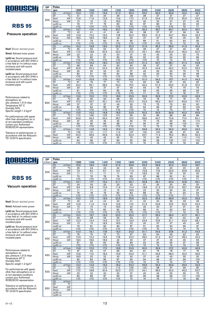

#### Pressure operation

Nsof: Blower absrbed power

Nmot: Advised motor power

Lp(A) sc: Sound pressure level in accordance with ISO 3746 in a free field at 1m without noise enclosure and with sound insulated pipes

Lp(A) cc: Sound pressure level in accordance with ISO 3746 in a free field at 1m without noise enclosure and with sound insulated pipes

Performances related to atmospheric air: abs. pressure 1,013 mbar Temperature 20° C Humidity 50% Specific weight 1.2 kg/m 3

For performances with gases other than atmospheric air or at non-standard conditions contact your Authorized ROBUSCHI representative

Tolerance on performances: in accordance with the Robuschi TE1.S.0015 specification

| <b>DP</b> | Poles          |                        |                  |                  | 4                |                 |                 |                 |                 | 2               |      |      |
|-----------|----------------|------------------------|------------------|------------------|------------------|-----------------|-----------------|-----------------|-----------------|-----------------|------|------|
| (mbar)    | rpm            |                        | 1200             | 1300             | 1400             | 1500            | 1800            | 2200            | 2400            | 2600            | 2800 | 3000 |
|           | Q1             | $m^3/m$ in             | 16.3             | 17,9             | 19,6             | 21,3            | 26,3            | 33,0            | 36.3            | 39,6            | 43,0 | 46.3 |
|           | DT             | $\overline{C}$         | 31               | 30               | 30               | 29              | 28              | 28              | 27              | 27              | 27   | 27   |
|           | Nsof           | kW                     | 10.6             | 11,6             | 12,6             | 13,6            | 17,0            | 21,9            | 24,6            | 27,5            | 30,6 | 34,0 |
| 300       | Nmot           | kW                     | 15               | 15               | 15               | 18,5            | 22              | 30              | 30              | 37              | 37   | 45   |
|           | $Lp(A)$ sc     |                        | $\overline{76}$  | $\overline{77}$  | 79               | 80              | 83              | $\overline{87}$ | 89              | $\overline{91}$ | 92   | 93   |
|           | $Lp(A)$ cc     |                        | $\overline{50}$  | $\overline{50}$  | $\overline{570}$ | $70$            | $70$            | $70$            | $70$            | $70$            | 70   | 71   |
|           | Q1             | $m^3/m$ in             | 15,7             | 17,4             | 19,0             | 20,7            | 25,7            | 32,4            | 35,7            | 39,1            | 42,4 | 45,7 |
|           | DT             | $\overline{C}$         | 42               | 41               | 41               | 40              | 39              | 38              | 37              | 37              | 36   | 36   |
| 400       | Nsof           | kW                     | 13.9             | 15.2             | 16.5             | 17.8            | 22.0            | 28.0            | 31.3            | 34.7            | 38,4 | 42,3 |
|           | Nmot           | kW                     | 18,5             | 18,5             | 18,5             | 22              | 30              | 37              | 37              | 45              | 45   | 55   |
|           | $Lp(A)$ sc     |                        | 77               | 79               | 80               | 81              | 85              | 89              | 91              | 92              | 94   | 95   |
|           | $Lp(A)$ cc     |                        | $\overline{50}$  | $70$             | $\overline{50}$  | $70$            | $\overline{50}$ | $70$            | $\overline{50}$ | 70              | 72   | 73   |
|           | Q <sub>1</sub> | $m^3/m$ in             | 15.2             | 16.8             | 18.5             | 20.2            | 25.2            | 31.9            | 35.2            | 38.5            | 41.9 | 45.2 |
|           | DT             | $\overline{\text{°C}}$ | 55               | 53               | $\overline{52}$  | 51              | 49              | 48              | 47              | 47              | 46   | 46   |
|           | Nsof           | kW                     | 17.3             | 18,8             | 20.4             | 22,0            | 27.0            | 34.1            | 38,0            | 42.0            | 46,2 | 50,7 |
| 500       | Nmot           | kW                     | $\overline{22}$  | 22               | 30               | 30              | 37              | 45              | 45              | 55              | 55   | 75   |
|           | $Lp(A)$ sc     |                        | 78               | 80               | $\overline{81}$  | 83              | 86              | 90              | 92              | $\overline{94}$ | 95   | 96   |
|           | $Lp(A)$ cc     |                        | $\overline{50}$  | $\overline{570}$ | $\overline{570}$ | $70$            | $70$            | $70$            | 70              | 72              | 73   | 74   |
|           | Q1             | $m^3/m$ in             | 14,7             | 16,4             | 18,0             | 19.7            | 24.7            | 31.4            | 34,7            | 38,1            | 41,4 | 44,8 |
|           | DT             | $\overline{C}$         | 68               | 66               | 64               | 63              | 60              | 58              | 57              | 57              | 56   | 55   |
| 600       | Nsof           | kW                     | 20.6             | 22,4             | 24,3             | 26,2            | 32,0            | 40.3            | 44,6            | 49,2            | 54,0 | 59,0 |
|           | Nmot           | kW                     | 30               | 30               | 30               | 30              | 37              | 45              | 55              | 55              | 75   | 75   |
|           | $Lp(A)$ sc     |                        | 80               | 81               | 83               | 84              | 88              | 92              | 93              | 95              | 96   | 98   |
|           | $Lp(A)$ cc     |                        | $\overline{50}$  | $\overline{50}$  | $70$             | $\overline{50}$ | $70$            | $70$            | 71              | 73              | 74   | 76   |
|           | Q <sub>1</sub> | $m^3/m$ in             | 14.3             | 15,9             | 17,6             | 19,3            | 24,3            | 31.0            | 34,3            | 37.7            | 41.0 | 44,3 |
|           | DT             | $\overline{\text{c}}$  | 81               | 79               | 77               | 75              | 72              | 69              | 68              | 67              | 66   | 65   |
| 700       | Nsof           | kW                     | 24,0             | 26,1             | 28,2             | 30,3            | 37,0            | 46,4            | 51,3            | 56,5            | 61,8 | 67,4 |
|           | Nmot           | kW                     | 30               | 30               | 37               | 37              | 45              | 55              | 75              | 75              | 75   | 75   |
|           | $Lp(A)$ sc     |                        | 81               | 83               | 84               | 85              | 89              | 93              | 95              | 96              | 98   | 99   |
|           | $Lp(A)$ cc     |                        | $\overline{570}$ | $70$             | $70$             | $70$            | $70$            | 71              | 73              | 74              | 76   | 77   |
|           | Q1             | $m^3/m$ in             | 13,9             | 15,5             | 17,2             | 18,9            | 23,9            | 30.6            | 33,9            | 37,3            | 40,6 | 43,9 |
|           | DT             | $\overline{C}$         | 95               | 92               | 90               | 88              | 83              | 79              | 78              | 77              | 76   | 75   |
| 800       | Nsof           | kW                     | 27,3             | 29,7             | 32,1             | 34,5            | 42.0            | 52,5            | 58,0            | 63,7            | 69,6 | 75,7 |
|           | Nmot           | kW                     | 37               | 37               | 37               | 45              | 55              | 75              | 75              | 75              | 90   | 90   |
|           | $Lp(A)$ sc     |                        | 82               | 84               | 85               | $\overline{87}$ | 90              | 94              | 96              | $\overline{97}$ | 99   | 100  |
|           | $Lp(A)$ cc     |                        | $\overline{570}$ | $70$             | $\overline{570}$ | $70$            | $70$            | 72              | 74              | 75              | 77   | 78   |
|           | Q <sub>1</sub> | $m^3/m$ in             | 13,5             | 15,2             | 16,8             | 18,5            | 23,5            | 30.2            | 33,5            | 36,9            | 40,2 | 43,6 |
|           | DT             | °C                     | 110              | 106              | 103              | 101             | 95              | 90              | 89              | 88              | 86   | 86   |
| 900       | Nsof           | kW                     | 30,6             | 33,3             | 36,0             | 38,7            | 47,0            | 58,6            | 64,7            | 70,9            | 77,4 | 84,1 |
|           | Nmot           | kW                     | 37               | 45               | 45               | 45              | 55              | 75              | 75              | 90              | 90   | 110  |
|           | $Lp(A)$ sc     |                        | 83               | 85               | 86               | 88              | 91              | 95              | 97              | 98              | 100  | 101  |
|           | $Lp(A)$ cc     |                        | $\overline{50}$  | $70$             | $\overline{570}$ | Z               | $\overline{50}$ | 73              | 75              | 76              | 78   | 79   |
|           | Q <sub>1</sub> | $m^3/m$ in             | 13,1             | 14,8             | 16,5             | 18,2            | 23,2            | 29,8            | 33.2            | 36,5            | 39,9 | 43,2 |
|           | DT             | $\overline{\text{c}}$  | 126              | 121              | 117              | 114             | 107             | 102             | 100             | 98              | 97   | 96   |
| 1000      | Nsof           | kW                     | 34,0             | 36,9             | 39,9             | 42,9            | 52,0            | 64,7            | 71,4            | 78,2            | 85,2 | 92,4 |
|           | Nmot           | kW                     | 45               | 45               | 45               | 55              | 75              | 75              | 90              | 90              | 110  | 110  |
|           | $Lp(A)$ sc     |                        | 84               | 86               | 87               | 89              | 92              | 96              | 98              | 100             | 101  | 102  |
|           | $Lp(A)$ cc     |                        | $70$             | $70$             | $70$             | $70$            | 70              | 74              | 76              | 78              | 79   | 80   |

4

2

# ROBUSCH

### **RBS 95**

#### Vacuum operation

Nsof: Blower absrbed power

Nmot: Advised motor power

Lp(A) sc: Sound pressure level in accordance with ISO 3746 in a free field at 1m without noise enclosure and with sound insulated pipes

Lp(A) cc: Sound pressure level in accordance with ISO 3746 in a free field at 1m without noise enclosure and with sound insulated pipes

Performances related to atmospheric air: abs. pressure 1,013 mbar Temperature 20° C Humidity 50% Specific weight 1.2 kg/m 3

For performances with gases other than atmospheric air or at non-standard conditions contact your Authorized ROBUSCHI representative

| <b>DP</b> | Poles                    |                              |                       |                       | 4                     |                       |                       |                       |                       | $\overline{2}$        |                       |                 |
|-----------|--------------------------|------------------------------|-----------------------|-----------------------|-----------------------|-----------------------|-----------------------|-----------------------|-----------------------|-----------------------|-----------------------|-----------------|
| (mbar)    | rpm                      |                              | 1200                  | 1300                  | 1400                  | 1500                  | 1800                  | 2200                  | 2400                  | 2600                  | 2800                  | 3000            |
|           | Q1                       | $m^3/m$ in                   | 16,6                  | 18,3                  | 19,9                  | 21,6                  | 26,6                  | 33,3                  | 36,6                  | 40.0                  | 43,3                  | 46,7            |
|           | DT                       | ℃                            | 25                    | 24                    | 24                    | 24                    | 23                    | 23                    | 23                    | 22                    | 22                    | 22              |
| 200       | Nsof                     | kW                           | 7,3                   | 8,0                   | 8,7                   | 9,5                   | 11,9                  | 15,8                  | 17,9                  | 20,3                  | 22,8                  | 25,6            |
|           | Nmot                     | kW                           | 11                    | $\overline{11}$       | $\overline{11}$       | $\overline{11}$       | 15                    | 18,5                  | $\overline{22}$       | 30                    | 30                    | 30              |
|           | $Lp(A)$ sc               |                              | 75                    | 76                    | 78                    | 79                    | 83                    | 87                    | 88                    | 90                    | 91                    | 93              |
|           | $Lp(A)$ cc               |                              | $\overline{50}$       | $\overline{50}$       | $\overline{50}$       | $\overline{50}$       | $\overline{50}$       | $\overline{50}$       | $\overline{50}$       | $\overline{50}$       | $\overline{50}$       | $\overline{71}$ |
|           | Q1                       | $m^3/m$ in                   | 16,1                  | 17,7                  | 19,4                  | 21,1                  | 26,1                  | 32,8                  | 36,1                  | 39,4                  | 42,8                  | 46,1            |
|           | DT                       | $\overline{C}$               | 34                    | 34                    | 33                    | 33                    | 32                    | 31                    | 30                    | 30                    | 30                    | 30              |
| 250       | Nsof                     | kW                           | 8,9                   | 9,8                   | 10,6                  | 11,6                  | 14,4                  | 18,8                  | 21,3                  | 23,9                  | 26,7                  | 29,8            |
|           | Nmot                     | kW                           | 11                    | 11                    | 15                    | 15                    | 18,5                  | 22                    | 30                    | 30                    | 30                    | 37              |
|           | $Lp(A)$ sc               |                              | 76                    | $\overline{78}$       | $\overline{79}$       | 80                    | 84                    | 88                    | 90                    | 91                    | 93                    | 94              |
|           | $Lp(A)$ cc               |                              | $\overline{570}$      | $\overline{50}$       | Z                     | $70$                  | $\overline{50}$       | $70$                  | $70$                  | $\overline{50}$       | $\overline{71}$       | $\overline{72}$ |
|           | Q1                       | $m^3/m$ in                   | 15,5                  | 17,2                  | 18,9                  | 20,5                  | 25,6                  | 32,2                  | 35,6                  | 38,9                  | 42,3                  | 45,6            |
|           | DT                       | $\overline{C}$               | 45                    | 44                    | 44                    | 43                    | 41                    | 40                    | 40                    | 39                    | 39                    | 39              |
| 300       | <b>Nsof</b>              | kW                           | 10,6                  | 11,6                  | 12,6                  | 13,6                  | 17,0                  | 21,9                  | 24,6                  | 27,5                  | 30.6                  | 34,0            |
|           | Nmot                     | kW                           | 15                    | 15                    | 15                    | 18,5                  | $\overline{22}$       | 30                    | 30                    | 37                    | 37                    | 45              |
|           | $Lp(A)$ sc<br>$Lp(A)$ cc |                              | 77<br>$\overline{50}$ | 79<br>$\overline{50}$ | 80<br>$\overline{50}$ | 82<br>$\overline{50}$ | 85<br>$\overline{50}$ | 89<br>$\overline{50}$ | 91<br>$\overline{50}$ | 93<br>$\overline{71}$ | 94<br>$\overline{72}$ | 95<br>73        |
|           | Q1                       |                              |                       | 16.7                  |                       | 20,0                  |                       |                       |                       | 38.4                  | 41.7                  |                 |
|           | DT                       | $m^3/m$ in<br>$\overline{C}$ | 15,0<br>59            | 58                    | 18,3<br>56            | 55                    | 25,0<br>53            | 31,7<br>51            | 35,0<br>51            | 50                    | 50                    | 45,1<br>49      |
|           | Nsof                     | kW                           | 12,3                  | 13,4                  | 14,5                  | 15,7                  | 19,5                  | 24,9                  | 27,9                  | 31,1                  | 34,5                  | 38,1            |
| 350       | Nmot                     | kW                           | 15                    | 15                    | 18,5                  | 18,5                  | 22                    | 30                    | 37                    | 37                    | 45                    | 45              |
|           | $Lp(A)$ sc               |                              | 79                    | $\overline{81}$       | 82                    | 83                    | 87                    | $\overline{91}$       | 92                    | 94                    | 96                    | 97              |
|           | $Lp(A)$ cc               |                              | Z                     | $\overline{50}$       | $70$                  | Z                     | $70$                  | $70$                  | 70                    | 72                    | $\overline{74}$       | 75              |
|           | Q1                       | m <sup>3</sup> /min          | 14,4                  | 16,1                  | 17,8                  | 19,4                  | 24,5                  | 31,1                  | 34,5                  | 37,8                  | 41,2                  | 44,5            |
|           | DT                       | $\overline{C}$               | 76                    | 74                    | 72                    | 70                    | 67                    | 64                    | 64                    | 63                    | 62                    | 62              |
|           | Nsof                     | kW                           | 13,9                  | 15,2                  | 16,5                  | 17,8                  | 22,0                  | 28,0                  | 31,3                  | 34,7                  | 38,4                  | 42,3            |
| 400       | Nmot                     | kW                           | 18,5                  | 18,5                  | 18,5                  | $\overline{22}$       | 30                    | 37                    | 37                    | 45                    | 45                    | 55              |
|           | $Lp(A)$ sc               |                              | 81                    | 82                    | 84                    | 85                    | 89                    | 92                    | 94                    | 96                    | 97                    | 98              |
|           | $Lp(A)$ cc               |                              | $\overline{50}$       | $\overline{50}$       | $\overline{50}$       | $70$                  | $70$                  | 70                    | $\overline{72}$       | 74                    | $\overline{75}$       | $\overline{76}$ |
|           | Q <sub>1</sub>           | $m^3/m$ in                   | 13,8                  | 15,5                  | 17,2                  | 18,8                  | 23,9                  | 30,5                  | 33,9                  | 37,2                  | 40,6                  | 43,9            |
|           | DT                       | ℃                            | 97                    | 94                    | 91                    | 89                    | 84                    | 81                    | 79                    | 78                    | 77                    | 76              |
|           | Nsof                     | kW                           | 15,6                  | 17,0                  | 18,4                  | 19,9                  | 24,5                  | 31,1                  | 34,6                  | 38,4                  | 42,3                  | 46,5            |
| 450       | Nmot                     | kW                           | 18,5                  | 22                    | 22                    | 30                    | 30                    | 37                    | 45                    | 45                    | 55                    | 55              |
|           | $Lp(A)$ sc               |                              | 82                    | 84                    | 85                    | 87                    | 90                    | 94                    | 96                    | 97                    | 99                    | 100             |
|           | $Lp(A)$ cc               |                              | $70$                  | $\overline{50}$       | $70$                  | $\overline{5}$        | $70$                  | 72                    | 74                    | 75                    | 77                    | 78              |
|           | Q1                       | m <sup>3</sup> /min          | 13,2                  | 14,9                  | 16,5                  | 18,2                  | 23,2                  | 29,9                  | 33,2                  | 36,6                  | 39,9                  | 43,3            |
|           | DT                       | $\overline{C}$               | 124                   | 119                   | 115                   | 112                   | 106                   | 100                   | 98                    | 97                    | 96                    | 95              |
| 500       | <b>Nsof</b>              | kW                           | 17,3                  | 18,8                  | 20.4                  | 22,0                  | 27,0                  | 34,1                  | 38,0                  | 42,0                  | 46,2                  | 50,7            |
|           | Nmot                     | kW                           | 22                    | 22                    | 30                    | 30                    | 37                    | 45                    | 45                    | 55                    | 55                    | 75              |
|           | $Lp(A)$ sc               |                              | 84                    | 86                    | 87                    | 89                    | 92                    | 96                    | 98                    | 99                    | 101                   | 102             |
|           | $Lp(A)$ cc               |                              | $70$                  | $\overline{50}$       | $\overline{50}$       | $\overline{50}$       | 70                    | $\overline{74}$       | $\overline{76}$       | $\overline{77}$       | 79                    | 80              |
|           | Q1                       | $m^3/m$ in                   |                       |                       |                       |                       |                       |                       |                       |                       |                       |                 |
|           | DT                       | $\overline{C}$               |                       |                       |                       |                       |                       |                       |                       |                       |                       |                 |
| 550       | Nsof                     | kW                           |                       |                       |                       |                       |                       |                       |                       |                       |                       |                 |
|           | Nmot                     | kW                           |                       |                       |                       |                       |                       |                       |                       |                       |                       |                 |
|           | $Lp(A)$ sc               |                              |                       |                       |                       |                       |                       |                       |                       |                       |                       |                 |
|           | $Lp(A)$ cc               |                              |                       |                       |                       |                       |                       |                       |                       |                       |                       |                 |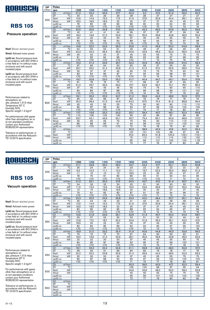

#### Pressure operation

Nsof: Blower absrbed power

Nmot: Advised motor power

Lp(A) sc: Sound pressure level in accordance with ISO 3746 in a free field at 1m without noise enclosure and with sound insulated pipes

Lp(A) cc: Sound pressure level in accordance with ISO 3746 in a free field at 1m without noise enclosure and with sound insulated pipes

Performances related to atmospheric air: abs. pressure 1,013 mbar Temperature 20° C Humidity 50% Specific weight 1.2 kg/m 3

For performances with gases other than atmospheric air or at non-standard conditions contact your Authorized ROBUSCHI representative

Tolerance on performances: in accordance with the Robuschi TE1.S.0015 specification

| <b>DP</b> | Poles                                 |                  |                  | 4                |                  |                  |                 |                 | 2               |       |                 |
|-----------|---------------------------------------|------------------|------------------|------------------|------------------|------------------|-----------------|-----------------|-----------------|-------|-----------------|
| (mbar)    | rpm                                   | 1200             | 1300             | 1400             | 1500             | 1800             | 2200            | 2400            | 2600            | 2800  | 3000            |
|           | Q1<br>$m^3/m$ in                      | 21.2             | 23.4             | 25,6             | 27,7             | 34,3             | 3,0             | 47,3            | 51,6            | 56.0  | 60.3            |
|           | $\overline{C}$<br>DT                  | 30               | 30               | 29               | 29               | 28               | 28              | 27              | 27              | 27    | 27              |
| 300       | Nsof<br>kW                            | 13,6             | 14,9             | 16,2             | 17,5             | 21,6             | 27,6            | 30,9            | 34,4            | 38,1  | 42,0            |
|           | Nmot<br>kW                            | 18,5             | 18,5             | 18,5             | 22               | 30               | 37              | 37              | 45              | 45    | 55              |
|           | $Lp(A)$ sc                            | 79               | 80               | 82               | 83               | 86               | 90              | $\overline{92}$ | 94              | 95    | 96              |
|           | $Lp(A)$ cc                            | $\overline{50}$  | $\overline{50}$  | $70$             | $70$             | $70$             | $70$            | 70              | 72              | 73    | 74              |
|           | Q <sub>1</sub><br>m <sup>3</sup> /min | 20,5             | 22,6             | 24,8             | 27,0             | 33,5             | 42.2            | 46,5            | 50,9            | 55,2  | 59,6            |
|           | DT<br>$\overline{C}$                  | 42               | 41               | 41               | 40               | 39               | 37              | 37              | 37              | 36    | 36              |
| 400       | kW<br>Nsof                            | 18,0             | 19,6             | 21,2             | 22,9             | 28,1             | 35,6            | 39,6            | 43,8            | 48,2  | 52,9            |
|           | Nmot<br>kW                            | 22               | 22               | 30               | 30               | 37               | 45              | 45              | 55              | 55    | 75              |
|           | $Lp(A)$ sc                            | 80               | 82               | 83               | 84               | 88               | 92              | 94              | 95              | 97    | 98              |
|           | $Lp(A)$ cc                            | $\overline{50}$  | $\overline{50}$  | $70$             | $70$             | $\overline{50}$  | $70$            | 72              | 73              | 75    | 76              |
|           | Q <sub>1</sub><br>$m^3/m$ in          | 19.8             | 22,0             | 24,2             | 26,3             | 32,8             | 41.5            | 45,9            | 50.2            | 54,6  | 58,9            |
|           | ℃<br>DT                               | 54               | 53               | 52               | 51               | 49               | 48              | 47              | 46              | 46    | 46              |
| 500       | kW<br><b>Nsof</b>                     | 22,3             | 24,3             | 26,3             | 28,3             | 34,6             | 43,6            | 48.3            | 53,2            | 58,4  | 63,8            |
|           | kW<br>Nmot                            | 30               | 30               | 30               | 37               | 45               | 55              | 55              | 75              | 75    | 75              |
|           | $Lp(A)$ sc                            | $\overline{81}$  | 83               | 84               | 86               | 89               | 93              | $\overline{95}$ | 97              | 98    | 99              |
|           | $Lp(A)$ cc                            | $\overline{570}$ | $\overline{570}$ | $\overline{570}$ | $\overline{570}$ | $\overline{570}$ | 71              | 73              | 75              | 76    | 77              |
|           | Q <sub>1</sub><br>$m^3/m$ in          | 19.2             | 21.4             | 23,6             | 25,7             | 32.2             | 40.9            | 45,3            | 49,6            | 54,0  | 58,3            |
|           | $\overline{C}$<br>DT                  | 67               | 66               | 64               | 63               | 60               | 58              | 57              | 56              | 56    | 55              |
| 600       | kW<br>Nsof                            | 26,7             | 29,0             | 31.4             | 33,8             | 41,2             | 51,5            | 57,0            | 62,6            | 68,5  | 74,6            |
|           | kW<br>Nmot                            | 30               | 37               | 37               | 45               | 55               | 75              | 75              | 75              | 90    | 90              |
|           | $Lp(A)$ sc                            | 83               | 84               | 86               | 87               | 91               | 95              | 96              | 98              | 99    | 101             |
|           | $Lp(A)$ cc                            | Z                | $70$             | $70$             | $70$             | $70$             | 73              | 74              | 76              | 77    | 79              |
|           | Q <sub>1</sub><br>$m^3/m$ in          | 18.7             | 20.8             | 23.0             | 25.2             | 31,7             | 40.4            | 44.7            | 49.1            | 53.4  | 57.8            |
|           | $\overline{\text{°C}}$<br>DT          | 81               | 78               | 76               | 75               | 71               | 68              | 67              | 67              | 66    | 65              |
| 700       | kW<br>Nsof                            | 31,0             | 33,7             | 36,5             | 39,2             | 47,7             | 59,5            | 65,7            | 72,1            | 78,7  | 85,5            |
|           | kW<br>Nmot                            | 37               | 45               | 45               | 45               | 55               | 75              | 75              | 90              | 90    | 110             |
|           | $Lp(A)$ sc                            | 84               | 86               | 87               | 88               | 92               | 96              | 98              | 99              | 101   | 102             |
|           | $Lp(A)$ cc                            | $70$             | $70$             | $70$             | $70$             | $70$             | 74              | 76              | 77              | 79    | 80              |
|           | $m^3/m$ in<br>Q1                      | 18,1             | 20,3             | 22,5             | 24,7             | 31.2             | 39,9            | 44,2            | 48,6            | 52,9  | 57,3            |
|           | $\overline{C}$<br>DT                  | 95               | 92               | 89               | 87               | 83               | 79              | 78              | 77              | 76    | 75              |
| 800       | kW<br>Nsof                            | 35,4             | 38,4             | 41,5             | 44,6             | 54,2             | 67,5            | 74,4            | 81,5            | 88,8  | 96,4            |
|           | kW<br>Nmot                            | 45               | 45               | 55               | 55               | 75               | 90              | 90              | 90              | 110   | 110             |
|           | $Lp(A)$ sc                            | 85               | 87               | 88               | 90               | 93               | $\overline{97}$ | 99              | 100             | 102   | 103             |
|           | $Lp(A)$ cc                            | $\overline{50}$  | $\overline{50}$  | $70$             | $70$             | $\overline{71}$  | 75              | $\overline{77}$ | $\overline{78}$ | 80    | $\overline{81}$ |
|           | $m^3/m$ in<br>Q <sub>1</sub>          | 17.7             | 19.8             | 22.0             | 24.2             | 30.7             | 39.4            | 43.7            | 48.1            | 52.4  | 56,8            |
|           | $\overline{C}$<br>DT                  | 110              | 106              | 103              | 100              | 95               | 90              | 89              | 87              | 86    | 85              |
| 900       | kW<br>Nsof                            | 39,7             | 43,1             | 46,6             | 50,1             | 60,7             | 75,4            | 83,1            | 90,9            | 98,9  | 107,2           |
|           | kW<br>Nmot                            | 45               | 55               | 55               | 75               | 75               | 90              | 90              | 110             | 110   | 132             |
|           | $Lp(A)$ sc                            | 86               | 88               | 89               | 91               | 94               | 98              | 100             | 101             | 103   | 104             |
|           | $Lp(A)$ cc                            | $70$             | $70$             | $70$             | $\overline{50}$  | 72               | 76              | 78              | 79              | 81    | 82              |
|           | Q <sub>1</sub><br>$m^3/m$ in          |                  |                  |                  |                  | 30,3             | 38,9            | 43,3            | 47,6            | 52,0  | 56,3            |
|           | ℃<br>DT                               |                  |                  |                  |                  | 107              | 101             | 100             | 98              | 97    | 96              |
| 1000      | <b>Nsof</b><br>kW                     |                  |                  |                  |                  | 67,2             | 83,4            | 91,8            | 100,3           | 109,1 | 118,1           |
|           | kW<br>Nmot                            |                  |                  |                  |                  | 75               | 110             | 110             | 110             | 132   | 132             |
|           | $Lp(A)$ sc                            |                  |                  |                  |                  | 95               | 99              | 101             | 103             | 104   | 105             |
|           | $Lp(A)$ cc                            |                  |                  |                  |                  | 73               | $\overline{77}$ | 79              | 81              | 82    | 83              |

4

2

5

# ROBUSCHI

## **RBS 105**

#### Vacuum operation

Nsof: Blower absrbed power

Nmot: Advised motor power

Lp(A) sc: Sound pressure level in accordance with ISO 3746 in a free field at 1m without noise enclosure and with sound insulated pipes

Lp(A) cc: Sound pressure level in accordance with ISO 3746 in a free field at 1m without noise enclosure and with sound insulated pipes

Performances related to atmospheric air: abs. pressure 1,013 mbar Temperature 20° C Humidity 50% Specific weight 1.2 kg/m 3

For performances with gases other than atmospheric air or at non-standard conditions contact your Authorized ROBUSCHI representative

Tolerance on performances: in accordance with the Robuschi TE1.S.0015 specification

| <b>DP</b> | Poles                    |                              |                       |                       |                  | 4                     |                       |                       |                       | 2                     |                        |                 |
|-----------|--------------------------|------------------------------|-----------------------|-----------------------|------------------|-----------------------|-----------------------|-----------------------|-----------------------|-----------------------|------------------------|-----------------|
| (mbar)    | rpm                      |                              | 1200                  | 1300                  | 1400             | 1500                  | 1800                  | 2200                  | 2400                  | 2600                  | 2800                   | 3000            |
|           | Q1                       | $m^3/m$ in                   | 21,7                  | 23,8                  | 26,0             | 28,2                  | 34,7                  | 43,4                  | 47.7                  | 52,1                  | 56.4                   | 60.8            |
|           | DT                       | $\overline{\rm ^{\circ}C}$   | 25                    | 24                    | 24               | 24                    | 23                    | 23                    | 23                    | 22                    | 22                     | 22              |
| 200       | Nsof                     | kW                           | 9,3                   | 10,2                  | 11,1             | 12,0                  | 15,1                  | 19,7                  | 22,2                  | 25,0                  | 28,0                   | 31,2            |
|           | Nmot                     | kW                           | 11                    | 15                    | 15               | 15                    | 18,5                  | 22                    | 30                    | 30                    | 37                     | 37              |
|           | $Lp(A)$ sc               |                              | 78                    | 79                    | 81               | 82                    | 86                    | 90                    | 91                    | 93                    | 94                     | 96              |
|           | $Lp(A)$ cc               |                              | $\overline{50}$       | $70$                  | $70$             | $70$                  | $70$                  | $70$                  | $70$                  | 71                    | 72                     | 74              |
|           | Q1                       | $m^3/m$ in                   | 21,0                  | 23,1                  | 25,3             | 27,5                  | 34,0                  | 42,7                  | 47,0                  | 51,4                  | 55,7                   | 60,1            |
|           | DT                       | $\overline{C}$               | 34                    | 33                    | 33               | 33                    | 32                    | 31                    | 30                    | 30                    | 30                     | 30              |
| 250       | Nsof                     | kW                           | 11,5                  | 12,5                  | 13,6             | 14,8                  | 18,3                  | 23,6                  | 26,6                  | 29,7                  | 33,0                   | 36,6            |
|           | Nmot                     | kW                           | 15                    | 15                    | 18,5             | 18,5                  | 22                    | 30                    | 30                    | 37                    | 37                     | 45              |
|           | $Lp(A)$ sc               |                              | 79                    | $\overline{81}$       | 82               | 83                    | 87                    | 91                    | 93                    | 94                    | 96                     | 97              |
|           | $Lp(A)$ cc               |                              | $\overline{50}$       | $\overline{50}$       | $\overline{570}$ | $\overline{50}$       | $\overline{570}$      | $\overline{50}$       | $\overline{71}$       | $\overline{72}$       | $\overline{74}$        | $\overline{75}$ |
|           | Q <sub>1</sub>           | $m^3/m$ in                   | 20.3                  | 22.5                  | 24,6             | 26,8                  | 33,3                  | 42,0                  | 46,4                  | 50.7                  | 55,1                   | 59,4            |
|           | DT                       | $\overline{C}$               | 45                    | 44                    | 43               | 43                    | 41                    | 40                    | 40                    | 39                    | 39                     | 39              |
| 300       | Nsof                     | kW                           | 13,6                  | 14,9                  | 16,2             | 17,5                  | 21,6                  | 27,6                  | 30,9                  | 34,4                  | 38,1                   | 42,0            |
|           | Nmot                     | kW                           | 18,5                  | 18,5                  | 18,5             | 22                    | 30                    | 37                    | 37                    | 45                    | 45                     | 55              |
|           | $Lp(A)$ sc               |                              | 80                    | 82                    | 83               | 85                    | 88                    | 92                    | 94                    | 96                    | 97                     | 98              |
|           | $Lp(A)$ cc               |                              | $70$                  | $70$                  | $70$             | $\overline{50}$       | $70$                  | 70                    | 72                    | 74                    | 75                     | 76              |
|           | $\overline{Q1}$          | $m^3/m$ in                   | 19,6                  | 21,8                  | 23,9             | 26,1                  | 32,6                  | 41,3                  | 45,7                  | 50,0                  | 54,4                   | 58,7            |
|           | DT                       | $\overline{C}$               | 59                    | 57                    | 56               | 55                    | 53                    | 51                    | 50                    | 50                    | 49                     | 49              |
| 350       | Nsof                     | kW                           | 15,8                  | 17,2                  | 18,7             | 20,2                  | 24,9                  | 31,6                  | 35,3                  | 39,1                  | 43,2                   | 47,5            |
|           | Nmot                     | kW                           | 18.5                  | 22                    | 22               | 30                    | 30                    | 37                    | 45                    | 45                    | 55                     | 55              |
|           | $Lp(A)$ sc               |                              | 82                    | 84                    | 85               | 86                    | 90                    | 94                    | 95                    | $\overline{97}$       | 99                     | 100             |
|           | $Lp(A)$ cc               |                              | $\overline{570}$      | $\overline{50}$       | $70$             | $\overline{50}$       | $\overline{50}$       | $\overline{72}$       | $\overline{73}$       | $\overline{75}$       | $\overline{77}$        | 78              |
|           | Q1<br>DT                 | $m^3/m$ in<br>$\overline{C}$ | 18,9                  | 21,0                  | 23,2             | 25,4                  | 31,9                  | 40,6                  | 44,9                  | 49,3                  | 53,6                   | 58,0            |
|           |                          |                              | 75                    | 73                    | 72               | 70                    | 67                    | 64                    | 63                    | 63                    | 62                     | 61              |
| 400       | Nsof                     | kW<br>kW                     | 18,0                  | 19,6                  | 21,2             | 22,9                  | 28,1                  | 35,6                  | 39,6                  | 43,8                  | 48,2                   | 52,9            |
|           | Nmot                     |                              | 22                    | 22                    | 30               | 30                    | 37                    | 45                    | 45                    | 55                    | 55                     | 75              |
|           | $Lp(A)$ sc<br>$Lp(A)$ cc |                              | 84<br>$\overline{50}$ | 85<br>$\overline{50}$ | 87<br>$70$       | 88<br>$\overline{50}$ | 92<br>$\overline{50}$ | 95<br>$\overline{73}$ | 97<br>$\overline{75}$ | 99<br>$\overline{77}$ | 100<br>$\overline{78}$ | 101<br>79       |
|           |                          | $m^3/m$ in                   | 18,1                  | 20,3                  | 22,4             | 24,6                  | 31,1                  | 39,8                  | 44,2                  | 48,5                  | 52,9                   | 57,2            |
|           | Q1<br>DT                 | ℃                            | 96                    | 93                    | 91               | 89                    | 84                    | 80                    | 79                    | 78                    | 77                     | 76              |
|           | Nsof                     | kW                           | 20,2                  | 22,0                  | 23,8             | 25,6                  | 31,4                  | 39,6                  | 44,0                  | 48,5                  | 53,3                   | 58,3            |
| 450       | Nmot                     | kW                           | 30                    | 30                    | 30               | 30                    | $\overline{37}$       | 45                    | 55                    | 55                    | $\overline{75}$        | 75              |
|           | $Lp(A)$ sc               |                              | 85                    | 87                    | 88               | 90                    | 93                    | 97                    | 99                    | 100                   | 102                    | 103             |
|           | $Lp(A)$ cc               |                              | $70$                  | $\overline{50}$       | $70$             | $70$                  | 71                    | 75                    | 77                    | 78                    | 80                     | 81              |
|           | Q1                       | m <sup>3</sup> /min          |                       |                       |                  |                       | 30,3                  | 39,0                  | 43,3                  | 47,7                  | 52,0                   | 56,4            |
|           | DT                       | $\overline{C}$               |                       |                       |                  |                       | 105                   | 100                   | 98                    | 97                    | 95                     | 94              |
|           | Nsof                     | kW                           |                       |                       |                  |                       | 34,6                  | 43,6                  | 48,3                  | 53,2                  | 58,4                   | 63,8            |
| 500       | Nmot                     | kW                           |                       |                       |                  |                       | 45                    | 55                    | 55                    | 75                    | 75                     | 75              |
|           | $Lp(A)$ sc               |                              |                       |                       |                  |                       | 95                    | 99                    | 101                   | 102                   | 104                    | 105             |
|           | $Lp(A)$ cc               |                              |                       |                       |                  |                       | 73                    | 77                    | 79                    | 80                    | 82                     | 83              |
|           | Q1                       | $m^3/m$ in                   |                       |                       |                  |                       |                       |                       |                       |                       |                        |                 |
|           | DT                       | $\overline{C}$               |                       |                       |                  |                       |                       |                       |                       |                       |                        |                 |
|           | <b>Nsof</b>              | kW                           |                       |                       |                  |                       |                       |                       |                       |                       |                        |                 |
| 550       | Nmot                     | kW                           |                       |                       |                  |                       |                       |                       |                       |                       |                        |                 |
|           | $Lp(A)$ sc               |                              |                       |                       |                  |                       |                       |                       |                       |                       |                        |                 |
|           | $Lp(A)$ cc               |                              |                       |                       |                  |                       |                       |                       |                       |                       |                        |                 |
|           |                          |                              |                       |                       |                  |                       |                       |                       |                       |                       |                        |                 |

4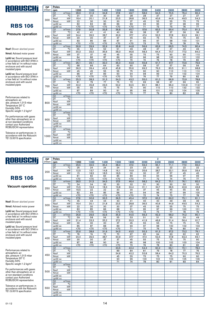

4

4

### **RBS 106**

### Pressure operation

Nsof: Blower absrbed power

Nmot: Advised motor power

Lp(A) sc: Sound pressure level in accordance with ISO 3746 in a free field at 1m without noise enclosure and with sound insulated pipes

Lp(A) cc: Sound pressure level in accordance with ISO 3746 in a free field at 1m without noise enclosure and with sound insulated pipes

Performances related to atmospheric air: abs. pressure 1,013 mbar Temperature 20° C Humidity 50% Specific weight 1.2 kg/m 3

For performances with gases other than atmospheric air or at non-standard conditions contact your Authorized ROBUSCHI representative

Tolerance on performances: in accordance with the Robuschi TE1.S.0015 specification

| DP.                                     | Poles<br>4<br>2     |                            |                  |                  |                  |                 |                 |                 |                 |                 |                 |                 |
|-----------------------------------------|---------------------|----------------------------|------------------|------------------|------------------|-----------------|-----------------|-----------------|-----------------|-----------------|-----------------|-----------------|
| (mbar)                                  | rpm                 |                            | 1200             | 1300             | 1400             | 1500            | 1800            | 2200            | 2400            | 2600            | 2800            | 3000            |
|                                         | Q1                  | m <sup>3</sup> /min        | 28,9             | 31,9             | 34,8             | 37,8            | 46,7            | 58,6            | 64,5            | 70,5            | 76,4            | 82,4            |
|                                         | DT                  | $\overline{C}$             | 31               | 30               | 30               | $\overline{29}$ | $\overline{28}$ | 28              | $\overline{27}$ | $\overline{27}$ | $\overline{27}$ | $\overline{27}$ |
|                                         | <b>Nsof</b>         | kW                         | 18.4             | 20.1             | 21.8             | 23,5            | 28.8            | 36,5            | 40.6            | 44.9            | 49.5            | 54.3            |
|                                         | Nmot                | kW                         | 22               | 30               | 30               | 30              | 37              | 45              | 55              | 55              | 75              | 75              |
|                                         | $Lp(A)$ sc          |                            | 82               | 83               | 85               | 86              | 89              | 93              | 95              | 97              | 98              | 99              |
|                                         | $Lp(A)$ cc          |                            | $\overline{50}$  | $\overline{570}$ | $\overline{570}$ | $\overline{50}$ | $\overline{50}$ | $\overline{71}$ | 73              | $\overline{75}$ | 76              | $\overline{77}$ |
|                                         | Q1                  | m <sup>3</sup> /min        | 27,9             | 30.8             | 33.8             | 36.8            | 45.7            | 57,6            | 63,5            | 69.4            | 75.4            | 81,3            |
|                                         | DT                  | $\overline{C}$             | 42               | 41               | 41               | 40              | 39              | 38              | $\overline{37}$ | $\overline{37}$ | 36              | 36              |
|                                         | Nsof                | kW                         | 24,4             | 26.5             | 28,7             | 30,9            | 37,7            | 47.4            | 52,5            | 57.8            | 63.3            | 69,1            |
|                                         | Nmot                | kW                         | 30               | 30               | 37               | 37              | 45              | 55              | 75              | 75              | 75              | 90              |
|                                         | $Lp(A)$ sc          |                            | 83               | 85               | 86               | 87              | 91              | 95              | 97              | 98              | 100             | 101             |
|                                         | $Lp(A)$ cc          |                            | $\overline{50}$  | $\overline{50}$  | $70$             | Z               | $\overline{50}$ | 73              | 75              | 76              | 78              | 79              |
|                                         | Q1                  | $m^3/m$ in                 | 26.9             | 29.9             | 32,9             | 35.8            | 44.8            | 56,6            | 62.6            | 68.5            | 74,5            | 80.4            |
|                                         | DT                  | $\overline{\text{°C}}$     | 55               | 53               | 52               | 51              | 49              | 48              | 47              | 47              | 46              | 46              |
|                                         | <b>Nsof</b>         | kW                         | 30,3             | 33,0             | 35,6             | 38,3            | 46,6            | 58,3            | 64,4            | 70,7            | 77,2            | 84,0            |
|                                         | Nmot                | kW                         | 37               | 37               | 45               | 45              | 55              | 75              | 75              | 90              | 90              | 110             |
|                                         | $Lp(A)$ sc          |                            | 84               | 86               | 87               | 89              | 92              | 96              | 98              | 100             | 101             | 102             |
|                                         | $Lp(A)$ cc          |                            | $\overline{50}$  | $70$             | $70$             | $70$            | 70              | 74              | 76              | 78              | 79              | 80              |
|                                         | Q1                  | m <sup>3</sup> /min        | 26,1             | 29,1             | 32,0             | 35,0            | 43,9            | 55,8            | 61,7            | 67,7            | 73,6            | 79,6            |
|                                         | DT                  | $\overline{C}$             | 68               | 66               | 64               | 63              | 60              | 58              | 57              | 57              | 56              | 56              |
| 600                                     | Nsof                | kW                         | 36,3             | 39,4             | 42,6             | 45,8            | 55,6            | 69,2            | 76,3            | 83,5            | 91,1            | 98,8            |
|                                         | Nmot                | kW                         | 45               | 45               | 55               | 55              | 75              | 90              | 90              | 110             | 110             | 110             |
|                                         | $Lp(A)$ sc          |                            | 86               | 87               | 89               | 90              | 94              | 98              | 99              | 101             | 102             | 104             |
|                                         | $Lp(A)$ cc          |                            | $70$             | $70$             | $70$             | Z               | 72              | 76              | 77              | 79              | 80              | 82              |
|                                         | Q1                  | $m^3/m$ in                 | 25.3             | 28,3             | 31,3             | 34,3            | 43.2            | 55.0            | 61.0            | 66.9            | 72.9            | 78,8            |
|                                         | DT                  | $\overline{C}$             | 81               | 79               | 77               | 75              | 72              | 69              | 68              | 67              | 66              | 65              |
|                                         | Nsof                | kW                         | 42,2             | 45,8             | 49,5             | 53,2            | 64,5            | 80.1            | 88,1            | 96,4            | 104,9           | 113.7           |
|                                         | Nmot                | kW                         | 55               | 55               | 75               | 75              | 75              | 90              | 110             | 110             | 132             | 132             |
|                                         | $Lp(A)$ sc          |                            | 87               | 89               | 90               | 91              | 95              | 99              | 101             | 102             | 104             | 105             |
|                                         | $Lp(A)$ cc          |                            | $\overline{570}$ | $70$             | $70$             | $70$            | 73              | 77              | 79              | 80              | 82              | 83              |
|                                         | Q1                  | $m^3/m$ in                 |                  |                  |                  |                 |                 |                 |                 |                 |                 |                 |
|                                         | DT                  | $\overline{\text{°C}}$     |                  |                  |                  |                 |                 |                 |                 |                 |                 |                 |
|                                         | Nsof                | kW                         |                  |                  |                  |                 |                 |                 |                 |                 |                 |                 |
|                                         | Nmot                | kW                         |                  |                  |                  |                 |                 |                 |                 |                 |                 |                 |
|                                         | $Lp(A)$ sc          |                            |                  |                  |                  |                 |                 |                 |                 |                 |                 |                 |
|                                         | $Lp(A)$ cc          |                            |                  |                  |                  |                 |                 |                 |                 |                 |                 |                 |
|                                         | $Q1 \qquad m^3/min$ |                            |                  |                  |                  |                 |                 |                 |                 |                 |                 |                 |
|                                         | DT                  | $\overline{\text{c}}$      |                  |                  |                  |                 |                 |                 |                 |                 |                 |                 |
|                                         | Nsof                | kW                         |                  |                  |                  |                 |                 |                 |                 |                 |                 |                 |
|                                         | Nmot                | kW                         |                  |                  |                  |                 |                 |                 |                 |                 |                 |                 |
| 400<br>500<br>700<br>800<br>900<br>1000 | $Lp(A)$ sc          |                            |                  |                  |                  |                 |                 |                 |                 |                 |                 |                 |
|                                         | $Lp(A)$ cc          |                            |                  |                  |                  |                 |                 |                 |                 |                 |                 |                 |
|                                         | Q1                  | $m^3/m$ in                 |                  |                  |                  |                 |                 |                 |                 |                 |                 |                 |
|                                         | DT                  | $\overline{\rm ^{\circ}C}$ |                  |                  |                  |                 |                 |                 |                 |                 |                 |                 |
|                                         | Nsof                | kW                         |                  |                  |                  |                 |                 |                 |                 |                 |                 |                 |
|                                         | Nmot                | kW                         |                  |                  |                  |                 |                 |                 |                 |                 |                 |                 |
| 300                                     | $Lp(A)$ sc          |                            |                  |                  |                  |                 |                 |                 |                 |                 |                 |                 |
|                                         | $Lp(A)$ cc          |                            |                  |                  |                  |                 |                 |                 |                 |                 |                 |                 |

 $\overline{2}$ 

 $\overline{2}$ 

# ROBUSCHI

## **RBS 106**

#### Vacuum operation

Nsof: Blower absrbed power

Nmot: Advised motor power

Lp(A) sc: Sound pressure level in accordance with ISO 3746 in a free field at 1m without noise enclosure and with sound insulated pipes

Lp(A) cc: Sound pressure level in accordance with ISO 3746 in a free field at 1m without noise enclosure and with sound insulated pipes

Performances related to atmospheric air: abs. pressure 1,013 mbar Temperature 20° C Humidity 50% Specific weight 1.2 kg/m 3

For performances with gases other than atmospheric air or at non-standard conditions contact your Authorized ROBUSCHI representative

| <b>DP</b> | Poles           |                        |                          | 4                        | 2                        |                  |                 |                 |                 |            |            |                 |
|-----------|-----------------|------------------------|--------------------------|--------------------------|--------------------------|------------------|-----------------|-----------------|-----------------|------------|------------|-----------------|
| (mbar)    | rpm             |                        | 1200                     | 1300                     | 1400                     | 1500             | 1800            | 2200            | 2400            | 2600       | 2800       | 3000            |
|           | Q1              | $m^3/m$ in             | 29,5                     | 32.5                     | 35.4                     | 38.4             | 47.3            | 59.2            | 65.1            | 71.1       | 77.0       | 83,0            |
|           | DT              | $\overline{\text{C}}$  | 25                       | 24                       | 24                       | 24               | 23              | 23              | 23              | 22         | 22         | 22              |
| 200       | Nsof            | kW                     | 12,5                     | 13,7                     | 14,8                     | 16,1             | 19,9            | 25,6            | 28,7            | 32,1       | 35,6       | 39,4            |
|           | Nmot            | kW                     | 15                       | 18,5                     | 18,5                     | 18,5             | 30              | 30              | 37              | 37         | 45         | 45              |
|           | $Lp(A)$ sc      |                        | 81                       | 82                       | 84                       | 85               | 89              | 93              | 94              | 96         | 97         | 99              |
|           | $Lp(A)$ cc      |                        | $70$                     | $70$                     | $70$                     | $70$             | $70$            | 71              | 72              | 74         | 75         | 77              |
|           | Q1              | $m^3/m$ in             | 28,5                     | 31,5                     | 34,5                     | 37,5             | 46,4            | 58,2            | 64,2            | 70.1       | 76,1       | 82,0            |
|           | DT              | $\overline{\text{°C}}$ | 34                       | 34                       | 33                       | 33               | 32              | 31              | 30              | 30         | 30         | 30              |
| 250       | Nsof            | kW                     | 15,5                     | 16,9                     | 18,3                     | 19,8             | 24,4            | 31,1            | 34,7            | 38,5       | 42,6       | 46,8            |
|           | Nmot            | kW                     | 18,5                     | 22                       | 22                       | 30               | 30              | 37              | 45              | 45         | 55         | 55              |
|           | $Lp(A)$ sc      |                        | 82                       | 84                       | 85                       | 86               | 90              | 94              | 96              | 97         | 99         | 100             |
|           | $Lp(A)$ cc      |                        | $\overline{50}$          | $\overline{50}$          | $\overline{570}$         | $\overline{50}$  | $70$            | $\overline{72}$ | $\overline{74}$ | 75         | 77         | 78              |
|           | Q1              | $m^3/m$ in             | 27.6                     | 30.6                     | 33.5                     | 36,5             | 45.4            | 57.3            | 63.2            | 69.2       | 75.1       | 81.1            |
|           | DT              | $\overline{\text{C}}$  | 45                       | 44                       | 44                       | 43               | 41              | 40              | 40              | 39         | 39         | 39              |
| 300       | Nsof            | kW                     | 18,4                     | 20,1                     | 21,8                     | 23,5             | 28,8            | 36,5            | 40,6            | 44,9       | 49,5       | 54,3            |
|           | Nmot            | kW                     | 22                       | 30                       | 30                       | 30               | 37              | 45              | 55              | 55         | 75         | 75              |
|           | $Lp(A)$ sc      |                        | 83                       | 85                       | 86                       | 88               | 91              | 95              | 97              | 99         | 100        | 101             |
|           | $Lp(A)$ cc      |                        | $\overline{50}$          | $\overline{50}$          | $70$                     | $\overline{50}$  | $\overline{50}$ | $\overline{73}$ | 75              | 77         | 78         | $\overline{79}$ |
|           | Q1              | $m^3/m$ in             | 26,6                     | 29,6                     | 32,6                     | 35,5             | 44,5            | 56,3            | 62,3            | 68,2       | 74,2       | 80,1            |
|           | DT              | $\overline{C}$         | 59                       | 58                       | 56                       | 55               | 53              | 51              | 51              | 50         | 50         | 49              |
| 350       | Nsof            | kW                     | 21,4                     | 23,3                     | 25,2                     | 27,2             | 33,3            | 41,9            | 46,6            | 51,4       | 56,4       | 61,7            |
|           | Nmot            | kW                     | 30                       | 30                       | 30                       | 37               | 45              | 55              | 55              | 75         | 75         | 75              |
|           | $Lp(A)$ sc      |                        | 85                       | 87                       | 88                       | 89               | 93              | 97              | 98              | 100        | 102        | 103             |
|           | $Lp(A)$ cc      | m <sup>3</sup> /min    | $\overline{570}$<br>25,6 | $\overline{570}$<br>28,6 | $\overline{570}$<br>31,6 | $\overline{570}$ | $\overline{71}$ | 75<br>55,3      | 76              | 78<br>67,2 | 80<br>73,2 | 81              |
|           | Q1<br>DT        | $\overline{C}$         | 76                       | 74                       | 72                       | 34,5<br>70       | 43,5<br>67      | 65              | 61,3            | 63         | 62         | 79,1<br>62      |
|           | Nsof            | kW                     | 24,4                     | 26,5                     | 28,7                     | 30,9             | 37,7            | 47,4            | 64              | 57,8       |            | 69,1            |
| 400       | Nmot            | kW                     | 30                       | 30                       | 37                       | 37               | 45              | 55              | 52,5<br>75      | 75         | 63,3<br>75 | 90              |
|           | $Lp(A)$ sc      |                        | 87                       | 88                       | 90                       | 91               | 95              | 98              | 100             | 102        | 103        | 104             |
|           | $Lp(A)$ cc      |                        | $\overline{570}$         | $\overline{50}$          | $70$                     | $\overline{50}$  | 73              | 76              | 78              | 80         | 81         | 82              |
|           | Q1              | $m^3/m$ in             |                          |                          |                          | 33,5             | 42.4            | 54,3            | 60.2            | 66.1       | 72.1       | 78.0            |
|           | DT              | $\overline{\text{c}}$  |                          |                          |                          | 89               | 84              | 81              | 79              | 78         | 77         | 76              |
|           | Nsof            | kW                     |                          |                          |                          | 34,6             | 42,2            | 52,8            | 58,4            | 64,2       | 70,3       | 76,5            |
| 450       | Nmot            | kW                     |                          |                          |                          | 45               | 55              | 75              | 75              | 75         | 90         | 90              |
|           | $Lp(A)$ sc      |                        |                          |                          |                          | 93               | 96              | 100             | 102             | 103        | 105        | 106             |
|           | $Lp(A)$ cc      |                        |                          |                          |                          | 71               | 74              | 78              | 80              | 81         | 83         | 84              |
|           | Q1              | $m^3/m$ in             |                          |                          |                          |                  |                 |                 |                 |            |            |                 |
|           | $\overline{DT}$ | $\overline{\text{°C}}$ |                          |                          |                          |                  |                 |                 |                 |            |            |                 |
|           | Nsof            | kW                     |                          |                          |                          |                  |                 |                 |                 |            |            |                 |
| 500       | Nmot            | kW                     |                          |                          |                          |                  |                 |                 |                 |            |            |                 |
|           | $Lp(A)$ sc      |                        |                          |                          |                          |                  |                 |                 |                 |            |            |                 |
|           | $Lp(A)$ cc      |                        |                          |                          |                          |                  |                 |                 |                 |            |            |                 |
|           | Q1              | $m^3/m$ in             |                          |                          |                          |                  |                 |                 |                 |            |            |                 |
|           | DT              | $\overline{\text{°C}}$ |                          |                          |                          |                  |                 |                 |                 |            |            |                 |
|           | Nsof            | kW                     |                          |                          |                          |                  |                 |                 |                 |            |            |                 |
| 550       | Nmot            | kW                     |                          |                          |                          |                  |                 |                 |                 |            |            |                 |
|           | $Lp(A)$ sc      |                        |                          |                          |                          |                  |                 |                 |                 |            |            |                 |
|           | $Lp(A)$ cc      |                        |                          |                          |                          |                  |                 |                 |                 |            |            |                 |
|           |                 |                        |                          |                          |                          |                  |                 |                 |                 |            |            |                 |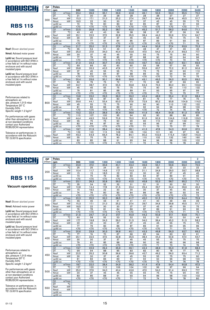

### Pressure operation

Nsof: Blower absrbed power

Nmot: Advised motor power

Lp(A) sc: Sound pressure level in accordance with ISO 3746 in a free field at 1m without noise enclosure and with sound insulated pipes

Lp(A) cc: Sound pressure level in accordance with ISO 3746 in a free field at 1m without noise enclosure and with sound insulated pipes

Performances related to atmospheric air: abs. pressure 1,013 mbar Temperature 20° C Humidity 50% Specific weight 1.2 kg/m 3

For performances with gases other than atmospheric air or at non-standard conditions contact your Authorized ROBUSCHI representative

Tolerance on performances: in accordance with the Robuschi TE1.S.0015 specification

| <b>DP</b> | Poles                    |                        |                       |                  |                        |                  | 4                     |                       |                 |                  |                 | 2               |
|-----------|--------------------------|------------------------|-----------------------|------------------|------------------------|------------------|-----------------------|-----------------------|-----------------|------------------|-----------------|-----------------|
| (mbar)    | rpm                      |                        | 900                   | 1000             | 1200                   | 1400             | 1500                  | 1600                  | 1800            | 2000             | 2200            | 2400            |
|           | Q1                       | $m^3/m$ in             | 23.4                  | 26,6             | 33,1                   | 39,6             | 42,8                  | 46,1                  | 52,6            | 59,0             | 65,5            | 72,0            |
|           | DT                       | $\overline{C}$         | 31                    | 30               | 29                     | 28               | 28                    | 28                    | 28              | $\overline{27}$  | $\overline{27}$ | $\overline{27}$ |
| 300       | Nsof                     | kW                     | 15.3                  | 17.1             | 21,0                   | 25.2             | 27.4                  | 29,7                  | 34.6            | 39.8             | 45,5            | 51.7            |
|           | Nmot                     | kW                     | 18,5                  | 22               | 30                     | 30               | 37                    | 37                    | 45              | 45               | 55              | 75              |
|           | $Lp(A)$ sc               |                        | 74                    | $\overline{76}$  | 80                     | 83               | 84                    | 85                    | 87              | $\overline{90}$  | 91              | 93              |
|           | $Lp(A)$ cc               |                        | $\overline{570}$      | $\overline{570}$ | $\overline{570}$       | $\overline{570}$ | $\overline{570}$      | $\overline{5}$        | $\overline{50}$ | $\overline{570}$ | $\overline{50}$ | $\overline{71}$ |
|           | Q <sub>1</sub>           | $m^3/m$ in             | 22.5                  | 25.8             | 32,2                   | 38.7             | 42.0                  | 45.2                  | 51.7            | 58.2             | 64,6            | 71,1            |
|           | DT                       | $\overline{C}$         | 43                    | 42               | 40                     | 39               | 38                    | 38                    | $\overline{37}$ | $\overline{37}$  | 36              | 36              |
| 400       | Nsof                     | kW                     | 20.1                  | 22,5             | 27,5                   | 32,8             | 35,5                  | 38,4                  | 44.3            | 50.6             | 57,4            | 64,7            |
|           | Nmot                     | kW                     | 30                    | 30               | 37                     | 37               | 45                    | 45                    | 55              | 75               | 75              | 75              |
|           | $Lp(A)$ sc               |                        | 75                    | $\overline{77}$  | $\overline{81}$        | 84               | 85                    | 87                    | 89              | 91               | 93              | 95              |
|           | $Lp(A)$ cc               |                        | $\overline{50}$       | $\overline{50}$  | $\overline{50}$        | Z                | $\overline{50}$       | $\overline{50}$       | $\overline{50}$ | $\overline{50}$  | 71              | 73              |
|           | Q <sub>1</sub>           | $m^3/m$ in             | 21.7                  | 25,0             | 31,5                   | 37.9             | 41,2                  | 44.4                  | 50.9            | 57.4             | 63,9            | 70.3            |
|           | DT                       | $\overline{\text{°C}}$ | 55                    | 54               | 51                     | 49               | 49                    | 48                    | 47              | 47               | 46              | 46              |
| 500       | <b>Nsof</b>              | kW                     | 25,0                  | 27,9             | 34,0                   | 40,4             | 43,6                  | 47,0                  | 54,0            | 61,4             | 69,3            | 77,7            |
|           | Nmot                     | kW                     | 30                    | 37               | 45                     | 45               | 55                    | 55                    | 75              | 75               | 90              | 90              |
|           | $Lp(A)$ sc               |                        | $\overline{77}$       | 79               | $\overline{82}$        | 85               | 87                    | 88                    | 90              | 92               | 94              | 96              |
|           | $Lp(A)$ cc               |                        | $\overline{50}$       | $70$             | $70$                   | $70$             | $70$                  | $70$                  | $70$            | 70               | 72              | 74              |
|           | Q1                       | $m^3/m$ in             | 21,0                  | 24,3             | 30,7                   | 37,2             | 40,5                  | 43,7                  | 50,2            | 56,7             | 63,1            | 69,6            |
|           | DT                       | $\overline{C}$         | 69                    | 66               | 63                     | 60               | 60                    | 59                    | 58              | 57               | 56              | 55              |
| 600       | Nsof                     | kW                     | 29,8                  | 33,3             | 40,5                   | 47,9             | 51,7                  | 55,6                  | 63,7            | 72,2             | 81,2            | 90,6            |
|           | Nmot                     | kW                     | 37                    | 45               | 55                     | 55               | 75                    | 75                    | 75              | 90               | 90              | 110             |
|           | $Ln(A)$ sc               |                        | 78                    | 80               | 84                     | 87               | 88                    | 89                    | 92              | 94               | 96              | 97              |
|           | $Lp(A)$ cc               |                        | $\overline{50}$       | $70$             | $70$                   | $70$             | $\overline{50}$       | $70$                  | $70$            | 72               | 74              | 75              |
|           | Q <sub>1</sub>           | $m^3/m$ in             | 20.4                  | 23.6             | 30.1                   | 36,6             | 39.8                  | 43.1                  | 49.5            | 56.0             | 62,5            | 69,0            |
|           | DT                       | $\overline{\text{C}}$  | 83                    | 79               | 75                     | 72               | 71                    | 70                    | 68              | 67               | 66              | 65              |
| 700       | Nsof                     | kW                     | 34,7                  | 38,7             | 47,0                   | 55,5             | 59,8                  | 64,3                  | 73,5            | 83,0             | 93,1            | 103,6           |
|           | Nmot                     | kW                     | 45                    | 45               | 55                     | 75               | 75                    | 75                    | 90              | 90               | 110             | 132             |
|           | $Lp(A)$ sc               |                        | 79                    | 81               | 85                     | 88               | 89                    | 91                    | 93              | 95               | 97              | 99              |
|           | $Lp(A)$ cc               |                        | $\overline{5}$        | $70$             | $70$                   | $70$             | $70$                  | $70$                  | 71              | 73               | 75              | 77              |
|           | Q <sub>1</sub>           | $m^3/m$ in             | 19,8                  | 23,0             | 29,5                   | 36,0             | 39,2                  | 42,4                  | 48,9            | 55,4             | 61,9            | 68,4            |
|           | DT                       | $\overline{C}$         | 98                    | 93               | 87                     | 83               | 82                    | 81                    | 79              | 77               | 76              | 75              |
| 800       | Nsof                     | kW                     | 39,6                  | 44,1             | 53,4                   | 63,0             | 67,9                  | 72,9                  | 83,2            | 93,8             | 104,9           | 116,5           |
|           | Nmot                     | kW                     | 45                    | 55               | 75                     | 75               | 90                    | 90                    | 90              | 110              | 132             | 132             |
|           | $Lp(A)$ sc               |                        | 81                    | $\overline{83}$  | 86                     | 89               | 91                    | 92                    | 94              | 96               | 98              | 100             |
|           | $Lp(A)$ cc               |                        | $\overline{570}$      | $\overline{50}$  | $\overline{570}$       | $\overline{50}$  | $\overline{50}$       | $70$                  | 72              | 74               | 76              | 78              |
|           | Q <sub>1</sub>           | $m^3/m$ in             | 19,2                  | 22.4             | 28,9                   | 35,4             | 38,6                  | 41,9                  | 48,4            | 54,8             | 61,3            | 67,8            |
|           | DT                       | °C                     | 113                   | 107              | 100                    | 95               | 94                    | 92                    | 90              | 88               | 86              | 85              |
| 900       | Nsof                     | kW<br>kW               | 44,4                  | 49,5             | 59,9                   | 70,6             | 76,0                  | 81,6                  | 92,9            | 104,6            | 116,8           | 129,5           |
|           | Nmot                     |                        | 55                    | 75<br>84         | 75                     | 90               | 90                    | 90                    | 110             | 132              | 132             | 160             |
|           | $Lp(A)$ sc<br>$Lp(A)$ cc |                        | 82<br>$\overline{50}$ | $70$             | 87<br>$\overline{570}$ | 90<br>Z          | 92<br>$\overline{50}$ | 93<br>$\overline{71}$ | 95<br>73        | 97<br>75         | 99<br>77        | 101<br>79       |
|           |                          |                        |                       |                  |                        |                  |                       |                       |                 |                  |                 |                 |
|           | $\overline{Q1}$<br>DT    | $m^3/m$ in<br>°C       | 18.7                  | 21.9             | 28.4                   | 34.9             | 38.1                  | 41.3                  | 47.8            | 54.3<br>99       | 60.8<br>97      | 67.3            |
|           |                          | kW                     | 129<br>49,3           | 122<br>54,9      | 113<br>66,4            | 108<br>78,2      | 105                   | 104<br>90,2           | 101<br>102,6    | 115,4            | 128,7           | 96<br>142,5     |
| 1000      | Nsof                     | kW                     | $\overline{55}$       | $\overline{75}$  | $\overline{75}$        | 90               | 84,1<br>110           | 110                   | 132             | 132              | 160             | 160             |
|           | Nmot                     |                        | 83                    | $\overline{85}$  | 88                     | $\overline{91}$  | 93                    | 94                    | 96              | $\overline{98}$  | 100             | 102             |
|           | $Lp(A)$ sc               |                        | $\overline{570}$      | $\overline{570}$ | $\overline{570}$       | $\overline{570}$ | $\overline{71}$       | $\overline{72}$       | $\overline{74}$ | 76               | 78              | 80              |
|           | $Lp(A)$ cc               |                        |                       |                  |                        |                  |                       |                       |                 |                  |                 |                 |

4

 $\overline{2}$ 

٦

# ROBUSCHI

## **RBS 115**

#### Vacuum operation

Nsof: Blower absrbed power

Nmot: Advised motor power

Lp(A) sc: Sound pressure level in accordance with ISO 3746 in a free field at 1m without noise enclosure and with sound insulated pipes

Lp(A) cc: Sound pressure level in accordance with ISO 3746 in a free field at 1m without noise enclosure and with sound insulated pipes

Performances related to atmospheric air: abs. pressure 1,013 mbar Temperature 20° C Humidity 50% Specific weight 1.2 kg/m 3

For performances with gases other than atmospheric air or at non-standard conditions contact your Authorized ROBUSCHI representative

| <b>DP</b>         | Poles               |                                     |                 |                 |                         |                  | 4               |                  |                         |                 |                  | 2               |
|-------------------|---------------------|-------------------------------------|-----------------|-----------------|-------------------------|------------------|-----------------|------------------|-------------------------|-----------------|------------------|-----------------|
| (mbar)            | rpm                 |                                     | 900             | 1000            | 1200                    | 1400             | 1500            | 1600             | 1800                    | 2000            | 2200             | 2400            |
|                   | $\overline{Q1}$     | $m^3/m$ in                          | 23,9            | 27,2            | 33,6                    | 40.1             | 43.4            | 46.6             | 53.1                    | 59,6            | 66.0             | 72,5            |
|                   | DT                  | $\overline{\rm ^{\circ}C}$          | 25              | 25              | 24                      | $\overline{23}$  | 23              | 23               | 23                      | 22              | 22               | 22              |
| 200               | Nsof                | kW                                  | 10,4            | 11,7            | 14,6                    | 17,7             | 19,3            | 21,1             | 24,9                    | 29,0            | 33,7             | 38,8            |
|                   | Nmot                | kW                                  | 15              | 15              | 18,5                    | 22               | 22              | 30               | 30                      | 37              | 45               | 45              |
|                   | $Lp(A)$ sc          |                                     | 73              | 75              | 79                      | 82               | 83              | 84               | 87                      | 89              | 91               | 92              |
|                   | $Lp(A)$ cc          |                                     | Z               | $70$            | $70$                    | $70$             | $70$            | $70$             | $70$                    | $70$            | $70$             | 70              |
|                   | Q1                  | m <sup>3</sup> /min                 | 23,1            | 26,3            | 32,8                    | 39,3             | 42,5            | 45,8             | 52,3                    | 58,7            | 65,2             | 71,7            |
|                   | DT                  | $\overline{\rm ^{\circ}\!C}$        | 35              | 34              | 32                      | 32               | 31              | 31               | 31                      | 30              | 30               | 30              |
| 250               | Nsof                | kW                                  | 12,8            | 14,4            | 17,8                    | 21,5             | 23,4            | 25,4             | 29,7                    | 34,4            | 39,6             | 45,3            |
|                   | Nmot                | kW                                  | 15              | 18,5            | 22                      | 30               | 30              | 30               | 37                      | 45              | 45               | 55              |
|                   | $Lp(A)$ sc          |                                     | $\overline{74}$ | 76              | 80                      | 83               | 84              | 86               | 88                      | 90              | 92               | 94              |
|                   | $Lp(A)$ cc          |                                     | $\overline{50}$ | $\overline{50}$ | $70$                    | $\overline{570}$ | $\overline{50}$ | $\overline{50}$  | $\overline{570}$        | $\overline{50}$ | $\overline{570}$ | $\overline{72}$ |
|                   | Q1                  | $m^3/m$ in                          | 22.3            | 25,5            | 32,0                    | 38,5             | 41.7            | 45.0             | 51.5                    | 57.9            | 64,4             | 70,9            |
|                   | DT                  | $\overline{\text{°C}}$              | 46              | 45              | 43                      | 41               | 41              | 41               | 40                      | 39              | 39               | 39              |
|                   | Nsof                | kW                                  | 15,3            | 17,1            | 21,0                    | 25,2             | 27,4            | 29,7             | 34,6                    | 39,8            | 45,5             | 51,7            |
|                   | Nmot                | kW                                  | 18,5            | $\overline{22}$ | 30                      | 30               | 37              | 37               | 45                      | 45              | 55               | 75              |
|                   | $Lp(A)$ sc          |                                     | 76              | 78              | 81                      | 84               | 86              | 87               | 89                      | 91              | 93               | 95              |
|                   | $Lp(A)$ cc          |                                     | $\overline{50}$ | $\overline{50}$ | $70$                    | $\overline{50}$  | $70$            | $70$             | $70$                    | Z               | 71               | $\overline{73}$ |
|                   | Q1                  | $m^3/m$ in                          | 21,5            | 24,7            | 31,2                    | 37,7             | 40,9            | 44,2             | 50,6                    | 57,1            | 63,6             | 70,1            |
|                   | DT                  | $\overline{C}$                      | 60              | 58              | 55                      | 53               | 52              | 52               | 51                      | 50              | 50               | 49              |
|                   | <b>Nsof</b>         | kW                                  | 17,7            | 19,8            | 24,3                    | 29,0             | 31,5            | 34,0             | 39,4                    | 45,2            | 51,5             | 58,2            |
|                   | Nmot                | kW                                  | 22              | 30              | 30                      | $\overline{37}$  | 37              | 45               | 45                      | 55              | 75               | $\overline{75}$ |
|                   | $Lp(A)$ sc          |                                     | $\overline{77}$ | $\overline{79}$ | 83                      | 86               | $\overline{87}$ | 89               | 91                      | 93              | 95               | 96              |
|                   | $Lp(A)$ cc          |                                     | Z               | $\overline{50}$ | $70$                    | $\overline{50}$  | Z               | $\overline{50}$  | $\overline{570}$        | $\overline{71}$ | 73               | $\overline{74}$ |
|                   | Q <sub>1</sub>      | $m^3/m$ in                          | 20,6            | 23,9            | 30,3                    | 36,8             | 40,1            | 43,3             | 49,8                    | 56,3            | 62,7             | 69,2            |
|                   | DT                  | $\overline{\rm ^{\circ}\!C}$        | 77              | 74              | 70                      | 67               | 66              | 65               | 64                      | 63              | 62               | 61              |
| 400               | Nsof                | kW                                  | 20,1            | 22,5            | 27,5                    | 32,8             | 35,5            | 38,4             | 44,3                    | 50,6            | 57,4             | 64,7            |
|                   | Nmot                | kW                                  | 30              | 30              | 37                      | 37               | 45              | 45               | 55                      | 75              | 75               | 75              |
|                   | $Lp(A)$ sc          |                                     | 79              | 81              | 85                      | 88               | 89              | 90               | 93                      | 95              | 96               | 98              |
|                   | $Lp(A)$ cc          |                                     | $\overline{50}$ | $\overline{50}$ | $70$                    | $\overline{50}$  | $\overline{50}$ | $\overline{50}$  | $\overline{71}$         | 73              | 74               | $\overline{76}$ |
|                   | Q1<br>DT            | $m^3/m$ in<br>$\overline{\text{c}}$ | 19,7            | 22,9            | 29,4                    | 35,9             | 39,1            | 42,4             | 48,9                    | 55,3            | 61,8             | 68,3            |
|                   |                     | kW                                  | 99              | 94<br>25,2      | 88                      | 85               | 83              | 82               | 80                      | 78              | 77               | 76<br>71,2      |
| 450               | Nsof<br><b>Nmot</b> | kW                                  | 22,5            | 30              | 30,8<br>$\overline{37}$ | 36,6<br>45       | 39,6            | 42,7             | 49,2<br>$\overline{55}$ | 56,0<br>75      | 63,4<br>75       | 90              |
|                   | $Lp(A)$ sc          |                                     | 30<br>81        | 83              | 86                      | 89               | 45<br>91        | 55<br>92         | 94                      | 96              | 98               | 100             |
|                   | $Lp(A)$ cc          |                                     | Z               | $\overline{50}$ | $70$                    | $\overline{50}$  | $70$            | $\overline{570}$ | 72                      | 74              | 76               | 78              |
|                   | Q1                  | $m^3/m$ in                          | 18,7            | 22,0            | 28,4                    | 34,9             | 38,2            | 41,4             | 47,9                    | 54,4            | 60,8             | 67,3            |
|                   | DT                  | $\overline{C}$                      | 127             | 120             | 112                     | 106              | 104             | 102              | 99                      | 97              | 96               | 94              |
|                   | Nsof                | kW                                  | 25,0            | 27,9            | 34,0                    | 40,4             | 43,6            | 47,0             | 54,0                    | 61,4            | 69,3             | 77,7            |
| 500               | Nmot                | kW                                  | 30              | 37              | 45                      | 45               | 55              | 55               | 75                      | 75              | 90               | 90              |
|                   | $Lp(A)$ sc          |                                     | 83              | 85              | 88                      | 91               | 93              | 94               | 96                      | 98              | 100              | 102             |
| 300<br>350<br>550 | $Lp(A)$ cc          |                                     | $\overline{50}$ | $70$            | $70$                    | $70$             | 71              | 72               | 74                      | 76              | 78               | 80              |
|                   | Q1                  | $m^3/m$ in                          |                 |                 |                         |                  |                 |                  |                         |                 |                  |                 |
|                   | DT                  | $\overline{\rm ^{\circ}\!C}$        |                 |                 |                         |                  |                 |                  |                         |                 |                  |                 |
|                   | Nsof                | kW                                  |                 |                 |                         |                  |                 |                  |                         |                 |                  |                 |
|                   | Nmot                | kW                                  |                 |                 |                         |                  |                 |                  |                         |                 |                  |                 |
|                   | $Lp(A)$ sc          |                                     |                 |                 |                         |                  |                 |                  |                         |                 |                  |                 |
|                   | $Lp(A)$ cc          |                                     |                 |                 |                         |                  |                 |                  |                         |                 |                  |                 |
|                   |                     |                                     |                 |                 |                         |                  |                 |                  |                         |                 |                  |                 |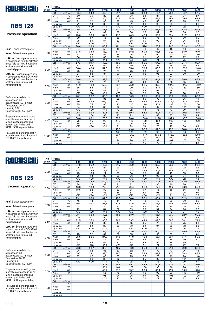

#### Pressure operation

Nsof: Blower absrbed power

Nmot: Advised motor power

Lp(A) sc: Sound pressure level in accordance with ISO 3746 in a free field at 1m without noise enclosure and with sound insulated pipes

Lp(A) cc: Sound pressure level in accordance with ISO 3746 in a free field at 1m without noise enclosure and with sound insulated pipes

Performances related to atmospheric air: abs. pressure 1,013 mbar Temperature 20° C Humidity 50% Specific weight 1.2 kg/m 3

For performances with gases other than atmospheric air or at non-standard conditions contact your Authorized ROBUSCHI representative

Tolerance on performances: in accordance with the Robuschi TE1.S.0015 specification

| <b>DP</b> | Poles                                 |                 |                  |                  |                  | 4                |                  |                 |                 |       | 2               |
|-----------|---------------------------------------|-----------------|------------------|------------------|------------------|------------------|------------------|-----------------|-----------------|-------|-----------------|
| (mbar)    | rpm                                   | 900             | 1000             | 1200             | 1400             | 1500             | 1600             | 1800            | 2000            | 2200  | 2400            |
|           | Q1<br>$m^3/m$ in                      | 30.4            | 34,6             | 42,8             | 51.1             | 55,3             | 59.4             | 67.7            | 76.0            | 84,2  | 92,5            |
|           | $\overline{C}$<br>DT                  | 30              | 30               | 29               | 28               | 28               | 28               | 27              | 27              | 27    | 27              |
| 300       | Nsof<br>kW                            | 19,4            | 21,7             | 26,6             | 31,8             | 34,5             | 37,3             | 43,3            | 49,6            | 56,5  | 63,9            |
|           | Nmot<br>kW                            | 22              | 30               | 30               | 37               | 45               | 45               | 55              | 75              | 75    | 75              |
|           | $Lp(A)$ sc                            | $\overline{77}$ | $\overline{79}$  | 83               | 86               | $\overline{87}$  | 88               | 90              | 93              | 94    | 96              |
|           | $Lp(A)$ cc                            | $\overline{50}$ | $\overline{50}$  | $70$             | $70$             | $70$             | $70$             | $70$            | 71              | 72    | 74              |
|           | Q <sub>1</sub><br>m <sup>3</sup> /min | 29,4            | 33,5             | 41,8             | 50,1             | 54,2             | 58,4             | 66,6            | 74,9            | 83,2  | 91,5            |
|           | DT<br>$\overline{C}$                  | 42              | 41               | 39               | 38               | 38               | 38               | 37              | 37              | 36    | 36              |
| 400       | kW<br>Nsof                            | 25,6            | 28,6             | 34,9             | 41,5             | 44,9             | 48,4             | 55,7            | 63,4            | 71,7  | 80,5            |
|           | Nmot<br>kW                            | 30              | 37               | 45               | 55               | 55               | 55               | 75              | 75              | 90    | 90              |
|           | $Lp(A)$ sc                            | 78              | 80               | 84               | 87               | 88               | 90               | 92              | 94              | 96    | 98              |
|           | $Lp(A)$ cc                            | $\overline{50}$ | $\overline{50}$  | $70$             | $70$             | $70$             | $70$             | $\overline{50}$ | 72              | 74    | 76              |
|           | Q <sub>1</sub><br>$m^3/m$ in          | 28.4            | 32,6             | 40.9             | 49.1             | 53,3             | 57.4             | 65.7            | 74,0            | 82,3  | 90,5            |
|           | ℃<br>DT                               | 54              | 53               | 50               | 49               | 48               | 48               | 47              | 46              | 46    | 45              |
| 500       | kW<br><b>Nsof</b>                     | 31,8            | 35,5             | 43,2             | 51,1             | 55,2             | 59,4             | 68.1            | 77,2            | 86,9  | 97,0            |
|           | kW<br>Nmot                            | 37              | 45               | 55               | 75               | 75               | 75               | 90              | 90              | 110   | 110             |
|           | $Lp(A)$ sc                            | 80              | 82               | 85               | 88               | 90               | 91               | 93              | 95              | 97    | 99              |
|           | $Lp(A)$ cc                            | $\overline{50}$ | $\overline{570}$ | $\overline{570}$ | $\overline{570}$ | $\overline{570}$ | $\overline{570}$ | 71              | 73              | 75    | $\overline{77}$ |
|           | Q <sub>1</sub><br>$m^3/m$ in          | 27,6            | 31.7             | 40.0             | 48.3             | 52.4             | 56,6             | 64,9            | 73,1            | 81.4  | 89,7            |
|           | $\overline{C}$<br>DT                  | 67              | 65               | 62               | 60               | 59               | 58               | 57              | 56              | 55    | 55              |
| 600       | kW<br>Nsof                            | 38,0            | 42,4             | 51,5             | 60,8             | 65,6             | 70,5             | 80,5            | 91,0            | 102,0 | 113,6           |
|           | kW<br>Nmot                            | 45              | 55               | 75               | 75               | 75               | 90               | 90              | 110             | 132   | 132             |
|           | $Lp(A)$ sc                            | 81              | 83               | 87               | 90               | 91               | 92               | 95              | 97              | 99    | 100             |
|           | $Lp(A)$ cc                            | $70$            | $70$             | $70$             | $70$             | $70$             | 70               | 73              | 75              | 77    | 78              |
|           | Q <sub>1</sub><br>$m^3/m$ in          | 26.8            | 31.0             | 39.2             | 47.5             | 51,7             | 55.8             | 64.1            | 72.4            | 80.6  | 88.9            |
|           | $\overline{\text{°C}}$<br>DT          | 80              | 77               | 73               | 71               | 70               | 69               | 67              | 66              | 65    | 65              |
| 700       | kW<br>Nsof                            | 44,2            | 49,3             | 59,7             | 70,4             | 75,9             | 81,5             | 92,9            | 104,8           | 117,2 | 130,2           |
|           | kW<br>Nmot                            | 55              | 55               | 75               | 90               | 90               | 90               | 110             | 132             | 132   | 160             |
|           | $Lp(A)$ sc                            | 82              | 84               | 88               | 91               | 92               | 94               | 96              | 98              | 100   | 102             |
|           | $Lp(A)$ cc                            | $70$            | $70$             | $70$             | $70$             | 70               | 72               | 74              | 76              | 78    | 80              |
|           | $m^3/m$ in<br>Q1                      | 26.1            | 30,2             | 38,5             | 46,8             | 50,9             | 55,1             | 63,4            | 71,6            | 79,9  | 88,2            |
|           | $\overline{C}$<br>DT                  | 94              | 91               | 85               | 82               | 81               | 80               | 78              | 76              | 75    | 74              |
| 800       | kW<br>Nsof                            | 50,4            | 56,2             | 68,0             | 80,1             | 86,3             | 92,5             | 105,4           | 118,6           | 132,4 | 146,7           |
|           | kW<br>Nmot                            | 75              | 75               | 90               | 90               | 110              | 110              | 132             | 132             | 160   | 160             |
|           | $Lp(A)$ sc                            | 84              | 86               | 89               | 92               | 94               | 95               | 97              | 99              | 101   | 103             |
|           | $Lp(A)$ cc                            | $\overline{50}$ | $\overline{50}$  | $70$             | 70               | $\overline{72}$  | $\overline{73}$  | 75              | $\overline{77}$ | 79    | $\overline{81}$ |
|           | Q <sub>1</sub><br>$m^3/m$ in          | 25.4            | 29.6             | 37,8             | 46.1             | 50.3             | 54.4             | 62.7            | 71.0            | 79.2  | 87.5            |
|           | $\overline{C}$<br>DT                  | 109             | 104              | 98               | 93               | 92               | 91               | 88              | 87              | 85    | 84              |
| 900       | kW<br>Nsof                            | 56,6            | 63,1             | 76,3             | 89,8             | 96,6             | 103,6            | 117,8           | 132,4           | 147,6 | 163,3           |
|           | kW<br>Nmot                            | 75              | 75               | 90               | 110              | 110              | 132              | 132             | 160             | 160   | 200             |
|           | $Lp(A)$ sc                            | 85              | 87               | 90               | 93               | 95               | 96               | 98              | 100             | 102   | 104             |
|           | $Lp(A)$ cc                            | $70$            | $70$             | $70$             | 71               | 73               | 74               | 76              | 78              | 80    | 82              |
|           | Q <sub>1</sub><br>$m^3/m$ in          |                 |                  |                  | 45,5             | 49,6             | 53,8             | 62,0            | 70,3            | 78,6  | 86,9            |
|           | ℃<br>DT                               |                 |                  |                  | 105              | 103              | 102              | 99              | 97              | 96    | 95              |
| 1000      | <b>Nsof</b><br>kW                     |                 |                  |                  | 99,4             | 107,0            | 114,6            | 130,2           | 146,2           | 162,8 | 179,8           |
|           | kW<br>Nmot                            |                 |                  |                  | 110              | 132              | 132              | 160             | 160             | 200   | 200             |
|           | $Lp(A)$ sc                            |                 |                  |                  | 94               | 96               | 97               | 99              | 101             | 103   | 105             |
|           | $Lp(A)$ cc                            |                 |                  |                  | 72               | 74               | 75               | $\overline{77}$ | 79              | 81    | 83              |

4

 $\overline{2}$ 

٦

# ROBUSCHI

## **RBS 125**

#### Vacuum operation

Nsof: Blower absrbed power

Nmot: Advised motor power

Lp(A) sc: Sound pressure level in accordance with ISO 3746 in a free field at 1m without noise enclosure and with sound insulated pipes

Lp(A) cc: Sound pressure level in accordance with ISO 3746 in a free field at 1m without noise enclosure and with sound insulated pipes

Performances related to atmospheric air: abs. pressure 1,013 mbar Temperature 20° C Humidity 50% Specific weight 1.2 kg/m 3

For performances with gases other than atmospheric air or at non-standard conditions contact your Authorized ROBUSCHI representative

| DP     | Poles<br>4               |                              |                       |                       |                       |                       |                 |                  |                  | $\mathbf{2}$    |                 |                 |
|--------|--------------------------|------------------------------|-----------------------|-----------------------|-----------------------|-----------------------|-----------------|------------------|------------------|-----------------|-----------------|-----------------|
| (mbar) | rpm                      |                              | 900                   | 1000                  | 1200                  | 1400                  | 1500            | 1600             | 1800             | 2000            | 2200            | 2400            |
|        | $\overline{Q1}$          | $m^3/m$ in                   | 31,0                  | 35,2                  | 43,5                  | 51,7                  | 55,9            | 60.0             | 68,3             | 76,6            | 84,9            | 93,1            |
|        | DT                       | $\overline{\rm ^{\circ}C}$   | 25                    | 24                    | 24                    | $\overline{23}$       | 23              | 23               | 22               | 22              | $\overline{22}$ | 22              |
| 200    | <b>Nsof</b>              | kW                           | 13,2                  | 14,8                  | 18,3                  | 22,1                  | 24,2            | 26,3             | 30,8             | 35,8            | 41,3            | 47,4            |
|        | Nmot                     | kW                           | 15                    | 18,5                  | 22                    | 30                    | 30              | 30               | 37               | 45              | 55              | 55              |
|        | $Lp(A)$ sc               |                              | 76                    | 78                    | 82                    | 85                    | 86              | 87               | 90               | 92              | 94              | 95              |
|        | $Lp(A)$ cc               |                              | $\overline{570}$      | $\overline{50}$       | $70$                  | $\overline{50}$       | $70$            | $70$             | $70$             | $70$            | 72              | 73              |
|        | Q <sub>1</sub>           | $m^3/m$ in                   | 30.1                  | 34,2                  | 42,5                  | 50,8                  | 54,9            | 59,1             | 67,3             | 75,6            | 83,9            | 92,2            |
|        | DT                       | $\overline{\text{c}}$        | 34                    | 33                    | 32                    | 31                    | 31              | 31               | 30               | 30              | 30              | 30              |
| 250    | Nsof                     | kW                           | 16,3                  | 18,3                  | 22,5                  | 27,0                  | 29,4            | 31,8             | 37,1             | 42,7            | 48,9            | 55,6            |
|        | Nmot                     | kW                           | 18,5                  | 22                    | 30                    | 37                    | 37              | 37               | 45               | 55              | 55              | 75              |
|        | $Lp(A)$ sc               |                              | 77                    | 79                    | 83                    | 86                    | 87              | 89               | 91               | 93              | 95              | $\overline{97}$ |
|        | $Lp(A)$ cc               |                              | $\overline{570}$      | $\overline{50}$       | $\overline{570}$      | $\overline{570}$      | $70$            | $\overline{570}$ | $\overline{570}$ | $\overline{71}$ | 73              | $\overline{75}$ |
|        | Q1                       | $m^3/m$ in                   | 29.1                  | 33.3                  | 41.5                  | 49.8                  | 54.0            | 58.1             | 66.4             | 74.7            | 82.9            | 91.2            |
|        | DT                       | $\overline{\text{c}}$        | 45                    | 44                    | 42                    | 41                    | 41              | 40               | 40               | 39              | 39              | 38              |
| 300    | <b>Nsof</b>              | kW<br>kW                     | 19,4                  | 21,7                  | 26,6                  | 31,8                  | 34,5            | 37,3             | 43,3             | 49,6            | 56,5            | 63,9            |
|        | Nmot                     |                              | 22<br>$\overline{79}$ | 30<br>$\overline{81}$ | 30<br>$\overline{84}$ | 37<br>$\overline{87}$ | 45<br>89        | 45<br>90         | 55<br>92         | 75<br>94        | 75<br>96        | 75<br>98        |
|        | $Lp(A)$ sc<br>$Lp(A)$ cc |                              | $\overline{50}$       | $70$                  | $70$                  | $70$                  | $70$            | $\overline{50}$  | 70               | 72              | 74              | 76              |
|        | Q1                       | $m^3/m$ in                   | 28,1                  | 32,3                  | 40,6                  | 48,8                  | 53,0            | 57,1             | 65,4             | 73,7            | 82,0            | 90,2            |
|        | DT                       | $\overline{\text{c}}$        | 59                    | 57                    | 54                    | 52                    | 52              | 51               | 50               | 50              | 49              | 49              |
|        | Nsof                     | kW                           | 22,5                  | 25,2                  | 30,8                  | 36,6                  | 39,7            | 42,9             | 49,5             | 56,5            | 64,1            | 72,2            |
| 350    | Nmot                     | kW                           | 30                    | $\overline{30}$       | $\overline{37}$       | 45                    | 45              | 55               | 75               | 75              | $\overline{75}$ | 90              |
|        | $Lp(A)$ sc               |                              | 80                    | $\overline{82}$       | 86                    | 89                    | 90              | 92               | 94               | 96              | 98              | 99              |
|        | $Lp(A)$ cc               |                              | $\overline{570}$      | $70$                  | $70$                  | $70$                  | $70$            | $70$             | $\overline{72}$  | 74              | 76              | $\overline{77}$ |
|        | Q1                       | $m^3/m$ in                   | 27,1                  | 31,3                  | 39,5                  | 47,8                  | 52,0            | 56,1             | 64,4             | 72,7            | 80,9            | 89,2            |
|        | DT                       | $\overline{\text{°C}}$       | 75                    | 72                    | 69                    | 66                    | 65              | 65               | 63               | 62              | 61              | 61              |
|        | Nsof                     | kW                           | 25,6                  | 28,6                  | 34,9                  | 41,5                  | 44,9            | 48,4             | 55,7             | 63,4            | 71,7            | 80,5            |
| 400    | Nmot                     | kW                           | 30                    | 37                    | 45                    | 55                    | 55              | 55               | 75               | 75              | 90              | 90              |
|        | $Lp(A)$ sc               |                              | 82                    | 84                    | 88                    | 91                    | 92              | 93               | 96               | 98              | 99              | 101             |
|        | $Lp(A)$ cc               |                              | $\overline{50}$       | $\overline{50}$       | $\overline{50}$       | $\overline{50}$       | $\overline{50}$ | 71               | $\overline{74}$  | 76              | 77              | $\overline{79}$ |
|        | Q <sub>1</sub>           | $m^3/m$ in                   | 26,0                  | 30,2                  | 38,5                  | 46,7                  | 50,9            | 55,0             | 63,3             | 71,6            | 79,9            | 88,1            |
|        | DT                       | $\overline{\text{°C}}$       | 96                    | 92                    | 86                    | 83                    | 82              | 81               | 79               | $\overline{77}$ | 76              | $\overline{75}$ |
| 450    | <b>Nsof</b>              | kW                           | 28,7                  | 32,1                  | 39,0                  | 46,3                  | 50,1            | 53,9             | 61,9             | 70,3            | 79,3            | 88,8            |
|        | Nmot                     | kW                           | 37                    | 37                    | 45                    | 55                    | 75              | 75               | 75               | 90              | 90              | 110             |
|        | $Lp(A)$ sc               |                              | 84                    | 86                    | 89                    | 92                    | 94              | 95               | 97               | 99              | 101             | 103             |
|        | $Lp(A)$ cc               |                              | $\overline{570}$      | $\overline{570}$      | $\overline{570}$      | 70                    | 72              | 73               | 75               | 77              | 79              | 81              |
|        | Q <sub>1</sub>           | $m^3/m$ in                   |                       |                       | 37,3                  | 45,6                  | 49,7            | 53,8             | 62,1             | 70,4            | 78,7            | 87,0            |
|        | DT                       | $\overline{\rm ^{\circ}\!C}$ |                       |                       | 109                   | 104                   | 102             | 100              | 98               | 96              | 94              | 93              |
| 500    | Nsof                     | kW                           |                       |                       | 43,2                  | 51,1                  | 55,2            | 59,4             | 68,1             | 77,2            | 86,9            | 97,0            |
|        | Nmot                     | kW                           |                       |                       | 55                    | 75                    | 75              | 75               | 90               | 90              | 110             | 110             |
|        | $Lp(A)$ sc               |                              |                       |                       | 91                    | 94                    | 96              | 97               | 99               | 101             | 103             | 105             |
|        | $Lp(A)$ cc               |                              |                       |                       | $\overline{50}$       | $\overline{72}$       | $\overline{74}$ | $\overline{75}$  | $\overline{77}$  | 79              | $\overline{81}$ | $\overline{83}$ |
|        | Q <sub>1</sub><br>DT     | $m^3/m$ in                   |                       |                       |                       |                       |                 |                  |                  |                 |                 |                 |
|        |                          | $\overline{\text{c}}$<br>kW  |                       |                       |                       |                       |                 |                  |                  |                 |                 |                 |
| 550    | Nsof<br>Nmot             | kW                           |                       |                       |                       |                       |                 |                  |                  |                 |                 |                 |
|        | $Lp(A)$ sc               |                              |                       |                       |                       |                       |                 |                  |                  |                 |                 |                 |
|        | $Lp(A)$ cc               |                              |                       |                       |                       |                       |                 |                  |                  |                 |                 |                 |
|        |                          |                              |                       |                       |                       |                       |                 |                  |                  |                 |                 |                 |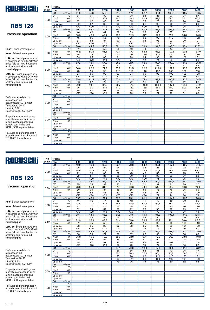

### Pressure operation

Nsof: Blower absrbed power

Nmot: Advised motor power

Lp(A) sc: Sound pressure level in accordance with ISO 3746 in a free field at 1m without noise enclosure and with sound insulated pipes

Lp(A) cc: Sound pressure level in accordance with ISO 3746 in a free field at 1m without noise enclosure and with sound insulated pipes

Performances related to atmospheric air: abs. pressure 1,013 mbar Temperature 20° C Humidity 50% Specific weight 1.2 kg/m 3

For performances with gases other than atmospheric air or at non-standard conditions contact your Authorized ROBUSCHI representative

Tolerance on performances: in accordance with the Robuschi TE1.S.0015 specification

| <b>DP</b> | Poles<br>4                                      |                  |                  |                 |                  |                  |                  |                 | 2               |                 |                 |
|-----------|-------------------------------------------------|------------------|------------------|-----------------|------------------|------------------|------------------|-----------------|-----------------|-----------------|-----------------|
| (mbar)    | rpm                                             | 900              | 1000             | 1200            | 1400             | 1500             | 1600             | 1800            | 2000            | 2200            | 2400            |
|           | Q1<br>$m^3/m$ in                                | 41,9             | 47,8             | 59,6            | 71,4             | 77,3             | 83,2             | 95,1            | 106,9           | 118,7           | 130,5           |
|           | $\overline{C}$<br>DT                            | 31               | 31               | 30              | 29               | 28               | 28               | $\overline{28}$ | $\overline{27}$ | $\overline{27}$ | $\overline{27}$ |
| 300       | kW<br>Nsof                                      | 27.4             | 30.7             | 37,4            | 44.5             | 48.2             | 51,9             | 59,8            | 68.2            | 77.1            | 86.7            |
|           | Nmot<br>kW                                      | 37               | 37               | 45              | 55               | 55               | 75               | 75              | 90              | 90              | 110             |
|           | $Lp(A)$ sc                                      | 80               | 82               | 86              | 89               | 90               | 91               | 93              | 96              | 97              | 99              |
|           | $Lp(A)$ cc                                      | $\overline{570}$ | $\overline{570}$ | $\overline{50}$ | $\overline{570}$ | $\overline{570}$ | $\overline{570}$ | $\overline{71}$ | $\overline{74}$ | 75              | $\overline{77}$ |
|           | Q <sub>1</sub><br>$m^3/m$ in                    | 40.1             | 46.0             | 57.8            | 69.7             | 75,6             | 81.5             | 93.3            | 105.1           | 116,9           | 128.8           |
|           | DT<br>$\overline{C}$                            | 44               | 42               | $\overline{41}$ | 39               | 39               | 38               | 38              | 37              | $\overline{37}$ | 36              |
| 400       | kW<br>Nsof                                      | 36,3             | 40.5             | 49.2            | 58,3             | 62,9             | 67,7             | 77,6            | 87,9            | 98,8            | 110.3           |
|           | Nmot<br>kW                                      | 45               | 55               | 55              | 75               | 75               | 90               | 90              | 110             | 110             | 132             |
|           | $Lp(A)$ sc                                      | 81               | 83               | 87              | 90               | 91               | 93               | 95              | 97              | 99              | 101             |
|           | $Lp(A)$ cc                                      | $\overline{50}$  | $\overline{50}$  | $70$            | $\overline{50}$  | $\overline{50}$  | 71               | 73              | $\overline{75}$ | $\overline{77}$ | $\overline{79}$ |
|           | $m^3/m$ in<br>Q <sub>1</sub>                    | 38.6             | 44.5             | 56,3            | 68.1             | 74,0             | 79,9             | 91.8            | 103.6           | 115.4           | 127,2           |
|           | $\overline{\rm ^{\circ}\!C}$<br>$\overline{DT}$ | 57               | 55               | 52              | 50               | 49               | 49               | 48              | 47              | 47              | 46              |
| 500       | kW<br><b>Nsof</b>                               | 45,2             | 50,4             | 61,1            | 72,1             | 77,7             | 83,5             | 95,3            | 107,6           | 120,5           | 134,0           |
|           | kW<br>Nmot                                      | 55               | 75               | 75              | 90               | 90               | 110              | 110             | 132             | 132             | 160             |
|           | $Lp(A)$ sc                                      | 83               | 85               | 88              | 91               | 93               | 94               | 96              | 98              | 100             | 102             |
|           | $Lp(A)$ cc                                      | $\overline{50}$  | $\overline{570}$ | $70$            | $70$             | 71               | 72               | 74              | 76              | 78              | 80              |
|           | Q <sub>1</sub><br>m <sup>3</sup> /min           | 37,2             | 43,1             | 54,9            | 66,7             | 72,6             | 78,5             | 90,4            | 102,2           | 114,0           | 125,8           |
|           | DT<br>$\overline{C}$                            | 71               | 68               | 64              | 61               | 61               | 60               | 58              | 57              | 57              | 56              |
| 600       | kW<br>Nsof                                      | 54,0             | 60,2             | 72,9            | 85,9             | 92,5             | 99,2             | 113,0           | 127,3           | 142,2           | 157,6           |
|           | Nmot<br>kW                                      | 75               | 75               | 90              | 110              | 110              | 110              | 132             | 160             | 160             | 200             |
|           | $Lp(A)$ sc                                      | 84               | 86               | 90              | 93               | 94               | 95               | 98              | 100             | 102             | 103             |
|           | $Lp(A)$ cc                                      | $70$             | $\overline{50}$  | $70$            | 71               | 72               | 73               | 76              | 78              | 80              | 81              |
|           | $m^3/m$ in<br>Q1                                | 35.9             | 41.8             | 53,6            | 65.4             | 71.3             | 77.3             | 89.1            | 100.9           | 112.7           | 124.5           |
|           | $\overline{C}$<br>DT                            | 86               | 82               | 77              | 73               | 72               | 71               | 69              | 68              | 67              | 66              |
| 700       | kW<br>Nsof                                      | 62,9             | 70,1             | 84,7            | 99.7             | 107,3            | 115,0            | 130,8           | 147,0           | 163,8           | 181,2           |
|           | kW<br>Nmot                                      | 75               | 90               | 110             | 110              | 132              | 132              | 160             | 160             | 200             | 200             |
|           | $Lp(A)$ sc                                      | 85               | 87               | 91              | 94               | 95               | 97               | 99              | 101             | 103             | 105             |
|           | $Lp(A)$ cc                                      | $70$             | $70$             | $70$            | 72               | 73               | 75               | 77              | 79              | 81              | 83              |
|           | Q <sub>1</sub><br>m <sup>3</sup> /min           |                  |                  |                 |                  |                  |                  |                 |                 |                 |                 |
|           | DT<br>$\overline{C}$                            |                  |                  |                 |                  |                  |                  |                 |                 |                 |                 |
| 800       | kW<br>Nsof                                      |                  |                  |                 |                  |                  |                  |                 |                 |                 |                 |
|           | kW<br>Nmot                                      |                  |                  |                 |                  |                  |                  |                 |                 |                 |                 |
|           | $Lp(A)$ sc                                      |                  |                  |                 |                  |                  |                  |                 |                 |                 |                 |
|           | $Lp(A)$ cc                                      |                  |                  |                 |                  |                  |                  |                 |                 |                 |                 |
|           | $m^3/m$ in<br>Q1                                |                  |                  |                 |                  |                  |                  |                 |                 |                 |                 |
|           | $\overline{C}$<br>DT                            |                  |                  |                 |                  |                  |                  |                 |                 |                 |                 |
| 900       | kW<br>Nsof                                      |                  |                  |                 |                  |                  |                  |                 |                 |                 |                 |
|           | kW<br>Nmot                                      |                  |                  |                 |                  |                  |                  |                 |                 |                 |                 |
|           | $Lp(A)$ sc                                      |                  |                  |                 |                  |                  |                  |                 |                 |                 |                 |
|           | $Lp(A)$ cc                                      |                  |                  |                 |                  |                  |                  |                 |                 |                 |                 |
|           | Q1<br>$m^3/m$ in                                |                  |                  |                 |                  |                  |                  |                 |                 |                 |                 |
|           | $\overline{\text{c}}$<br>DT                     |                  |                  |                 |                  |                  |                  |                 |                 |                 |                 |
| 1000      | kW<br>Nsof                                      |                  |                  |                 |                  |                  |                  |                 |                 |                 |                 |
|           | kW<br>Nmot                                      |                  |                  |                 |                  |                  |                  |                 |                 |                 |                 |
|           | $Lp(A)$ sc                                      |                  |                  |                 |                  |                  |                  |                 |                 |                 |                 |
|           | $Lp(A)$ cc                                      |                  |                  |                 |                  |                  |                  |                 |                 |                 |                 |

 $\overline{A}$ 

-,

٦

# ROBUSCHI

## **RBS 126**

#### Vacuum operation

Nsof: Blower absrbed power

Nmot: Advised motor power

Lp(A) sc: Sound pressure level in accordance with ISO 3746 in a free field at 1m without noise enclosure and with sound insulated pipes

Lp(A) cc: Sound pressure level in accordance with ISO 3746 in a free field at 1m without noise enclosure and with sound insulated pipes

Performances related to atmospheric air: abs. pressure 1,013 mbar Temperature 20° C Humidity 50% Specific weight 1.2 kg/m 3

For performances with gases other than atmospheric air or at non-standard conditions contact your Authorized ROBUSCHI representative

| DP.    | Poles                    |                              |                  |                 |                       |                 | 4               |                 |                 |                 |          | $\overline{2}$   |
|--------|--------------------------|------------------------------|------------------|-----------------|-----------------------|-----------------|-----------------|-----------------|-----------------|-----------------|----------|------------------|
| (mbar) | rpm                      |                              | 900              | 1000            | 1200                  | 1400            | 1500            | 1600            | 1800            | 2000            | 2200     | 2400             |
|        | Q1                       | $m^3/m$ in                   | 42,9             | 48,8            | 60,6                  | 72,4            | 78,3            | 84,2            | 96,1            | 107,9           | 119,7    | 131,5            |
|        | DT                       | $\overline{\text{c}}$        | 26               | 25              | 24                    | 24              | 23              | 23              | 23              | 23              | 22       | 22               |
| 200    | Nsof                     | kW                           | 18,6             | 20,8            | 25,6                  | 30,7            | 33,4            | 36,2            | 42,1            | 48,5            | 55,5     | 63,0             |
|        | Nmot                     | kW                           | $\overline{22}$  | 30              | 30                    | $\overline{37}$ | 45              | 45              | 55              | 55              | 75       | $\overline{75}$  |
|        | $Lp(A)$ sc               |                              | 79               | 81              | 85                    | 88              | 89              | 90              | 93              | 95              | 97       | 98               |
|        | $Lp(A)$ cc               |                              | $\overline{570}$ | $\overline{50}$ | $\overline{570}$      | Z               | $\overline{50}$ | $70$            | 71              | 73              | 75       | 76               |
|        | Q1                       | $m^3/m$ in                   | 41,3             | 47,2            | 59,0                  | 70,8            | 76,7            | 82,6            | 94,5            | 106,3           | 118,1    | 129,9            |
|        | DT                       | $\overline{C}$               | 35               | 34              | 33                    | 32              | 32              | 31              | 31              | 31              | 30       | 30               |
| 250    | Nsof                     | kW                           | 23,0             | 25,8            | 31,5                  | 37,6            | 40,8            | 44,1            | 51,0            | 58,4            | 66,3     | 74,9             |
|        | Nmot                     | kW                           | 30               | 30              | 37                    | 45              | 55              | 55              | 75              | 75              | 75       | 90               |
|        | $Lp(A)$ sc               |                              | 80               | 82              | 86                    | 89              | 90              | 92              | 94              | 96              | 98       | 100              |
|        | $Lp(A)$ cc               |                              | $\overline{50}$  | $\overline{50}$ | $\overline{570}$      | $70$            | $70$            | $\overline{50}$ | $\overline{72}$ | $\overline{74}$ | 76       | 78               |
|        | Q1                       | $m^3/m$ in                   | 39.7             | 45,6            | 57.4                  | 69,2            | 75,1            | 81.1            | 92.9            | 104.7           | 116,5    | 128.3            |
|        | DT                       | $\overline{C}$               | 47               | 46              | 44                    | 42              | 42              | 41              | 40              | 40              | 39       | 39               |
| 300    | Nsof                     | kW                           | 27,4             | 30,7            | 37,4                  | 44,5            | 48,2            | 51,9            | 59,8            | 68,2            | 77,1     | 86,7             |
|        | Nmot                     | kW                           | 37<br>82         | 37<br>84        | 45<br>$\overline{87}$ | 55<br>90        | 55<br>92        | 75<br>93        | 75<br>95        | 90              | 90<br>99 | 110<br>101       |
|        | $Lp(A)$ sc<br>$Lp(A)$ cc |                              | $\overline{50}$  | $\overline{50}$ | $70$                  | $70$            | $70$            | 71              | 73              | 97<br>75        | 77       | $\overline{79}$  |
|        | Q1                       | $m^3/m$ in                   | 38,1             | 44.0            | 55,8                  | 67,6            | 73,5            | 79,4            | 91,3            | 103,1           | 114,9    | 126,7            |
|        | DT                       | $\overline{C}$               | 62               | 59              | 56                    | 54              | 53              | 53              | 52              | 51              | 50       | 49               |
|        | <b>Nsof</b>              | kW                           | 31,9             | 35,6            | 43,3                  | 51,4            | 55,6            | 59,8            | 68,7            | 78,1            | 88,0     | 98,5             |
| 350    | <b>Nmot</b>              | kW                           | 37               | 45              | 55                    | 75              | 75              | 75              | 90              | 90              | 110      | 110              |
|        | $Lp(A)$ sc               |                              | 83               | 85              | 89                    | 92              | 93              | $\overline{95}$ | $\overline{97}$ | 99              | 101      | 102              |
|        | $Lp(A)$ cc               |                              | $70$             | $\overline{50}$ | $\overline{570}$      | $70$            | $\overline{71}$ | 73              | 75              | $\overline{77}$ | 79       | 80               |
|        | Q1                       | $m^3/m$ in                   | 36,4             | 42,3            | 54,1                  | 65,9            | 71,8            | 77,7            | 89,6            | 101,4           | 113,2    | 125,0            |
|        | DT                       | $\overline{\rm ^{\circ}\!C}$ | 80               | 76              | 72                    | 69              | 67              | 66              | 65              | 64              | 63       | 62               |
|        | <b>Nsof</b>              | kW                           | 36,3             | 40,5            | 49,2                  | 58,3            | 62,9            | 67,7            | 77,6            | 87,9            | 98,8     | 110,3            |
| 400    | Nmot                     | kW                           | 45               | 55              | 55                    | 75              | 75              | 90              | 90              | 110             | 110      | $\overline{132}$ |
|        | $Lp(A)$ sc               |                              | 85               | 87              | 91                    | 94              | 95              | 96              | 99              | 101             | 102      | 104              |
|        | $Lp(A)$ cc               |                              | $70$             | $70$            | $70$                  | $\overline{72}$ | 73              | 74              | 77              | 79              | 80       | 82               |
|        | Q1                       | $m^3/m$ in                   |                  |                 |                       | 64,1            | 70,0            | 76,0            | 87,8            | 99,6            | 111,4    | 123,2            |
|        | DT                       | $\overline{\rm ^{\circ}C}$   |                  |                 |                       | 86              | 85              | 83              | 81              | 79              | 78       | 77               |
| 450    | <b>Nsof</b>              | kW                           |                  |                 |                       | 65,2            | 70,3            | 75,6            | 86,4            | 97,8            | 109,7    | 122,1            |
|        | Nmot                     | kW                           |                  |                 |                       | $\overline{75}$ | 90              | 90              | 110             | 110             | 132      | 132              |
|        | $Lp(A)$ sc               |                              |                  |                 |                       | 95              | 97              | 98              | 100             | 102             | 104      | 106              |
|        | $Lp(A)$ cc               |                              |                  |                 |                       | 73              | 75              | 76              | 78              | 80              | 82       | 84               |
|        | Q <sub>1</sub>           | $m^3/m$ in                   |                  |                 |                       |                 |                 |                 |                 |                 |          |                  |
|        | DT                       | $\overline{\text{°C}}$       |                  |                 |                       |                 |                 |                 |                 |                 |          |                  |
| 500    | Nsof                     | kW                           |                  |                 |                       |                 |                 |                 |                 |                 |          |                  |
|        | Nmot                     | kW                           |                  |                 |                       |                 |                 |                 |                 |                 |          |                  |
|        | $Lp(A)$ sc               |                              |                  |                 |                       |                 |                 |                 |                 |                 |          |                  |
|        | $Lp(A)$ cc               |                              |                  |                 |                       |                 |                 |                 |                 |                 |          |                  |
|        | Q1                       | $m^3/m$ in                   |                  |                 |                       |                 |                 |                 |                 |                 |          |                  |
|        | DT                       | $\overline{C}$<br>kW         |                  |                 |                       |                 |                 |                 |                 |                 |          |                  |
| 550    | Nsof<br>Nmot             | kW                           |                  |                 |                       |                 |                 |                 |                 |                 |          |                  |
|        |                          |                              |                  |                 |                       |                 |                 |                 |                 |                 |          |                  |
|        | $Lp(A)$ sc<br>$Lp(A)$ cc |                              |                  |                 |                       |                 |                 |                 |                 |                 |          |                  |
|        |                          |                              |                  |                 |                       |                 |                 |                 |                 |                 |          |                  |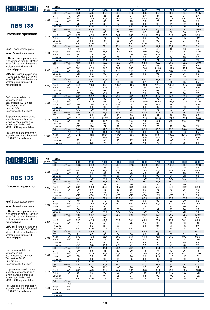

### Pressure operation

Nsof: Blower absrbed power

Nmot: Advised motor power

Lp(A) sc: Sound pressure level in accordance with ISO 3746 in a free field at 1m without noise enclosure and with sound insulated pipes

Lp(A) cc: Sound pressure level in accordance with ISO 3746 in a free field at 1m without noise enclosure and with sound insulated pipes

Performances related to atmospheric air: abs. pressure 1,013 mbar Temperature 20° C Humidity 50% Specific weight 1.2 kg/m 3

For performances with gases other than atmospheric air or at non-standard conditions contact your Authorized ROBUSCHI representative

Tolerance on performances: in accordance with the Robuschi TE1.S.0015 specification

| <b>DP</b> | Poles          |                        |                  |                  |                  |                  |                  | 4               |                 |                 |                 |                 |
|-----------|----------------|------------------------|------------------|------------------|------------------|------------------|------------------|-----------------|-----------------|-----------------|-----------------|-----------------|
| (mbar)    | rpm            |                        | 900              | 1100             | 1300             | 1400             | 1500             | 1600            | 1700            | 1800            | 1900            | 2000            |
|           | Q1             | $m^3/m$ in             | 45.5             | 57,5             | 69.5             | 75,5             | 81.5             | 87.5            | 93.5            | 99.5            | 105.5           | 111.5           |
|           | DT             | $\overline{C}$         | 29               | 28               | 28               | 28               | 27               | 27              | 27              | 27              | 27              | 27              |
| 300       | Nsof           | kW                     | 28.2             | 35,3             | 42,7             | 46.7             | 50.7             | 55,0            | 59.4            | 63,9            | 68,7            | 73,6            |
|           | Nmot           | kW                     | 37               | 45               | 55               | 55               | 75               | 75              | 75              | 75              | 90              | 90              |
|           | $Lp(A)$ sc     |                        | 78               | 82               | 85               | 87               | 88               | 89              | 90              | $\overline{91}$ | 92              | $\overline{94}$ |
|           | $Lp(A)$ cc     |                        | $\overline{5}$   | $70$             | $\overline{50}$  | $\overline{50}$  | $\overline{50}$  | $70$            | $70$            | $70$            | 70              | 72              |
|           | Q <sub>1</sub> | $m^3/m$ in             | 44,2             | 56,2             | 68,2             | 74,2             | 80.2             | 86,2            | 92,2            | 98,2            | 104,2           | 110,2           |
|           | DT             | $\overline{C}$         | 40               | 39               | 38               | 37               | 37               | 37              | 37              | 36              | 36              | 36              |
| 400       | Nsof           | kW                     | 37,2             | 46,3             | 55,7             | 60.7             | 65,7             | 71,0            | 76,4            | 81,9            | 87,7            | 93,6            |
|           | Nmot           | kW                     | 45               | 55               | 75               | 75               | 75               | 90              | 90              | 90              | 110             | 110             |
|           | $Lp(A)$ sc     |                        | 79               | 83               | 87               | 88               | 89               | 91              | 92              | 93              | 94              | 95              |
|           | $Lp(A)$ cc     |                        | $\overline{50}$  | $\overline{50}$  | $\overline{50}$  | $\overline{5}$   | $70$             | $70$            | $70$            | 71              | $\overline{72}$ | 73              |
|           | Q <sub>1</sub> | $m^3/m$ in             | 43.1             | 55,1             | 67.1             | 73,1             | 79,1             | 85.1            | 91.1            | 97.1            | 103,1           | 109,1           |
|           | DT             | ℃                      | 52               | 50               | 48               | 47               | 47               | 47              | 46              | 46              | 46              | 45              |
| 500       | Nsof           | kW                     | 46,2             | 57,3             | 68.7             | 74.7             | 80.7             | 87.0            | 93.4            | 99,9            | 106.7           | 113,6           |
|           | Nmot           | kW                     | 55               | 75               | 90               | 90               | 90               | 110             | 110             | 110             | 132             | 132             |
|           | $Lp(A)$ sc     |                        | 81               | 85               | 88               | 89               | 91               | 92              | 93              | 94              | 95              | 96              |
|           | $Lp(A)$ cc     |                        | $\overline{570}$ | $\overline{570}$ | $\overline{570}$ | $\overline{570}$ | $\overline{570}$ | 70              | 71              | 72              | 73              | 74              |
|           | Q <sub>1</sub> | $m^3/m$ in             | 42.0             | 54,0             | 66.0             | 72,0             | 78.0             | 84.0            | 90.0            | 96.0            | 102,0           | 108,0           |
|           | DT             | $\overline{C}$         | 64               | 61               | 59               | 58               | 57               | 57              | 56              | 56              | 55              | 55              |
| 600       | Nsof           | kW                     | 55,2             | 68,3             | 81.7             | 88.7             | 95.7             | 103,0           | 110.4           | 117,9           | 125,7           | 133,6           |
|           | Nmot           | kW                     | 75               | 90               | 90               | 110              | 110              | 132             | 132             | 132             | 160             | 160             |
|           | $Lp(A)$ sc     |                        | 82               | 86               | 89               | 91               | 92               | 93              | 95              | 96              | 97              | 98              |
|           | $Lp(A)$ cc     |                        | $70$             | $70$             | $70$             | $70$             | 70               | 71              | 73              | 74              | 75              | 76              |
|           | Q <sub>1</sub> | $m^3/m$ in             | 41.1             | 53.1             | 65.1             | 71.1             | 77.1             | 83.1            | 89.1            | 95.1            | 101.1           | 107.1           |
|           | DT             | $\overline{\text{°C}}$ | 76               | 72               | 69               | 68               | 68               | 67              | 66              | 66              | 65              | 65              |
| 700       | Nsof           | kW                     | 64,2             | 79,3             | 94,7             | 102,7            | 110,7            | 119,0           | 127,4           | 135,9           | 144,7           | 153,6           |
|           | Nmot           | kW                     | 75               | 90               | 110              | 132              | 132              | 132             | 160             | 160             | 160             | 200             |
|           | $Lp(A)$ sc     |                        | 83               | 87               | 91               | 92               | 93               | 95              | 96              | 97              | 98              | 99              |
|           | $Lp(A)$ cc     |                        | $70$             | $70$             | $70$             | 70               | 71               | 73              | 74              | 75              | 76              | 77              |
|           | Q1             | $m^3/m$ in             | 40.2             | 52,2             | 64,2             | 70.2             | 76.2             | 82.2            | 88.2            | 94,2            | 100,2           | 106,2           |
|           | DT             | $\overline{C}$         | 89               | 84               | 80               | 79               | 78               | 77              | 76              | 76              | 75              | 75              |
| 800       | Nsof           | kW                     | 73.2             | 90.3             | 107.7            | 116,7            | 125.7            | 135,0           | 144,4           | 153,9           | 163,7           | 173,6           |
|           | Nmot           | kW                     | 90               | 110              | 132              | 132              | 160              | 160             | 160             | 200             | 200             | 200             |
|           | $Lp(A)$ sc     |                        | $\overline{85}$  | 89               | 92               | 93               | 95               | 96              | 97              | 98              | 99              | 100             |
|           | $Lp(A)$ cc     |                        | $\overline{50}$  | $\overline{50}$  | $\overline{570}$ | $\overline{71}$  | $\overline{73}$  | $\overline{74}$ | $\overline{75}$ | $\overline{76}$ | $\overline{77}$ | $\overline{78}$ |
|           | Q <sub>1</sub> | $m^3/m$ in             | 39.4             | 51.4             | 63.4             | 69.4             | 75.4             | 81.4            | 87.4            | 93.4            | 99.4            | 105.4           |
|           | DT             | ℃                      | 102              | 96               | 92               | 90               | 89               | 88              | 87              | 86              | 85              | 85              |
| 900       | Nsof           | kW                     | 82,2             | 101,3            | 120,7            | 130,7            | 140,7            | 151,0           | 161,4           | 171,9           | 182,7           | 193,6           |
|           | Nmot           | kW                     | 90               | 110              | 132              | 160              | 160              | 200             | 200             | 200             | 200             | 250             |
|           | $Lp(A)$ sc     |                        | 86               | 90               | 93               | 94               | 96               | 97              | 98              | 99              | 100             | 101             |
|           | $Lp(A)$ cc     |                        | $70$             | $70$             | 71               | $\overline{72}$  | 74               | 75              | 76              | 77              | $\overline{78}$ | 79              |
|           | Q <sub>1</sub> | $m^3/m$ in             | 38,6             | 50,6             | 62,6             | 68,6             | 74,6             | 80,6            | 86,6            | 92,6            | 98,6            | 104,6           |
|           | DT             | °C                     | 116              | 108              | 103              | 101              | 100              | 98              | 97              | 96              | 96              | 95              |
| 1000      | Nsof           | kW                     | 91,2             | 112,3            | 133,7            | 144,7            | 155,7            | 167,0           | 178,4           | 189,9           | 201,7           | 213,6           |
|           | Nmot           | kW                     | 110              | 132              | 160              | 160              | 200              | 200             | 200             | 250             | 250             | 250             |
|           | $Lp(A)$ sc     |                        | 87               | 91               | 94               | 95               | 97               | 98              | 99              | 100             | 101             | 102             |
|           | $Lp(A)$ cc     |                        | $\overline{50}$  | $\overline{50}$  | $\overline{72}$  | 73               | 75               | 76              | $\overline{77}$ | 78              | 79              | 80              |

4

## ROBUSCH

DP Poles

### **RBS 135**

#### Vacuum operation

Nsof: Blower absrbed power

Nmot: Advised motor power

Lp(A) sc: Sound pressure level in accordance with ISO 3746 in a free field at 1m without noise enclosure and with sound insulated pipes

Lp(A) cc: Sound pressure level in accordance with ISO 3746 in a free field at 1m without noise enclosure and with sound insulated pipes

Performances related to atmospheric air: abs. pressure 1,013 mbar Temperature 20° C Humidity 50% Specific weight 1.2 kg/m 3

For performances with gases other than atmospheric air or at non-standard conditions contact your Authorized ROBUSCHI representative

Tolerance on performances: in accordance with the Robuschi TE1.S.0015 specification

| (mbar) | rpm                                             | 900             | 1100             | 1300             | 1400            | 1500            | 1600            | 1700             | 1800            | 1900            | 2000            |
|--------|-------------------------------------------------|-----------------|------------------|------------------|-----------------|-----------------|-----------------|------------------|-----------------|-----------------|-----------------|
|        | Q1<br>$m^3/m$ in                                | 46,3            | 58,3             | 70,3             | 76,3            | 82,3            | 88,3            | 94,3             | 100,3           | 106,3           | 112,3           |
|        | DT<br>$\overline{\rm ^{\circ}C}$                | 24              | 23               | 23               | 23              | 23              | 22              | $\overline{22}$  | 22              | 22              | $\overline{22}$ |
| 200    | kW<br>Nsof                                      | 19,2            | 24,3             | 29,7             | 32,7            | 35,7            | 39,0            | 42,4             | 45,9            | 49,7            | 53,6            |
|        | Nmot<br>kW                                      | 22              | 30               | 37               | 37              | 45              | 45              | 55               | 55              | 75              | 75              |
|        | $Lp(A)$ sc                                      | 77              | 81               | 84               | 86              | 87              | 88              | 90               | 91              | 92              | 93              |
|        | $Lp(A)$ cc                                      | $\overline{50}$ | $70$             | $\overline{570}$ | Z               | $70$            | $\overline{50}$ | $\overline{570}$ | $70$            | $70$            | 71              |
|        | m <sup>3</sup> /min<br>Q <sub>1</sub>           | 45,1            | 57,1             | 69,1             | 75,1            | 81,1            | 87,1            | 93,1             | 99,1            | 105,1           | 111,1           |
|        | $\overline{C}$<br>DT                            | 33              | 32               | 31               | 31              | 30              | 30              | 30               | 30              | 30              | 30              |
| 250    | Nsof<br>kW                                      | 23,7            | 29,8             | 36,2             | 39,7            | 43,2            | 47,0            | 50,9             | 54,9            | 59,2            | 63,6            |
|        | kW<br>Nmot                                      | 30              | 37               | 45               | 45              | 55              | 55              | 75               | 75              | 75              | 75              |
|        | $Lp(A)$ sc                                      | 78              | 82               | 86               | $\overline{87}$ | 88              | 90              | 91               | 92              | 93              | 94              |
|        | $Lp(A)$ cc                                      | $\overline{50}$ | $\overline{50}$  | $70$             | $\overline{50}$ | $\overline{50}$ | $\overline{50}$ | $70$             | $\overline{50}$ | $\overline{71}$ | $\overline{72}$ |
|        | $\overline{Q1}$<br>$m^3/m$ in                   | 43,9            | 55,9             | 67,9             | 73,9            | 79,9            | 85,9            | 91,9             | 97,9            | 103,9           | 109,9           |
|        | $\overline{C}$<br>DT                            | 43              | 42               | 40               | 40              | 40              | 39              | 39               | 39              | 39              | 38              |
| 300    | Nsof<br>kW                                      | 28,2            | 35,3             | 42,7             | 46,7            | 50,7            | 55,0            | 59,4             | 63,9            | 68,7            | 73,6            |
|        | Nmot<br>kW                                      | 37              | 45               | 55               | 55              | 75              | 75              | 75               | 75              | 90              | 90              |
|        | $Lp(A)$ sc                                      | 80              | 84               | 87               | 88              | 90              | 91              | 92               | 93              | 94              | 95              |
|        | $Lp(A)$ cc                                      | $70$            | $\overline{50}$  | $70$             | $70$            | $70$            | $70$            | 70               | 71              | $\overline{72}$ | $\overline{73}$ |
|        | Q <sub>1</sub><br>$m^3/m$ in                    | 42,7            | 54,7             | 66,7             | 72,7            | 78,7            | 84,7            | 90,7             | 96,7            | 102,7           | 108,7           |
|        | $\overline{C}$<br>DT                            | 56              | 53               | 52               | 51              | 51              | 50              | 50               | 49              | 49              | 49              |
| 350    | <b>Nsof</b><br>kW                               | 32,7            | 40,8             | 49,2             | 53,7            | 58,2            | 63,0            | 67,9             | 72,9            | 78,2            | 83,6            |
|        | kW<br>Nmot                                      | 37              | 55               | $\overline{55}$  | 75              | 75              | 75              | 90               | 90              | 90              | 110             |
|        | $Lp(A)$ sc                                      | 81              | 85               | 89               | 90              | 91              | 93              | 94               | 95              | 96              | 97              |
|        | $Lp(A)$ cc                                      | $70$            | $70$             | $70$             | $70$            | $70$            | 71              | 72               | 73              | 74              | 75              |
|        | Q1<br>$m^3/m$ in                                | 41,5            | 53,5             | 65,5             | 71,5            | 77,5            | 83,5            | 89,5             | 95,5            | 101,5           | 107,5           |
|        | $\overline{\text{°C}}$<br>DT                    | 71              | 67               | 65               | 64              | 63              | 63              | 62               | 62              | 61              | 61              |
| 400    | <b>Nsof</b><br>kW                               | 37,2            | 46,3             | 55,7             | 60,7            | 65,7            | 71,0            | 76,4             | 81,9            | 87,7            | 93,6            |
|        | Nmot<br>kW                                      | 45              | 55               | 75               | 75              | 75              | 90              | 90               | 90              | 110             | 110             |
|        | $Lp(A)$ sc                                      | 83              | 87               | 90               | 92              | 93              | 94              | 95               | 97              | 98              | 99              |
|        | $Lp(A)$ cc                                      | $\overline{50}$ | $70$             | $70$             | $70$            | 71              | 72              | 73               | 75              | 76              | 77<br>106,1     |
|        | Q1<br>$m^3/m$ in<br>$\overline{\text{C}}$<br>DT | 40,1<br>90      | 52,1<br>85       | 64,1<br>81       | 70,1<br>80      | 76,1<br>79      | 82,1<br>78      | 88,1<br>77       | 94,1<br>77      | 100,1<br>76     | 76              |
|        | <b>Nsof</b><br>kW                               | 41,7            | 51,8             | 62,2             | 67,7            | 73,2            | 79,0            | 84,9             | 90,9            | 97,2            | 103,6           |
| 450    | kW<br>Nmot                                      | 55              | 75               | 75               | 90              | 90              | 90              | 110              | 110             | 110             | 132             |
|        | $Lp(A)$ sc                                      | 85              | 89               | 92               | 93              | 95              | 96              | 97               | 98              | 99              | 100             |
|        | $Lp(A)$ cc                                      | $\overline{50}$ | $\overline{570}$ | $70$             | 71              | 73              | 74              | 75               | 76              | 77              | 78              |
|        | $m^3/m$ in<br>Q1                                | 38,7            | 50,7             | 62,7             | 68,7            | 74,7            | 80,7            | 86,7             | 92,7            | 98,7            | 104,7           |
|        | $\overline{C}$<br>DT                            | 114             | 106              | 102              | 100             | 98              | 97              | 96               | 95              | 94              | 94              |
|        | kW<br>Nsof                                      | 46,2            | 57,3             | 68,7             | 74,7            | 80,7            | 87,0            | 93,4             | 99,9            | 106,7           | 113,6           |
| 500    | kW<br>Nmot                                      | 55              | 75               | 90               | 90              | 90              | 110             | 110              | 110             | 132             | 132             |
|        | $Lp(A)$ sc                                      | 87              | 91               | 94               | 95              | 97              | 98              | 99               | 100             | 101             | 102             |
|        | $Lp(A)$ cc                                      | $\overline{50}$ | $\overline{50}$  | $\overline{72}$  | $\overline{73}$ | 75              | 76              | $\overline{77}$  | 78              | 79              | 80              |
|        | $m^3/m$ in<br>Q <sub>1</sub>                    |                 |                  |                  |                 |                 |                 |                  |                 |                 |                 |
|        | DT<br>$\overline{C}$                            |                 |                  |                  |                 |                 |                 |                  |                 |                 |                 |
|        | kW<br>Nsof                                      |                 |                  |                  |                 |                 |                 |                  |                 |                 |                 |
| 550    | kW<br>Nmot                                      |                 |                  |                  |                 |                 |                 |                  |                 |                 |                 |
|        | $Lp(A)$ sc                                      |                 |                  |                  |                 |                 |                 |                  |                 |                 |                 |
|        | $Lp(A)$ cc                                      |                 |                  |                  |                 |                 |                 |                  |                 |                 |                 |
|        |                                                 |                 |                  |                  |                 |                 |                 |                  |                 |                 |                 |

4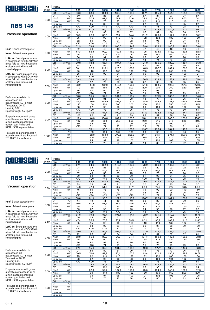

DP Poles

### **RBS 145**

### Pressure operation

Nsof: Blower absrbed power

Nmot: Advised motor power

Lp(A) sc: Sound pressure level in accordance with ISO 3746 in a free field at 1m without noise enclosure and with sound insulated pipes

Lp(A) cc: Sound pressure level in accordance with ISO 3746 in a free field at 1m without noise enclosure and with sound insulated pipes

Performances related to atmospheric air: abs. pressure 1,013 mbar Temperature 20° C Humidity 50%<br>Specific weight 1.2 kg/m<sup>s</sup>

For performances with gases other than atmospheric air or at non-standard conditions contact your Authorized ROBUSCHI representative

Tolerance on performances: in accordance with the Robuschi TE1.S.0015 specification

| (mbar) | rpm                                   |                | 900              | 1100            | 1300             | 1400            | 1500             | 1600            | 1700            | 1800            | 1900  | 2000  |
|--------|---------------------------------------|----------------|------------------|-----------------|------------------|-----------------|------------------|-----------------|-----------------|-----------------|-------|-------|
|        | Q1                                    | $m^3/m$ in     | 66,0             | 83,4            | 100,9            | 109,6           | 118,4            | 127,1           | 135,8           | 144,6           | 153,3 | 162,0 |
|        | DT                                    | $\overline{C}$ | 30               | 29              | 28               | 28              | 27               | 27              | 27              | 27              | 27    | 27    |
|        | Nsof                                  | kW             | 40,8             | 50,8            | 61,4             | 66,9            | 72,6             | 78,4            | 84,5            | 90,8            | 97,3  | 104,1 |
| 300    | Nmot                                  | kW             | 55               | 75              | 75               | 75              | 90               | 90              | 110             | 110             | 110   | 132   |
|        | $Lp(A)$ sc                            |                | 81               | 85              | 88               | 90              | 91               | 92              | 93              | 94              | 95    | 97    |
|        | $Lp(A)$ cc                            |                | $\overline{570}$ | $\overline{50}$ | $\overline{570}$ | $\overline{50}$ | $\overline{570}$ | 70              | $\overline{71}$ | $\overline{72}$ | 73    | 75    |
|        | Q <sub>1</sub><br>$m^3/m$ in          |                | 64,0             | 81,5            | 99,0             | 107,7           | 116,4            | 125,1           | 133,9           | 142,6           | 151,3 | 160,1 |
|        | DT                                    | $\overline{C}$ | 41               | 39              | 38               | 38              | 37               | 37              | 37              | 36              | 36    | 36    |
|        | Nsof                                  | kW             | 53,9             | 66,8            | 80,3             | 87,2            | 94,4             | 101,7           | 109,3           | 117,0           | 125,0 | 133,2 |
| 400    | Nmot                                  | kW             | 75               | 75              | 90               | 110             | 110              | 132             | 132             | 132             | 160   | 160   |
|        | $Lp(A)$ sc                            |                | 82               | 86              | 90               | 91              | 92               | 94              | 95              | 96              | 97    | 98    |
|        | $Lp(A)$ cc                            |                | $70$             | $70$            | $\overline{50}$  | $\overline{50}$ | 70               | 72              | 73              | 74              | 75    | 76    |
|        | Q <sub>1</sub>                        | $m^3/m$ in     | 62,3             | 79,8            | 97.2             | 106,0           | 114.7            | 123.4           | 132.2           | 140,9           | 149,6 | 158,4 |
|        | $\overline{DT}$                       | ℃              | 52               | 50              | 48               | 48              | 47               | 47              | 46              | 46              | 46    | 46    |
|        | Nsof                                  | kW             | 67,0             | 82,8            | 99,2             | 107,6           | 116,2            | 125             | 134,0           | 143,2           | 152,6 | 162,3 |
| 500    | Nmot                                  | kW             | 75               | 90              | 110              | 132             | 132              | 160             | 160             | 160             | 200   | 200   |
|        | $Lp(A)$ sc                            |                | 84               | 88              | 91               | 92              | 94               | 95              | 96              | 97              | 98    | 99    |
|        | $Lp(A)$ cc                            |                | $70$             | $70$            | $70$             | 70              | 72               | 73              | 74              | 75              | 76    | 77    |
|        | Q <sub>1</sub><br>m <sup>3</sup> /min |                | 60,8             | 78,2            | 95,7             | 104,4           | 113,2            | 121,9           | 130,6           | 139,3           | 148,1 | 156,8 |
|        | DT                                    | $\overline{C}$ | 64               | 61              | 59               | 58              | 57               | 57              | 56              | 56              | 56    | 55    |
|        | Nsof                                  | kW             | 80,1             | 98,8            | 118,1            | 128,0           | 138,0            | 148,3           | 158,7           | 169,4           | 180,3 | 191,4 |
| 600    | Nmot                                  | kW             | 90               | 110             | 132              | 160             | 160              | 200             | 200             | 200             | 200   | 250   |
|        | $Lp(A)$ sc                            |                | 85               | 89              | 92               | 94              | 95               | 96              | 98              | 99              | 100   | 101   |
|        | $Lp(A)$ cc                            |                | $70$             | $70$            | 70               | 72              | 73               | 74              | 76              | 77              | 78    | 79    |
|        | $m^3/m$ in<br>Q <sub>1</sub>          |                | 59,3             | 76,8            | 94,3             | 103,0           | 111.7            | 120,5           | 129,2           | 137,9           | 146,6 | 155,4 |
|        | DT                                    | $^{\circ}$ C   | 77               | 72              | 70               | 69              | 68               | 67              | 66              | 66              | 65    | 65    |
| 700    | Nsof                                  | kW             | 93,2             | 114,8           | 137,0            | 148,4           | 159,9            | 171,6           | 183,5           | 195,6           | 207,9 | 220,5 |
|        | Nmot                                  | kW             | 110              | 132             | 160              | 200             | 200              | 200             | 200             | 250             | 250   | 250   |
|        | $Lp(A)$ sc                            |                | 86               | 90              | 94               | 95              | 96               | 98              | 98              | 100             | 101   | 102   |
|        | $Ln(A)$ cc                            |                | $70$             | $70$            | 72               | 73              | 74               | 76              | 77              | 78              | 79    | 80    |
|        | Q <sub>1</sub>                        | $m^3/m$ in     | 58,0             | 75,5            | 92,9             | 101,7           | 110,4            | 119,1           | 127,9           | 136,6           | 145,3 | 154,0 |
|        | DT                                    | $\overline{C}$ | 90               | 84              | 81               | 79              | 78               | 78              | 77              | 76              | 75    | 75    |
| 800    | Nsof                                  | kW             | 106,3            | 130,8           | 155,9            | 168,7           | 181,7            | 194,8           | 208,2           | 221,8           | 235,6 | 249,6 |
|        | Nmot                                  | kW             | 132              | 160             | 200              | 200             | 200              | 250             | 250             | 250             | 315   | 315   |
|        | $Lp(A)$ sc                            |                | 88               | 92              | 95               | 96              | 98               | 99              | 100             | 101             | 102   | 103   |
|        | $Ln(A)$ cc                            |                | $70$             | $70$            | 73               | 74              | 76               | $\overline{77}$ | 78              | 79              | 80    | 81    |
|        | $m^3/m$ in<br>Q1                      |                | 56,8             | 74,2            | 91,7             | 100,4           | 109,2            | 117,9           | 126,6           | 135,3           | 144,1 | 152,8 |
|        | DT                                    | °C             | 103              | 96              | 92               | 91              | 89               | 88              | 87              | 86              | 86    | 85    |
| 900    | Nsof                                  | kW             | 119,4            | 146,8           | 174,8            | 189,1           | 203,5            | 218,1           | 232,9           | 248,0           | 263,2 | 278,7 |
|        | Nmot                                  | kW             | 132              | 160             | 200              | 250             | 250              | 250             | 315             | 315             | 315   | 315   |
|        | $Lp(A)$ sc                            |                | 89               | 93              | 96               | 97              | 99               | 100             | 101             | 102             | 103   | 104   |
|        | $Lp(A)$ cc                            |                | $70$             | 71              | 74               | 75              | 77               | 78              | 79              | 80              | 81    | 82    |
|        | $m^3/m$ in<br>Q1                      |                |                  | 73,1            | 90,5             | 99,2            | 108,0            | 116,7           | 125,4           | 134,2           | 142,9 | 151,6 |
|        | DT                                    | ℃              |                  | 109             | 104              | 102             | 100              | 99              | 98              | 97              | 96    | 95    |
| 1000   | <b>Nsof</b>                           | kW             |                  | 162,8           | 193,8            | 209,5           | 225,3            | 241,4           | 257,7           | 274,1           | 290,9 | 307,8 |
|        | Nmot                                  | kW             |                  | 200             | 250              | 250             | 250              | 315             | 315             | 315             | 315   | 355   |
|        | $Lp(A)$ sc                            |                |                  | 94              | 97               | 98              | 100              | 101             | 102             | 103             | 104   | 105   |
|        | $Lp(A)$ cc                            |                |                  | $\overline{72}$ | 75               | 76              | 78               | 79              | 80              | 81              | 82    | 83    |

Poles 4 and 2012 and 2012 and 2012 and 2012 and 2012 and 2012 and 2012 and 2012 and 2012 and 2012 and 2012 and

## ROBUSCH

### **RBS 145**

#### Vacuum operation

Nsof: Blower absrbed power

Nmot: Advised motor power

Lp(A) sc: Sound pressure level in accordance with ISO 3746 in a free field at 1m without noise enclosure and with sound insulated pipes

Lp(A) cc: Sound pressure level in accordance with ISO 3746 in a free field at 1m without noise enclosure and with sound insulated pipes

Performances related to atmospheric air: abs. pressure 1,013 mbar Temperature 20° C Humidity 50%<br>Specific weight 1.2 kg/m<sup>s</sup>

For performances with gases other than atmospheric air or at non-standard conditions contact your Authorized ROBUSCHI representative

| <b>DP</b> | Poles                    |                                      |                  |                 |                  |                  |                       | 4                     |                 |                 |                 |                 |
|-----------|--------------------------|--------------------------------------|------------------|-----------------|------------------|------------------|-----------------------|-----------------------|-----------------|-----------------|-----------------|-----------------|
| (mbar)    | rpm                      |                                      | 900              | 1100            | 1300             | 1400             | 1500                  | 1600                  | 1700            | 1800            | 1900            | 2000            |
|           | Q1                       | $m^3/m$ in                           | 67.1             | 84,6            | 102,0            | 110,7            | 119,5                 | 128,2                 | 136,9           | 145,7           | 154,4           | 163,1           |
|           | DT                       | $\overline{\text{c}}$                | 24               | 23              | 23               | 23               | 23                    | 22                    | 22              | 22              | 22              | 22              |
| 200       | Nsof                     | kW                                   | 27,7             | 34,8            | 42,4             | 46,5             | 50,7                  | 55,2                  | 59,8            | 64,6            | 69,7            | 75,0            |
|           | Nmot                     | kW                                   | 37               | 45              | 55               | 55               | 75                    | 75                    | 75              | 75              | 90              | 90              |
|           | $Lp(A)$ sc               |                                      | 80               | 84              | 87               | 89               | 90                    | 91                    | 93              | 94              | 95              | 96              |
|           | $Lp(A)$ cc               |                                      | $\overline{50}$  | $\overline{5}$  | $70$             | $\overline{570}$ | $\overline{570}$      | $70$                  | $\overline{71}$ | $\overline{72}$ | $\overline{73}$ | $\overline{74}$ |
|           | $\overline{Q1}$          | m <sup>3</sup> /min                  | 65,3             | 82,8            | 100,3            | 109,0            | 117,7                 | 126,4                 | 135,2           | 143,9           | 152,6           | 161,4           |
|           | DT                       | $\overline{\text{°C}}$               | 33               | 32              | 31               | $\overline{31}$  | 31                    | 30                    | 30              | 30              | 30              | 30              |
| 250       | Nsof                     | kW                                   | 34,3             | 42,8            | 51,9             | 56,7             | 61,7                  | 66,8                  | 72,2            | 77,7            | 83,5            | 89,6            |
|           | Nmot                     | kW                                   | 45               | 55              | 75               | 75               | 75                    | 75                    | 90              | 90              | 110             | 110             |
|           | $Lp(A)$ sc               |                                      | 81               | 85              | 89               | 90               | 91                    | 93                    | 94              | 95              | 96              | 97              |
|           | $Lp(A)$ cc               |                                      | $\overline{50}$  | $\overline{50}$ | $\overline{50}$  | $\overline{50}$  | $\overline{50}$       | $\overline{71}$       | $\overline{72}$ | $\overline{73}$ | $\overline{74}$ | $\overline{75}$ |
|           | Q <sub>1</sub>           | $m^3/m$ in                           | 63,6             | 81,0            | 98,5             | 107,2            | 115,9                 | 124,7                 | 133,4           | 142,1           | 150,9           | 159,6           |
|           | DT                       | $\overline{C}$                       | 44               | 42              | 41               | 40               | 40                    | 39                    | 39              | 39              | 39              | 39              |
| 300       | Nsof                     | kW                                   | 40,8             | 50,8            | 61,4             | 66,9             | 72,6                  | 78,4                  | 84,5            | 90,8            | 97,3            | 104,1           |
|           | Nmot                     | kW                                   | 55               | 75              | 75               | 75               | 90                    | 90                    | 110             | 110             | 110             | 132             |
|           | $Lp(A)$ sc               |                                      | 83               | 87              | 90               | 91               | 93                    | 94                    | 95              | 96              | 97              | 98              |
|           | $Lp(A)$ cc               |                                      | $\overline{50}$  | $\overline{50}$ | $\overline{50}$  | $\overline{50}$  | $\overline{71}$       | $\overline{72}$       | $\overline{73}$ | $\overline{74}$ | $\overline{75}$ | $\overline{76}$ |
|           | Q1                       | $m^3/m$ in                           | 61,8             | 79,2            | 96,7             | 105,4            | 114,1                 | 122,9                 | 131,6           | 140,3           | 149,1           | 157,8           |
|           | $\overline{DT}$          | $\overline{\text{°C}}$               | 56               | 54              | 52               | 51               | 51                    | 50                    | 50              | 49              | 49              | 49              |
| 350       | Nsof                     | kW                                   | 47,4             | 58,8            | 70,8             | 77,1             | 83,5                  | 90,1                  | 96,9            | 103,9           | 111,2           | 118,7           |
|           | Nmot                     | kW                                   | 55               | $\overline{75}$ | 90               | 90               | 110                   | 110                   | 110             | 132             | 132             | 132             |
|           | $Lp(A)$ sc               |                                      | 84               | 88              | 92               | 93               | 94                    | 96                    | 97              | 98              | 99              | 100             |
|           | $Lp(A)$ cc               |                                      | $\overline{50}$  | $\overline{50}$ | $\overline{570}$ | $\overline{71}$  | $\overline{72}$       | $\overline{74}$       | 75              | 76              | $\overline{77}$ | 78              |
|           | Q1                       | $m^3/m$ in<br>$\overline{\text{°C}}$ | 59,9             | 77,3            | 94,8             | 103,5            | 112,3                 | 121,0                 | 129,7           | 138,5           | 147,2           | 155,9           |
|           | DT                       |                                      | 72               | 68              | 65               | 64               | 64                    | 63                    | 62              | 62              | 62              | 61              |
| 400       | Nsof                     | kW                                   | 53,9             | 66,8            | 80,3             | 87,2             | 94,4                  | 101,7                 | 109,3           | 117,0           | 125,0           | 133,2           |
|           | Nmot                     | kW                                   | 75<br>86         | 75<br>90        | 90               | 110              | 110                   | 132                   | 132             | 132             | 160             | 160<br>102      |
|           | $Lp(A)$ sc<br>$Lp(A)$ cc |                                      | $\overline{50}$  | $\overline{50}$ | 93<br>71         | 95<br>73         | 96<br>$\overline{74}$ | 97<br>$\overline{75}$ | 98<br>76        | 100<br>78       | 101<br>79       | 80              |
|           | Q1                       | $m^3/m$ in                           | 57.9             | 75.4            | 92,8             | 101,5            | 110,3                 | 119,0                 | 127,7           | 136,5           | 145,2           | 153,9           |
|           | DT                       | $\overline{C}$                       | 91               | 85              | 82               | 81               | 79                    | 79                    | 78              | 77              | 76              | 76              |
|           | <b>Nsof</b>              | kW                                   | 60,5             | 74,8            | 89,7             | 97,4             | 105,3                 | 113,4                 | 121,6           | 130,1           | 138,8           | 147,8           |
| 450       | Nmot                     | kW                                   | 75               | 90              | 110              | 110              | 132                   | 132                   | 132             | 160             | 160             | 160             |
|           | $Lp(A)$ sc               |                                      | 88               | 92              | 95               | 96               | 98                    | 99                    | 100             | 101             | 102             | 103             |
|           | $Lp(A)$ cc               |                                      | $\overline{570}$ | $70$            | 73               | 74               | 76                    | 77                    | 78              | 79              | 80              | 81              |
|           | Q1                       | $m^3/m$ in                           |                  | 73,2            | 90,7             | 99,4             | 108,1                 | 116,8                 | 125,6           | 134,3           | 143,0           | 151,8           |
|           | DT                       | $\overline{C}$                       |                  | 107             | 102              | 100              | 99                    | 98                    | 96              | 95              | 95              | 94              |
|           | <b>Nsof</b>              | kW                                   |                  | 82,8            | 99,2             | 107,6            | 116,2                 | 125,0                 | 134,0           | 143,2           | 152,6           | 162,3           |
| 500       | Nmot                     | kW                                   |                  | 90              | 110              | 132              | 132                   | 160                   | 160             | 160             | 200             | 200             |
|           | $Lp(A)$ sc               |                                      |                  | 94              | 97               | 98               | 100                   | 101                   | 102             | 103             | 104             | 105             |
|           | $Lp(A)$ cc               |                                      |                  | $\overline{72}$ | $\overline{75}$  | 76               | 78                    | 79                    | 80              | 81              | 82              | 83              |
|           | Q <sub>1</sub>           | $m^3/m$ in                           |                  |                 |                  |                  |                       |                       |                 |                 |                 |                 |
|           | DT                       | $\overline{\text{°C}}$               |                  |                 |                  |                  |                       |                       |                 |                 |                 |                 |
|           | Nsof                     | kW                                   |                  |                 |                  |                  |                       |                       |                 |                 |                 |                 |
| 550       | Nmot                     | kW                                   |                  |                 |                  |                  |                       |                       |                 |                 |                 |                 |
|           | $Lp(A)$ sc               |                                      |                  |                 |                  |                  |                       |                       |                 |                 |                 |                 |
|           | $Lp(A)$ cc               |                                      |                  |                 |                  |                  |                       |                       |                 |                 |                 |                 |
|           |                          |                                      |                  |                 |                  |                  |                       |                       |                 |                 |                 |                 |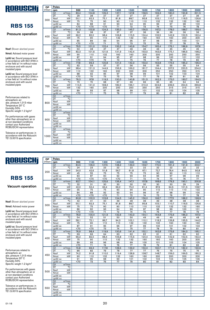

### Pressure operation

Nsof: Blower absrbed power

Nmot: Advised motor power

Lp(A) sc: Sound pressure level in accordance with ISO 3746 in a free field at 1m without noise enclosure and with sound insulated pipes

Lp(A) cc: Sound pressure level in accordance with ISO 3746 in a free field at 1m without noise enclosure and with sound insulated pipes

Performances related to atmospheric air: abs. pressure 1,013 mbar Temperature 20° C Humidity 50% Specific weight 1.2 kg/m 3

For performances with gases other than atmospheric air or at non-standard conditions contact your Authorized ROBUSCHI representative

Tolerance on performances: in accordance with the Robuschi TE1.S.0015 specification

| DP.    | Poles           |                        | 4<br>1500<br>1600<br>2000<br>900<br>1100<br>1300<br>1400<br>1700<br>1800<br>1900 |                  |                  |                 |                 |                 |                 |                 |                 |                 |  |
|--------|-----------------|------------------------|----------------------------------------------------------------------------------|------------------|------------------|-----------------|-----------------|-----------------|-----------------|-----------------|-----------------|-----------------|--|
| (mbar) | rpm             |                        |                                                                                  |                  |                  |                 |                 |                 |                 |                 |                 |                 |  |
|        | Q1              | m <sup>3</sup> /min    | 83,4                                                                             | 104,8            | 126,3            | 137,1           | 147,8           | 158,5           | 169,3           | 180,0           | 190,8           | 201.5           |  |
|        | DT              | $\overline{C}$         | 29                                                                               | $\overline{28}$  | $\overline{27}$  | $\overline{27}$ | $\overline{27}$ | $\overline{27}$ | $\overline{27}$ | $\overline{27}$ | $\overline{27}$ | $\overline{26}$ |  |
| 300    | Nsof            | kW                     | 50.1                                                                             | 62,3             | 75,1             | 81.8            | 88.7            | 95,8            | 103,1           | 110.7           | 118,5           | 126.6           |  |
|        | Nmot            | kW                     | 75                                                                               | 75               | 90               | 90              | 110             | 110             | 132             | 132             | 132             | 160             |  |
|        | $Lp(A)$ sc      |                        | 84                                                                               | 88               | $\overline{91}$  | 93              | 94              | 95              | 96              | 97              | 98              | 100             |  |
|        | $Lp(A)$ cc      |                        | $\overline{570}$                                                                 | $\overline{570}$ | $\overline{570}$ | $\overline{71}$ | $\overline{72}$ | 73              | 74              | 75              | 76              | 78              |  |
|        | Q <sub>1</sub>  | $m^3/m$ in             | 81.3                                                                             | 102.8            | 124.3            | 135.0           | 145.7           | 156.5           | 167.2           | 178.0           | 188.7           | 199.4           |  |
|        | DT              | $\overline{C}$         | 39                                                                               | 38               | $\overline{37}$  | $\overline{37}$ | $\overline{37}$ | 36              | 36              | 36              | 36              | 36              |  |
| 400    | Nsof            | kW                     | 66.2                                                                             | 82,0             | 98.4             | 106,8           | 115,5           | 124.4           | 133.5           | 142,9           | 152,5           | 162.4           |  |
|        | Nmot            | kW                     | 75                                                                               | 90               | 110              | 132             | 132             | 160             | 160             | 160             | 200             | 200             |  |
|        | $Lp(A)$ sc      |                        | 85                                                                               | 89               | 93               | 94              | 95              | 97              | 98              | 99              | 100             | 101             |  |
|        | $Lp(A)$ cc      |                        | $\overline{50}$                                                                  | $\overline{50}$  | $\overline{71}$  | $\overline{72}$ | 73              | $\overline{75}$ | 76              | $\overline{77}$ | 78              | $\overline{79}$ |  |
|        | Q1              | $m^3/m$ in             | 79,5                                                                             | 101.0            | 122.4            | 133.2           | 143.9           | 154.7           | 165.4           | 176.1           | 186.9           | 197.6           |  |
|        | DT              | $\overline{\text{°C}}$ | 50                                                                               | 48               | 47               | 47              | 46              | 46              | 46              | 45              | 45              | 45              |  |
| 500    | <b>Nsof</b>     | kW                     | 82,3                                                                             | 101,6            | 121,6            | 131,9           | 142,4           | 153,0           | 163,9           | 175,1           | 186,5           | 198,2           |  |
|        | Nmot            | kW                     | 90                                                                               | 110              | 132              | 160             | 160             | 200             | 200             | 200             | 250             | 250             |  |
|        | $Lp(A)$ sc      |                        | $\overline{87}$                                                                  | 91               | 94               | 95              | 97              | 98              | 99              | 100             | 101             | 102             |  |
|        | $Lp(A)$ cc      |                        | $\overline{570}$                                                                 | $\overline{50}$  | 72               | 73              | 75              | 76              | 77              | 78              | 79              | 80              |  |
|        | Q1              | m <sup>3</sup> /min    | 77,8                                                                             | 99,3             | 120,8            | 131,5           | 142,3           | 153,0           | 163,8           | 174,5           | 185,2           | 196,0           |  |
|        | DT              | $\overline{C}$         | 62                                                                               | 59               | 57               | 57              | 56              | 56              | 55              | 55              | 55              | 54              |  |
| 600    | Nsof            | kW                     | 98,4                                                                             | 121,3            | 144,9            | 156,9           | 169,2           | 181,7           | 194,4           | 207,3           | 220,5           | 234,0           |  |
|        | Nmot            | kW                     | 110                                                                              | 132              | 160              | 200             | 200             | 200             | 250             | 250             | 250             | 315             |  |
|        | $Lp(A)$ sc      |                        | 88                                                                               | 92               | 95               | 97              | 98              | 99              | 101             | 102             | 103             | 104             |  |
|        | $Lp(A)$ cc      |                        | $70$                                                                             | 70               | 73               | 75              | 76              | 77              | 79              | 80              | 81              | 82              |  |
|        | Q1              | $m^3/m$ in             | 76.3                                                                             | 97.8             | 119.3            | 130.0           | 140.8           | 151.5           | 162.3           | 173.0           | 183.7           | 194.5           |  |
|        | DT              | $\overline{\text{c}}$  | 73                                                                               | 70               | 68               | 67              | 66              | 66              | 65              | 65              | 64              | 64              |  |
| 700    | Nsof            | kW                     | 114,5                                                                            | 141,0            | 168,2            | 182,0           | 196,1           | 210,3           | 224,8           | 239,5           | 254,5           | 269.8           |  |
|        | Nmot            | kW                     | 132                                                                              | 160              | 200              | 200             | 250             | 250             | 250             | 315             | 315             | 315             |  |
|        | $Lp(A)$ sc      |                        | 89                                                                               | 93               | 97               | 98              | 99              | 101             | 102             | 103             | 104             | 105             |  |
|        | $Lp(A)$ cc      |                        | $70$                                                                             | 71               | 75               | 76              | 77              | 79              | 80              | 81              | 82              | 83              |  |
|        | Q1              | m <sup>3</sup> /min    |                                                                                  |                  |                  |                 |                 |                 |                 |                 |                 |                 |  |
|        | DT              | $\overline{C}$         |                                                                                  |                  |                  |                 |                 |                 |                 |                 |                 |                 |  |
| 800    | Nsof            | kW                     |                                                                                  |                  |                  |                 |                 |                 |                 |                 |                 |                 |  |
|        | Nmot            | kW                     |                                                                                  |                  |                  |                 |                 |                 |                 |                 |                 |                 |  |
|        | $Lp(A)$ sc      |                        |                                                                                  |                  |                  |                 |                 |                 |                 |                 |                 |                 |  |
|        | $Lp(A)$ cc      |                        |                                                                                  |                  |                  |                 |                 |                 |                 |                 |                 |                 |  |
|        | Q1              | $m^3/m$ in             |                                                                                  |                  |                  |                 |                 |                 |                 |                 |                 |                 |  |
|        | DT              | $\overline{C}$         |                                                                                  |                  |                  |                 |                 |                 |                 |                 |                 |                 |  |
| 900    | Nsof            | kW                     |                                                                                  |                  |                  |                 |                 |                 |                 |                 |                 |                 |  |
|        | Nmot            | kW                     |                                                                                  |                  |                  |                 |                 |                 |                 |                 |                 |                 |  |
|        | $Lp(A)$ sc      |                        |                                                                                  |                  |                  |                 |                 |                 |                 |                 |                 |                 |  |
|        | $Lp(A)$ cc      |                        |                                                                                  |                  |                  |                 |                 |                 |                 |                 |                 |                 |  |
|        | $\overline{Q1}$ | $m^3/m$ in             |                                                                                  |                  |                  |                 |                 |                 |                 |                 |                 |                 |  |
|        | DT              | $\overline{C}$         |                                                                                  |                  |                  |                 |                 |                 |                 |                 |                 |                 |  |
| 1000   | Nsof            | kW                     |                                                                                  |                  |                  |                 |                 |                 |                 |                 |                 |                 |  |
|        | Nmot            | kW                     |                                                                                  |                  |                  |                 |                 |                 |                 |                 |                 |                 |  |
|        | $Lp(A)$ sc      |                        |                                                                                  |                  |                  |                 |                 |                 |                 |                 |                 |                 |  |
|        | $Lp(A)$ cc      |                        |                                                                                  |                  |                  |                 |                 |                 |                 |                 |                 |                 |  |

4

## ROBUSCHI

### **RBS 155**

#### Vacuum operation

Nsof: Blower absrbed power

Nmot: Advised motor power

Lp(A) sc: Sound pressure level in accordance with ISO 3746 in a free field at 1m without noise enclosure and with sound insulated pipes

Lp(A) cc: Sound pressure level in accordance with ISO 3746 in a free field at 1m without noise enclosure and with sound insulated pipes

Performances related to atmospheric air: abs. pressure 1,013 mbar Temperature 20° C Humidity 50% Specific weight 1.2 kg/m 3

For performances with gases other than atmospheric air or at non-standard conditions contact your Authorized ROBUSCHI representative

| (mbar)<br>1500<br>1600<br>1700<br>rpm<br>900<br>1100<br>1300<br>1400<br>1800<br>1900<br>2000<br>Q <sub>1</sub><br>$m^3/m$ in<br>84,5<br>106,0<br>127,5<br>138,2<br>149,0<br>159,7<br>170,5<br>181.2<br>191,9<br>202.7<br>DT<br>$\overline{\text{°C}}$<br>$\overline{22}$<br>$\overline{22}$<br>24<br>23<br>23<br>22<br>22<br>22<br>22<br>22<br>kW<br><b>Nsof</b><br>42,6<br>56,7<br>61,8<br>67,1<br>72,7<br>78,4<br>34,0<br>51,8<br>84,5<br>90,8<br>200<br>kW<br>45<br>55<br>75<br>75<br>90<br>90<br>Nmot<br>75<br>75<br>110<br>110<br>87<br>90<br>92<br>97<br>$Lp(A)$ sc<br>83<br>93<br>94<br>96<br>98<br>99<br>$\overline{570}$<br>$\overline{50}$<br>$\overline{570}$<br>$\overline{570}$<br>72<br>74<br>75<br>77<br>$Lp(A)$ cc<br>71<br>76<br>157,8<br>179,3<br>Q <sub>1</sub><br>$m^3/m$ in<br>82.7<br>104,1<br>125,6<br>136,4<br>147,1<br>168,6<br>190.1<br>200,8<br>DT<br>$\overline{C}$<br>29<br>29<br>32<br>31<br>30<br>30<br>30<br>30<br>30<br>30<br>kW<br>52,4<br>63,4<br>69,2<br>75,2<br>94,5<br>101,5<br>108,7<br>Nsof<br>42,0<br>81,4<br>87,9<br>250<br>kW<br>55<br>75<br>75<br>90<br>Nmot<br>90<br>90<br>110<br>110<br>110<br>132<br>84<br>88<br>92<br>93<br>94<br>96<br>97<br>98<br>99<br>100<br>$Lp(A)$ sc<br>$\overline{570}$<br>$\overline{570}$<br>$\overline{570}$<br>$\overline{71}$<br>$\overline{72}$<br>$\overline{74}$<br>$\overline{75}$<br>76<br>$\overline{77}$<br>78<br>$Lp(A)$ cc<br>$m^3/m$ in<br>80.8<br>102.3<br>123.8<br>134.5<br>145.2<br>156.0<br>166.7<br>177.5<br>188.2<br>198.9<br>Q <sub>1</sub><br>$\overline{\text{°C}}$<br>DT<br>42<br>41<br>40<br>39<br>39<br>39<br>39<br>38<br>38<br>38<br>kW<br>Nsof<br>50,1<br>62,3<br>75,1<br>95,8<br>103,1<br>110,7<br>118,5<br>126,6<br>81,8<br>88,7<br>300<br>kW<br>75<br>75<br>90<br>90<br>110<br>132<br>132<br>132<br>160<br>Nmot<br>110<br>$\overline{90}$<br>$\overline{93}$<br>86<br>94<br>96<br>97<br>98<br>99<br>100<br>101<br>$Lp(A)$ sc<br>$70$<br>$70$<br>71<br>72<br>74<br>75<br>76<br>77<br>78<br>79<br>$Lp(A)$ cc<br>175,6<br>Q1<br>$m^3/m$ in<br>100,4<br>121,9<br>132,6<br>143,3<br>154,1<br>186,3<br>197,0<br>78,9<br>164,8<br>$\overline{C}$<br>DT<br>54<br>52<br>51<br>50<br>50<br>49<br>49<br>49<br>48<br>48<br>kW<br>Nsof<br>58,1<br>72,1<br>86,7<br>94,3<br>102,1<br>110,1<br>118,3<br>126,8<br>135,5<br>144,5<br>350<br>kW<br>$\overline{132}$<br>75<br>90<br>110<br>110<br>132<br>132<br>160<br>160<br>160<br>Nmot<br>87<br>$\overline{91}$<br>95<br>96<br>97<br>99<br>100<br>101<br>102<br>103<br>$Lp(A)$ sc<br>$\overline{570}$<br>$70$<br>73<br>$\overline{74}$<br>75<br>$\overline{77}$<br>78<br>79<br>80<br>81<br>$Lp(A)$ cc<br>173,6<br>195,1<br>Q <sub>1</sub><br>$m^3/m$ in<br>76,9<br>98,4<br>119,9<br>130,6<br>141,4<br>152,1<br>162,8<br>184,3<br>$\overline{\rm ^{\circ}\!C}$<br>DT<br>69<br>66<br>64<br>63<br>62<br>62<br>61<br>61<br>60<br>60<br>Nsof<br>kW<br>66,2<br>82,0<br>98,4<br>106,8<br>115,5<br>124,4<br>133,5<br>142,9<br>152,5<br>162,4<br>400<br>kW<br>75<br>90<br>110<br>132<br>132<br>160<br>160<br>160<br>200<br>200<br>Nmot<br>89<br>93<br>96<br>98<br>99<br>$Lp(A)$ sc<br>100<br>101<br>103<br>104<br>105<br>$\overline{50}$<br>$\overline{71}$<br>$\overline{74}$<br>76<br>$\overline{77}$<br>$Lp(A)$ cc<br>78<br>79<br>81<br>82<br>83<br>$m^3/m$ in<br>150,0<br>74,8<br>96,3<br>117,8<br>128,5<br>139,2<br>160,7<br>171,5<br>182,2<br>192,9<br>Q <sub>1</sub><br>DT<br>$\overline{\text{°C}}$<br>86<br>82<br>79<br>78<br>77<br>77<br>76<br>75<br>75<br>74<br><b>Nsof</b><br>kW<br>110,0<br>119,4<br>128,9<br>138,7<br>148,7<br>159,0<br>169,5<br>74,2<br>91,8<br>180,3<br>450<br>kW<br>200<br>200<br>Nmot<br>90<br>110<br>132<br>132<br>160<br>160<br>200<br>200<br>91<br>95<br>98<br>99<br>104<br>$Lp(A)$ sc<br>101<br>102<br>103<br>105<br>106<br>$\overline{570}$<br>73<br>76<br>77<br>82 |
|------------------------------------------------------------------------------------------------------------------------------------------------------------------------------------------------------------------------------------------------------------------------------------------------------------------------------------------------------------------------------------------------------------------------------------------------------------------------------------------------------------------------------------------------------------------------------------------------------------------------------------------------------------------------------------------------------------------------------------------------------------------------------------------------------------------------------------------------------------------------------------------------------------------------------------------------------------------------------------------------------------------------------------------------------------------------------------------------------------------------------------------------------------------------------------------------------------------------------------------------------------------------------------------------------------------------------------------------------------------------------------------------------------------------------------------------------------------------------------------------------------------------------------------------------------------------------------------------------------------------------------------------------------------------------------------------------------------------------------------------------------------------------------------------------------------------------------------------------------------------------------------------------------------------------------------------------------------------------------------------------------------------------------------------------------------------------------------------------------------------------------------------------------------------------------------------------------------------------------------------------------------------------------------------------------------------------------------------------------------------------------------------------------------------------------------------------------------------------------------------------------------------------------------------------------------------------------------------------------------------------------------------------------------------------------------------------------------------------------------------------------------------------------------------------------------------------------------------------------------------------------------------------------------------------------------------------------------------------------------------------------------------------------------------------------------------------------------------------------------------------------------------------------------------------------------------------------------------------------------------------------------------------------------------------------------------------------------------------------------------------------------------------------------------------------------------------------------------------------------------------------------------------------------------------------------------------------------------------------------------------------------------------------------------------------------------------------------------------------------------------------------------------------------------------------------------------------------|
|                                                                                                                                                                                                                                                                                                                                                                                                                                                                                                                                                                                                                                                                                                                                                                                                                                                                                                                                                                                                                                                                                                                                                                                                                                                                                                                                                                                                                                                                                                                                                                                                                                                                                                                                                                                                                                                                                                                                                                                                                                                                                                                                                                                                                                                                                                                                                                                                                                                                                                                                                                                                                                                                                                                                                                                                                                                                                                                                                                                                                                                                                                                                                                                                                                                                                                                                                                                                                                                                                                                                                                                                                                                                                                                                                                                                                                          |
|                                                                                                                                                                                                                                                                                                                                                                                                                                                                                                                                                                                                                                                                                                                                                                                                                                                                                                                                                                                                                                                                                                                                                                                                                                                                                                                                                                                                                                                                                                                                                                                                                                                                                                                                                                                                                                                                                                                                                                                                                                                                                                                                                                                                                                                                                                                                                                                                                                                                                                                                                                                                                                                                                                                                                                                                                                                                                                                                                                                                                                                                                                                                                                                                                                                                                                                                                                                                                                                                                                                                                                                                                                                                                                                                                                                                                                          |
|                                                                                                                                                                                                                                                                                                                                                                                                                                                                                                                                                                                                                                                                                                                                                                                                                                                                                                                                                                                                                                                                                                                                                                                                                                                                                                                                                                                                                                                                                                                                                                                                                                                                                                                                                                                                                                                                                                                                                                                                                                                                                                                                                                                                                                                                                                                                                                                                                                                                                                                                                                                                                                                                                                                                                                                                                                                                                                                                                                                                                                                                                                                                                                                                                                                                                                                                                                                                                                                                                                                                                                                                                                                                                                                                                                                                                                          |
|                                                                                                                                                                                                                                                                                                                                                                                                                                                                                                                                                                                                                                                                                                                                                                                                                                                                                                                                                                                                                                                                                                                                                                                                                                                                                                                                                                                                                                                                                                                                                                                                                                                                                                                                                                                                                                                                                                                                                                                                                                                                                                                                                                                                                                                                                                                                                                                                                                                                                                                                                                                                                                                                                                                                                                                                                                                                                                                                                                                                                                                                                                                                                                                                                                                                                                                                                                                                                                                                                                                                                                                                                                                                                                                                                                                                                                          |
|                                                                                                                                                                                                                                                                                                                                                                                                                                                                                                                                                                                                                                                                                                                                                                                                                                                                                                                                                                                                                                                                                                                                                                                                                                                                                                                                                                                                                                                                                                                                                                                                                                                                                                                                                                                                                                                                                                                                                                                                                                                                                                                                                                                                                                                                                                                                                                                                                                                                                                                                                                                                                                                                                                                                                                                                                                                                                                                                                                                                                                                                                                                                                                                                                                                                                                                                                                                                                                                                                                                                                                                                                                                                                                                                                                                                                                          |
|                                                                                                                                                                                                                                                                                                                                                                                                                                                                                                                                                                                                                                                                                                                                                                                                                                                                                                                                                                                                                                                                                                                                                                                                                                                                                                                                                                                                                                                                                                                                                                                                                                                                                                                                                                                                                                                                                                                                                                                                                                                                                                                                                                                                                                                                                                                                                                                                                                                                                                                                                                                                                                                                                                                                                                                                                                                                                                                                                                                                                                                                                                                                                                                                                                                                                                                                                                                                                                                                                                                                                                                                                                                                                                                                                                                                                                          |
|                                                                                                                                                                                                                                                                                                                                                                                                                                                                                                                                                                                                                                                                                                                                                                                                                                                                                                                                                                                                                                                                                                                                                                                                                                                                                                                                                                                                                                                                                                                                                                                                                                                                                                                                                                                                                                                                                                                                                                                                                                                                                                                                                                                                                                                                                                                                                                                                                                                                                                                                                                                                                                                                                                                                                                                                                                                                                                                                                                                                                                                                                                                                                                                                                                                                                                                                                                                                                                                                                                                                                                                                                                                                                                                                                                                                                                          |
|                                                                                                                                                                                                                                                                                                                                                                                                                                                                                                                                                                                                                                                                                                                                                                                                                                                                                                                                                                                                                                                                                                                                                                                                                                                                                                                                                                                                                                                                                                                                                                                                                                                                                                                                                                                                                                                                                                                                                                                                                                                                                                                                                                                                                                                                                                                                                                                                                                                                                                                                                                                                                                                                                                                                                                                                                                                                                                                                                                                                                                                                                                                                                                                                                                                                                                                                                                                                                                                                                                                                                                                                                                                                                                                                                                                                                                          |
|                                                                                                                                                                                                                                                                                                                                                                                                                                                                                                                                                                                                                                                                                                                                                                                                                                                                                                                                                                                                                                                                                                                                                                                                                                                                                                                                                                                                                                                                                                                                                                                                                                                                                                                                                                                                                                                                                                                                                                                                                                                                                                                                                                                                                                                                                                                                                                                                                                                                                                                                                                                                                                                                                                                                                                                                                                                                                                                                                                                                                                                                                                                                                                                                                                                                                                                                                                                                                                                                                                                                                                                                                                                                                                                                                                                                                                          |
|                                                                                                                                                                                                                                                                                                                                                                                                                                                                                                                                                                                                                                                                                                                                                                                                                                                                                                                                                                                                                                                                                                                                                                                                                                                                                                                                                                                                                                                                                                                                                                                                                                                                                                                                                                                                                                                                                                                                                                                                                                                                                                                                                                                                                                                                                                                                                                                                                                                                                                                                                                                                                                                                                                                                                                                                                                                                                                                                                                                                                                                                                                                                                                                                                                                                                                                                                                                                                                                                                                                                                                                                                                                                                                                                                                                                                                          |
|                                                                                                                                                                                                                                                                                                                                                                                                                                                                                                                                                                                                                                                                                                                                                                                                                                                                                                                                                                                                                                                                                                                                                                                                                                                                                                                                                                                                                                                                                                                                                                                                                                                                                                                                                                                                                                                                                                                                                                                                                                                                                                                                                                                                                                                                                                                                                                                                                                                                                                                                                                                                                                                                                                                                                                                                                                                                                                                                                                                                                                                                                                                                                                                                                                                                                                                                                                                                                                                                                                                                                                                                                                                                                                                                                                                                                                          |
|                                                                                                                                                                                                                                                                                                                                                                                                                                                                                                                                                                                                                                                                                                                                                                                                                                                                                                                                                                                                                                                                                                                                                                                                                                                                                                                                                                                                                                                                                                                                                                                                                                                                                                                                                                                                                                                                                                                                                                                                                                                                                                                                                                                                                                                                                                                                                                                                                                                                                                                                                                                                                                                                                                                                                                                                                                                                                                                                                                                                                                                                                                                                                                                                                                                                                                                                                                                                                                                                                                                                                                                                                                                                                                                                                                                                                                          |
|                                                                                                                                                                                                                                                                                                                                                                                                                                                                                                                                                                                                                                                                                                                                                                                                                                                                                                                                                                                                                                                                                                                                                                                                                                                                                                                                                                                                                                                                                                                                                                                                                                                                                                                                                                                                                                                                                                                                                                                                                                                                                                                                                                                                                                                                                                                                                                                                                                                                                                                                                                                                                                                                                                                                                                                                                                                                                                                                                                                                                                                                                                                                                                                                                                                                                                                                                                                                                                                                                                                                                                                                                                                                                                                                                                                                                                          |
|                                                                                                                                                                                                                                                                                                                                                                                                                                                                                                                                                                                                                                                                                                                                                                                                                                                                                                                                                                                                                                                                                                                                                                                                                                                                                                                                                                                                                                                                                                                                                                                                                                                                                                                                                                                                                                                                                                                                                                                                                                                                                                                                                                                                                                                                                                                                                                                                                                                                                                                                                                                                                                                                                                                                                                                                                                                                                                                                                                                                                                                                                                                                                                                                                                                                                                                                                                                                                                                                                                                                                                                                                                                                                                                                                                                                                                          |
|                                                                                                                                                                                                                                                                                                                                                                                                                                                                                                                                                                                                                                                                                                                                                                                                                                                                                                                                                                                                                                                                                                                                                                                                                                                                                                                                                                                                                                                                                                                                                                                                                                                                                                                                                                                                                                                                                                                                                                                                                                                                                                                                                                                                                                                                                                                                                                                                                                                                                                                                                                                                                                                                                                                                                                                                                                                                                                                                                                                                                                                                                                                                                                                                                                                                                                                                                                                                                                                                                                                                                                                                                                                                                                                                                                                                                                          |
|                                                                                                                                                                                                                                                                                                                                                                                                                                                                                                                                                                                                                                                                                                                                                                                                                                                                                                                                                                                                                                                                                                                                                                                                                                                                                                                                                                                                                                                                                                                                                                                                                                                                                                                                                                                                                                                                                                                                                                                                                                                                                                                                                                                                                                                                                                                                                                                                                                                                                                                                                                                                                                                                                                                                                                                                                                                                                                                                                                                                                                                                                                                                                                                                                                                                                                                                                                                                                                                                                                                                                                                                                                                                                                                                                                                                                                          |
|                                                                                                                                                                                                                                                                                                                                                                                                                                                                                                                                                                                                                                                                                                                                                                                                                                                                                                                                                                                                                                                                                                                                                                                                                                                                                                                                                                                                                                                                                                                                                                                                                                                                                                                                                                                                                                                                                                                                                                                                                                                                                                                                                                                                                                                                                                                                                                                                                                                                                                                                                                                                                                                                                                                                                                                                                                                                                                                                                                                                                                                                                                                                                                                                                                                                                                                                                                                                                                                                                                                                                                                                                                                                                                                                                                                                                                          |
|                                                                                                                                                                                                                                                                                                                                                                                                                                                                                                                                                                                                                                                                                                                                                                                                                                                                                                                                                                                                                                                                                                                                                                                                                                                                                                                                                                                                                                                                                                                                                                                                                                                                                                                                                                                                                                                                                                                                                                                                                                                                                                                                                                                                                                                                                                                                                                                                                                                                                                                                                                                                                                                                                                                                                                                                                                                                                                                                                                                                                                                                                                                                                                                                                                                                                                                                                                                                                                                                                                                                                                                                                                                                                                                                                                                                                                          |
|                                                                                                                                                                                                                                                                                                                                                                                                                                                                                                                                                                                                                                                                                                                                                                                                                                                                                                                                                                                                                                                                                                                                                                                                                                                                                                                                                                                                                                                                                                                                                                                                                                                                                                                                                                                                                                                                                                                                                                                                                                                                                                                                                                                                                                                                                                                                                                                                                                                                                                                                                                                                                                                                                                                                                                                                                                                                                                                                                                                                                                                                                                                                                                                                                                                                                                                                                                                                                                                                                                                                                                                                                                                                                                                                                                                                                                          |
|                                                                                                                                                                                                                                                                                                                                                                                                                                                                                                                                                                                                                                                                                                                                                                                                                                                                                                                                                                                                                                                                                                                                                                                                                                                                                                                                                                                                                                                                                                                                                                                                                                                                                                                                                                                                                                                                                                                                                                                                                                                                                                                                                                                                                                                                                                                                                                                                                                                                                                                                                                                                                                                                                                                                                                                                                                                                                                                                                                                                                                                                                                                                                                                                                                                                                                                                                                                                                                                                                                                                                                                                                                                                                                                                                                                                                                          |
|                                                                                                                                                                                                                                                                                                                                                                                                                                                                                                                                                                                                                                                                                                                                                                                                                                                                                                                                                                                                                                                                                                                                                                                                                                                                                                                                                                                                                                                                                                                                                                                                                                                                                                                                                                                                                                                                                                                                                                                                                                                                                                                                                                                                                                                                                                                                                                                                                                                                                                                                                                                                                                                                                                                                                                                                                                                                                                                                                                                                                                                                                                                                                                                                                                                                                                                                                                                                                                                                                                                                                                                                                                                                                                                                                                                                                                          |
|                                                                                                                                                                                                                                                                                                                                                                                                                                                                                                                                                                                                                                                                                                                                                                                                                                                                                                                                                                                                                                                                                                                                                                                                                                                                                                                                                                                                                                                                                                                                                                                                                                                                                                                                                                                                                                                                                                                                                                                                                                                                                                                                                                                                                                                                                                                                                                                                                                                                                                                                                                                                                                                                                                                                                                                                                                                                                                                                                                                                                                                                                                                                                                                                                                                                                                                                                                                                                                                                                                                                                                                                                                                                                                                                                                                                                                          |
|                                                                                                                                                                                                                                                                                                                                                                                                                                                                                                                                                                                                                                                                                                                                                                                                                                                                                                                                                                                                                                                                                                                                                                                                                                                                                                                                                                                                                                                                                                                                                                                                                                                                                                                                                                                                                                                                                                                                                                                                                                                                                                                                                                                                                                                                                                                                                                                                                                                                                                                                                                                                                                                                                                                                                                                                                                                                                                                                                                                                                                                                                                                                                                                                                                                                                                                                                                                                                                                                                                                                                                                                                                                                                                                                                                                                                                          |
|                                                                                                                                                                                                                                                                                                                                                                                                                                                                                                                                                                                                                                                                                                                                                                                                                                                                                                                                                                                                                                                                                                                                                                                                                                                                                                                                                                                                                                                                                                                                                                                                                                                                                                                                                                                                                                                                                                                                                                                                                                                                                                                                                                                                                                                                                                                                                                                                                                                                                                                                                                                                                                                                                                                                                                                                                                                                                                                                                                                                                                                                                                                                                                                                                                                                                                                                                                                                                                                                                                                                                                                                                                                                                                                                                                                                                                          |
|                                                                                                                                                                                                                                                                                                                                                                                                                                                                                                                                                                                                                                                                                                                                                                                                                                                                                                                                                                                                                                                                                                                                                                                                                                                                                                                                                                                                                                                                                                                                                                                                                                                                                                                                                                                                                                                                                                                                                                                                                                                                                                                                                                                                                                                                                                                                                                                                                                                                                                                                                                                                                                                                                                                                                                                                                                                                                                                                                                                                                                                                                                                                                                                                                                                                                                                                                                                                                                                                                                                                                                                                                                                                                                                                                                                                                                          |
|                                                                                                                                                                                                                                                                                                                                                                                                                                                                                                                                                                                                                                                                                                                                                                                                                                                                                                                                                                                                                                                                                                                                                                                                                                                                                                                                                                                                                                                                                                                                                                                                                                                                                                                                                                                                                                                                                                                                                                                                                                                                                                                                                                                                                                                                                                                                                                                                                                                                                                                                                                                                                                                                                                                                                                                                                                                                                                                                                                                                                                                                                                                                                                                                                                                                                                                                                                                                                                                                                                                                                                                                                                                                                                                                                                                                                                          |
|                                                                                                                                                                                                                                                                                                                                                                                                                                                                                                                                                                                                                                                                                                                                                                                                                                                                                                                                                                                                                                                                                                                                                                                                                                                                                                                                                                                                                                                                                                                                                                                                                                                                                                                                                                                                                                                                                                                                                                                                                                                                                                                                                                                                                                                                                                                                                                                                                                                                                                                                                                                                                                                                                                                                                                                                                                                                                                                                                                                                                                                                                                                                                                                                                                                                                                                                                                                                                                                                                                                                                                                                                                                                                                                                                                                                                                          |
|                                                                                                                                                                                                                                                                                                                                                                                                                                                                                                                                                                                                                                                                                                                                                                                                                                                                                                                                                                                                                                                                                                                                                                                                                                                                                                                                                                                                                                                                                                                                                                                                                                                                                                                                                                                                                                                                                                                                                                                                                                                                                                                                                                                                                                                                                                                                                                                                                                                                                                                                                                                                                                                                                                                                                                                                                                                                                                                                                                                                                                                                                                                                                                                                                                                                                                                                                                                                                                                                                                                                                                                                                                                                                                                                                                                                                                          |
|                                                                                                                                                                                                                                                                                                                                                                                                                                                                                                                                                                                                                                                                                                                                                                                                                                                                                                                                                                                                                                                                                                                                                                                                                                                                                                                                                                                                                                                                                                                                                                                                                                                                                                                                                                                                                                                                                                                                                                                                                                                                                                                                                                                                                                                                                                                                                                                                                                                                                                                                                                                                                                                                                                                                                                                                                                                                                                                                                                                                                                                                                                                                                                                                                                                                                                                                                                                                                                                                                                                                                                                                                                                                                                                                                                                                                                          |
|                                                                                                                                                                                                                                                                                                                                                                                                                                                                                                                                                                                                                                                                                                                                                                                                                                                                                                                                                                                                                                                                                                                                                                                                                                                                                                                                                                                                                                                                                                                                                                                                                                                                                                                                                                                                                                                                                                                                                                                                                                                                                                                                                                                                                                                                                                                                                                                                                                                                                                                                                                                                                                                                                                                                                                                                                                                                                                                                                                                                                                                                                                                                                                                                                                                                                                                                                                                                                                                                                                                                                                                                                                                                                                                                                                                                                                          |
|                                                                                                                                                                                                                                                                                                                                                                                                                                                                                                                                                                                                                                                                                                                                                                                                                                                                                                                                                                                                                                                                                                                                                                                                                                                                                                                                                                                                                                                                                                                                                                                                                                                                                                                                                                                                                                                                                                                                                                                                                                                                                                                                                                                                                                                                                                                                                                                                                                                                                                                                                                                                                                                                                                                                                                                                                                                                                                                                                                                                                                                                                                                                                                                                                                                                                                                                                                                                                                                                                                                                                                                                                                                                                                                                                                                                                                          |
|                                                                                                                                                                                                                                                                                                                                                                                                                                                                                                                                                                                                                                                                                                                                                                                                                                                                                                                                                                                                                                                                                                                                                                                                                                                                                                                                                                                                                                                                                                                                                                                                                                                                                                                                                                                                                                                                                                                                                                                                                                                                                                                                                                                                                                                                                                                                                                                                                                                                                                                                                                                                                                                                                                                                                                                                                                                                                                                                                                                                                                                                                                                                                                                                                                                                                                                                                                                                                                                                                                                                                                                                                                                                                                                                                                                                                                          |
|                                                                                                                                                                                                                                                                                                                                                                                                                                                                                                                                                                                                                                                                                                                                                                                                                                                                                                                                                                                                                                                                                                                                                                                                                                                                                                                                                                                                                                                                                                                                                                                                                                                                                                                                                                                                                                                                                                                                                                                                                                                                                                                                                                                                                                                                                                                                                                                                                                                                                                                                                                                                                                                                                                                                                                                                                                                                                                                                                                                                                                                                                                                                                                                                                                                                                                                                                                                                                                                                                                                                                                                                                                                                                                                                                                                                                                          |
|                                                                                                                                                                                                                                                                                                                                                                                                                                                                                                                                                                                                                                                                                                                                                                                                                                                                                                                                                                                                                                                                                                                                                                                                                                                                                                                                                                                                                                                                                                                                                                                                                                                                                                                                                                                                                                                                                                                                                                                                                                                                                                                                                                                                                                                                                                                                                                                                                                                                                                                                                                                                                                                                                                                                                                                                                                                                                                                                                                                                                                                                                                                                                                                                                                                                                                                                                                                                                                                                                                                                                                                                                                                                                                                                                                                                                                          |
|                                                                                                                                                                                                                                                                                                                                                                                                                                                                                                                                                                                                                                                                                                                                                                                                                                                                                                                                                                                                                                                                                                                                                                                                                                                                                                                                                                                                                                                                                                                                                                                                                                                                                                                                                                                                                                                                                                                                                                                                                                                                                                                                                                                                                                                                                                                                                                                                                                                                                                                                                                                                                                                                                                                                                                                                                                                                                                                                                                                                                                                                                                                                                                                                                                                                                                                                                                                                                                                                                                                                                                                                                                                                                                                                                                                                                                          |
| $Lp(A)$ cc<br>79<br>80<br>81<br>83<br>84                                                                                                                                                                                                                                                                                                                                                                                                                                                                                                                                                                                                                                                                                                                                                                                                                                                                                                                                                                                                                                                                                                                                                                                                                                                                                                                                                                                                                                                                                                                                                                                                                                                                                                                                                                                                                                                                                                                                                                                                                                                                                                                                                                                                                                                                                                                                                                                                                                                                                                                                                                                                                                                                                                                                                                                                                                                                                                                                                                                                                                                                                                                                                                                                                                                                                                                                                                                                                                                                                                                                                                                                                                                                                                                                                                                                 |
| Q <sub>1</sub><br>$m^3/m$ in<br>$\overline{\text{°C}}$<br>DT                                                                                                                                                                                                                                                                                                                                                                                                                                                                                                                                                                                                                                                                                                                                                                                                                                                                                                                                                                                                                                                                                                                                                                                                                                                                                                                                                                                                                                                                                                                                                                                                                                                                                                                                                                                                                                                                                                                                                                                                                                                                                                                                                                                                                                                                                                                                                                                                                                                                                                                                                                                                                                                                                                                                                                                                                                                                                                                                                                                                                                                                                                                                                                                                                                                                                                                                                                                                                                                                                                                                                                                                                                                                                                                                                                             |
| kW<br>Nsof                                                                                                                                                                                                                                                                                                                                                                                                                                                                                                                                                                                                                                                                                                                                                                                                                                                                                                                                                                                                                                                                                                                                                                                                                                                                                                                                                                                                                                                                                                                                                                                                                                                                                                                                                                                                                                                                                                                                                                                                                                                                                                                                                                                                                                                                                                                                                                                                                                                                                                                                                                                                                                                                                                                                                                                                                                                                                                                                                                                                                                                                                                                                                                                                                                                                                                                                                                                                                                                                                                                                                                                                                                                                                                                                                                                                                               |
| 500<br>kW<br>Nmot                                                                                                                                                                                                                                                                                                                                                                                                                                                                                                                                                                                                                                                                                                                                                                                                                                                                                                                                                                                                                                                                                                                                                                                                                                                                                                                                                                                                                                                                                                                                                                                                                                                                                                                                                                                                                                                                                                                                                                                                                                                                                                                                                                                                                                                                                                                                                                                                                                                                                                                                                                                                                                                                                                                                                                                                                                                                                                                                                                                                                                                                                                                                                                                                                                                                                                                                                                                                                                                                                                                                                                                                                                                                                                                                                                                                                        |
| $Lp(A)$ sc                                                                                                                                                                                                                                                                                                                                                                                                                                                                                                                                                                                                                                                                                                                                                                                                                                                                                                                                                                                                                                                                                                                                                                                                                                                                                                                                                                                                                                                                                                                                                                                                                                                                                                                                                                                                                                                                                                                                                                                                                                                                                                                                                                                                                                                                                                                                                                                                                                                                                                                                                                                                                                                                                                                                                                                                                                                                                                                                                                                                                                                                                                                                                                                                                                                                                                                                                                                                                                                                                                                                                                                                                                                                                                                                                                                                                               |
| $Ln(A)$ cc                                                                                                                                                                                                                                                                                                                                                                                                                                                                                                                                                                                                                                                                                                                                                                                                                                                                                                                                                                                                                                                                                                                                                                                                                                                                                                                                                                                                                                                                                                                                                                                                                                                                                                                                                                                                                                                                                                                                                                                                                                                                                                                                                                                                                                                                                                                                                                                                                                                                                                                                                                                                                                                                                                                                                                                                                                                                                                                                                                                                                                                                                                                                                                                                                                                                                                                                                                                                                                                                                                                                                                                                                                                                                                                                                                                                                               |
| $m^3/m$ in<br>Q <sub>1</sub>                                                                                                                                                                                                                                                                                                                                                                                                                                                                                                                                                                                                                                                                                                                                                                                                                                                                                                                                                                                                                                                                                                                                                                                                                                                                                                                                                                                                                                                                                                                                                                                                                                                                                                                                                                                                                                                                                                                                                                                                                                                                                                                                                                                                                                                                                                                                                                                                                                                                                                                                                                                                                                                                                                                                                                                                                                                                                                                                                                                                                                                                                                                                                                                                                                                                                                                                                                                                                                                                                                                                                                                                                                                                                                                                                                                                             |
| DT<br>℃                                                                                                                                                                                                                                                                                                                                                                                                                                                                                                                                                                                                                                                                                                                                                                                                                                                                                                                                                                                                                                                                                                                                                                                                                                                                                                                                                                                                                                                                                                                                                                                                                                                                                                                                                                                                                                                                                                                                                                                                                                                                                                                                                                                                                                                                                                                                                                                                                                                                                                                                                                                                                                                                                                                                                                                                                                                                                                                                                                                                                                                                                                                                                                                                                                                                                                                                                                                                                                                                                                                                                                                                                                                                                                                                                                                                                                  |
| kW<br>Nsof                                                                                                                                                                                                                                                                                                                                                                                                                                                                                                                                                                                                                                                                                                                                                                                                                                                                                                                                                                                                                                                                                                                                                                                                                                                                                                                                                                                                                                                                                                                                                                                                                                                                                                                                                                                                                                                                                                                                                                                                                                                                                                                                                                                                                                                                                                                                                                                                                                                                                                                                                                                                                                                                                                                                                                                                                                                                                                                                                                                                                                                                                                                                                                                                                                                                                                                                                                                                                                                                                                                                                                                                                                                                                                                                                                                                                               |
| 550<br>kW<br>Nmot                                                                                                                                                                                                                                                                                                                                                                                                                                                                                                                                                                                                                                                                                                                                                                                                                                                                                                                                                                                                                                                                                                                                                                                                                                                                                                                                                                                                                                                                                                                                                                                                                                                                                                                                                                                                                                                                                                                                                                                                                                                                                                                                                                                                                                                                                                                                                                                                                                                                                                                                                                                                                                                                                                                                                                                                                                                                                                                                                                                                                                                                                                                                                                                                                                                                                                                                                                                                                                                                                                                                                                                                                                                                                                                                                                                                                        |
| $Lp(A)$ sc                                                                                                                                                                                                                                                                                                                                                                                                                                                                                                                                                                                                                                                                                                                                                                                                                                                                                                                                                                                                                                                                                                                                                                                                                                                                                                                                                                                                                                                                                                                                                                                                                                                                                                                                                                                                                                                                                                                                                                                                                                                                                                                                                                                                                                                                                                                                                                                                                                                                                                                                                                                                                                                                                                                                                                                                                                                                                                                                                                                                                                                                                                                                                                                                                                                                                                                                                                                                                                                                                                                                                                                                                                                                                                                                                                                                                               |
| $Lp(A)$ cc                                                                                                                                                                                                                                                                                                                                                                                                                                                                                                                                                                                                                                                                                                                                                                                                                                                                                                                                                                                                                                                                                                                                                                                                                                                                                                                                                                                                                                                                                                                                                                                                                                                                                                                                                                                                                                                                                                                                                                                                                                                                                                                                                                                                                                                                                                                                                                                                                                                                                                                                                                                                                                                                                                                                                                                                                                                                                                                                                                                                                                                                                                                                                                                                                                                                                                                                                                                                                                                                                                                                                                                                                                                                                                                                                                                                                               |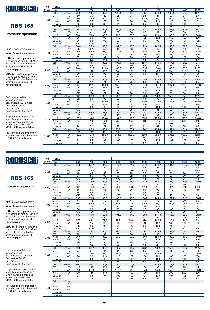

### Pressure operation

Nsof: Blower absrbed power

Nmot: Advised motor power

Lp(A) sc: Sound pressure level in accordance with ISO 3746 in a free field at 1m without noise enclosure and with sound insulated pipes

Lp(A) cc: Sound pressure level in accordance with ISO 3746 in a free field at 1m without noise enclosure and with sound insulated pipes

Performances related to atmospheric air: abs. pressure 1,013 mbar Temperature 20° C Humidity 50% Specific weight 1.2 kg/m 3

For performances with gases other than atmospheric air or at non-standard conditions contact your Authorized ROBUSCHI representative

Tolerance on performances: in accordance with the Robuschi TE1.S.0015 specification

| <b>DP</b> | Poles           |                |                 | 6               | 4               |                 |                 |       |       |                 |       |       |
|-----------|-----------------|----------------|-----------------|-----------------|-----------------|-----------------|-----------------|-------|-------|-----------------|-------|-------|
| (mbar)    | rpm             |                | 650             | 700             | 800             | 900             | 1000            | 1100  | 1200  | 1300            | 1400  | 1500  |
|           | Q1              | $m^3/m$ in     | 72,6            | 79,4            | 92,9            | 106.4           | 119.9           | 133.4 | 146.9 | 160.4           | 173,9 | 187.4 |
|           | DT              | $\overline{C}$ | 30              | 30              | 29              | 28              | 28              | 28    | 27    | 27              | 27    | 27    |
| 300       | Nsof            | kW             | 50.4            | 54,3            | 62,0            | 69,8            | 77,5            | 85,3  | 93,0  | 100,8           | 108,5 | 116.3 |
|           | Nmot            | kW             | 75              | 75              | 75              | 90              | 90              | 110   | 110   | 110             | 132   | 132   |
|           | $Lp(A)$ sc      |                | 85              | 86              | 89              | $\overline{91}$ | 93              | 95    | 97    | 98              | 100   | 101   |
|           | $Lp(A)$ cc      |                | $\overline{50}$ | $70$            | $70$            | $70$            | 71              | 73    | 75    | $\overline{76}$ | 78    | 79    |
|           | Q1              | $m^3/m$ in     | 70,3            | 77,1            | 90,6            | 104,1           | 117,6           | 131,1 | 144,6 | 158,1           | 171,6 | 185,1 |
|           | DT              | $\overline{C}$ | 41              | 41              | 39              | 39              | 38              | 37    | 37    | 37              | 36    | 36    |
| 400       | Nsof            | kW             | 65,0            | 70,0            | 80,0            | 90,0            | 100,0           | 110,0 | 120,0 | 130,0           | 140,0 | 150,0 |
|           | Nmot            | kW             | 75              | 90              | 90              | 110             | 110             | 132   | 132   | 160             | 160   | 200   |
|           | $Lp(A)$ sc      |                | 86              | 88              | 90              | 92              | 94              | 96    | 98    | 100             | 101   | 102   |
|           | $Lp(A)$ cc      |                | $70$            | $70$            | $\overline{50}$ | 70              | 72              | 74    | 76    | 78              | 79    | 80    |
|           | Q <sub>1</sub>  | $m^3/m$ in     | 68,3            | 75,0            | 88,5            | 102,0           | 115,5           | 129,0 | 142,5 | 156,0           | 169,5 | 183,0 |
|           | DT              | ℃              | 53              | 52              | 50              | 49              | 48              | 48    | 47    | 46              | 46    | 46    |
| 500       | Nsof            | kW             | 79,6            | 85,8            | 98,0            | 110,3           | 122,5           | 134,8 | 147,0 | 159,3           | 171,5 | 183,8 |
|           | Nmot            | kW             | 90              | 110             | 110             | 132             | 160             | 160   | 160   | 200             | 200   | 200   |
|           | $Lp(A)$ sc      |                | 87              | 89              | 92              | 94              | 96              | 98    | 99    | 101             | 102   | 104   |
|           | $Lp(A)$ cc      |                | $\overline{50}$ | $70$            | $70$            | 72              | 74              | 76    | 77    | 79              | 80    | 82    |
|           | $\overline{Q1}$ | $m^3/m$ in     | 66,4            | 73,1            | 86,6            | 100,1           | 113,6           | 127.1 | 140,6 | 154,1           | 167,6 | 181,1 |
|           | DT              | $\overline{C}$ | 66              | 64              | 62              | 60              | 59              | 58    | 57    | 56              | 56    | 55    |
| 600       | Nsof            | kW             | 94,3            | 101,5           | 116,0           | 130,5           | 145,0           | 159,5 | 174,0 | 188,5           | 203,0 | 217,5 |
|           | Nmot            | kW             | 110             | 110             | 132             | 160             | 160             | 200   | 200   | 250             | 250   | 250   |
|           | $Lp(A)$ sc      |                | 89              | 90              | 93              | 95              | 97              | 99    | 101   | 102             | 104   | 105   |
|           | $Lp(A)$ cc      |                | $70$            | $70$            | 71              | 73              | 75              | 77    | 79    | 80              | 82    | 83    |
|           | Q1              | $m^3/m$ in     | 64,7            | 71,4            | 84,9            | 98,4            | 111.9           | 125,4 | 138,9 | 152,4           | 165,9 | 179,4 |
|           | DT              | °C             | 78              | 77              | 74              | 71              | 70              | 68    | 67    | 67              | 66    | 65    |
| 700       | Nsof            | kW             | 108,9           | 117,3           | 134,0           | 150.8           | 167,5           | 184,3 | 201,0 | 217,8           | 234,5 | 251,3 |
|           | Nmot            | kW             | 132             | 132             | 160             | 200             | 200             | 200   | 250   | 250             | 315   | 315   |
|           | $Lp(A)$ sc      |                | 90              | 92              | 94              | 96              | 98              | 100   | 102   | 104             | 105   | 106   |
|           | $Lp(A)$ cc      |                | $70$            | $70$            | 72              | 74              | 76              | 78    | 80    | 82              | 83    | 84    |
|           | Q1              | $m^3/m$ in     | 63.1            | 69,8            | 83,3            | 96,8            | 110.3           | 123.8 | 137.3 | 150,8           | 164,3 | 177,8 |
|           | DT              | $\overline{C}$ | 92              | 89              | 86              | 83              | 81              | 79    | 78    | 77              | 76    | 75    |
| 800       | Nsof            | kW             | 123,5           | 133,0           | 152,0           | 171,0           | 190,0           | 209,0 | 228,0 | 247,0           | 266,0 | 285,0 |
|           | Nmot            | kW             | 160             | 160             | 200             | 200             | 250             | 250   | 250   | 315             | 315   | 315   |
|           | $Lp(A)$ sc      |                | 91              | 93              | 95              | 98              | 100             | 102   | 103   | 105             | 106   | 108   |
|           | $Lp(A)$ cc      |                | $\overline{50}$ | $\overline{71}$ | $\overline{73}$ | $\overline{76}$ | 78              | 80    | 81    | 83              | 84    | 85    |
|           | Q <sub>1</sub>  | $m^3/m$ in     | 61.6            | 68,3            | 81,8            | 95.3            | 108.8           | 122.3 | 135.8 | 149,3           | 162,8 | 176,3 |
|           | DT              | $\overline{C}$ | 106             | 103             | 98              | 95              | 92              | 90    | 89    | 87              | 86    | 85    |
| 900       | Nsof            | kW             | 138,1           | 148,8           | 170,0           | 191,3           | 212,5           | 233,8 | 255,0 | 276,3           | 297,5 | 318,8 |
|           | Nmot            | kW             | 160             | 200             | 200             | 250             | 250             | 315   | 315   | 315             | 355   | 355   |
|           | $Lp(A)$ sc      |                | 92              | 94              | 96              | 99              | 101             | 103   | 104   | 106             | 107   | 109   |
|           | $Lp(A)$ cc      |                | $\overline{70}$ | $\overline{72}$ | 74              | $\overline{77}$ | $\overline{79}$ | 81    | 82    | 84              | 85    | 85    |
|           | Q1              | $m^3/m$ in     | 60.2            | 66,9            | 80.4            | 93.9            | 107.4           | 120.9 | 134,4 | 147.9           | 161.4 | 174,9 |
|           | DT              | ℃              | 121             | 117             | 111             | 107             | 104             | 101   | 100   | 98              | 97    | 96    |
| 1000      | <b>Nsof</b>     | kW             | 152,8           | 164,5           | 188,0           | 211,5           | 235,0           | 258,5 | 282,0 | 305,5           | 329,0 | 352,5 |
|           | Nmot            | kW             | 200             | 200             | 250             | 250             | 315             | 315   | 315   | 355             | 400   | 400   |
|           | $Lp(A)$ sc      |                | 93              | 95              | 98              | 100             | 102             | 104   | 105   | 107             | 108   | 110   |
|           | $Lp(A)$ cc      |                | 71              | 73              | 76              | 78              | 80              | 82    | 83    | 85              | 85    | 85    |

4

4

6

6

## ROBUSCH

### **RBS 165**

#### Vacuum operation

Nsof: Blower absrbed power

Nmot: Advised motor power

Lp(A) sc: Sound pressure level in accordance with ISO 3746 in a free field at 1m without noise enclosure and with sound insulated pipes

Lp(A) cc: Sound pressure level in accordance with ISO 3746 in a free field at 1m without noise enclosure and with sound insulated pipes

Performances related to atmospheric air: abs. pressure 1,013 mbar Temperature 20° C Humidity 50% Specific weight 1.2 kg/m 3

For performances with gases other than atmospheric air or at non-standard conditions contact your Authorized ROBUSCHI representative

| <b>DP</b> | Poles       |                        |                       | 6                     |                       |                 |                 |                 | 4           |                  |           |           |
|-----------|-------------|------------------------|-----------------------|-----------------------|-----------------------|-----------------|-----------------|-----------------|-------------|------------------|-----------|-----------|
| (mbar)    | rpm         |                        | 650                   | 700                   | 800                   | 900             | 1000            | 1100            | 1200        | 1300             | 1400      | 1500      |
|           | Q1          | $m^3/m$ in             | 74,0                  | 80,7                  | 94,2                  | 107,7           | 121,2           | 134,7           | 148.2       | 161,7            | 175,2     | 188,7     |
|           | DT          | $\overline{C}$         | 24                    | 24                    | 24                    | 23              | 23              | 23              | 23          | 22               | 22        | 22        |
| 200       | Nsof        | kW                     | 35,8                  | 38,5                  | 44.0                  | 49.5            | 55.0            | 60.5            | 66.0        | 71,5             | 77,0      | 82.5      |
|           | Nmot        | kW                     | 45                    | 45                    | 55                    | 75              | 75              | 75              | 75          | 90               | 90        | 90        |
|           | $Lp(A)$ sc  |                        | 84                    | 85                    | 88                    | 90              | 92              | 94              | 96          | 97               | 99        | 100       |
|           | $Lp(A)$ cc  |                        | $\overline{570}$      | $70$                  | $70$                  | $70$            | 70              | 72              | 74          | 75               | 77        | 78        |
|           | Q1          | m <sup>3</sup> /min    | 71,9                  | 78,6                  | 92,1                  | 105,6           | 119,1           | 132,6           | 146,1       | 159,6            | 173,1     | 186,6     |
|           | DT          | $\overline{C}$         | 33                    | 33                    | 32                    | 32              | 31              | 31              | 30          | 30               | 30        | 30        |
| 250       | Nsof        | kW                     | 43,1                  | 46,4                  | 53,0                  | 59,6            | 66,3            | 72,9            | 79,5        | 86,1             | 92,8      | 99,4      |
|           | Nmot        | kW                     | 55                    | 55                    | 75                    | 75              | 75              | 90              | 90          | 110              | 110       | 110       |
|           | $Lp(A)$ sc  |                        | 85                    | 86                    | 89                    | $\overline{91}$ | 93              | 95              | 97          | 99               | 100       | 101       |
|           | $Lp(A)$ cc  |                        | $\overline{50}$       | $70$                  | $\overline{570}$      | $\overline{50}$ | $\overline{71}$ | $\overline{73}$ | 75          | $\overline{77}$  | 78        | 79        |
|           | Q1          | $m^3/m$ in             | 69,7                  | 76,5                  | 90,0                  | 103.5           | 117,0           | 130,5           | 144,0       | 157,5            | 171,0     | 184,5     |
|           | DT          | °C                     | 44                    | 44                    | 42                    | 41              | 41              | 40              | 40          | 39               | 39        | 39        |
| 300       | Nsof        | kW                     | 50,4                  | 54,3                  | 62,0                  | 69,8            | 77,5            | 85,3            | 93,0        | 100,8            | 108,5     | 116,3     |
|           | Nmot        | kW                     | 75                    | 75                    | 75                    | 90              | 90              | 110             | 110         | 110              | 132       | 132       |
|           | $Lp(A)$ sc  |                        | 86                    | 88                    | 91                    | 93              | 95              | 97              | 98          | 100              | 101       | 103       |
|           | $Lp(A)$ cc  |                        | $\overline{50}$       | $\overline{50}$       | $70$                  | $\overline{71}$ | $\overline{73}$ | 75              | 76          | 78               | 79        | 81        |
|           | Q1          | $m^3/m$ in             | 67,6                  | 74,3                  | 87,8                  | 101,3           | 114,8           | 128,3           | 141,8       | 155,3            | 168,8     | 182,3     |
|           | DT          | $\overline{C}$         | 57                    | 56                    | 54                    | 53              | 52              | 51              | 50          | 50               | 49        | 49        |
| 350       | Nsof        | kW                     | 57,7                  | 62,1                  | 71,0                  | 79,9            | 88,8            | 97,6            | 106,5       | 115,4            | 124,3     | 133,1     |
|           | Nmot        | kW                     | 75                    | $\overline{75}$       | 90                    | 90              | 110             | 110             | 132         | $\overline{132}$ | 160       | 160       |
|           | $Lp(A)$ sc  |                        | 88                    | 89                    | $\overline{92}$       | 94              | 96              | 98              | 100         | 102              | 103       | 104       |
|           | $Lp(A)$ cc  |                        | $\overline{570}$      | $\overline{50}$       | 70                    | $\overline{72}$ | $\overline{74}$ | $\overline{76}$ | 78          | 80               | 81        | 82        |
|           | Q1          | $m^3/m$ in             | 65,3                  | 72,1                  | 85,6                  | 99,1            | 112,6           | 126,1           | 139,6       | 153,1            | 166,6     | 180,1     |
|           | DT          | $\overline{C}$         | 73                    | 72                    | 69                    | 67              | 66              | 64              | 63          | 63               | 62        | 61        |
| 400       | Nsof        | kW                     | 65,0                  | 70,0                  | 80,0                  | 90,0            | 100,0           | 110,0           | 120,0       | 130,0            | 140,0     | 150,0     |
|           | Nmot        | kW                     | 75                    | 90                    | 90                    | 110             | 110             | 132             | 132         | 160              | 160       | 200       |
|           | $Lp(A)$ sc  |                        | 90<br>$\overline{50}$ | 91<br>$\overline{50}$ | 94<br>$\overline{72}$ | 96<br>74        | 98<br>76        | 100             | 102         | 103              | 105<br>83 | 106<br>84 |
|           | $Lp(A)$ cc  | $m^3/m$ in             | 62,9                  | 69,7                  | 83,2                  | 96.7            | 110.2           | 78<br>123,7     | 80<br>137,2 | 81<br>150,7      | 164,2     | 177,7     |
|           | Q1<br>DT    | $\overline{\text{°C}}$ | 93                    | 91                    | 87                    | 84              | 82              | 80              | 79          | 78               | 77        | 76        |
|           | <b>Nsof</b> | kW                     | 72,3                  | 77,9                  | 89,0                  | 100,1           | 111,3           | 122,4           | 133,5       | 144,6            | 155,8     | 166,9     |
| 450       | Nmot        | kW                     | 90                    | 90                    | 110                   | 110             | 132             | 160             | 160         | 160              | 200       | 200       |
|           | $Lp(A)$ sc  |                        | 91                    | 93                    | 95                    | 98              | 100             | 102             | 103         | 105              | 106       | 108       |
|           | $Lp(A)$ cc  |                        | $\overline{570}$      | 71                    | $\overline{73}$       | 76              | $\overline{78}$ | 80              | 81          | 83               | 84        | 85        |
|           | Q1          | m <sup>3</sup> /min    | 60.4                  | 67,1                  | 80,6                  | 94,1            | 107,6           | 121.1           | 134,6       | 148,1            | 161,6     | 175,1     |
|           | DT          | $\overline{C}$         | 119                   | 115                   | 109                   | 105             | 102             | 100             | 98          | 97               | 95        | 94        |
|           | Nsof        | kW                     | 79,6                  | 85,8                  | 98,0                  | 110,3           | 122,5           | 134,8           | 147,0       | 159,3            | 171,5     | 183,8     |
| 500       | Nmot        | kW                     | 90                    | 110                   | 110                   | 132             | 160             | 160             | 160         | 200              | 200       | 200       |
|           | $Lp(A)$ sc  |                        | 93                    | 95                    | 97                    | 100             | 102             | 104             | 105         | 107              | 108       | 110       |
|           | $Lp(A)$ cc  |                        | 71                    | $\overline{73}$       | $\overline{75}$       | 78              | 80              | $\overline{82}$ | 83          | 85               | 85        | 85        |
|           | Q1          | $m^3/m$ in             |                       |                       |                       |                 |                 |                 |             |                  |           |           |
|           | DT          | °C                     |                       |                       |                       |                 |                 |                 |             |                  |           |           |
|           | Nsof        | kW                     |                       |                       |                       |                 |                 |                 |             |                  |           |           |
| 550       | Nmot        | kW                     |                       |                       |                       |                 |                 |                 |             |                  |           |           |
|           | $Lp(A)$ sc  |                        |                       |                       |                       |                 |                 |                 |             |                  |           |           |
|           | $Lp(A)$ cc  |                        |                       |                       |                       |                 |                 |                 |             |                  |           |           |
|           |             |                        |                       |                       |                       |                 |                 |                 |             |                  |           |           |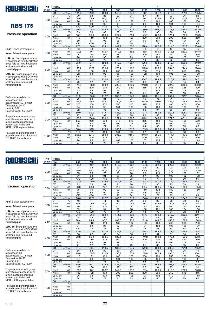

### Pressure operation

Nsof: Blower absrbed power

Nmot: Advised motor power

Lp(A) sc: Sound pressure level in accordance with ISO 3746 in a free field at 1m without noise enclosure and with sound insulated pipes

Lp(A) cc: Sound pressure level in accordance with ISO 3746 in a free field at 1m without noise enclosure and with sound insulated pipes

Performances related to atmospheric air: abs. pressure 1,013 mbar Temperature 20° C Humidity 50% Specific weight 1.2 kg/m 3

For performances with gases other than atmospheric air or at non-standard conditions contact your Authorized ROBUSCHI representative

Tolerance on performances: in accordance with the Robuschi TE1.S.0015 specification

| <b>DP</b> | Poles          |                     |                  | 6               |       |       |       |       | 4     |       |       |       |
|-----------|----------------|---------------------|------------------|-----------------|-------|-------|-------|-------|-------|-------|-------|-------|
| (mbar)    | rpm            |                     | 650              | 700             | 800   | 900   | 1000  | 1100  | 1200  | 1300  | 1400  | 1500  |
|           | Q1             | $m^3/m$ in          | 101.6            | 110.7           | 128.8 | 146,9 | 165.0 | 183.1 | 201.2 | 219.3 | 237,4 | 255,5 |
|           | DT             | $\overline{C}$      | 29               | 28              | 28    | 27    | 27    | 27    | 27    | 27    | 26    | 26    |
|           | Nsof           | kW                  | 68,6             | 73,9            | 84,4  | 95,0  | 105,5 | 116.1 | 126,6 | 137,2 | 147,7 | 158,3 |
| 300       | Nmot           | kW                  | 90               | 90              | 110   | 110   | 132   | 132   | 160   | 160   | 160   | 200   |
|           | $Lp(A)$ sc     |                     | 88               | 89              | 92    | 94    | 96    | 98    | 100   | 101   | 103   | 104   |
|           | $Lp(A)$ cc     |                     | $70$             | $70$            | $70$  | 72    | 74    | 76    | 78    | 79    | 81    | 82    |
|           | Q <sub>1</sub> | m <sup>3</sup> /min | 99,2             | 108,2           | 126,3 | 144,4 | 162,5 | 180,6 | 198,7 | 216,8 | 234,9 | 253,0 |
|           | DT             | $\overline{C}$      | 39               | 39              | 38    | 37    | 37    | 36    | 36    | 36    | 36    | 35    |
|           | Nsof           | kW                  | 88,2             | 95,0            | 108,5 | 122,1 | 135,7 | 149.2 | 162,8 | 176,4 | 189,9 | 203,5 |
| 400       | Nmot           | kW                  | 110              | 110             | 132   | 160   | 160   | 200   | 200   | 200   | 250   | 250   |
|           | $Lp(A)$ sc     |                     | 89               | 91              | 93    | 95    | 97    | 99    | 101   | 103   | 104   | 105   |
|           | $Lp(A)$ cc     |                     | $70$             | $70$            | 71    | 73    | 75    | 77    | 79    | 81    | 82    | 83    |
|           | Q <sub>1</sub> | $m^3/m$ in          | 97,0             | 106,0           | 124,1 | 142.2 | 160,3 | 178,4 | 196,5 | 214,6 | 232,7 | 250,8 |
|           | DT             | ℃                   | 50               | 49              | 48    | 47    | 47    | 46    | 46    | 45    | 45    | 45    |
|           | Nsof           | kW                  | 107,8            | 116,1           | 132,7 | 149,3 | 165,8 | 182,4 | 199,0 | 215,6 | 232,2 | 248,8 |
| 500       | Nmot           | kW                  | 132              | 132             | 160   | 200   | 200   | 200   | 250   | 250   | 315   | 315   |
|           | $Lp(A)$ sc     |                     | 90               | 92              | 95    | 97    | 99    | 101   | 102   | 104   | 105   | 107   |
|           | $Lp(A)$ cc     |                     | $\overline{570}$ | $70$            | 73    | 75    | 77    | 79    | 80    | 82    | 83    | 85    |
|           | Q <sub>1</sub> | $m^3/m$ in          | 95,0             | 104,1           | 122,2 | 140,3 | 158,4 | 176,5 | 194,6 | 212,7 | 230,8 | 248,9 |
|           | DT             | $\overline{C}$      | 61               | 60              | 59    | 58    | 57    | 56    | 55    | 55    | 54    | 54    |
| 600       | Nsof           | kW                  | 127,4            | 137,2           | 156,8 | 176,4 | 196,0 | 215,6 | 235,2 | 254,8 | 274,4 | 294,0 |
|           | Nmot           | kW                  | 160              | 160             | 200   | 200   | 250   | 250   | 315   | 315   | 315   | 355   |
|           | $Lp(A)$ sc     |                     | 92               | 93              | 96    | 98    | 100   | 102   | 104   | 105   | 107   | 108   |
|           | $Lp(A)$ cc     |                     | $70$             | 71              | 74    | 76    | 78    | 80    | 82    | 83    | 85    | 85    |
|           | Q <sub>1</sub> | $m^3/m$ in          | 93,2             | 102,3           | 120.4 | 138,5 | 156,6 | 174.7 | 192.8 | 210,9 | 229,0 | 247,1 |
|           | DT             | °C                  | 73               | 72              | 70    | 68    | 67    | 66    | 65    | 65    | 64    | 64    |
| 700       | Nsof           | kW                  | 147,0            | 158,3           | 180.9 | 203,6 | 226,2 | 248,8 | 271,4 | 294,0 | 316,6 | 339,3 |
|           | Nmot           | kW                  | 160              | 200             | 200   | 250   | 250   | 315   | 315   | 355   | 355   | 400   |
|           | $Lp(A)$ sc     |                     | 93               | 95              | 97    | 99    | 101   | 103   | 105   | 107   | 108   | 109   |
|           | $Lp(A)$ cc     |                     | 71               | 73              | 75    | 77    | 79    | 81    | 83    | 85    | 85    | 85    |
|           | Q <sub>1</sub> | $m^3/m$ in          | 91,5             | 100,6           | 118,7 | 136,8 | 154,9 | 173,0 | 191,1 | 209,2 | 227,3 | 245,4 |
|           | DT             | °C                  | 85               | 83              | 81    | 79    | 77    | 76    | 75    | 74    | 74    | 73    |
| 800       | Nsof           | kW                  | 166,6            | 179,4           | 205,1 | 230,7 | 256,3 | 282,0 | 307,6 | 333,2 | 358,9 | 384,5 |
|           | Nmot           | kW                  | 200              | 200             | 250   | 250   | 315   | 315   | 355   | 400   | 400   | 450   |
|           | $Lp(A)$ sc     |                     | 94               | 96              | 98    | 101   | 103   | 105   | 106   | 108   | 109   | 111   |
|           | $Lp(A)$ cc     |                     | $\overline{72}$  | $\overline{74}$ | 76    | 79    | 81    | 83    | 84    | 85    | 85    | 85    |
|           | Q <sub>1</sub> | $m^3/m$ in          | 89,9             | 99,0            | 117.1 | 135.2 | 153.3 | 171.4 | 189.5 | 207.6 | 225.7 | 243,8 |
|           | DT             | $\overline{C}$      | 97               | 95              | 92    | 90    | 88    | 86    | 85    | 84    | 84    | 83    |
| 900       | Nsof           | kW                  | 186,2            | 200,6           | 229,2 | 257,9 | 286,5 | 315,2 | 343,8 | 372,5 | 401,1 | 429,8 |
|           | Nmot           | kW                  | 250              | 250             | 250   | 315   | 315   | 355   | 400   | 450   | 450   | 500   |
|           | $Lp(A)$ sc     |                     | 95               | 97              | 99    | 102   | 104   | 106   | 107   | 109   | 110   | 112   |
|           | $Lp(A)$ cc     |                     | $\overline{73}$  | 75              | 77    | 80    | 82    | 84    | 85    | 85    | 85    | 85    |
|           | Q <sub>1</sub> | $m^3/m$ in          | 88.4             | 97,5            | 115.6 | 133.7 | 151.8 | 169.9 | 188.0 | 206.1 | 224,2 | 242,3 |
|           | DT             | ℃                   | 110              | 107             | 104   | 101   | 99    | 97    | 95    | 94    | 93    | 93    |
| 1000      | Nsof           | kW                  | 205,8            | 221,7           | 253,3 | 285,0 | 316,7 | 348,3 | 380,0 | 411,7 | 443,3 | 475,0 |
|           | Nmot           | kW                  | 250              | 250             | 315   | 315   | 355   | 400   | 450   | 450   | 500   | 500   |
|           | $Lp(A)$ sc     |                     | 96               | 98              | 101   | 103   | 105   | 107   | 108   | 110   | 111   | 113   |
|           | $Lp(A)$ cc     |                     | 74               | 76              | 79    | 81    | 83    | 85    | 85    | 85    | 85    | 85    |

4

4

6

6

# ROBUSCH

DP Poles

### **RBS 175**

#### Vacuum operation

Nsof: Blower absrbed power

Nmot: Advised motor power

Lp(A) sc: Sound pressure level in accordance with ISO 3746 in a free field at 1m without noise enclosure and with sound insulated pipes

Lp(A) cc: Sound pressure level in accordance with ISO 3746 in a free field at 1m without noise enclosure and with sound insulated pipes

Performances related to atmospheric air: abs. pressure 1,013 mbar Temperature 20° C Humidity 50% Specific weight 1.2 kg/m 3

For performances with gases other than atmospheric air or at non-standard conditions contact your Authorized ROBUSCHI representative

| (mbar) | rpm                          | 650              | 700              | 800              | 900             | 1000            | 1100            | 1200  | 1300  | 1400  | 1500            |
|--------|------------------------------|------------------|------------------|------------------|-----------------|-----------------|-----------------|-------|-------|-------|-----------------|
|        | Q1<br>$m^3/m$ in             | 103.1            | 112,1            | 130.2            | 148.3           | 166,4           | 184,5           | 202,6 | 220.7 | 238,8 | 256,9           |
|        | DT<br>$\overline{\text{°C}}$ | 24               | 23               | 23               | 23              | 22              | 22              | 22    | 22    | 22    | $\overline{22}$ |
|        | kW<br><b>Nsof</b>            | 49,0             | 52,7             | 60,3             | 67,8            | 75,3            | 82,9            | 90,4  | 97,9  | 105,5 | 113,0           |
| 200    | kW<br>Nmot                   | 55               | 75               | 75               | 90              | 90              | 90              | 110   | 110   | 132   | 132             |
|        | $Lp(A)$ sc                   | 87               | 88               | 91               | 93              | 95              | 97              | 99    | 100   | 102   | 103             |
|        | $Lp(A)$ cc                   | $\overline{570}$ | $\overline{570}$ | $\overline{570}$ | 71              | 73              | 75              | 77    | 78    | 80    | 81              |
|        | $m^3/m$ in<br>Q1             | 100,8            | 109,9            | 128,0            | 146,1           | 164,2           | 182,3           | 200,4 | 218,5 | 236,6 | 254,7           |
|        | $\overline{C}$<br>DT         | 32               | 32               | 31               | 31              | 30              | 30              | 30    | 30    | 29    | $\overline{29}$ |
|        | Nsof<br>kW                   | 58,8             | 63,3             | 72,3             | 81,4            | 90,4            | 99,5            | 108,5 | 117,5 | 126,6 | 135,6           |
| 250    | kW<br>Nmot                   | 75               | 75               | 90               | 90              | 110             | 110             | 132   | 132   | 160   | 160             |
|        | $Lp(A)$ sc                   | $\overline{88}$  | 89               | 92               | 94              | 96              | 98              | 100   | 102   | 103   | 104             |
|        | $Lp(A)$ cc                   | $\overline{570}$ | $\overline{50}$  | $\overline{70}$  | $\overline{72}$ | 74              | $\overline{76}$ | 78    | 80    | 81    | 82              |
|        | $m^3/m$ in<br>Q1             | 98,6             | 107,6            | 125,7            | 143,8           | 161,9           | 180,0           | 198,1 | 216,2 | 234,3 | 252,4           |
|        | $\overline{C}$<br>DT         | 42               | 41               | 41               | 40              | 39              | 39              | 39    | 38    | 38    | 38              |
| 300    | kW<br>Nsof                   | 68,6             | 73,9             | 84,4             | 95,0            | 105,5           | 116,1           | 126,6 | 137,2 | 147,7 | 158,3           |
|        | kW<br>Nmot                   | 90               | 90               | 110              | 110             | 132             | 132             | 160   | 160   | 160   | 200             |
|        | $Lp(A)$ sc                   | 89               | 91               | 94               | 96              | 98              | 100             | 101   | 103   | 104   | 106             |
|        | $Lp(A)$ cc                   | $70$             | $\overline{50}$  | $\overline{72}$  | 74              | 76              | 78              | 79    | 81    | 82    | 84              |
|        | $m^3/m$ in<br>Q1             | 96,3             | 105,3            | 123,4            | 141,5           | 159,6           | 177,7           | 195,8 | 213,9 | 232,0 | 250,1           |
|        | $\overline{C}$<br>DT         | 54               | 53               | 52               | 51              | 50              | 50              | 49    | 49    | 48    | 48              |
| 350    | kW<br>Nsof                   | 78,4             | 84,4             | 96,5             | 108,5           | 120,6           | 132,6           | 144,7 | 156,8 | 168,8 | 180,9           |
|        | kW<br>Nmot                   | 90               | 110              | $110$            | 132             | 132             | 160             | 160   | 200   | 200   | 200             |
|        | $Lp(A)$ sc                   | $\overline{91}$  | 92               | 95               | 97              | 99              | 101             | 103   | 105   | 106   | 107             |
|        | $Lp(A)$ cc                   | $\overline{570}$ | 70               | 73               | 75              | $\overline{77}$ | 79              | 81    | 83    | 84    | 85              |
|        | Q1<br>$m^3/m$ in             | 93,9             | 102,9            | 121,0            | 139,1           | 157,2           | 175,3           | 193,4 | 211,5 | 229,6 | 247,7           |
|        | $\overline{C}$<br>DT         | 68               | 67               | 65               | 64              | 63              | 62              | 61    | 61    | 60    | 60              |
| 400    | kW<br>Nsof                   | 88,2             | 95,0             | 108,5            | 122,1           | 135,7           | 149,2           | 162,8 | 176,4 | 189,9 | 203,5           |
|        | kW<br>Nmot                   | 110              | 110              | 132              | 160             | 160             | 200             | 200   | 200   | 250   | 250             |
|        | $Lp(A)$ sc                   | 93               | 94               | 97               | 99              | 101             | 103             | 105   | 106   | 108   | 109             |
|        | $Lp(A)$ cc                   | 71               | 72               | 75               | 77              | 79              | 81              | 83    | 84    | 85    | 85              |
|        | Q <sub>1</sub><br>$m^3/m$ in | 91.4             | 100,4            | 118,5            | 136,6           | 154,7           | 172,8           | 190.9 | 209,0 | 227,1 | 245,2           |
|        | $\overline{\text{c}}$<br>DT  | 86               | 84               | 82               | 80              | 78              | 77              | 76    | 75    | 75    | 74              |
| 450    | kW<br><b>Nsof</b>            | 98,0             | 105,5            | 120,6            | 135,7           | 150,8           | 165,8           | 180,9 | 196,0 | 211,1 | 226,1           |
|        | kW<br>Nmot                   | 110              | 132              | 132              | 160             | 200             | 200             | 200   | 250   | 250   | 250             |
|        | $Lp(A)$ sc                   | 94               | 96               | 98               | 101             | 103             | 105             | 106   | 108   | 109   | 111             |
|        | $Lp(A)$ cc                   | 72               | 74               | 76               | 79              | 81              | 83              | 84    | 85    | 85    | 85              |
|        | Q1<br>m <sup>3</sup> /min    | 88,6             | 97.7             | 115.8            | 133.9           | 152.0           | 170.1           | 188.2 | 206.3 | 224,4 | 242.5           |
|        | $\overline{\text{°C}}$<br>DT | 108              | 106              | 102              | 99              | 97              | 96              | 94    | 93    | 92    | 91              |
| 500    | kW<br>Nsof                   | 107,8            | 116,1            | 132,7            | 149,3           | 165,8           | 182,4           | 199,0 | 215,6 | 232,2 | 248,8           |
|        | kW<br>Nmot                   | 132              | 132              | 160              | 200             | 200             | 200             | 250   | 250   | 315   | 315             |
|        | $Lp(A)$ sc                   | 96               | 98               | 100              | 103             | 105             | 107             | 108   | 110   | 111   | 113             |
|        | $Lp(A)$ cc                   | 74               | 76               | 78               | 81              | 83              | 85              | 85    | 85    | 85    | 85              |
|        | Q1<br>$m^3/m$ in             |                  |                  |                  |                 |                 |                 |       |       |       |                 |
|        | $\overline{C}$<br>DT         |                  |                  |                  |                 |                 |                 |       |       |       |                 |
| 550    | kW<br>Nsof                   |                  |                  |                  |                 |                 |                 |       |       |       |                 |
|        | kW<br>Nmot                   |                  |                  |                  |                 |                 |                 |       |       |       |                 |
|        | $Lp(A)$ sc                   |                  |                  |                  |                 |                 |                 |       |       |       |                 |
|        | $Lp(A)$ cc                   |                  |                  |                  |                 |                 |                 |       |       |       |                 |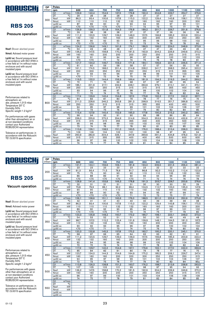

#### Pressure operation

Nsof: Blower absrbed power

Nmot: Advised motor power

Lp(A) sc: Sound pressure level in accordance with ISO 3746 in a free field at 1m without noise enclosure and with sound insulated pipes

Lp(A) cc: Sound pressure level in accordance with ISO 3746 in a free field at 1m without noise enclosure and with sound insulated pipes

Performances related to atmospheric air: abs. pressure 1,013 mbar Temperature 20° C Humidity 50% Specific weight 1.2 kg/m 3

For performances with gases other than atmospheric air or at non-standard conditions contact your Authorized ROBUSCHI representative

Tolerance on performances: in accordance with the Robuschi TE1.S.0015 specification

| Poles<br>6<br><b>DP</b> |                |                |                 |                 |                 |                 | 4               |       |       |       |       |       |
|-------------------------|----------------|----------------|-----------------|-----------------|-----------------|-----------------|-----------------|-------|-------|-------|-------|-------|
| (mbar)                  | rpm            |                | 600             | 650             | 700             | 750             | 800             | 850   | 900   | 1000  | 1100  | 1200  |
|                         | Q1             | $m^3/m$ in     | 129.9           | 142.4           | 154.9           | 167.3           | 179.8           | 192.3 | 204.8 | 229.7 | 254.7 | 279.6 |
|                         | DT             | $\overline{C}$ | 29              | 28              | 28              | 28              | 28              | 27    | 27    | 27    | 27    | 27    |
|                         | Nsof           | kW             | 86,3            | 93,4            | 100.6           | 107,8           | 115,0           | 122,2 | 129,4 | 143,8 | 158.1 | 172.5 |
| 300                     | Nmot           | kW             | 110             | 110             | 110             | 132             | 132             | 160   | 160   | 160   | 200   | 200   |
|                         | $Lp(A)$ sc     |                | 87              | 89              | 90              | 91              | 93              | 94    | 95    | 97    | 99    | 101   |
|                         | $Lp(A)$ cc     |                | $\overline{50}$ | $70$            | $70$            | $70$            | 71              | 72    | 73    | 75    | 77    | 79    |
|                         | Q1             | $m^3/m$ in     | 126,9           | 139,3           | 151,8           | 164,3           | 176,8           | 189.2 | 201.7 | 226,7 | 251,6 | 276,6 |
|                         | DT             | $\overline{C}$ | 39              | 38              | 38              | 38              | 37              | 37    | 37    | 36    | 36    | 36    |
|                         | Nsof           | kW             | 111,2           | 120,5           | 129,7           | 139,0           | 148.3           | 157,5 | 166,8 | 185,3 | 203,9 | 222,4 |
| 400                     | Nmot           | kW             | 132             | 132             | 160             | 160             | 200             | 200   | 200   | 250   | 250   | 250   |
|                         | $Lp(A)$ sc     |                | 89              | 90              | 92              | 93              | 94              | 95    | 96    | 98    | 100   | 102   |
|                         | $Lp(A)$ cc     |                | $\overline{50}$ | $70$            | $\overline{50}$ | 71              | 72              | 73    | 74    | 76    | 78    | 80    |
|                         | Q <sub>1</sub> | $m^3/m$ in     | 124,2           | 136,6           | 149,1           | 161,6           | 174,1           | 186,5 | 199,0 | 224,0 | 248,9 | 273,9 |
|                         | DT             | ℃              | 50              | 49              | 48              | 48              | 47              | 47    | 47    | 46    | 46    | 45    |
|                         | Nsof           | kW             | 136,2           | 147,5           | 158,8           | 170,2           | 181,5           | 192,9 | 204,2 | 226,9 | 249,6 | 272,3 |
| 500                     | Nmot           | kW             | 160             | 160             | 200             | 200             | 200             | 250   | 250   | 250   | 315   | 315   |
|                         | $Lp(A)$ sc     |                | 90              | 91              | 93              | 94              | 96              | 97    | 98    | 100   | 102   | 103   |
|                         | $Lp(A)$ cc     |                | $\overline{50}$ | $70$            | 71              | 72              | 74              | 75    | 76    | 78    | 80    | 81    |
|                         | Q <sub>1</sub> | $m^3/m$ in     | 121,7           | 134,2           | 146,7           | 159,2           | 171,6           | 184,1 | 196,6 | 221,5 | 246,5 | 271,4 |
|                         | DT             | $\overline{C}$ | 61              | 60              | 59              | 58              | 58              | 57    | 57    | 56    | 55    | 55    |
| 600                     | Nsof           | kW             | 161,1           | 174,5           | 188,0           | 201.4           | 214,8           | 228,2 | 241,7 | 268,5 | 295,4 | 322,2 |
|                         | Nmot           | kW             | 200             | 200             | 250             | 250             | 250             | 250   | 315   | 315   | 355   | 355   |
|                         | $Lp(A)$ sc     |                | 91              | 93              | 94              | 96              | 97              | 98    | 99    | 101   | 103   | 105   |
|                         | $Lp(A)$ cc     |                | $70$            | 71              | 72              | 74              | 75              | 76    | 77    | 79    | 81    | 83    |
|                         | Q <sub>1</sub> | $m^3/m$ in     | 119,5           | 132,0           | 144.4           | 156.9           | 169.4           | 181.9 | 194,3 | 219,3 | 244,2 | 269,2 |
|                         | DT             | °C             | 72              | 71              | 70              | 69              | 68              | 67    | 67    | 66    | 65    | 64    |
| 700                     | Nsof           | kW             | 186,1           | 201.6           | 217,1           | 232,6           | 248,1           | 263,6 | 279,1 | 310,1 | 341,1 | 372,1 |
|                         | Nmot           | kW             | 250             | 250             | 250             | 315             | 315             | 315   | 315   | 355   | 400   | 450   |
|                         | $Lp(A)$ sc     |                | 93              | 94              | 96              | 97              | 98              | 99    | 100   | 102   | 104   | 106   |
|                         | $Lp(A)$ cc     |                | 71              | 72              | 74              | 75              | 76              | 77    | 78    | 80    | 82    | 84    |
|                         | Q <sub>1</sub> | $m^3/m$ in     | 117.4           | 129,9           | 142.4           | 154,8           | 167.3           | 179.8 | 192.3 | 217.2 | 242,2 | 267,1 |
|                         | DT             | $\overline{C}$ | 84              | 83              | 81              | 80              | 79              | 78    | 77    | 76    | 75    | 74    |
| 800                     | Nsof           | kW             | 211.0           | 228,6           | 246,2           | 263,8           | 281.3           | 298,9 | 316,5 | 351.7 | 386,8 | 422,0 |
|                         | Nmot           | kW             | 250             | 250             | 315             | 315             | 315             | 355   | 355   | 400   | 450   | 500   |
|                         | $Lp(A)$ sc     |                | 94              | 95              | 97              | 98              | 99              | 101   | 102   | 104   | 106   | 107   |
|                         | $Lp(A)$ cc     |                | $\overline{72}$ | $\overline{73}$ | $\overline{75}$ | 76              | $\overline{77}$ | 79    | 80    | 82    | 84    | 85    |
|                         | Q <sub>1</sub> | $m^3/m$ in     | 115.4           | 127.9           | 140.4           | 152.9           | 165.3           | 177.8 | 190.3 | 215.2 | 240,2 | 265,1 |
|                         | DT             | $\overline{C}$ | 96              | 94              | 93              | 91              | 90              | 89    | 88    | 86    | 85    | 84    |
| 900                     | Nsof           | kW             | 236,0           | 255,6           | 275,3           | 294,9           | 314,6           | 334,3 | 353,9 | 393,3 | 432,6 | 471,9 |
|                         | Nmot           | kW             | 315             | 315             | 315             | 355             | 355             | 400   | 400   | 450   | 500   | 600   |
|                         | $Lp(A)$ sc     |                | 95              | 96              | 98              | 99              | 100             | 102   | 103   | 105   | 107   | 108   |
|                         | $Lp(A)$ cc     |                | $\overline{73}$ | $\overline{74}$ | 76              | $\overline{77}$ | 78              | 80    | 81    | 83    | 85    | 85    |
|                         | Q1             | $m^3/m$ in     | 113.6           | 126.1           | 138.5           | 151.0           | 163.5           | 176.0 | 188.4 | 213.4 | 238.3 | 263.3 |
|                         | DT             | ℃              | 109             | 106             | 104             | 102             | 101             | 100   | 98    | 97    | 95    | 94    |
| 1000                    | Nsof           | kW             | 260,9           | 282,6           | 304,4           | 326,1           | 347,9           | 369,6 | 391,4 | 434,8 | 478,3 | 521,8 |
|                         | Nmot           | kW             | 315             | 315             | 355             | 355             | 400             | 400   | 450   | 500   | 600   | 600   |
|                         | $Lp(A)$ sc     |                | 96              | 97              | 99              | 100             | 102             | 103   | 104   | 106   | 108   | 109   |
|                         | $Lp(A)$ cc     |                | 74              | 75              | 77              | 78              | 80              | 81    | 82    | 84    | 85    | 85    |

6

4

# ROBUSCH

### **RBS 205**

#### Vacuum operation

Nsof: Blower absrbed power

Nmot: Advised motor power

Lp(A) sc: Sound pressure level in accordance with ISO 3746 in a free field at 1m without noise enclosure and with sound insulated pipes

Lp(A) cc: Sound pressure level in accordance with ISO 3746 in a free field at 1m without noise enclosure and with sound insulated pipes

Performances related to atmospheric air: abs. pressure 1,013 mbar Temperature 20° C Humidity 50% Specific weight 1.2 kg/m 3

For performances with gases other than atmospheric air or at non-standard conditions contact your Authorized ROBUSCHI representative

| <b>DP</b> | Poles                    |                                       |                  |                  | 6               |                  |                 |                 | 4               |            |                 |                 |
|-----------|--------------------------|---------------------------------------|------------------|------------------|-----------------|------------------|-----------------|-----------------|-----------------|------------|-----------------|-----------------|
| (mbar)    | rpm                      |                                       | 600              | 650              | 700             | 750              | 800             | 850             | 900             | 1000       | 1100            | 1200            |
|           | Q1                       | $m^3/m$ in                            | 131.7            | 144.1            | 156.6           | 169.1            | 181.6           | 194.0           | 206.5           | 231.5      | 256,4           | 281.4           |
|           | DT                       | $\overline{\text{C}}$                 | $\overline{23}$  | $\overline{23}$  | $\overline{23}$ | $\overline{23}$  | 23              | 23              | 22              | 22         | $\overline{22}$ | $\overline{22}$ |
| 200       | <b>Nsof</b>              | kW                                    | 61,3             | 66,4             | 71,5            | 76,6             | 81,7            | 86,8            | 92,0            | 102,2      | 112,4           | 122,6           |
|           | Nmot                     | kW                                    | 75               | 75               | 90              | 90               | 90              | 110             | 110             | 132        | 132             | 160             |
|           | $Lp(A)$ sc               |                                       | 86               | 88               | 89              | 91               | 92              | 93              | 94              | 96         | 98              | 100             |
|           | $Lp(A)$ cc               |                                       | $70$             | $\overline{50}$  | $\overline{50}$ | $\overline{570}$ | $70$            | 71              | 72              | 74         | 76              | 78              |
|           | Q1                       | $m^3/m$ in                            | 128,9            | 141,4            | 153,8           | 166,3            | 178,8           | 191,3           | 203,7           | 228,7      | 253,6           | 278,6           |
|           | DT                       | $\overline{C}$                        | 32               | 31               | 31              | 31               | 31              | 30              | 30              | 30         | 30              | 29              |
| 250       | Nsof                     | kW                                    | 73,8             | 79,9             | 86,1            | 92,2             | 98,4            | 104,5           | 110.7           | 123,0      | 135,3           | 147,6           |
|           | Nmot                     | kW                                    | 90               | 90               | 110             | 110              | 110             | 132             | 132             | 160        | 160             | 160             |
|           | $Lp(A)$ sc               |                                       | 87               | 89               | 90              | 92               | 93              | 94              | 95              | 97         | 99              | 101             |
|           | $Lp(A)$ cc               |                                       | $\overline{570}$ | $\overline{50}$  | $70$            | $\overline{570}$ | $\overline{71}$ | $\overline{72}$ | $\overline{73}$ | 75         | $\overline{77}$ | 79              |
|           | Q <sub>1</sub>           | $m^3/m$ in                            | 126.1            | 138.6            | 151.1           | 163.6            | 176.0           | 188.5           | 201.0           | 225.9      | 250.9           | 275,8           |
|           | DT                       | $\overline{C}$                        | 42               | $\overline{41}$  | 41              | 40               | 40              | 40              | 39              | 39         | 39              | 38              |
| 300       | Nsof                     | kW                                    | 86,3             | 93,4             | 100,6           | 107,8            | 115,0           | 122,2           | 129,4           | 143,8      | 158,1           | 172,5           |
|           | Nmot                     | kW                                    | 110              | 110              | 110             | 132              | 132             | 160             | 160             | 160        | 200             | 200             |
|           | $Lp(A)$ sc               |                                       | 89               | 90               | 92              | 93               | 95              | 96              | 97              | 99         | 101             | 102             |
|           | $Lp(A)$ cc               |                                       | $70$             | $70$             | $70$            | 71               | 73              | 74              | 75              | 77         | 79              | 80              |
|           | Q1                       | $m^3/m$ in                            | 123,3            | 135,8            | 148,2           | 160,7            | 173,2           | 185,7           | 198,1           | 223,1      | 248,0           | 273,0           |
|           | DT                       | $\overline{C}$                        | 54               | 53               | 52              | 51               | 51              | 50              | 50              | 49         | 49              | 48              |
| 350       | Nsof                     | kW                                    | 98.7             | 107,0            | 115,2           | 123.4            | 131.6           | 139,9           | 148.1           | 164,5      | 181.0           | 197,5           |
|           | Nmot                     | kW                                    | 110              | 132              | 132             | 160              | 160             | 160             | 200             | 200        | 200             | 250             |
|           | $Lp(A)$ sc               |                                       | 90               | 92               | 93              | 95               | 96              | 97              | 98              | 100        | 102             | 104             |
|           | $Lp(A)$ cc               |                                       | $\overline{570}$ | $\overline{570}$ | $\overline{71}$ | 73               | $\overline{74}$ | $\overline{75}$ | 76              | 78         | 80              | 82              |
|           | Q <sub>1</sub>           | m <sup>3</sup> /min<br>$\overline{C}$ | 120.3            | 132,8            | 145,3           | 157,8            | 170.2           | 182,7           | 195,2           | 220,1      | 245,1           | 270,0           |
|           | DT                       |                                       | 68               | 67               | 66              | 65               | 64              | 63              | 63              | 62         | 61              | 61              |
| 400       | Nsof                     | kW<br>kW                              | 111,2            | 120,5            | 129,7           | 139,0            | 148,3           | 157,5           | 166,8           | 185,3      | 203,9           | 222,4           |
|           | Nmot                     |                                       | 132<br>92        | 132<br>94        | 160<br>95       | 160<br>96        | 200<br>98       | 200<br>99       | 200<br>100      | 250<br>102 | 250<br>104      | 250<br>106      |
|           | $Lp(A)$ sc<br>$Lp(A)$ cc |                                       | 70               | $\overline{72}$  | 73              | 74               | $\overline{76}$ | $\overline{77}$ | $\overline{78}$ | 80         | 82              | 84              |
|           | Q1                       | $m^3/m$ in                            | 117,2            | 129,7            | 142,2           | 154,6            | 167,1           | 179,6           | 192,1           | 217,0      | 242,0           | 266,9           |
|           | DT                       | °C                                    | 85               | 84               | 82              | 81               | 80              | 79              | 78              | 77         | 76              | 75              |
|           | Nsof                     | kW                                    | 123,7            | 134,0            | 144,3           | 154,6            | 164,9           | 175,2           | 185,5           | 206,1      | 226,7           | 247,4           |
| 450       | Nmot                     | kW                                    | 160              | 160              | 160             | 200              | 200             | 200             | 250             | 250        | 250             | 315             |
|           | $Lp(A)$ sc               |                                       | 94               | 95               | 97              | 98               | 99              | 101             | 102             | 104        | 106             | 107             |
|           | $Lp(A)$ cc               |                                       | $\overline{72}$  | $\overline{73}$  | 75              | 76               | 77              | 79              | 80              | 82         | 84              | 85a             |
|           | Q <sub>1</sub>           | $m^3/m$ in                            | 113,8            | 126,3            | 138,8           | 151,2            | 163,7           | 176,2           | 188,7           | 213,6      | 238,6           | 263,5           |
|           | DT                       | $\overline{C}$                        | 107              | 105              | 103             | 101              | 99              | 98              | 97              | 95         | 94              | 93              |
|           | Nsof                     | kW                                    | 136,2            | 147,5            | 158,8           | 170,2            | 181,5           | 192,9           | 204,2           | 226,9      | 249,6           | 272,3           |
| 500       | Nmot                     | kW                                    | 160              | 160              | 200             | 200              | 200             | 250             | 250             | 250        | 315             | 315             |
|           | $Lp(A)$ sc               |                                       | 96               | 97               | 99              | 100              | 101             | 103             | 104             | 106        | 108             | 109             |
|           | $Lp(A)$ cc               |                                       | $\overline{74}$  | $\overline{75}$  | $\overline{77}$ | 78               | $\overline{79}$ | $\overline{81}$ | 82              | 84         | 85              | 85              |
|           | Q1                       | $m^3/m$ in                            |                  |                  |                 |                  |                 |                 |                 |            |                 |                 |
|           | DT                       | $\overline{C}$                        |                  |                  |                 |                  |                 |                 |                 |            |                 |                 |
|           | Nsof                     | kW                                    |                  |                  |                 |                  |                 |                 |                 |            |                 |                 |
| 550       | Nmot                     | kW                                    |                  |                  |                 |                  |                 |                 |                 |            |                 |                 |
|           | $Lp(A)$ sc               |                                       |                  |                  |                 |                  |                 |                 |                 |            |                 |                 |
|           | $Lp(A)$ cc               |                                       |                  |                  |                 |                  |                 |                 |                 |            |                 |                 |
|           |                          |                                       |                  |                  |                 |                  |                 |                 |                 |            |                 |                 |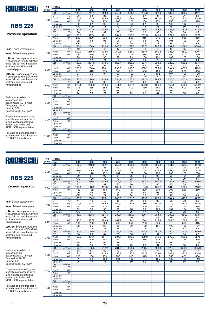

### Pressure operation

Nsof: Blower absrbed power

Nmot: Advised motor power

Lp(A) sc: Sound pressure level in accordance with ISO 3746 in a free field at 1m without noise enclosure and with sound insulated pipes

Lp(A) cc: Sound pressure level in accordance with ISO 3746 in a free field at 1m without noise enclosure and with sound insulated pipes

Performances related to atmospheric air: abs. pressure 1,013 mbar Temperature 20° C Humidity 50% Specific weight 1.2 kg/m 3

For performances with gases other than atmospheric air or at non-standard conditions contact your Authorized ROBUSCHI representative

Tolerance on performances: in accordance with the Robuschi TE1.S.0015 specification

| DP.    | 6<br>4<br>Poles<br>650<br>700<br>600<br>800<br>850<br>900<br>1200<br>rpm |                        |                  |                 |                 |                 |                 |                 |                 |                 |                 |                 |
|--------|--------------------------------------------------------------------------|------------------------|------------------|-----------------|-----------------|-----------------|-----------------|-----------------|-----------------|-----------------|-----------------|-----------------|
| (mbar) |                                                                          |                        |                  |                 |                 | 750             |                 |                 |                 | 1000            | 1100            |                 |
|        | Q1                                                                       | $m^3/m$ in             | 193,5            | 211,7           | 229,9           | 248,1           | 266,3           | 284,6           | 302,8           | 339,2           | 375,7           | 412.1           |
|        | DT                                                                       | $\overline{C}$         | $\overline{28}$  | 28              | $\overline{28}$ | $\overline{27}$ | $\overline{27}$ | $\overline{27}$ | $\overline{27}$ | $\overline{27}$ | $\overline{26}$ | $\overline{26}$ |
|        | Nsof                                                                     | kW                     | 127,3            | 137,9           | 148.5           | 159.2           | 169.8           | 180.4           | 191.0           | 212,2           | 233,4           | 254.6           |
| 300    | Nmot                                                                     | kW                     | 160              | 160             | 200             | 200             | 200             | 200             | 250             | 250             | 315             | 315             |
|        | $Lp(A)$ sc                                                               |                        | 90               | 92              | 93              | 94              | 96              | 97              | 98              | 100             | 102             | 104             |
|        | $Lp(A)$ cc                                                               |                        | $\overline{570}$ | $\overline{50}$ | $\overline{71}$ | $\overline{72}$ | 74              | 75              | 76              | 78              | 80              | 82              |
|        | Q <sub>1</sub>                                                           | $m^3/m$ in             | 189.6            | 207.8           | 226.0           | 244.2           | 262.5           | 280.7           | 298.9           | 335.3           | 371.8           | 408.2           |
|        | DT                                                                       | $\overline{C}$         | 38               | 38              | $\overline{37}$ | $\overline{37}$ | $\overline{37}$ | 36              | 36              | 36              | 36              | 35              |
| 400    | Nsof                                                                     | kW                     | 163,8            | 177.4           | 191.1           | 204.7           | 218.3           | 232,0           | 245,6           | 272,9           | 300,2           | 327,5           |
|        | Nmot                                                                     | kW                     | 200              | 200             | 250             | 250             | 250             | 315             | 315             | 315             | 355             | 355             |
|        | $Lp(A)$ sc                                                               |                        | 92               | 93              | 95              | 96              | 97              | 98              | 99              | 101             | 103             | 105             |
|        | $Lp(A)$ cc                                                               |                        | $\overline{50}$  | 71              | 73              | 74              | $\overline{75}$ | $\overline{76}$ | $\overline{77}$ | 79              | 81              | 83              |
|        | Q <sub>1</sub>                                                           | $m^3/m$ in             | 186.1            | 204.4           | 222.6           | 240.8           | 259.0           | 277.2           | 295,5           | 331,9           | 368,3           | 404.8           |
|        | $\overline{DT}$                                                          | $\overline{\text{°C}}$ | 49               | 48              | 47              | 47              | 47              | 46              | 46              | 45              | 45              | 45              |
| 500    | <b>Nsof</b>                                                              | kW                     | 200,2            | 216,9           | 233,6           | 250,3           | 266,9           | 283,6           | 300,3           | 333,7           | 367,0           | 400,4           |
|        | Nmot                                                                     | kW                     | 250              | 250             | 315             | 315             | 315             | 315             | 355             | 400             | 400             | 450             |
|        | $Lp(A)$ sc                                                               |                        | 93               | 94              | 96              | 97              | 99              | 100             | 101             | 103             | 105             | 106             |
|        | $Lp(A)$ cc                                                               |                        | 71               | 72              | 74              | 75              | 77              | 78              | 79              | 81              | 83              | 84              |
|        | Q1                                                                       | m <sup>3</sup> /min    | 183,0            | 201,3           | 219,5           | 237,7           | 255,9           | 274,1           | 292,4           | 328,8           | 365,2           | 401,7           |
|        | DT                                                                       | $\overline{C}$         | 59               | 58              | 58              | 57              | 56              | 56              | 56              | 55              | 54              | 54              |
| 600    | Nsof                                                                     | kW                     | 236,6            | 256,4           | 276,1           | 295,8           | 315,5           | 335,2           | 355,0           | 394,4           | 433,8           | 473,3           |
|        | Nmot                                                                     | kW                     | 315              | 315             | 315             | 355             | 355             | 400             | 400             | 450             | 500             | 600             |
|        | $Lp(A)$ sc                                                               |                        | 94               | 96              | 97              | 99              | 100             | 101             | 102             | 104             | 106             | 108             |
|        | $Lp(A)$ cc                                                               |                        | 72               | 74              | $\overline{75}$ | 77              | 78              | 79              | 80              | 82              | 84              | 85              |
|        | Q1                                                                       | $m^3/m$ in             | 180.2            | 198.4           | 216.6           | 234.9           | 253.1           | 271.3           | 289.5           | 326.0           | 362.4           | 398.8           |
|        | DT                                                                       | $\overline{\text{c}}$  | 70               | 69              | 68              | 67              | 67              | 66              | 66              | 65              | 64              | 63              |
| 700    | Nsof                                                                     | kW                     | 273,1            | 295,8           | 318,6           | 341,4           | 364,1           | 386,9           | 409,6           | 455,1           | 500,6           | 546,2           |
|        | Nmot                                                                     | kW                     | 315              | 355             | 355             | 400             | 400             | 450             | 450             | 500             | 600             | 600             |
|        | $Lp(A)$ sc                                                               |                        | 96               | 97              | 99              | 100             | 101             | 102             | 103             | 105             | 107             | 109             |
|        | $Lp(A)$ cc                                                               |                        | 74               | 75              | 77              | 78              | 79              | 80              | 81              | 83              | 85              | 85              |
|        | Q1                                                                       | m <sup>3</sup> /min    |                  |                 |                 |                 |                 |                 |                 |                 |                 |                 |
|        | DT                                                                       | $\overline{C}$         |                  |                 |                 |                 |                 |                 |                 |                 |                 |                 |
| 800    | Nsof                                                                     | kW                     |                  |                 |                 |                 |                 |                 |                 |                 |                 |                 |
|        | Nmot                                                                     | kW                     |                  |                 |                 |                 |                 |                 |                 |                 |                 |                 |
|        | $Lp(A)$ sc                                                               |                        |                  |                 |                 |                 |                 |                 |                 |                 |                 |                 |
|        | $Lp(A)$ cc                                                               |                        |                  |                 |                 |                 |                 |                 |                 |                 |                 |                 |
|        | Q1                                                                       | $m^3/m$ in             |                  |                 |                 |                 |                 |                 |                 |                 |                 |                 |
|        | DT                                                                       | $\overline{C}$         |                  |                 |                 |                 |                 |                 |                 |                 |                 |                 |
| 900    | Nsof                                                                     | kW                     |                  |                 |                 |                 |                 |                 |                 |                 |                 |                 |
|        | Nmot                                                                     | kW                     |                  |                 |                 |                 |                 |                 |                 |                 |                 |                 |
|        | $Lp(A)$ sc                                                               |                        |                  |                 |                 |                 |                 |                 |                 |                 |                 |                 |
|        | $Lp(A)$ cc                                                               |                        |                  |                 |                 |                 |                 |                 |                 |                 |                 |                 |
|        | $\overline{Q1}$                                                          | $m^3/m$ in             |                  |                 |                 |                 |                 |                 |                 |                 |                 |                 |
|        | DT                                                                       | $\overline{C}$         |                  |                 |                 |                 |                 |                 |                 |                 |                 |                 |
| 1000   | Nsof                                                                     | kW                     |                  |                 |                 |                 |                 |                 |                 |                 |                 |                 |
|        | Nmot                                                                     | kW                     |                  |                 |                 |                 |                 |                 |                 |                 |                 |                 |
|        | $Lp(A)$ sc                                                               |                        |                  |                 |                 |                 |                 |                 |                 |                 |                 |                 |
|        | $Lp(A)$ cc                                                               |                        |                  |                 |                 |                 |                 |                 |                 |                 |                 |                 |

 $\overline{A}$ 

 $\overline{A}$ 

6

 $\overline{\phantom{a}}$ 

# ROBUSCH®

### **RBS 225**

#### Vacuum operation

Nsof: Blower absrbed power

Nmot: Advised motor power

Lp(A) sc: Sound pressure level in accordance with ISO 3746 in a free field at 1m without noise enclosure and with sound insulated pipes

Lp(A) cc: Sound pressure level in accordance with ISO 3746 in a free field at 1m without noise enclosure and with sound insulated pipes

Performances related to atmospheric air: abs. pressure 1,013 mbar Temperature 20° C Humidity 50% Specific weight 1.2 kg/m 3

For performances with gases other than atmospheric air or at non-standard conditions contact your Authorized ROBUSCHI representative

| <b>DP</b> | Poles                    |                              | 6<br>4           |                 |                 |                 |                 |       |                 |                 |                 |                 |
|-----------|--------------------------|------------------------------|------------------|-----------------|-----------------|-----------------|-----------------|-------|-----------------|-----------------|-----------------|-----------------|
| (mbar)    | rpm                      |                              | 600              | 650             | 700             | 750             | 800             | 850   | 900             | 1000            | 1100            | 1200            |
|           | Q1                       | $m^3/m$ in                   | 195.7            | 213,9           | 232.1           | 250.4           | 268.6           | 286.8 | 305.0           | 341.5           | 377.9           | 414.3           |
|           | DT                       | $\overline{\text{c}}$        | 23               | 23              | $\overline{23}$ | $\overline{22}$ | $\overline{22}$ | 22    | $\overline{22}$ | $\overline{22}$ | $\overline{22}$ | $\overline{22}$ |
| 200       | <b>Nsof</b>              | kW                           | 90,9             | 98,5            | 106,0           | 113,6           | 121,2           | 128,7 | 136,3           | 151,5           | 166,6           | 181,8           |
|           | Nmot                     | kW                           | 110              | 110             | 132             | 132             | 132             | 160   | 160             | 200             | 200             | 200             |
|           | $Lp(A)$ sc               |                              | 89               | 91              | 92              | 94              | 95              | 96    | 97              | 99              | 101             | 103             |
|           | $Lp(A)$ cc               |                              | $\overline{50}$  | $\overline{50}$ | 70              | 72              | 73              | 74    | 75              | 77              | 79              | 81              |
|           | Q1                       | $m^3/m$ in                   | 192,2            | 210,4           | 228,6           | 246,8           | 265,0           | 283,3 | 301,5           | 337,9           | 374,4           | 410,8           |
|           | DT                       | $\overline{C}$               | 31               | 31              | 31              | 30              | 30              | 30    | 30              | 30              | 29              | 29              |
| 250       | Nsof                     | kW                           | 109,1            | 118,2           | 127,3           | 136,4           | 145,5           | 154,6 | 163.7           | 181,8           | 200,0           | 218,2           |
|           | Nmot                     | kW                           | 132              | 132             | 160             | 160             | 160             | 200   | 200             | 200             | 250             | 250             |
|           | $Lp(A)$ sc               |                              | 90               | 92              | 93              | 95              | 96              | 97    | 98              | 100             | 102             | 104             |
|           | $Lp(A)$ cc               |                              | $\overline{570}$ | 70              | $\overline{71}$ | 73              | $\overline{74}$ | 75    | $\overline{76}$ | 78              | 80              | 82              |
|           | Q <sub>1</sub>           | $m^3/m$ in                   | 188.6            | 206.9           | 225.1           | 243.3           | 261.5           | 279.7 | 298.0           | 334.4           | 370.8           | 407.3           |
|           | DT                       | $\overline{C}$               | 41               | 40              | 40              | 40              | 39              | 39    | 39              | 38              | 38              | 38              |
| 300       | Nsof                     | kW                           | 127,3            | 137,9           | 148,5           | 159,2           | 169,8           | 180,4 | 191,0           | 212,2           | 233,4           | 254,6           |
|           | Nmot                     | kW                           | 160              | 160             | 200             | 200             | 200             | 200   | 250             | 250             | 315             | 315             |
|           | $Lp(A)$ sc               |                              | 92               | 93              | 95              | 96              | 98              | 99    | 100             | 102             | 104             | 105             |
|           | $Lp(A)$ cc               |                              | $70$             | 71              | 73              | 74              | 76              | 77    | 78              | 80              | 82              | 83              |
|           | Q1                       | $m^3/m$ in                   | 185,0            | 203,3           | 221,5           | 239,7           | 257,9           | 276,1 | 294,4           | 330,8           | 367,2           | 403,7           |
|           | DT                       | $\overline{C}$               | 52               | 51              | 51              | 50              | 50              | 50    | 49              | 49              | 48              | 48              |
| 350       | Nsof                     | kW                           | 145,5            | 157.7           | 169.8           | 181.9           | 194.1           | 206,2 | 218,3           | 242,6           | 266,8           | 291,1           |
|           | Nmot                     | kW                           | 160              | 200             | 200             | 200             | 250             | 250   | 250             | 315             | 315             | 315             |
|           | $Lp(A)$ sc               |                              | 93               | 95              | 96              | 98              | 99              | 100   | 101             | 103             | 105             | 107             |
|           | $Lp(A)$ cc               |                              | $\overline{71}$  | $\overline{73}$ | $\overline{74}$ | 76              | 77              | 78    | 79              | 81              | 83              | 85              |
|           | Q <sub>1</sub>           | m <sup>3</sup> /min          | 181,3            | 199.5           | 217,7           | 235,9           | 254.2           | 272,4 | 290.6           | 327.0           | 363,5           | 399.9           |
|           | DT                       | $\overline{C}$               | 66               | 65              | 64              | 63              | 63              | 62    | 62              | 61              | 60              | 60              |
| 400       | Nsof                     | kW                           | 163,8            | 177,4           | 191,1           | 204,7           | 218,3           | 232,0 | 245,6           | 272,9           | 300,2           | 327,5           |
|           | Nmot                     | kW                           | 200              | 200             | 250             | 250             | 250             | 315   | 315             | 315             | 355             | 355             |
|           | $Lp(A)$ sc               |                              | 95               | 97              | 98              | 99              | 101             | 102   | 103             | 105             | 107             | 109             |
|           | $Lp(A)$ cc               |                              | 73               | 75              | 76              | 77              | 79              | 80    | 81              | 83              | 85              | 85              |
|           | Q1                       | $m^3/m$ in                   | 177,3            | 195,5           | 213,7           | 231,9           | 250,2           | 268,4 | 286,6           | 323,0           | 359,5           | 395,9           |
|           | DT                       | °C                           | 83               | 81              | 80              | 79              | 78              | 77    | 77              | 75              | 75              | 74              |
| 450       | Nsof                     | kW                           | 182,0            | 197,1           | 212,3           | 227,5           | 242,6           | 257,8 | 273,0           | 303,3           | 333,6           | 364,0           |
|           | Nmot                     | kW                           | 200              | 250             | 250             | 250             | 315             | 315   | 315             | 355             | 400             | 400             |
|           | $Lp(A)$ sc<br>$Lp(A)$ cc |                              | 97<br>75         | 98              | 100<br>78       | 101<br>79       | 102             | 104   | 105             | 107             | 109             | 110             |
|           |                          |                              |                  | 76              |                 |                 | 80              | 82    | 83              | 85              | 85              | 85              |
|           | Q <sub>1</sub><br>DT     | $m^3/m$ in<br>$\overline{C}$ |                  |                 |                 |                 |                 |       |                 |                 |                 |                 |
|           |                          | kW                           |                  |                 |                 |                 |                 |       |                 |                 |                 |                 |
| 500       | Nsof<br>Nmot             | kW                           |                  |                 |                 |                 |                 |       |                 |                 |                 |                 |
|           | $Lp(A)$ sc               |                              |                  |                 |                 |                 |                 |       |                 |                 |                 |                 |
|           | $Lp(A)$ cc               |                              |                  |                 |                 |                 |                 |       |                 |                 |                 |                 |
|           |                          | $m^3/m$ in                   |                  |                 |                 |                 |                 |       |                 |                 |                 |                 |
|           | Q1<br>DT                 | $\overline{\rm ^{\circ}\!C}$ |                  |                 |                 |                 |                 |       |                 |                 |                 |                 |
|           | Nsof                     | kW                           |                  |                 |                 |                 |                 |       |                 |                 |                 |                 |
| 550       | Nmot                     | kW                           |                  |                 |                 |                 |                 |       |                 |                 |                 |                 |
|           | $Lp(A)$ sc               |                              |                  |                 |                 |                 |                 |       |                 |                 |                 |                 |
|           | $Lp(A)$ cc               |                              |                  |                 |                 |                 |                 |       |                 |                 |                 |                 |
|           |                          |                              |                  |                 |                 |                 |                 |       |                 |                 |                 |                 |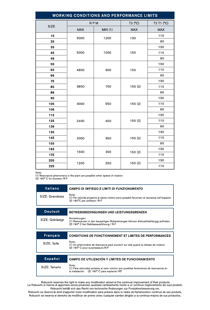| <b>WORKING CONDITIONS AND PERFORMANCE LIMITS</b> |            |        |            |            |  |
|--------------------------------------------------|------------|--------|------------|------------|--|
| <b>SIZE</b>                                      | <b>RPM</b> |        | T2 (°C)    | T2 T1 (°C) |  |
|                                                  | <b>MAX</b> | MIN(1) | <b>MAX</b> | <b>MAX</b> |  |
| 15                                               | 5000       | 1200   | 130        | 110        |  |
| 25                                               |            |        |            | 90         |  |
| 35                                               | 5000       | 1000   | 150        | 130        |  |
| 45                                               |            |        |            | 110        |  |
| 46                                               |            |        |            | 90         |  |
| 55                                               | 4800       | 900    | 150        | 130        |  |
| 65                                               |            |        |            | 110        |  |
| 66                                               |            |        |            | 90         |  |
| 75                                               | 3800       | 700    | 150(2)     | 130        |  |
| 85                                               |            |        |            | 110        |  |
| 86                                               |            |        |            | 90         |  |
| 95                                               | 3000       | 550    | 150(2)     | 130        |  |
| 105                                              |            |        |            | 110        |  |
| 106                                              |            |        |            | 90         |  |
| 115                                              | 2400       | 450    | 150(2)     | 130        |  |
| 125                                              |            |        |            | 110        |  |
| 126                                              |            |        |            | 90         |  |
| 135                                              | 2000       | 350    | 150(2)     | 130        |  |
| 145                                              |            |        |            | 110        |  |
| 155                                              |            |        |            | 90         |  |
| 165                                              | 1500       | 300    | 150(2)     | 130        |  |
| 175                                              |            |        |            | 110        |  |
| 205                                              | 1200       | 250    | 150(2)     | 130        |  |
| 225                                              |            |        |            | 110        |  |

Note:

10.000 Kesonance phenomena in the plant are possible when speed of rotation<br>(2) 160° C for blowers / R-F

| Italiano        | CAMPO DI IMPIEGO E LIMITI DI FUNZIONAMENTO                                                                                                     |  |
|-----------------|------------------------------------------------------------------------------------------------------------------------------------------------|--|
| SIZE: Grandezza | Note:<br>(1) Per velocità prossime al valore minimo sono possibili fenomeni di risonanza nell'impianto<br>(2) 160°C per soffiatori /R F        |  |
| <b>Deutsch</b>  | BETRIEBSBEDINGUNGEN UND LEISTUNGSGRENZEN                                                                                                       |  |
| SIZE: Geblästyp | Anmerkungen:<br>(1) Resonanzen in den bauseitigen Roberleitungen können drehzahllabhängig auftreten.<br>(2) 160° C bei Gebläseausführung / R F |  |
| <b>Francais</b> | <b>CONDITIONS DE FONCTIONNEMENT ET LIMITES DE PERFORMANCES</b>                                                                                 |  |
|                 |                                                                                                                                                |  |
| SIZE: Taille    | Note:<br>(1) Un phénomène de résonance peut survenir sur site quand la vitesse de rotation<br>(2) 160° C pour surpresseurs R/F                 |  |
|                 |                                                                                                                                                |  |
|                 |                                                                                                                                                |  |
| Español         | CAMPO DE UTILIZACIÓN Y LÍMITES DE FUNCIONAMIENTO                                                                                               |  |

Robuschi reserves the right to make any modification aimed at the continual improvement of their products.<br>La Robuschi si riserva di apportare senza preavviso qualsiasi cambiamento rivolto a un continuo miglioramento dei s Robuschi behält sich das Recht von technische Änderungen zur Produktverbesserung vor.

Robuschi se réserve le droit d'apporter toute modification sans préavis dans le cadre de l'amélioration continue de ses produits. Robuschi se reserva el derecho de modificar sin previo aviso cualquier cambio dirigido a la continua mejora de sus productos.